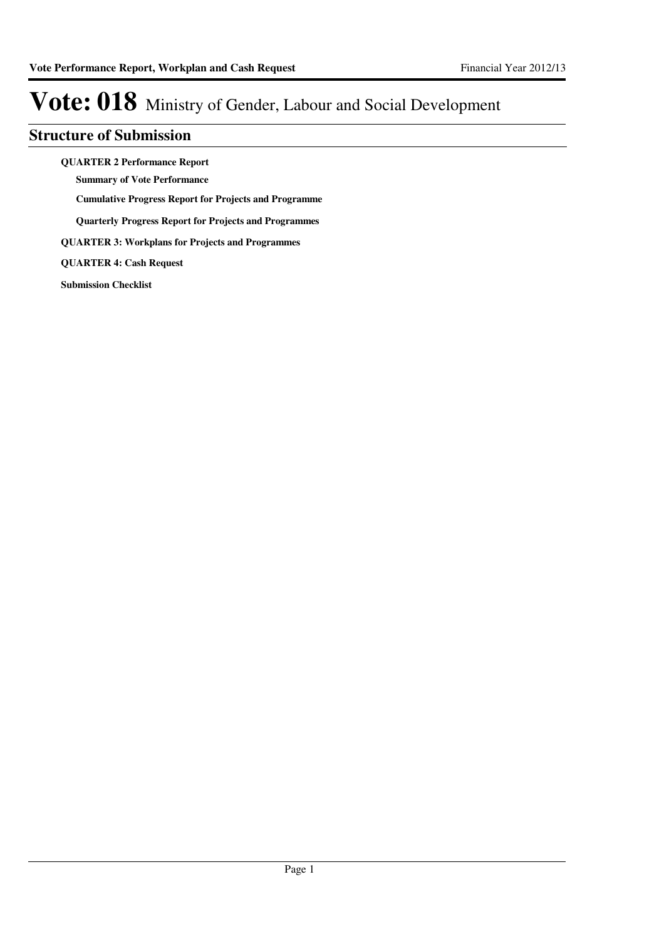### **Structure of Submission**

**QUARTER 2 Performance Report**

**Summary of Vote Performance**

**Cumulative Progress Report for Projects and Programme**

**Quarterly Progress Report for Projects and Programmes**

**QUARTER 3: Workplans for Projects and Programmes**

**QUARTER 4: Cash Request**

**Submission Checklist**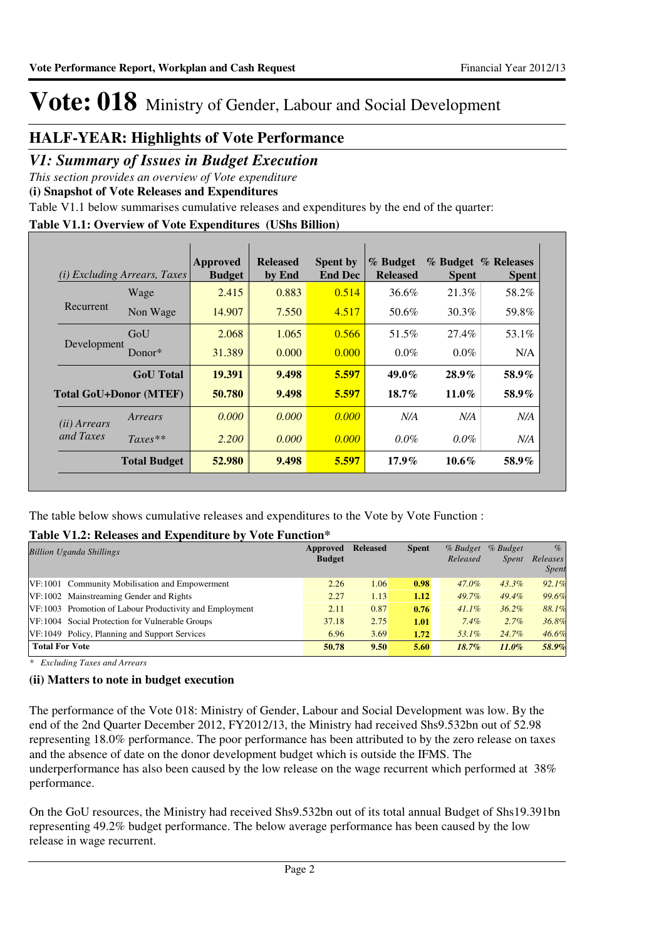### **HALF-YEAR: Highlights of Vote Performance**

### *V1: Summary of Issues in Budget Execution*

*This section provides an overview of Vote expenditure* 

**(i) Snapshot of Vote Releases and Expenditures**

Table V1.1 below summarises cumulative releases and expenditures by the end of the quarter:

### **Table V1.1: Overview of Vote Expenditures (UShs Billion)**

| (i)                   | <i>Excluding Arrears, Taxes</i> | Approved<br><b>Budget</b> | <b>Released</b><br>by End | <b>Spent by</b><br><b>End Dec</b> | % Budget<br><b>Released</b> | <b>Spent</b> | % Budget % Releases<br><b>Spent</b> |
|-----------------------|---------------------------------|---------------------------|---------------------------|-----------------------------------|-----------------------------|--------------|-------------------------------------|
|                       | Wage                            | 2.415                     | 0.883                     | 0.514                             | 36.6%                       | 21.3%        | 58.2%                               |
| Recurrent             | Non Wage                        | 14.907                    | 7.550                     | 4.517                             | 50.6%                       | 30.3%        | 59.8%                               |
| Development           | GoU                             | 2.068                     | 1.065                     | 0.566                             | 51.5%                       | 27.4%        | 53.1%                               |
|                       | Donor $*$                       | 31.389                    | 0.000                     | 0.000                             | $0.0\%$                     | $0.0\%$      | N/A                                 |
|                       | <b>GoU</b> Total                | 19.391                    | 9.498                     | 5.597                             | $49.0\%$                    | $28.9\%$     | 58.9%                               |
|                       | <b>Total GoU+Donor (MTEF)</b>   | 50.780                    | 9.498                     | 5.597                             | $18.7\%$                    | $11.0\%$     | 58.9%                               |
| ( <i>ii</i> ) Arrears | Arrears                         | 0.000                     | 0.000                     | 0.000                             | N/A                         | N/A          | N/A                                 |
| and Taxes             | $Taxes**$                       | 2.200                     | 0.000                     | 0.000                             | $0.0\%$                     | $0.0\%$      | N/A                                 |
|                       | <b>Total Budget</b>             | 52.980                    | 9.498                     | 5.597                             | $17.9\%$                    | $10.6\%$     | 58.9%                               |

The table below shows cumulative releases and expenditures to the Vote by Vote Function :

### **Table V1.2: Releases and Expenditure by Vote Function\***

| Approved<br><b>Billion Uganda Shillings</b>             |       | <b>Released</b> | <b>Spent</b> | % Budget<br>Released | % Budget<br><i>Spent</i> | $\%$<br>Releases<br>Spent |
|---------------------------------------------------------|-------|-----------------|--------------|----------------------|--------------------------|---------------------------|
| VF:1001 Community Mobilisation and Empowerment          | 2.26  | 1.06            | 0.98         | $47.0\%$             | $43.3\%$                 | 92.1%                     |
| VF: 1002 Mainstreaming Gender and Rights                | 2.27  | 1.13            | 1.12         | 49.7%                | $49.4\%$                 | 99.6%                     |
| VF:1003 Promotion of Labour Productivity and Employment | 2.11  | 0.87            | 0.76         | $41.1\%$             | $36.2\%$                 | 88.1%                     |
| VF:1004 Social Protection for Vulnerable Groups         | 37.18 | 2.75            | 1.01         | 7.4%                 | $2.7\%$                  | 36.8%                     |
| VF:1049 Policy, Planning and Support Services           | 6.96  | 3.69            | 1.72         | 53.1%                | 24.7%                    | 46.6%                     |
| <b>Total For Vote</b>                                   | 50.78 | 9.50            | 5.60         | $18.7\%$             | $11.0\%$                 | 58.9%                     |

*\* Excluding Taxes and Arrears*

### **(ii) Matters to note in budget execution**

The performance of the Vote 018: Ministry of Gender, Labour and Social Development was low. By the end of the 2nd Quarter December 2012, FY2012/13, the Ministry had received Shs9.532bn out of 52.98 representing 18.0% performance. The poor performance has been attributed to by the zero release on taxes and the absence of date on the donor development budget which is outside the IFMS. The underperformance has also been caused by the low release on the wage recurrent which performed at 38% performance.

On the GoU resources, the Ministry had received Shs9.532bn out of its total annual Budget of Shs19.391bn representing 49.2% budget performance. The below average performance has been caused by the low release in wage recurrent.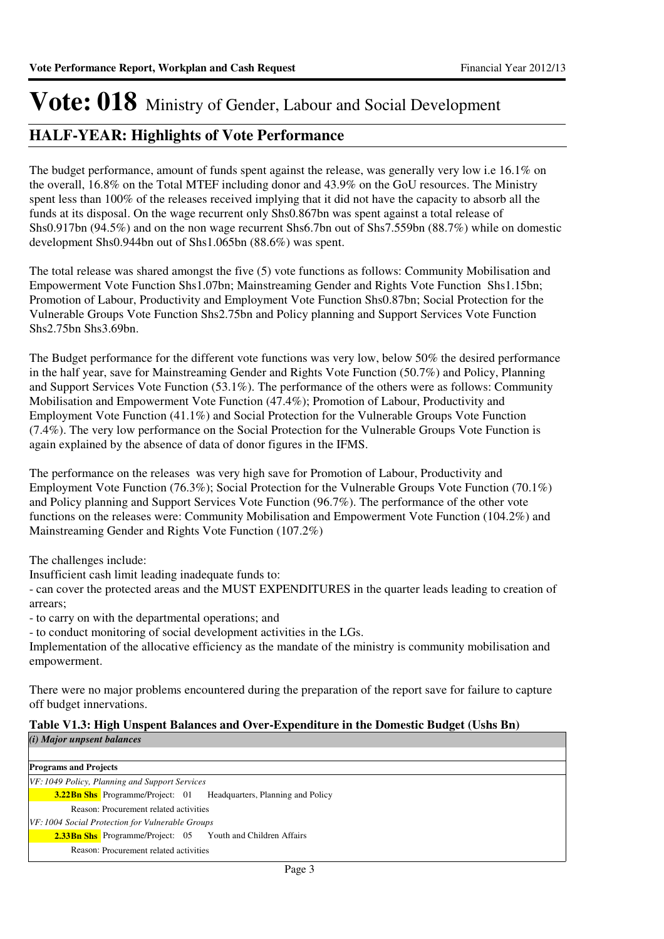### **HALF-YEAR: Highlights of Vote Performance**

The budget performance, amount of funds spent against the release, was generally very low i.e 16.1% on the overall, 16.8% on the Total MTEF including donor and 43.9% on the GoU resources. The Ministry spent less than 100% of the releases received implying that it did not have the capacity to absorb all the funds at its disposal. On the wage recurrent only Shs0.867bn was spent against a total release of Shs0.917bn (94.5%) and on the non wage recurrent Shs6.7bn out of Shs7.559bn (88.7%) while on domestic development Shs0.944bn out of Shs1.065bn (88.6%) was spent.

The total release was shared amongst the five (5) vote functions as follows: Community Mobilisation and Empowerment Vote Function Shs1.07bn; Mainstreaming Gender and Rights Vote Function Shs1.15bn; Promotion of Labour, Productivity and Employment Vote Function Shs0.87bn; Social Protection for the Vulnerable Groups Vote Function Shs2.75bn and Policy planning and Support Services Vote Function Shs2.75bn Shs3.69bn.

The Budget performance for the different vote functions was very low, below 50% the desired performance in the half year, save for Mainstreaming Gender and Rights Vote Function (50.7%) and Policy, Planning and Support Services Vote Function (53.1%). The performance of the others were as follows: Community Mobilisation and Empowerment Vote Function (47.4%); Promotion of Labour, Productivity and Employment Vote Function (41.1%) and Social Protection for the Vulnerable Groups Vote Function (7.4%). The very low performance on the Social Protection for the Vulnerable Groups Vote Function is again explained by the absence of data of donor figures in the IFMS.

The performance on the releases was very high save for Promotion of Labour, Productivity and Employment Vote Function (76.3%); Social Protection for the Vulnerable Groups Vote Function (70.1%) and Policy planning and Support Services Vote Function (96.7%). The performance of the other vote functions on the releases were: Community Mobilisation and Empowerment Vote Function (104.2%) and Mainstreaming Gender and Rights Vote Function (107.2%)

The challenges include:

Insufficient cash limit leading inadequate funds to:

- can cover the protected areas and the MUST EXPENDITURES in the quarter leads leading to creation of arrears;

- to carry on with the departmental operations; and

- to conduct monitoring of social development activities in the LGs.

Implementation of the allocative efficiency as the mandate of the ministry is community mobilisation and empowerment.

There were no major problems encountered during the preparation of the report save for failure to capture off budget innervations.

### **Table V1.3: High Unspent Balances and Over-Expenditure in the Domestic Budget (Ushs Bn)**

*(i) Major unpsent balances*

**Programs and Projects**

**Headquarters, Planning and Policy** *VF: 1049 Policy, Planning and Support Services* Reason: Procurement related activities **3.22Bn Shs** Programme/Project: 01 2.33Bn Shs Programme/Project: 05 Youth and Children Affairs *VF: 1004 Social Protection for Vulnerable Groups* Reason: Procurement related activities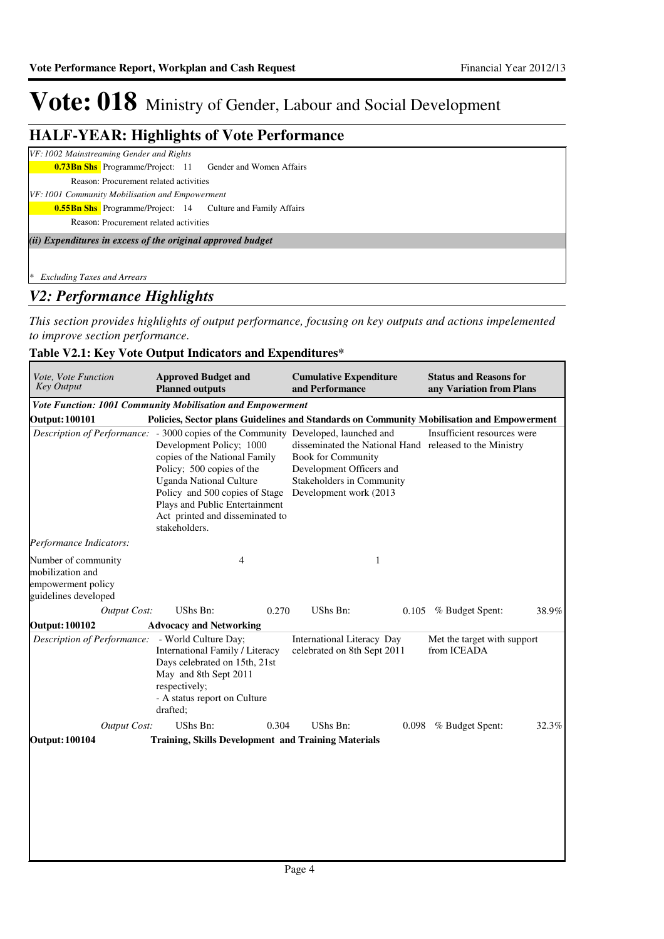### **HALF-YEAR: Highlights of Vote Performance**

### *VF: 1002 Mainstreaming Gender and Rights*

**0.73Bn Shs** Programme/Project: 11 Gender and Women Affairs

Reason: Procurement related activities

*VF: 1001 Community Mobilisation and Empowerment*

**0.55Bn Shs** Programme/Project: 14 Culture and Family Affairs

Reason: Procurement related activities

*(ii) Expenditures in excess of the original approved budget*

*\* Excluding Taxes and Arrears*

### *V2: Performance Highlights*

*This section provides highlights of output performance, focusing on key outputs and actions impelemented to improve section performance.*

### **Table V2.1: Key Vote Output Indicators and Expenditures\***

| <b>Approved Budget and</b><br><b>Planned outputs</b>                                                       |                                                                                                                                                                                                                            |                                                                                                                                                                          | <b>Status and Reasons for</b><br>any Variation from Plans                                                                                                                                                                                                           |                                                                                                                                                                                                       |
|------------------------------------------------------------------------------------------------------------|----------------------------------------------------------------------------------------------------------------------------------------------------------------------------------------------------------------------------|--------------------------------------------------------------------------------------------------------------------------------------------------------------------------|---------------------------------------------------------------------------------------------------------------------------------------------------------------------------------------------------------------------------------------------------------------------|-------------------------------------------------------------------------------------------------------------------------------------------------------------------------------------------------------|
|                                                                                                            |                                                                                                                                                                                                                            |                                                                                                                                                                          |                                                                                                                                                                                                                                                                     |                                                                                                                                                                                                       |
|                                                                                                            |                                                                                                                                                                                                                            |                                                                                                                                                                          |                                                                                                                                                                                                                                                                     |                                                                                                                                                                                                       |
| Development Policy; 1000<br>Policy; 500 copies of the<br><b>Uganda National Culture</b><br>stakeholders.   |                                                                                                                                                                                                                            |                                                                                                                                                                          | Insufficient resources were                                                                                                                                                                                                                                         |                                                                                                                                                                                                       |
|                                                                                                            |                                                                                                                                                                                                                            |                                                                                                                                                                          |                                                                                                                                                                                                                                                                     |                                                                                                                                                                                                       |
| 4                                                                                                          | 1                                                                                                                                                                                                                          |                                                                                                                                                                          |                                                                                                                                                                                                                                                                     |                                                                                                                                                                                                       |
| UShs Bn:                                                                                                   | UShs Bn:                                                                                                                                                                                                                   |                                                                                                                                                                          |                                                                                                                                                                                                                                                                     | 38.9%                                                                                                                                                                                                 |
| <b>Advocacy and Networking</b>                                                                             |                                                                                                                                                                                                                            |                                                                                                                                                                          |                                                                                                                                                                                                                                                                     |                                                                                                                                                                                                       |
| - World Culture Day;<br>May and 8th Sept 2011<br>respectively;<br>- A status report on Culture<br>drafted; |                                                                                                                                                                                                                            |                                                                                                                                                                          | Met the target with support                                                                                                                                                                                                                                         |                                                                                                                                                                                                       |
| UShs Bn:                                                                                                   | UShs Bn:                                                                                                                                                                                                                   |                                                                                                                                                                          | % Budget Spent:                                                                                                                                                                                                                                                     | 32.3%                                                                                                                                                                                                 |
|                                                                                                            |                                                                                                                                                                                                                            |                                                                                                                                                                          |                                                                                                                                                                                                                                                                     |                                                                                                                                                                                                       |
|                                                                                                            | copies of the National Family<br>Policy and 500 copies of Stage<br>Plays and Public Entertainment<br>Act printed and disseminated to<br>0.270<br>International Family / Literacy<br>Days celebrated on 15th, 21st<br>0.304 | and Performance<br>Vote Function: 1001 Community Mobilisation and Empowerment<br><b>Book for Community</b><br><b>Training, Skills Development and Training Materials</b> | <b>Cumulative Expenditure</b><br>Description of Performance: - 3000 copies of the Community Developed, launched and<br>Development Officers and<br>Stakeholders in Community<br>Development work (2013<br>International Literacy Day<br>celebrated on 8th Sept 2011 | Policies, Sector plans Guidelines and Standards on Community Mobilisation and Empowerment<br>disseminated the National Hand released to the Ministry<br>0.105 % Budget Spent:<br>from ICEADA<br>0.098 |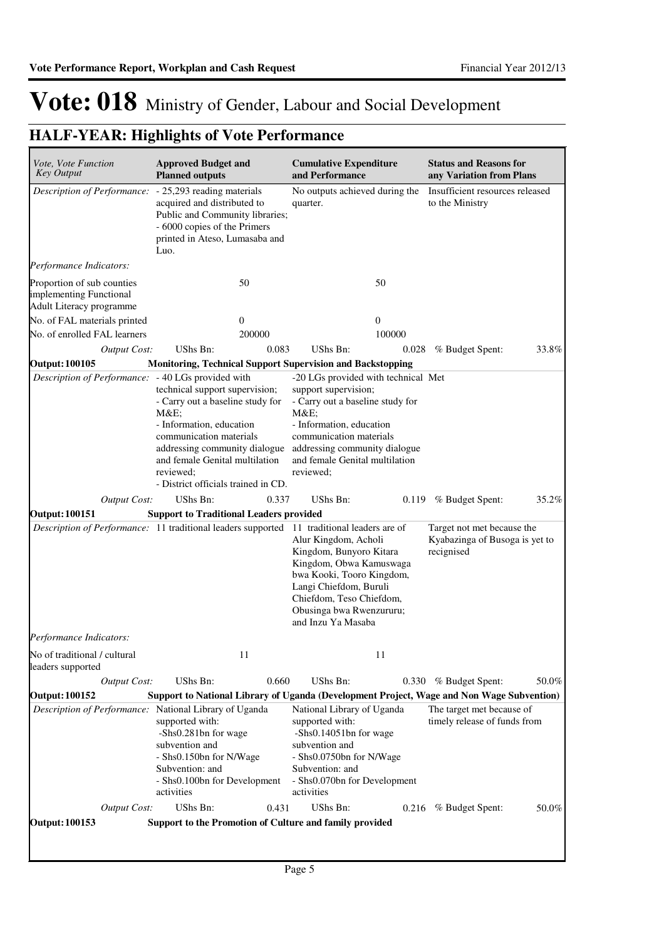| <b>Approved Budget and</b><br><b>Cumulative Expenditure</b><br><b>Key Output</b><br><b>Planned outputs</b><br>and Performance<br>any Variation from Plans<br>Description of Performance: - 25,293 reading materials<br>Insufficient resources released<br>No outputs achieved during the<br>acquired and distributed to<br>to the Ministry<br>quarter.<br>Public and Community libraries;<br>- 6000 copies of the Primers<br>printed in Ateso, Lumasaba and<br>Luo.<br>Performance Indicators:<br>50<br>50<br>Adult Literacy programme<br>$\overline{0}$<br>$\mathbf{0}$<br>200000<br>100000<br>UShs Bn:<br>UShs Bn:<br><b>Output Cost:</b><br>0.083<br>% Budget Spent:<br>0.028<br><b>Output: 100105</b><br><b>Monitoring, Technical Support Supervision and Backstopping</b><br>Description of Performance: - 40 LGs provided with<br>-20 LGs provided with technical Met<br>technical support supervision;<br>support supervision;<br>- Carry out a baseline study for<br>- Carry out a baseline study for<br>$M&E$ :<br>M&E<br>- Information, education<br>- Information, education<br>communication materials<br>communication materials<br>addressing community dialogue<br>addressing community dialogue<br>and female Genital multilation<br>and female Genital multilation<br>reviewed:<br>reviewed;<br>- District officials trained in CD.<br>UShs Bn:<br>UShs Bn:<br><b>Output Cost:</b><br>0.337<br>% Budget Spent:<br>0.119<br><b>Output: 100151</b><br><b>Support to Traditional Leaders provided</b><br>Description of Performance: 11 traditional leaders supported 11 traditional leaders are of<br>Target not met because the<br>Alur Kingdom, Acholi<br>Kyabazinga of Busoga is yet to<br>Kingdom, Bunyoro Kitara<br>recignised<br>Kingdom, Obwa Kamuswaga<br>bwa Kooki, Tooro Kingdom,<br>Langi Chiefdom, Buruli<br>Chiefdom, Teso Chiefdom,<br>Obusinga bwa Rwenzururu;<br>and Inzu Ya Masaba<br><i>Performance Indicators:</i><br>No of traditional / cultural<br>11<br>11<br>leaders supported<br>UShs Bn:<br>0.660<br>UShs Bn:<br><b>Output Cost:</b><br>0.330 % Budget Spent:<br><b>Output: 100152</b><br>Support to National Library of Uganda (Development Project, Wage and Non Wage Subvention)<br>Description of Performance: National Library of Uganda<br>National Library of Uganda<br>The target met because of<br>supported with:<br>supported with:<br>timely release of funds from<br>-Shs0.281bn for wage<br>-Shs0.14051bn for wage<br>subvention and<br>subvention and<br>- Shs0.150bn for N/Wage<br>- Shs0.0750bn for N/Wage<br>Subvention: and<br>Subvention: and<br>- Shs0.100bn for Development<br>- Shs0.070bn for Development<br>activities<br>activities<br>UShs Bn:<br>UShs Bn:<br><b>Output Cost:</b><br>0.431<br>0.216 % Budget Spent:<br>Support to the Promotion of Culture and family provided<br><b>Output: 100153</b> |                     |  |  |                               |       |
|-----------------------------------------------------------------------------------------------------------------------------------------------------------------------------------------------------------------------------------------------------------------------------------------------------------------------------------------------------------------------------------------------------------------------------------------------------------------------------------------------------------------------------------------------------------------------------------------------------------------------------------------------------------------------------------------------------------------------------------------------------------------------------------------------------------------------------------------------------------------------------------------------------------------------------------------------------------------------------------------------------------------------------------------------------------------------------------------------------------------------------------------------------------------------------------------------------------------------------------------------------------------------------------------------------------------------------------------------------------------------------------------------------------------------------------------------------------------------------------------------------------------------------------------------------------------------------------------------------------------------------------------------------------------------------------------------------------------------------------------------------------------------------------------------------------------------------------------------------------------------------------------------------------------------------------------------------------------------------------------------------------------------------------------------------------------------------------------------------------------------------------------------------------------------------------------------------------------------------------------------------------------------------------------------------------------------------------------------------------------------------------------------------------------------------------------------------------------------------------------------------------------------------------------------------------------------------------------------------------------------------------------------------------------------------------------------------------------------------------------------------------------------------------------------------------------------------------------------------------------------------|---------------------|--|--|-------------------------------|-------|
| Proportion of sub counties<br>implementing Functional<br>No. of FAL materials printed<br>No. of enrolled FAL learners                                                                                                                                                                                                                                                                                                                                                                                                                                                                                                                                                                                                                                                                                                                                                                                                                                                                                                                                                                                                                                                                                                                                                                                                                                                                                                                                                                                                                                                                                                                                                                                                                                                                                                                                                                                                                                                                                                                                                                                                                                                                                                                                                                                                                                                                                                                                                                                                                                                                                                                                                                                                                                                                                                                                                       | Vote, Vote Function |  |  | <b>Status and Reasons for</b> |       |
|                                                                                                                                                                                                                                                                                                                                                                                                                                                                                                                                                                                                                                                                                                                                                                                                                                                                                                                                                                                                                                                                                                                                                                                                                                                                                                                                                                                                                                                                                                                                                                                                                                                                                                                                                                                                                                                                                                                                                                                                                                                                                                                                                                                                                                                                                                                                                                                                                                                                                                                                                                                                                                                                                                                                                                                                                                                                             |                     |  |  |                               |       |
|                                                                                                                                                                                                                                                                                                                                                                                                                                                                                                                                                                                                                                                                                                                                                                                                                                                                                                                                                                                                                                                                                                                                                                                                                                                                                                                                                                                                                                                                                                                                                                                                                                                                                                                                                                                                                                                                                                                                                                                                                                                                                                                                                                                                                                                                                                                                                                                                                                                                                                                                                                                                                                                                                                                                                                                                                                                                             |                     |  |  |                               |       |
|                                                                                                                                                                                                                                                                                                                                                                                                                                                                                                                                                                                                                                                                                                                                                                                                                                                                                                                                                                                                                                                                                                                                                                                                                                                                                                                                                                                                                                                                                                                                                                                                                                                                                                                                                                                                                                                                                                                                                                                                                                                                                                                                                                                                                                                                                                                                                                                                                                                                                                                                                                                                                                                                                                                                                                                                                                                                             |                     |  |  |                               |       |
|                                                                                                                                                                                                                                                                                                                                                                                                                                                                                                                                                                                                                                                                                                                                                                                                                                                                                                                                                                                                                                                                                                                                                                                                                                                                                                                                                                                                                                                                                                                                                                                                                                                                                                                                                                                                                                                                                                                                                                                                                                                                                                                                                                                                                                                                                                                                                                                                                                                                                                                                                                                                                                                                                                                                                                                                                                                                             |                     |  |  |                               |       |
|                                                                                                                                                                                                                                                                                                                                                                                                                                                                                                                                                                                                                                                                                                                                                                                                                                                                                                                                                                                                                                                                                                                                                                                                                                                                                                                                                                                                                                                                                                                                                                                                                                                                                                                                                                                                                                                                                                                                                                                                                                                                                                                                                                                                                                                                                                                                                                                                                                                                                                                                                                                                                                                                                                                                                                                                                                                                             |                     |  |  |                               |       |
|                                                                                                                                                                                                                                                                                                                                                                                                                                                                                                                                                                                                                                                                                                                                                                                                                                                                                                                                                                                                                                                                                                                                                                                                                                                                                                                                                                                                                                                                                                                                                                                                                                                                                                                                                                                                                                                                                                                                                                                                                                                                                                                                                                                                                                                                                                                                                                                                                                                                                                                                                                                                                                                                                                                                                                                                                                                                             |                     |  |  |                               | 33.8% |
|                                                                                                                                                                                                                                                                                                                                                                                                                                                                                                                                                                                                                                                                                                                                                                                                                                                                                                                                                                                                                                                                                                                                                                                                                                                                                                                                                                                                                                                                                                                                                                                                                                                                                                                                                                                                                                                                                                                                                                                                                                                                                                                                                                                                                                                                                                                                                                                                                                                                                                                                                                                                                                                                                                                                                                                                                                                                             |                     |  |  |                               |       |
|                                                                                                                                                                                                                                                                                                                                                                                                                                                                                                                                                                                                                                                                                                                                                                                                                                                                                                                                                                                                                                                                                                                                                                                                                                                                                                                                                                                                                                                                                                                                                                                                                                                                                                                                                                                                                                                                                                                                                                                                                                                                                                                                                                                                                                                                                                                                                                                                                                                                                                                                                                                                                                                                                                                                                                                                                                                                             |                     |  |  |                               |       |
|                                                                                                                                                                                                                                                                                                                                                                                                                                                                                                                                                                                                                                                                                                                                                                                                                                                                                                                                                                                                                                                                                                                                                                                                                                                                                                                                                                                                                                                                                                                                                                                                                                                                                                                                                                                                                                                                                                                                                                                                                                                                                                                                                                                                                                                                                                                                                                                                                                                                                                                                                                                                                                                                                                                                                                                                                                                                             |                     |  |  |                               | 35.2% |
|                                                                                                                                                                                                                                                                                                                                                                                                                                                                                                                                                                                                                                                                                                                                                                                                                                                                                                                                                                                                                                                                                                                                                                                                                                                                                                                                                                                                                                                                                                                                                                                                                                                                                                                                                                                                                                                                                                                                                                                                                                                                                                                                                                                                                                                                                                                                                                                                                                                                                                                                                                                                                                                                                                                                                                                                                                                                             |                     |  |  |                               |       |
|                                                                                                                                                                                                                                                                                                                                                                                                                                                                                                                                                                                                                                                                                                                                                                                                                                                                                                                                                                                                                                                                                                                                                                                                                                                                                                                                                                                                                                                                                                                                                                                                                                                                                                                                                                                                                                                                                                                                                                                                                                                                                                                                                                                                                                                                                                                                                                                                                                                                                                                                                                                                                                                                                                                                                                                                                                                                             |                     |  |  |                               |       |
|                                                                                                                                                                                                                                                                                                                                                                                                                                                                                                                                                                                                                                                                                                                                                                                                                                                                                                                                                                                                                                                                                                                                                                                                                                                                                                                                                                                                                                                                                                                                                                                                                                                                                                                                                                                                                                                                                                                                                                                                                                                                                                                                                                                                                                                                                                                                                                                                                                                                                                                                                                                                                                                                                                                                                                                                                                                                             |                     |  |  |                               |       |
|                                                                                                                                                                                                                                                                                                                                                                                                                                                                                                                                                                                                                                                                                                                                                                                                                                                                                                                                                                                                                                                                                                                                                                                                                                                                                                                                                                                                                                                                                                                                                                                                                                                                                                                                                                                                                                                                                                                                                                                                                                                                                                                                                                                                                                                                                                                                                                                                                                                                                                                                                                                                                                                                                                                                                                                                                                                                             |                     |  |  |                               |       |
|                                                                                                                                                                                                                                                                                                                                                                                                                                                                                                                                                                                                                                                                                                                                                                                                                                                                                                                                                                                                                                                                                                                                                                                                                                                                                                                                                                                                                                                                                                                                                                                                                                                                                                                                                                                                                                                                                                                                                                                                                                                                                                                                                                                                                                                                                                                                                                                                                                                                                                                                                                                                                                                                                                                                                                                                                                                                             |                     |  |  |                               | 50.0% |
|                                                                                                                                                                                                                                                                                                                                                                                                                                                                                                                                                                                                                                                                                                                                                                                                                                                                                                                                                                                                                                                                                                                                                                                                                                                                                                                                                                                                                                                                                                                                                                                                                                                                                                                                                                                                                                                                                                                                                                                                                                                                                                                                                                                                                                                                                                                                                                                                                                                                                                                                                                                                                                                                                                                                                                                                                                                                             |                     |  |  |                               |       |
|                                                                                                                                                                                                                                                                                                                                                                                                                                                                                                                                                                                                                                                                                                                                                                                                                                                                                                                                                                                                                                                                                                                                                                                                                                                                                                                                                                                                                                                                                                                                                                                                                                                                                                                                                                                                                                                                                                                                                                                                                                                                                                                                                                                                                                                                                                                                                                                                                                                                                                                                                                                                                                                                                                                                                                                                                                                                             |                     |  |  |                               |       |
|                                                                                                                                                                                                                                                                                                                                                                                                                                                                                                                                                                                                                                                                                                                                                                                                                                                                                                                                                                                                                                                                                                                                                                                                                                                                                                                                                                                                                                                                                                                                                                                                                                                                                                                                                                                                                                                                                                                                                                                                                                                                                                                                                                                                                                                                                                                                                                                                                                                                                                                                                                                                                                                                                                                                                                                                                                                                             |                     |  |  |                               | 50.0% |
|                                                                                                                                                                                                                                                                                                                                                                                                                                                                                                                                                                                                                                                                                                                                                                                                                                                                                                                                                                                                                                                                                                                                                                                                                                                                                                                                                                                                                                                                                                                                                                                                                                                                                                                                                                                                                                                                                                                                                                                                                                                                                                                                                                                                                                                                                                                                                                                                                                                                                                                                                                                                                                                                                                                                                                                                                                                                             |                     |  |  |                               |       |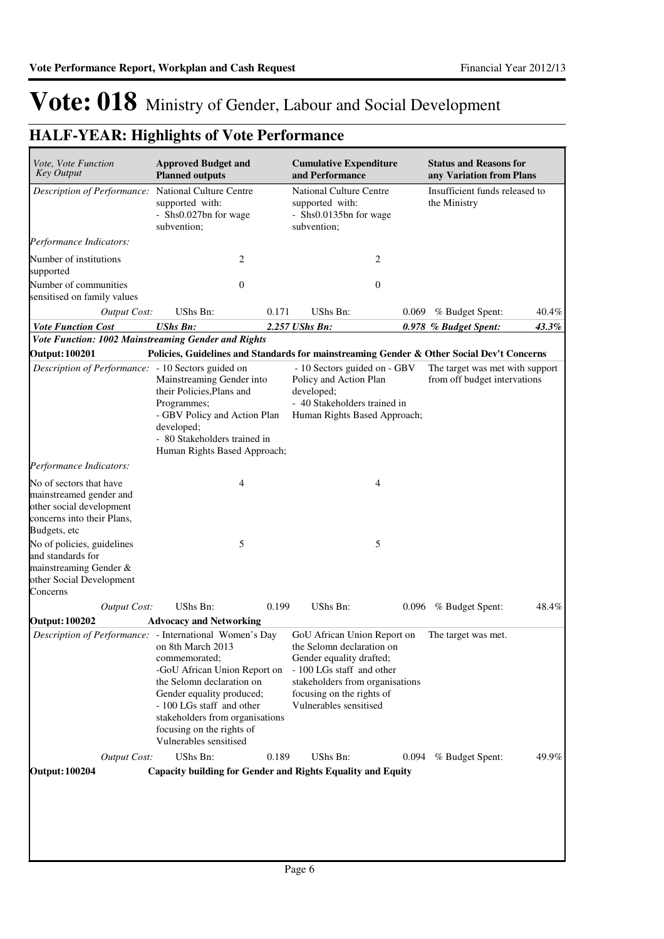| Vote, Vote Function<br><b>Key Output</b>                                                                                     | <b>Approved Budget and</b><br><b>Planned outputs</b>                                                                                                                                                                                                |       | <b>Cumulative Expenditure</b><br>and Performance                                                                                                                                                            |              | <b>Status and Reasons for</b><br>any Variation from Plans       |       |
|------------------------------------------------------------------------------------------------------------------------------|-----------------------------------------------------------------------------------------------------------------------------------------------------------------------------------------------------------------------------------------------------|-------|-------------------------------------------------------------------------------------------------------------------------------------------------------------------------------------------------------------|--------------|-----------------------------------------------------------------|-------|
| Description of Performance:                                                                                                  | National Culture Centre<br>supported with:<br>- Shs0.027bn for wage<br>subvention;                                                                                                                                                                  |       | National Culture Centre<br>supported with:<br>- Shs0.0135bn for wage<br>subvention;                                                                                                                         |              | Insufficient funds released to<br>the Ministry                  |       |
| Performance Indicators:                                                                                                      |                                                                                                                                                                                                                                                     |       |                                                                                                                                                                                                             |              |                                                                 |       |
| Number of institutions<br>supported                                                                                          | 2                                                                                                                                                                                                                                                   |       |                                                                                                                                                                                                             | 2            |                                                                 |       |
| Number of communities<br>sensitised on family values                                                                         | $\mathbf{0}$                                                                                                                                                                                                                                        |       |                                                                                                                                                                                                             | $\mathbf{0}$ |                                                                 |       |
| <b>Output Cost:</b>                                                                                                          | UShs Bn:                                                                                                                                                                                                                                            | 0.171 | UShs Bn:                                                                                                                                                                                                    | 0.069        | % Budget Spent:                                                 | 40.4% |
| <b>Vote Function Cost</b>                                                                                                    | <b>UShs Bn:</b>                                                                                                                                                                                                                                     |       | 2.257 UShs Bn:                                                                                                                                                                                              |              | 0.978 % Budget Spent:                                           | 43.3% |
| Vote Function: 1002 Mainstreaming Gender and Rights                                                                          |                                                                                                                                                                                                                                                     |       |                                                                                                                                                                                                             |              |                                                                 |       |
| <b>Output: 100201</b>                                                                                                        | Policies, Guidelines and Standards for mainstreaming Gender & Other Social Dev't Concerns                                                                                                                                                           |       |                                                                                                                                                                                                             |              |                                                                 |       |
| Description of Performance: - 10 Sectors guided on                                                                           | Mainstreaming Gender into<br>their Policies, Plans and<br>Programmes;<br>- GBV Policy and Action Plan<br>developed;<br>- 80 Stakeholders trained in<br>Human Rights Based Approach;                                                                 |       | - 10 Sectors guided on - GBV<br>Policy and Action Plan<br>developed;<br>- 40 Stakeholders trained in<br>Human Rights Based Approach;                                                                        |              | The target was met with support<br>from off budget intervations |       |
| Performance Indicators:                                                                                                      |                                                                                                                                                                                                                                                     |       |                                                                                                                                                                                                             |              |                                                                 |       |
| No of sectors that have<br>mainstreamed gender and<br>other social development<br>concerns into their Plans,<br>Budgets, etc | 4                                                                                                                                                                                                                                                   |       |                                                                                                                                                                                                             | 4            |                                                                 |       |
| No of policies, guidelines<br>and standards for<br>mainstreaming Gender &<br>other Social Development<br>Concerns            | 5                                                                                                                                                                                                                                                   |       |                                                                                                                                                                                                             | 5            |                                                                 |       |
| <b>Output Cost:</b>                                                                                                          | UShs Bn:                                                                                                                                                                                                                                            | 0.199 | <b>UShs Bn:</b>                                                                                                                                                                                             |              | 0.096 % Budget Spent:                                           | 48.4% |
| <b>Output: 100202</b>                                                                                                        | <b>Advocacy and Networking</b>                                                                                                                                                                                                                      |       |                                                                                                                                                                                                             |              |                                                                 |       |
| Description of Performance: - International Women's Day                                                                      | on 8th March 2013<br>commemorated;<br>-GoU African Union Report on<br>the Selomn declaration on<br>Gender equality produced;<br>- 100 LGs staff and other<br>stakeholders from organisations<br>focusing on the rights of<br>Vulnerables sensitised |       | GoU African Union Report on<br>the Selomn declaration on<br>Gender equality drafted;<br>- 100 LGs staff and other<br>stakeholders from organisations<br>focusing on the rights of<br>Vulnerables sensitised |              | The target was met.                                             |       |
| <b>Output Cost:</b>                                                                                                          | UShs Bn:                                                                                                                                                                                                                                            | 0.189 | UShs Bn:                                                                                                                                                                                                    | 0.094        | % Budget Spent:                                                 | 49.9% |
| <b>Output: 100204</b>                                                                                                        | <b>Capacity building for Gender and Rights Equality and Equity</b>                                                                                                                                                                                  |       |                                                                                                                                                                                                             |              |                                                                 |       |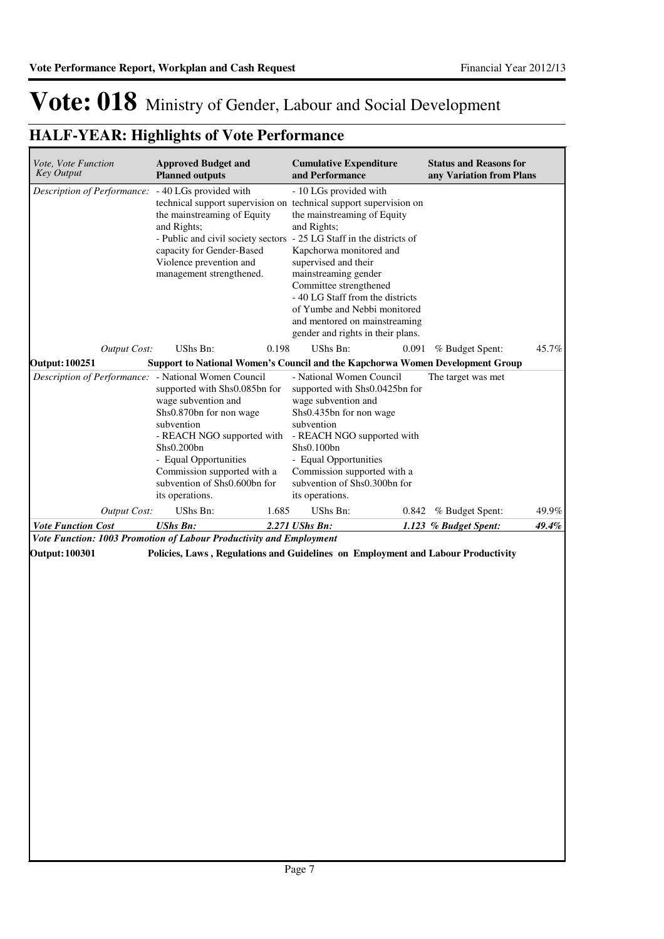| Vote, Vote Function<br><b>Key Output</b>                                                     | <b>Approved Budget and</b><br><b>Planned outputs</b>                                                                                                                                                                                                 |       | <b>Cumulative Expenditure</b><br>and Performance                                                                                                                                                                                                                                                                                                                                                                                                                 |       | <b>Status and Reasons for</b><br>any Variation from Plans |       |
|----------------------------------------------------------------------------------------------|------------------------------------------------------------------------------------------------------------------------------------------------------------------------------------------------------------------------------------------------------|-------|------------------------------------------------------------------------------------------------------------------------------------------------------------------------------------------------------------------------------------------------------------------------------------------------------------------------------------------------------------------------------------------------------------------------------------------------------------------|-------|-----------------------------------------------------------|-------|
| Description of Performance: - 40 LGs provided with                                           | the mainstreaming of Equity<br>and Rights;<br>capacity for Gender-Based<br>Violence prevention and<br>management strengthened.                                                                                                                       |       | - 10 LGs provided with<br>technical support supervision on technical support supervision on<br>the mainstreaming of Equity<br>and Rights;<br>- Public and civil society sectors - 25 LG Staff in the districts of<br>Kapchorwa monitored and<br>supervised and their<br>mainstreaming gender<br>Committee strengthened<br>- 40 LG Staff from the districts<br>of Yumbe and Nebbi monitored<br>and mentored on mainstreaming<br>gender and rights in their plans. |       |                                                           |       |
| <b>Output Cost:</b>                                                                          | UShs Bn:                                                                                                                                                                                                                                             | 0.198 | UShs Bn:                                                                                                                                                                                                                                                                                                                                                                                                                                                         | 0.091 | % Budget Spent:                                           | 45.7% |
| <b>Output: 100251</b>                                                                        | Support to National Women's Council and the Kapchorwa Women Development Group                                                                                                                                                                        |       |                                                                                                                                                                                                                                                                                                                                                                                                                                                                  |       |                                                           |       |
| Description of Performance: - National Women Council                                         | supported with Shs0.085bn for<br>wage subvention and<br>Shs0.870bn for non wage<br>subvention<br>- REACH NGO supported with<br>Shs0.200bn<br>- Equal Opportunities<br>Commission supported with a<br>subvention of Shs0.600bn for<br>its operations. |       | - National Women Council<br>supported with Shs0.0425bn for<br>wage subvention and<br>Shs0.435bn for non wage<br>subvention<br>- REACH NGO supported with<br>Shs0.100bn<br>- Equal Opportunities<br>Commission supported with a<br>subvention of Shs0.300bn for<br>its operations.                                                                                                                                                                                |       | The target was met                                        |       |
|                                                                                              |                                                                                                                                                                                                                                                      |       |                                                                                                                                                                                                                                                                                                                                                                                                                                                                  |       |                                                           |       |
| <b>Output Cost:</b>                                                                          | UShs Bn:                                                                                                                                                                                                                                             | 1.685 | UShs Bn:                                                                                                                                                                                                                                                                                                                                                                                                                                                         | 0.842 | % Budget Spent:                                           | 49.9% |
| <b>Vote Function Cost</b>                                                                    | <b>UShs Bn:</b>                                                                                                                                                                                                                                      |       | 2.271 UShs Bn:                                                                                                                                                                                                                                                                                                                                                                                                                                                   |       | 1.123 % Budget Spent:                                     | 49.4% |
| Vote Function: 1003 Promotion of Labour Productivity and Employment<br><b>Output: 100301</b> | Policies, Laws, Regulations and Guidelines on Employment and Labour Productivity                                                                                                                                                                     |       |                                                                                                                                                                                                                                                                                                                                                                                                                                                                  |       |                                                           |       |
|                                                                                              |                                                                                                                                                                                                                                                      |       |                                                                                                                                                                                                                                                                                                                                                                                                                                                                  |       |                                                           |       |
|                                                                                              |                                                                                                                                                                                                                                                      |       |                                                                                                                                                                                                                                                                                                                                                                                                                                                                  |       |                                                           |       |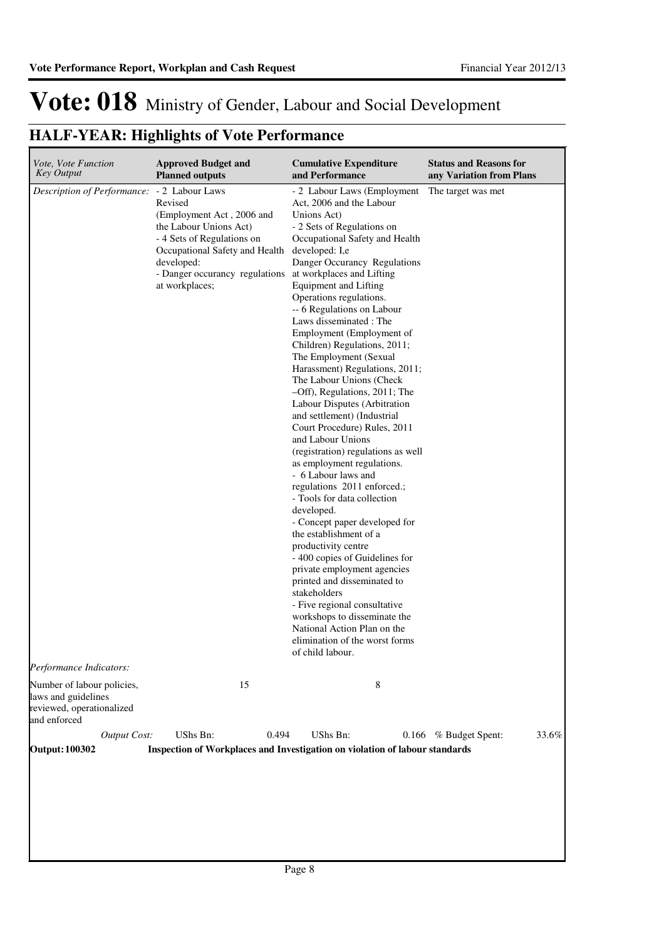| Vote, Vote Function<br><b>Key Output</b>                                                       | <b>Approved Budget and</b><br><b>Planned outputs</b>                                                                                                                                             | <b>Cumulative Expenditure</b><br>and Performance                                                                                                                                                                                                                                                                                                                                                                                                                                                                                                                                                                                                                                                                                                                                                                                                                                                                                                                                                                                                                                                                                                                                  | <b>Status and Reasons for</b><br>any Variation from Plans |
|------------------------------------------------------------------------------------------------|--------------------------------------------------------------------------------------------------------------------------------------------------------------------------------------------------|-----------------------------------------------------------------------------------------------------------------------------------------------------------------------------------------------------------------------------------------------------------------------------------------------------------------------------------------------------------------------------------------------------------------------------------------------------------------------------------------------------------------------------------------------------------------------------------------------------------------------------------------------------------------------------------------------------------------------------------------------------------------------------------------------------------------------------------------------------------------------------------------------------------------------------------------------------------------------------------------------------------------------------------------------------------------------------------------------------------------------------------------------------------------------------------|-----------------------------------------------------------|
| Description of Performance: - 2 Labour Laws                                                    | Revised<br>(Employment Act, 2006 and<br>the Labour Unions Act)<br>- 4 Sets of Regulations on<br>Occupational Safety and Health<br>developed:<br>- Danger occurancy regulations<br>at workplaces; | - 2 Labour Laws (Employment<br>Act, 2006 and the Labour<br>Unions Act)<br>- 2 Sets of Regulations on<br>Occupational Safety and Health<br>developed: I,e<br>Danger Occurancy Regulations<br>at workplaces and Lifting<br><b>Equipment and Lifting</b><br>Operations regulations.<br>-- 6 Regulations on Labour<br>Laws disseminated : The<br>Employment (Employment of<br>Children) Regulations, 2011;<br>The Employment (Sexual<br>Harassment) Regulations, 2011;<br>The Labour Unions (Check<br>-Off), Regulations, 2011; The<br>Labour Disputes (Arbitration<br>and settlement) (Industrial<br>Court Procedure) Rules, 2011<br>and Labour Unions<br>(registration) regulations as well<br>as employment regulations.<br>- 6 Labour laws and<br>regulations 2011 enforced.;<br>- Tools for data collection<br>developed.<br>- Concept paper developed for<br>the establishment of a<br>productivity centre<br>- 400 copies of Guidelines for<br>private employment agencies<br>printed and disseminated to<br>stakeholders<br>- Five regional consultative<br>workshops to disseminate the<br>National Action Plan on the<br>elimination of the worst forms<br>of child labour. | The target was met                                        |
| Performance Indicators:                                                                        |                                                                                                                                                                                                  |                                                                                                                                                                                                                                                                                                                                                                                                                                                                                                                                                                                                                                                                                                                                                                                                                                                                                                                                                                                                                                                                                                                                                                                   |                                                           |
| Number of labour policies,<br>laws and guidelines<br>reviewed, operationalized<br>and enforced | 15                                                                                                                                                                                               | 8                                                                                                                                                                                                                                                                                                                                                                                                                                                                                                                                                                                                                                                                                                                                                                                                                                                                                                                                                                                                                                                                                                                                                                                 |                                                           |
| <b>Output Cost:</b>                                                                            | UShs Bn:<br>0.494                                                                                                                                                                                | UShs Bn:<br>0.166                                                                                                                                                                                                                                                                                                                                                                                                                                                                                                                                                                                                                                                                                                                                                                                                                                                                                                                                                                                                                                                                                                                                                                 | % Budget Spent:<br>33.6%                                  |
| <b>Output: 100302</b>                                                                          | Inspection of Workplaces and Investigation on violation of labour standards                                                                                                                      |                                                                                                                                                                                                                                                                                                                                                                                                                                                                                                                                                                                                                                                                                                                                                                                                                                                                                                                                                                                                                                                                                                                                                                                   |                                                           |
|                                                                                                |                                                                                                                                                                                                  |                                                                                                                                                                                                                                                                                                                                                                                                                                                                                                                                                                                                                                                                                                                                                                                                                                                                                                                                                                                                                                                                                                                                                                                   |                                                           |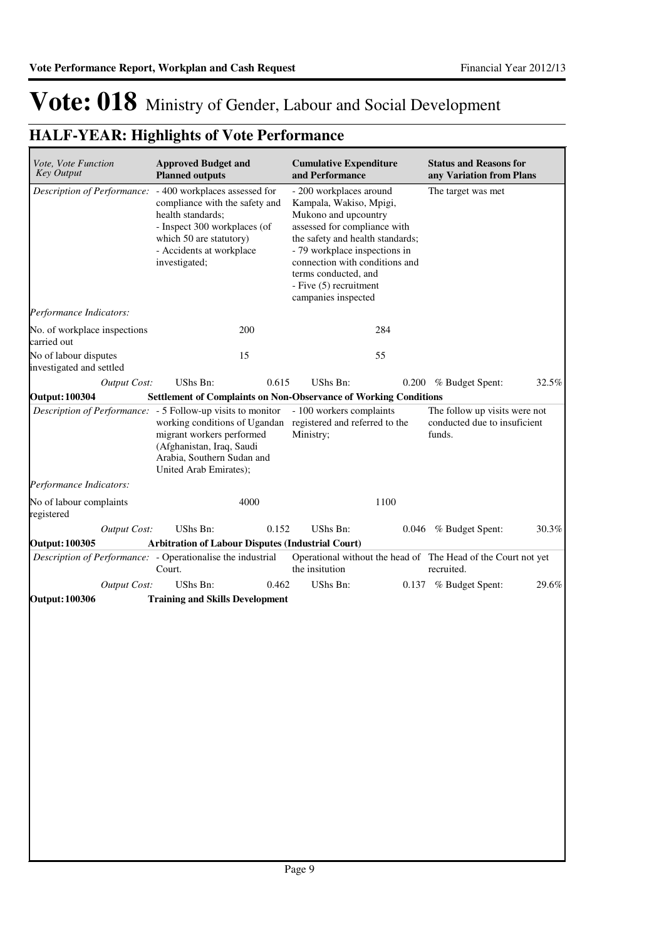| Vote, Vote Function<br><b>Key Output</b>          |                     | <b>Approved Budget and</b><br><b>Planned outputs</b>                                                                                                                                         |       | <b>Cumulative Expenditure</b><br>and Performance                                                                                                                                                                                                                                           |      | <b>Status and Reasons for</b><br>any Variation from Plans                   |       |
|---------------------------------------------------|---------------------|----------------------------------------------------------------------------------------------------------------------------------------------------------------------------------------------|-------|--------------------------------------------------------------------------------------------------------------------------------------------------------------------------------------------------------------------------------------------------------------------------------------------|------|-----------------------------------------------------------------------------|-------|
| Description of Performance:                       |                     | - 400 workplaces assessed for<br>compliance with the safety and<br>health standards;<br>- Inspect 300 workplaces (of<br>which 50 are statutory)<br>- Accidents at workplace<br>investigated; |       | - 200 workplaces around<br>Kampala, Wakiso, Mpigi,<br>Mukono and upcountry<br>assessed for compliance with<br>the safety and health standards;<br>- 79 workplace inspections in<br>connection with conditions and<br>terms conducted, and<br>- Five (5) recruitment<br>campanies inspected |      | The target was met                                                          |       |
| Performance Indicators:                           |                     |                                                                                                                                                                                              |       |                                                                                                                                                                                                                                                                                            |      |                                                                             |       |
| No. of workplace inspections<br>carried out       |                     |                                                                                                                                                                                              | 200   |                                                                                                                                                                                                                                                                                            | 284  |                                                                             |       |
| No of labour disputes<br>investigated and settled |                     |                                                                                                                                                                                              | 15    |                                                                                                                                                                                                                                                                                            | 55   |                                                                             |       |
|                                                   | <b>Output Cost:</b> | UShs Bn:                                                                                                                                                                                     | 0.615 | <b>UShs Bn:</b>                                                                                                                                                                                                                                                                            |      | 0.200 % Budget Spent:                                                       | 32.5% |
| <b>Output: 100304</b>                             |                     |                                                                                                                                                                                              |       | <b>Settlement of Complaints on Non-Observance of Working Conditions</b>                                                                                                                                                                                                                    |      |                                                                             |       |
|                                                   |                     | <i>Description of Performance:</i> - 5 Follow-up visits to monitor<br>migrant workers performed<br>(Afghanistan, Iraq, Saudi<br>Arabia, Southern Sudan and<br>United Arab Emirates);         |       | - 100 workers complaints<br>working conditions of Ugandan registered and referred to the<br>Ministry;                                                                                                                                                                                      |      | The follow up visits were not<br>conducted due to insuficient<br>funds.     |       |
| Performance Indicators:                           |                     |                                                                                                                                                                                              |       |                                                                                                                                                                                                                                                                                            |      |                                                                             |       |
| No of labour complaints<br>registered             |                     |                                                                                                                                                                                              | 4000  |                                                                                                                                                                                                                                                                                            | 1100 |                                                                             |       |
|                                                   | <b>Output Cost:</b> | <b>UShs Bn:</b>                                                                                                                                                                              | 0.152 | UShs Bn:                                                                                                                                                                                                                                                                                   |      | 0.046 % Budget Spent:                                                       | 30.3% |
| <b>Output: 100305</b>                             |                     | Arbitration of Labour Disputes (Industrial Court)                                                                                                                                            |       |                                                                                                                                                                                                                                                                                            |      |                                                                             |       |
|                                                   |                     | Description of Performance: - Operationalise the industrial<br>Court.                                                                                                                        |       | the insitution                                                                                                                                                                                                                                                                             |      | Operational without the head of The Head of the Court not yet<br>recruited. |       |
|                                                   | <b>Output Cost:</b> | UShs Bn:                                                                                                                                                                                     | 0.462 | <b>UShs Bn:</b>                                                                                                                                                                                                                                                                            |      | 0.137 % Budget Spent:                                                       | 29.6% |
| <b>Output: 100306</b>                             |                     | <b>Training and Skills Development</b>                                                                                                                                                       |       |                                                                                                                                                                                                                                                                                            |      |                                                                             |       |
|                                                   |                     |                                                                                                                                                                                              |       |                                                                                                                                                                                                                                                                                            |      |                                                                             |       |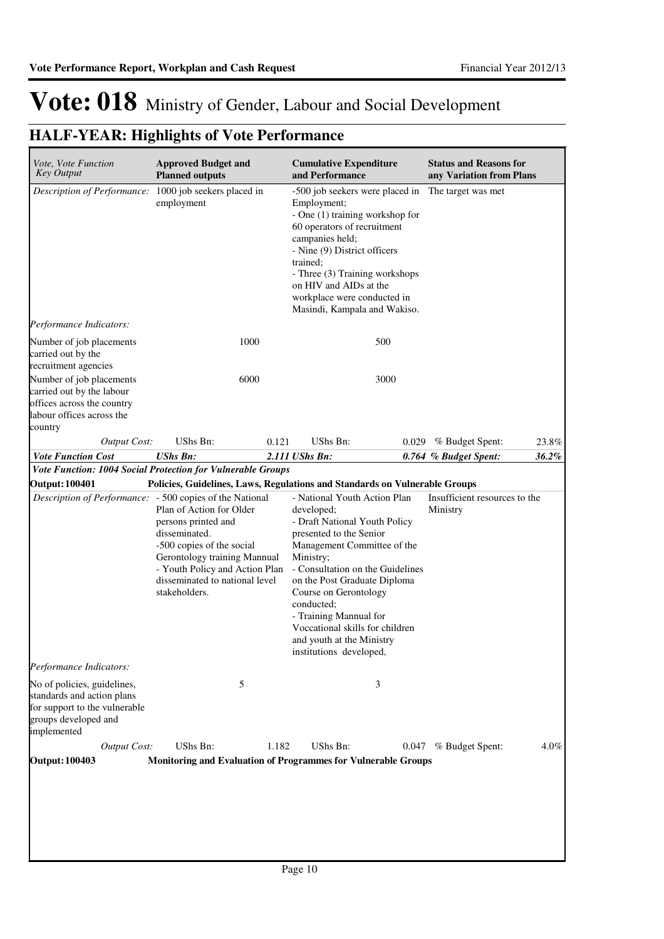| Vote, Vote Function<br><b>Key Output</b>                                                                                          | <b>Approved Budget and</b><br><b>Planned outputs</b>                                                                                                                                                               |       | <b>Cumulative Expenditure</b><br>and Performance                                                                                                                                                                                                                                                                                                                                   |       | <b>Status and Reasons for</b><br>any Variation from Plans |         |
|-----------------------------------------------------------------------------------------------------------------------------------|--------------------------------------------------------------------------------------------------------------------------------------------------------------------------------------------------------------------|-------|------------------------------------------------------------------------------------------------------------------------------------------------------------------------------------------------------------------------------------------------------------------------------------------------------------------------------------------------------------------------------------|-------|-----------------------------------------------------------|---------|
| Description of Performance: 1000 job seekers placed in                                                                            | employment                                                                                                                                                                                                         |       | -500 job seekers were placed in<br>Employment;<br>- One (1) training workshop for<br>60 operators of recruitment<br>campanies held;<br>- Nine (9) District officers<br>trained:<br>- Three (3) Training workshops<br>on HIV and AIDs at the<br>workplace were conducted in<br>Masindi, Kampala and Wakiso.                                                                         |       | The target was met                                        |         |
| <i>Performance Indicators:</i>                                                                                                    |                                                                                                                                                                                                                    |       |                                                                                                                                                                                                                                                                                                                                                                                    |       |                                                           |         |
| Number of job placements<br>carried out by the<br>recruitment agencies                                                            | 1000                                                                                                                                                                                                               |       | 500                                                                                                                                                                                                                                                                                                                                                                                |       |                                                           |         |
| Number of job placements<br>carried out by the labour<br>offices across the country<br>labour offices across the<br>country       | 6000                                                                                                                                                                                                               |       | 3000                                                                                                                                                                                                                                                                                                                                                                               |       |                                                           |         |
| <b>Output Cost:</b>                                                                                                               | UShs Bn:                                                                                                                                                                                                           | 0.121 | UShs Bn:                                                                                                                                                                                                                                                                                                                                                                           | 0.029 | % Budget Spent:                                           | 23.8%   |
| <b>Vote Function Cost</b>                                                                                                         | <b>UShs Bn:</b>                                                                                                                                                                                                    |       | 2.111 UShs Bn:                                                                                                                                                                                                                                                                                                                                                                     |       | 0.764 % Budget Spent:                                     | 36.2%   |
| Vote Function: 1004 Social Protection for Vulnerable Groups                                                                       |                                                                                                                                                                                                                    |       |                                                                                                                                                                                                                                                                                                                                                                                    |       |                                                           |         |
| <b>Output: 100401</b>                                                                                                             |                                                                                                                                                                                                                    |       | Policies, Guidelines, Laws, Regulations and Standards on Vulnerable Groups                                                                                                                                                                                                                                                                                                         |       |                                                           |         |
| <i>Description of Performance:</i> - 500 copies of the National                                                                   | Plan of Action for Older<br>persons printed and<br>disseminated.<br>-500 copies of the social<br>Gerontology training Mannual<br>- Youth Policy and Action Plan<br>disseminated to national level<br>stakeholders. |       | - National Youth Action Plan<br>developed;<br>- Draft National Youth Policy<br>presented to the Senior<br>Management Committee of the<br>Ministry;<br>- Consultation on the Guidelines<br>on the Post Graduate Diploma<br>Course on Gerontology<br>conducted;<br>- Training Mannual for<br>Voccational skills for children<br>and youth at the Ministry<br>institutions developed, |       | Insufficient resources to the<br>Ministry                 |         |
| Performance Indicators:                                                                                                           |                                                                                                                                                                                                                    |       |                                                                                                                                                                                                                                                                                                                                                                                    |       |                                                           |         |
| No of policies, guidelines,<br>standards and action plans<br>for support to the vulnerable<br>groups developed and<br>implemented | 5                                                                                                                                                                                                                  |       | 3                                                                                                                                                                                                                                                                                                                                                                                  |       |                                                           |         |
| <b>Output Cost:</b><br><b>Output: 100403</b>                                                                                      | UShs Bn:                                                                                                                                                                                                           | 1.182 | UShs Bn:<br>Monitoring and Evaluation of Programmes for Vulnerable Groups                                                                                                                                                                                                                                                                                                          | 0.047 | % Budget Spent:                                           | $4.0\%$ |
|                                                                                                                                   |                                                                                                                                                                                                                    |       |                                                                                                                                                                                                                                                                                                                                                                                    |       |                                                           |         |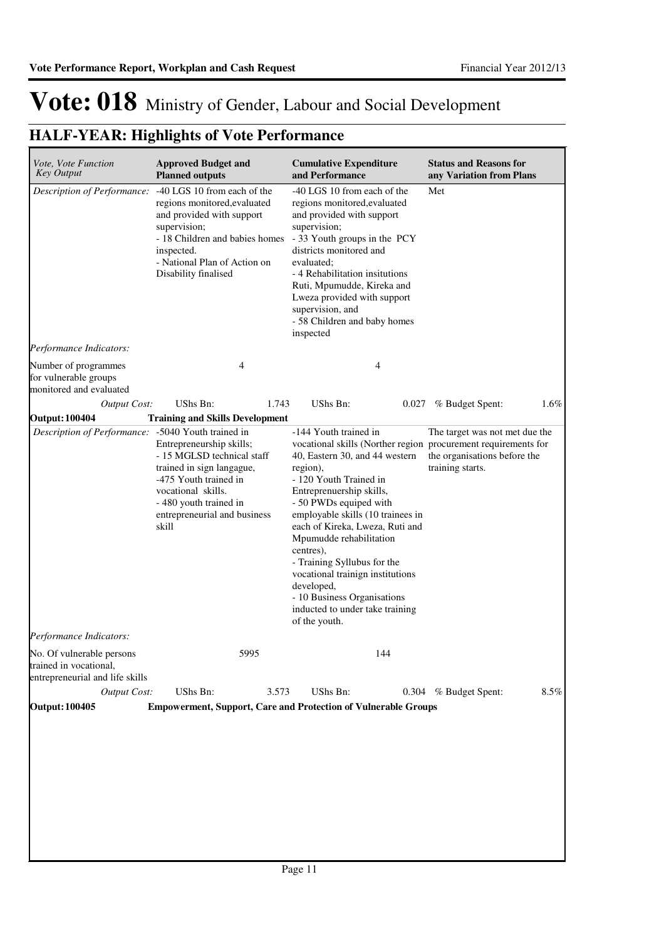| Vote, Vote Function<br><b>Key Output</b>                                               | <b>Approved Budget and</b><br><b>Planned outputs</b>                                                                                                                                                             | <b>Cumulative Expenditure</b><br>and Performance                                                                                                                                                                                                                                                                                                                                                                                        |     | <b>Status and Reasons for</b><br>any Variation from Plans                                                                                            |         |
|----------------------------------------------------------------------------------------|------------------------------------------------------------------------------------------------------------------------------------------------------------------------------------------------------------------|-----------------------------------------------------------------------------------------------------------------------------------------------------------------------------------------------------------------------------------------------------------------------------------------------------------------------------------------------------------------------------------------------------------------------------------------|-----|------------------------------------------------------------------------------------------------------------------------------------------------------|---------|
| Description of Performance:                                                            | -40 LGS 10 from each of the<br>regions monitored, evaluated<br>and provided with support<br>supervision;<br>- 18 Children and babies homes<br>inspected.<br>- National Plan of Action on<br>Disability finalised | -40 LGS 10 from each of the<br>regions monitored, evaluated<br>and provided with support<br>supervision;<br>- 33 Youth groups in the PCY<br>districts monitored and<br>evaluated:<br>- 4 Rehabilitation insitutions<br>Ruti, Mpumudde, Kireka and<br>Lweza provided with support<br>supervision, and<br>- 58 Children and baby homes<br>inspected                                                                                       |     | Met                                                                                                                                                  |         |
| Performance Indicators:                                                                |                                                                                                                                                                                                                  |                                                                                                                                                                                                                                                                                                                                                                                                                                         |     |                                                                                                                                                      |         |
| Number of programmes<br>for vulnerable groups<br>monitored and evaluated               | 4                                                                                                                                                                                                                |                                                                                                                                                                                                                                                                                                                                                                                                                                         | 4   |                                                                                                                                                      |         |
| <b>Output Cost:</b>                                                                    | UShs Bn:                                                                                                                                                                                                         | 1.743<br>UShs Bn:                                                                                                                                                                                                                                                                                                                                                                                                                       |     | 0.027 % Budget Spent:                                                                                                                                | $1.6\%$ |
| <b>Output: 100404</b>                                                                  | <b>Training and Skills Development</b>                                                                                                                                                                           |                                                                                                                                                                                                                                                                                                                                                                                                                                         |     |                                                                                                                                                      |         |
| Description of Performance: -5040 Youth trained in                                     | Entrepreneurship skills;<br>- 15 MGLSD technical staff<br>trained in sign langague,<br>-475 Youth trained in<br>vocational skills.<br>- 480 youth trained in<br>entrepreneurial and business<br>skill            | -144 Youth trained in<br>40, Eastern 30, and 44 western<br>region),<br>- 120 Youth Trained in<br>Entreprenuership skills,<br>- 50 PWDs equiped with<br>employable skills (10 trainees in<br>each of Kireka, Lweza, Ruti and<br>Mpumudde rehabilitation<br>centres),<br>- Training Syllubus for the<br>vocational trainign institutions<br>developed,<br>- 10 Business Organisations<br>inducted to under take training<br>of the youth. |     | The target was not met due the<br>vocational skills (Norther region procurement requirements for<br>the organisations before the<br>training starts. |         |
| Performance Indicators:                                                                |                                                                                                                                                                                                                  |                                                                                                                                                                                                                                                                                                                                                                                                                                         |     |                                                                                                                                                      |         |
| No. Of vulnerable persons<br>trained in vocational,<br>entrepreneurial and life skills | 5995                                                                                                                                                                                                             |                                                                                                                                                                                                                                                                                                                                                                                                                                         | 144 |                                                                                                                                                      |         |
| <b>Output Cost:</b>                                                                    | UShs Bn:                                                                                                                                                                                                         | 3.573<br>UShs Bn:                                                                                                                                                                                                                                                                                                                                                                                                                       |     | 0.304 % Budget Spent:                                                                                                                                | 8.5%    |
| <b>Output: 100405</b>                                                                  | <b>Empowerment, Support, Care and Protection of Vulnerable Groups</b>                                                                                                                                            |                                                                                                                                                                                                                                                                                                                                                                                                                                         |     |                                                                                                                                                      |         |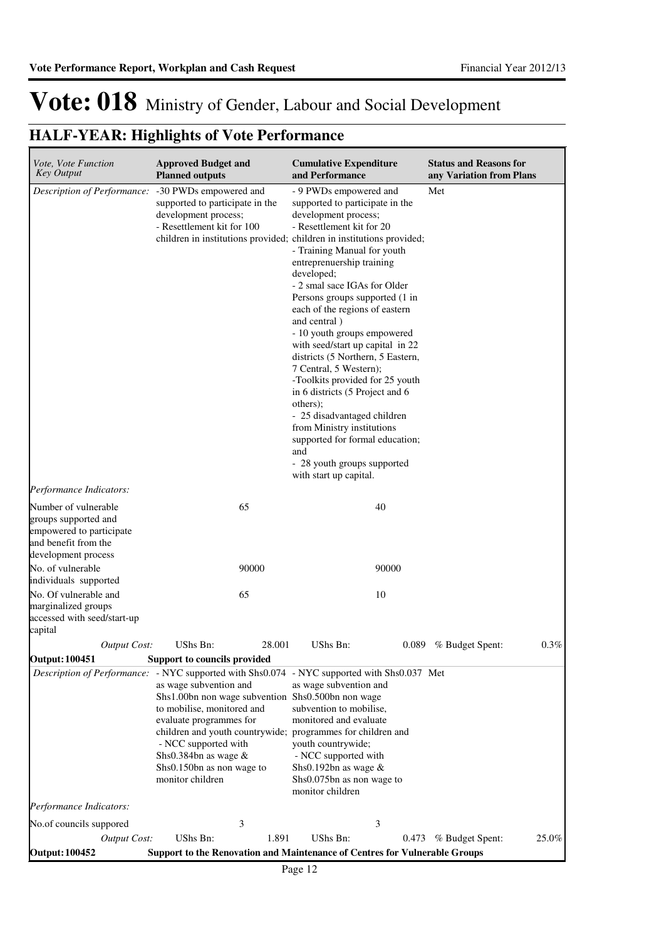| Vote, Vote Function<br><b>Key Output</b>                                                                                | <b>Approved Budget and</b><br><b>Planned outputs</b>                                                                                                                                                                                                                                                                                                                                                   | <b>Cumulative Expenditure</b><br>and Performance                                                                                                                                                                                                                                                                                                                                                                                                                                                                                                                                                                                                                                                                                                                           | <b>Status and Reasons for</b><br>any Variation from Plans |
|-------------------------------------------------------------------------------------------------------------------------|--------------------------------------------------------------------------------------------------------------------------------------------------------------------------------------------------------------------------------------------------------------------------------------------------------------------------------------------------------------------------------------------------------|----------------------------------------------------------------------------------------------------------------------------------------------------------------------------------------------------------------------------------------------------------------------------------------------------------------------------------------------------------------------------------------------------------------------------------------------------------------------------------------------------------------------------------------------------------------------------------------------------------------------------------------------------------------------------------------------------------------------------------------------------------------------------|-----------------------------------------------------------|
| Description of Performance:                                                                                             | -30 PWDs empowered and<br>supported to participate in the<br>development process;<br>- Resettlement kit for 100                                                                                                                                                                                                                                                                                        | - 9 PWDs empowered and<br>supported to participate in the<br>development process;<br>- Resettlement kit for 20<br>children in institutions provided; children in institutions provided;<br>- Training Manual for youth<br>entreprenuership training<br>developed;<br>- 2 smal sace IGAs for Older<br>Persons groups supported (1 in<br>each of the regions of eastern<br>and central )<br>- 10 youth groups empowered<br>with seed/start up capital in 22<br>districts (5 Northern, 5 Eastern,<br>7 Central, 5 Western);<br>-Toolkits provided for 25 youth<br>in 6 districts (5 Project and 6<br>others);<br>- 25 disadvantaged children<br>from Ministry institutions<br>supported for formal education;<br>and<br>- 28 youth groups supported<br>with start up capital. | Met                                                       |
| Performance Indicators:                                                                                                 |                                                                                                                                                                                                                                                                                                                                                                                                        |                                                                                                                                                                                                                                                                                                                                                                                                                                                                                                                                                                                                                                                                                                                                                                            |                                                           |
| Number of vulnerable<br>groups supported and<br>empowered to participate<br>and benefit from the<br>development process | 65                                                                                                                                                                                                                                                                                                                                                                                                     | 40                                                                                                                                                                                                                                                                                                                                                                                                                                                                                                                                                                                                                                                                                                                                                                         |                                                           |
| No. of vulnerable<br>individuals supported                                                                              | 90000                                                                                                                                                                                                                                                                                                                                                                                                  | 90000                                                                                                                                                                                                                                                                                                                                                                                                                                                                                                                                                                                                                                                                                                                                                                      |                                                           |
| No. Of vulnerable and                                                                                                   | 65                                                                                                                                                                                                                                                                                                                                                                                                     | 10                                                                                                                                                                                                                                                                                                                                                                                                                                                                                                                                                                                                                                                                                                                                                                         |                                                           |
| marginalized groups<br>accessed with seed/start-up<br>capital                                                           |                                                                                                                                                                                                                                                                                                                                                                                                        |                                                                                                                                                                                                                                                                                                                                                                                                                                                                                                                                                                                                                                                                                                                                                                            |                                                           |
| <b>Output Cost:</b>                                                                                                     | UShs Bn:<br>28.001                                                                                                                                                                                                                                                                                                                                                                                     | UShs Bn:                                                                                                                                                                                                                                                                                                                                                                                                                                                                                                                                                                                                                                                                                                                                                                   | 0.089 % Budget Spent:<br>0.3%                             |
| <b>Output: 100451</b>                                                                                                   | Support to councils provided                                                                                                                                                                                                                                                                                                                                                                           |                                                                                                                                                                                                                                                                                                                                                                                                                                                                                                                                                                                                                                                                                                                                                                            |                                                           |
|                                                                                                                         | Description of Performance: - NYC supported with Shs0.074 - NYC supported with Shs0.037 Met<br>as wage subvention and<br>Shs1.00bn non wage subvention Shs0.500bn non wage<br>to mobilise, monitored and<br>evaluate programmes for<br>children and youth countrywide; programmes for children and<br>- NCC supported with<br>Shs0.384bn as wage $\&$<br>Shs0.150bn as non wage to<br>monitor children | as wage subvention and<br>subvention to mobilise,<br>monitored and evaluate<br>youth countrywide;<br>- NCC supported with<br>Shs0.192bn as wage &<br>Shs0.075bn as non wage to<br>monitor children                                                                                                                                                                                                                                                                                                                                                                                                                                                                                                                                                                         |                                                           |
| Performance Indicators:                                                                                                 |                                                                                                                                                                                                                                                                                                                                                                                                        |                                                                                                                                                                                                                                                                                                                                                                                                                                                                                                                                                                                                                                                                                                                                                                            |                                                           |
| No.of councils suppored                                                                                                 | 3                                                                                                                                                                                                                                                                                                                                                                                                      | 3                                                                                                                                                                                                                                                                                                                                                                                                                                                                                                                                                                                                                                                                                                                                                                          |                                                           |
| <b>Output Cost:</b><br><b>Output: 100452</b>                                                                            | UShs Bn:<br>1.891<br><b>Support to the Renovation and Maintenance of Centres for Vulnerable Groups</b>                                                                                                                                                                                                                                                                                                 | UShs Bn:<br>0.473                                                                                                                                                                                                                                                                                                                                                                                                                                                                                                                                                                                                                                                                                                                                                          | % Budget Spent:<br>25.0%                                  |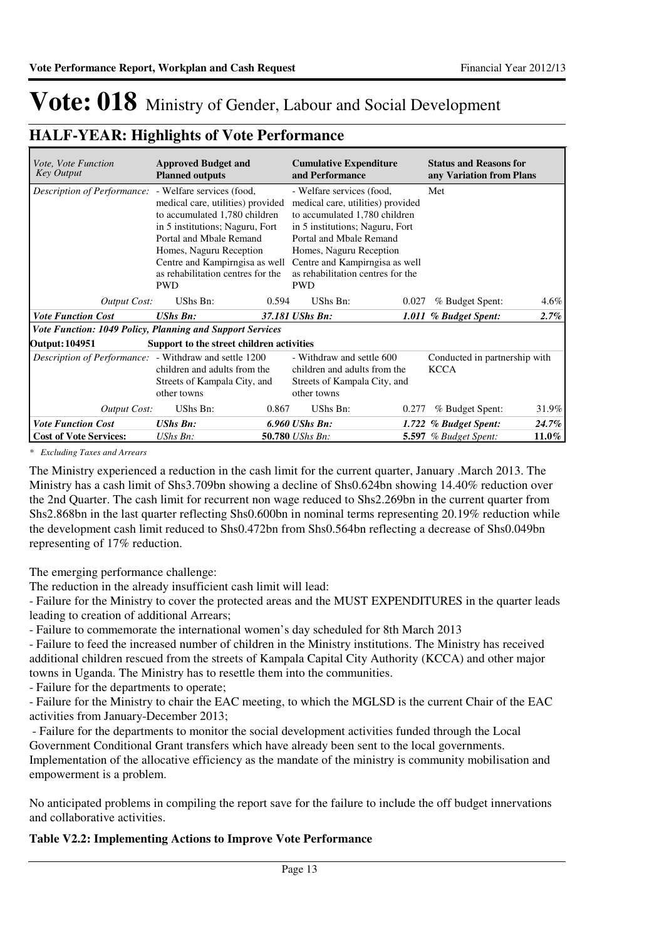### **HALF-YEAR: Highlights of Vote Performance**

| <i>Vote, Vote Function</i><br>Key Output                      | <b>Approved Budget and</b><br><b>Planned outputs</b>                                                                                                                                                                                             |       | <b>Cumulative Expenditure</b><br>and Performance                                                                                                                                                                                                                              |       | <b>Status and Reasons for</b><br>any Variation from Plans |         |
|---------------------------------------------------------------|--------------------------------------------------------------------------------------------------------------------------------------------------------------------------------------------------------------------------------------------------|-------|-------------------------------------------------------------------------------------------------------------------------------------------------------------------------------------------------------------------------------------------------------------------------------|-------|-----------------------------------------------------------|---------|
| Description of Performance: - Welfare services (food,         | medical care, utilities) provided<br>to accumulated 1,780 children<br>in 5 institutions; Naguru, Fort<br>Portal and Mbale Remand<br>Homes, Naguru Reception<br>Centre and Kampirngisa as well<br>as rehabilitation centres for the<br><b>PWD</b> |       | - Welfare services (food,<br>medical care, utilities) provided<br>to accumulated 1,780 children<br>in 5 institutions; Naguru, Fort<br>Portal and Mbale Remand<br>Homes, Naguru Reception<br>Centre and Kampirngisa as well<br>as rehabilitation centres for the<br><b>PWD</b> |       | Met                                                       |         |
| <b>Output Cost:</b>                                           | UShs Bn:                                                                                                                                                                                                                                         | 0.594 | UShs Bn:                                                                                                                                                                                                                                                                      | 0.027 | % Budget Spent:                                           | $4.6\%$ |
| <b>Vote Function Cost</b>                                     | <b>UShs Bn:</b>                                                                                                                                                                                                                                  |       | 37.181 UShs Bn:                                                                                                                                                                                                                                                               |       | 1.011 % Budget Spent:                                     | 2.7%    |
| Vote Function: 1049 Policy, Planning and Support Services     |                                                                                                                                                                                                                                                  |       |                                                                                                                                                                                                                                                                               |       |                                                           |         |
| <b>Output: 104951</b>                                         | Support to the street children activities                                                                                                                                                                                                        |       |                                                                                                                                                                                                                                                                               |       |                                                           |         |
| <i>Description of Performance:</i> - Withdraw and settle 1200 | children and adults from the<br>Streets of Kampala City, and<br>other towns                                                                                                                                                                      |       | - Withdraw and settle 600<br>children and adults from the<br>Streets of Kampala City, and<br>other towns                                                                                                                                                                      |       | Conducted in partnership with<br><b>KCCA</b>              |         |
| <b>Output Cost:</b>                                           | UShs Bn:                                                                                                                                                                                                                                         | 0.867 | UShs Bn:                                                                                                                                                                                                                                                                      | 0.277 | % Budget Spent:                                           | 31.9%   |
| <b>Vote Function Cost</b>                                     | <b>UShs Bn:</b>                                                                                                                                                                                                                                  |       | 6.960 UShs Bn:                                                                                                                                                                                                                                                                |       | 1.722 % Budget Spent:                                     | 24.7%   |
| <b>Cost of Vote Services:</b>                                 | $UShs Bn$ :                                                                                                                                                                                                                                      |       | 50.780 <i>UShs Bn:</i>                                                                                                                                                                                                                                                        |       | <b>5.597</b> % Budget Spent:                              | 11.0%   |

*\* Excluding Taxes and Arrears*

The Ministry experienced a reduction in the cash limit for the current quarter, January .March 2013. The Ministry has a cash limit of Shs3.709bn showing a decline of Shs0.624bn showing 14.40% reduction over the 2nd Quarter. The cash limit for recurrent non wage reduced to Shs2.269bn in the current quarter from Shs2.868bn in the last quarter reflecting Shs0.600bn in nominal terms representing 20.19% reduction while the development cash limit reduced to Shs0.472bn from Shs0.564bn reflecting a decrease of Shs0.049bn representing of 17% reduction.

The emerging performance challenge:

The reduction in the already insufficient cash limit will lead:

- Failure for the Ministry to cover the protected areas and the MUST EXPENDITURES in the quarter leads leading to creation of additional Arrears;

- Failure to commemorate the international women's day scheduled for 8th March 2013

- Failure to feed the increased number of children in the Ministry institutions. The Ministry has received additional children rescued from the streets of Kampala Capital City Authority (KCCA) and other major towns in Uganda. The Ministry has to resettle them into the communities.

- Failure for the departments to operate;

- Failure for the Ministry to chair the EAC meeting, to which the MGLSD is the current Chair of the EAC activities from January-December 2013;

 - Failure for the departments to monitor the social development activities funded through the Local Government Conditional Grant transfers which have already been sent to the local governments.

Implementation of the allocative efficiency as the mandate of the ministry is community mobilisation and empowerment is a problem.

No anticipated problems in compiling the report save for the failure to include the off budget innervations and collaborative activities.

### **Table V2.2: Implementing Actions to Improve Vote Performance**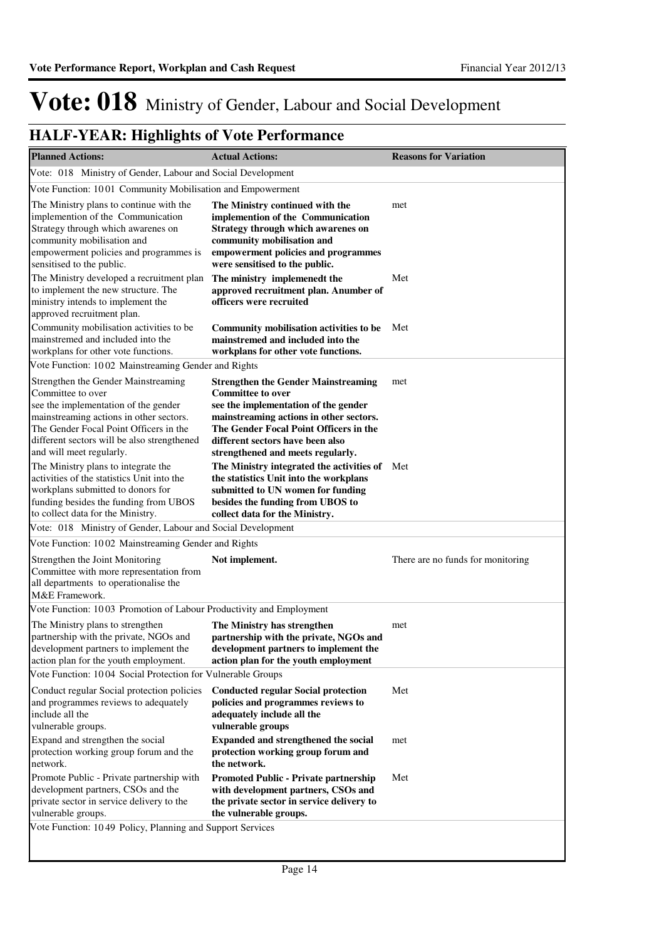| <b>Planned Actions:</b>                                                                                                                                                                                                                                          | <b>Actual Actions:</b>                                                                                                                                                                                                                                                       | <b>Reasons for Variation</b>      |
|------------------------------------------------------------------------------------------------------------------------------------------------------------------------------------------------------------------------------------------------------------------|------------------------------------------------------------------------------------------------------------------------------------------------------------------------------------------------------------------------------------------------------------------------------|-----------------------------------|
| Vote: 018 Ministry of Gender, Labour and Social Development                                                                                                                                                                                                      |                                                                                                                                                                                                                                                                              |                                   |
| Vote Function: 1001 Community Mobilisation and Empowerment                                                                                                                                                                                                       |                                                                                                                                                                                                                                                                              |                                   |
| The Ministry plans to continue with the<br>implemention of the Communication<br>Strategy through which awarenes on<br>community mobilisation and<br>empowerment policies and programmes is<br>sensitised to the public.                                          | The Ministry continued with the<br>implemention of the Communication<br>Strategy through which awarenes on<br>community mobilisation and<br>empowerment policies and programmes<br>were sensitised to the public.                                                            | met                               |
| The Ministry developed a recruitment plan<br>to implement the new structure. The<br>ministry intends to implement the<br>approved recruitment plan.                                                                                                              | The ministry implemenedt the<br>approved recruitment plan. Anumber of<br>officers were recruited                                                                                                                                                                             | Met                               |
| Community mobilisation activities to be<br>mainstremed and included into the<br>workplans for other vote functions.                                                                                                                                              | Community mobilisation activities to be<br>mainstremed and included into the<br>workplans for other vote functions.                                                                                                                                                          | Met                               |
| Vote Function: 1002 Mainstreaming Gender and Rights                                                                                                                                                                                                              |                                                                                                                                                                                                                                                                              |                                   |
| Strengthen the Gender Mainstreaming<br>Committee to over<br>see the implementation of the gender<br>mainstreaming actions in other sectors.<br>The Gender Focal Point Officers in the<br>different sectors will be also strengthened<br>and will meet regularly. | <b>Strengthen the Gender Mainstreaming</b><br><b>Committee to over</b><br>see the implementation of the gender<br>mainstreaming actions in other sectors.<br>The Gender Focal Point Officers in the<br>different sectors have been also<br>strengthened and meets regularly. | met                               |
| The Ministry plans to integrate the<br>activities of the statistics Unit into the<br>workplans submitted to donors for<br>funding besides the funding from UBOS<br>to collect data for the Ministry.                                                             | The Ministry integrated the activities of Met<br>the statistics Unit into the workplans<br>submitted to UN women for funding<br>besides the funding from UBOS to<br>collect data for the Ministry.                                                                           |                                   |
| Vote: 018 Ministry of Gender, Labour and Social Development                                                                                                                                                                                                      |                                                                                                                                                                                                                                                                              |                                   |
| Vote Function: 1002 Mainstreaming Gender and Rights                                                                                                                                                                                                              |                                                                                                                                                                                                                                                                              |                                   |
| Strengthen the Joint Monitoring<br>Committee with more representation from<br>all departments to operationalise the<br>M&E Framework.                                                                                                                            | Not implement.                                                                                                                                                                                                                                                               | There are no funds for monitoring |
| Vote Function: 1003 Promotion of Labour Productivity and Employment                                                                                                                                                                                              |                                                                                                                                                                                                                                                                              |                                   |
| The Ministry plans to strengthen<br>partnership with the private, NGOs and<br>development partners to implement the<br>action plan for the youth employment.                                                                                                     | The Ministry has strengthen<br>partnership with the private, NGOs and<br>development partners to implement the<br>action plan for the youth employment                                                                                                                       | met                               |
| Vote Function: 1004 Social Protection for Vulnerable Groups                                                                                                                                                                                                      |                                                                                                                                                                                                                                                                              |                                   |
| Conduct regular Social protection policies<br>and programmes reviews to adequately<br>include all the<br>vulnerable groups.                                                                                                                                      | <b>Conducted regular Social protection</b><br>policies and programmes reviews to<br>adequately include all the<br>vulnerable groups                                                                                                                                          | Met                               |
| Expand and strengthen the social<br>protection working group forum and the<br>network.                                                                                                                                                                           | <b>Expanded and strengthened the social</b><br>protection working group forum and<br>the network.                                                                                                                                                                            | met                               |
| Promote Public - Private partnership with<br>development partners, CSOs and the<br>private sector in service delivery to the<br>vulnerable groups.                                                                                                               | Promoted Public - Private partnership<br>with development partners, CSOs and<br>the private sector in service delivery to<br>the vulnerable groups.                                                                                                                          | Met                               |
| Vote Function: 1049 Policy, Planning and Support Services                                                                                                                                                                                                        |                                                                                                                                                                                                                                                                              |                                   |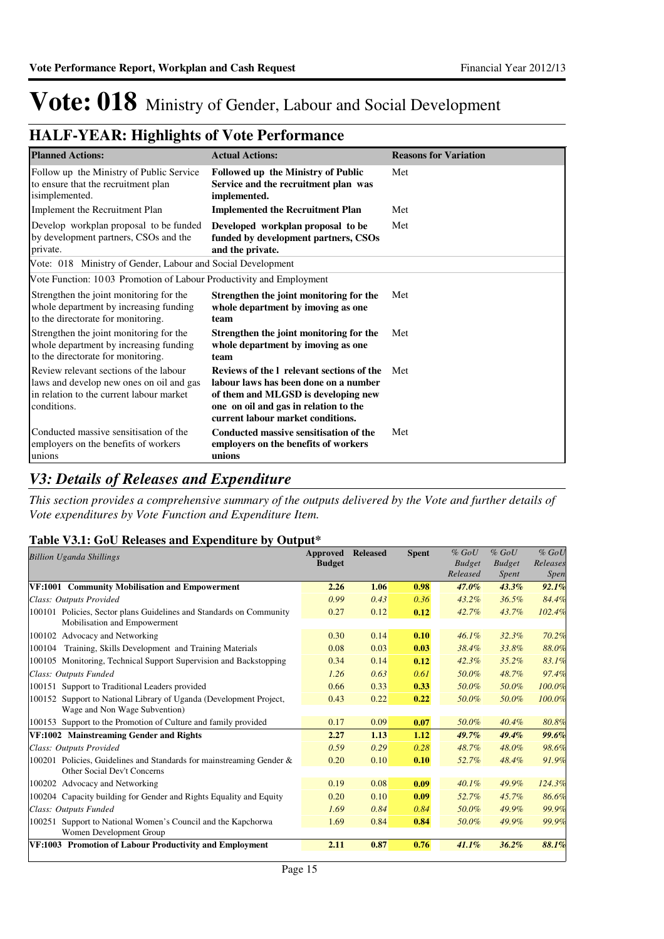### **HALF-YEAR: Highlights of Vote Performance**

| <b>Planned Actions:</b>                                                                                                                       | <b>Actual Actions:</b>                                                                                                                                                                                  | <b>Reasons for Variation</b> |
|-----------------------------------------------------------------------------------------------------------------------------------------------|---------------------------------------------------------------------------------------------------------------------------------------------------------------------------------------------------------|------------------------------|
| Follow up the Ministry of Public Service<br>to ensure that the recruitment plan<br>isimplemented.                                             | <b>Followed up the Ministry of Public</b><br>Service and the recruitment plan was<br>implemented.                                                                                                       | Met                          |
| Implement the Recruitment Plan                                                                                                                | <b>Implemented the Recruitment Plan</b>                                                                                                                                                                 | Met                          |
| Develop workplan proposal to be funded<br>by development partners, CSOs and the<br>private.                                                   | Developed workplan proposal to be<br>funded by development partners, CSOs<br>and the private.                                                                                                           | Met                          |
| Vote: 018 Ministry of Gender, Labour and Social Development                                                                                   |                                                                                                                                                                                                         |                              |
| Vote Function: 1003 Promotion of Labour Productivity and Employment                                                                           |                                                                                                                                                                                                         |                              |
| Strengthen the joint monitoring for the<br>whole department by increasing funding<br>to the directorate for monitoring.                       | Strengthen the joint monitoring for the<br>whole department by imoving as one<br>team                                                                                                                   | Met                          |
| Strengthen the joint monitoring for the<br>whole department by increasing funding<br>to the directorate for monitoring.                       | Strengthen the joint monitoring for the<br>whole department by imoving as one<br>team                                                                                                                   | Met                          |
| Review relevant sections of the labour<br>laws and develop new ones on oil and gas<br>in relation to the current labour market<br>conditions. | Reviews of the I relevant sections of the<br>labour laws has been done on a number<br>of them and MLGSD is developing new<br>one on oil and gas in relation to the<br>current labour market conditions. | Met                          |
| Conducted massive sensitisation of the<br>employers on the benefits of workers<br>unions                                                      | Conducted massive sensitisation of the<br>employers on the benefits of workers<br>unions                                                                                                                | Met                          |

### *V3: Details of Releases and Expenditure*

*This section provides a comprehensive summary of the outputs delivered by the Vote and further details of Vote expenditures by Vote Function and Expenditure Item.*

### **Table V3.1: GoU Releases and Expenditure by Output\***

| <b>Billion Uganda Shillings</b>                                                                     | Approved<br><b>Budget</b> | <b>Released</b> | <b>Spent</b> | $%$ GoU<br><b>Budget</b><br>Released | $%$ GoU<br><b>Budget</b><br><i>Spent</i> | $%$ GoU<br>Releases<br><i>Spen</i> |
|-----------------------------------------------------------------------------------------------------|---------------------------|-----------------|--------------|--------------------------------------|------------------------------------------|------------------------------------|
| VF:1001 Community Mobilisation and Empowerment                                                      | 2.26                      | 1.06            | 0.98         | 47.0%                                | $43.3\%$                                 | 92.1%                              |
| Class: Outputs Provided                                                                             | 0.99                      | 0.43            | 0.36         | 43.2%                                | 36.5%                                    | 84.4%                              |
| 100101 Policies, Sector plans Guidelines and Standards on Community<br>Mobilisation and Empowerment | 0.27                      | 0.12            | 0.12         | 42.7%                                | 43.7%                                    | 102.4%                             |
| 100102 Advocacy and Networking                                                                      | 0.30                      | 0.14            | 0.10         | $46.1\%$                             | 32.3%                                    | 70.2%                              |
| Training, Skills Development and Training Materials<br>100104                                       | 0.08                      | 0.03            | 0.03         | 38.4%                                | 33.8%                                    | 88.0%                              |
| 100105 Monitoring, Technical Support Supervision and Backstopping                                   | 0.34                      | 0.14            | 0.12         | 42.3%                                | $35.2\%$                                 | 83.1%                              |
| Class: Outputs Funded                                                                               | 1.26                      | 0.63            | 0.61         | 50.0%                                | 48.7%                                    | 97.4%                              |
| 100151 Support to Traditional Leaders provided                                                      | 0.66                      | 0.33            | 0.33         | 50.0%                                | 50.0%                                    | 100.0%                             |
| 100152 Support to National Library of Uganda (Development Project,<br>Wage and Non Wage Subvention) | 0.43                      | 0.22            | 0.22         | 50.0%                                | 50.0%                                    | 100.0%                             |
| 100153 Support to the Promotion of Culture and family provided                                      | 0.17                      | 0.09            | 0.07         | 50.0%                                | $40.4\%$                                 | 80.8%                              |
| VF:1002 Mainstreaming Gender and Rights                                                             | 2.27                      | 1.13            | 1.12         | 49.7%                                | $49.4\%$                                 | 99.6%                              |
| Class: Outputs Provided                                                                             | 0.59                      | 0.29            | 0.28         | 48.7%                                | 48.0%                                    | 98.6%                              |
| 100201 Policies, Guidelines and Standards for mainstreaming Gender &<br>Other Social Dev't Concerns | 0.20                      | 0.10            | 0.10         | 52.7%                                | 48.4%                                    | 91.9%                              |
| 100202 Advocacy and Networking                                                                      | 0.19                      | 0.08            | 0.09         | 40.1%                                | 49.9%                                    | 124.3%                             |
| 100204 Capacity building for Gender and Rights Equality and Equity                                  | 0.20                      | 0.10            | 0.09         | 52.7%                                | 45.7%                                    | 86.6%                              |
| Class: Outputs Funded                                                                               | 1.69                      | 0.84            | 0.84         | 50.0%                                | 49.9%                                    | 99.9%                              |
| 100251 Support to National Women's Council and the Kapchorwa<br>Women Development Group             | 1.69                      | 0.84            | 0.84         | 50.0%                                | 49.9%                                    | 99.9%                              |
| VF:1003 Promotion of Labour Productivity and Employment                                             | 2.11                      | 0.87            | 0.76         | 41.1%                                | 36.2%                                    | 88.1%                              |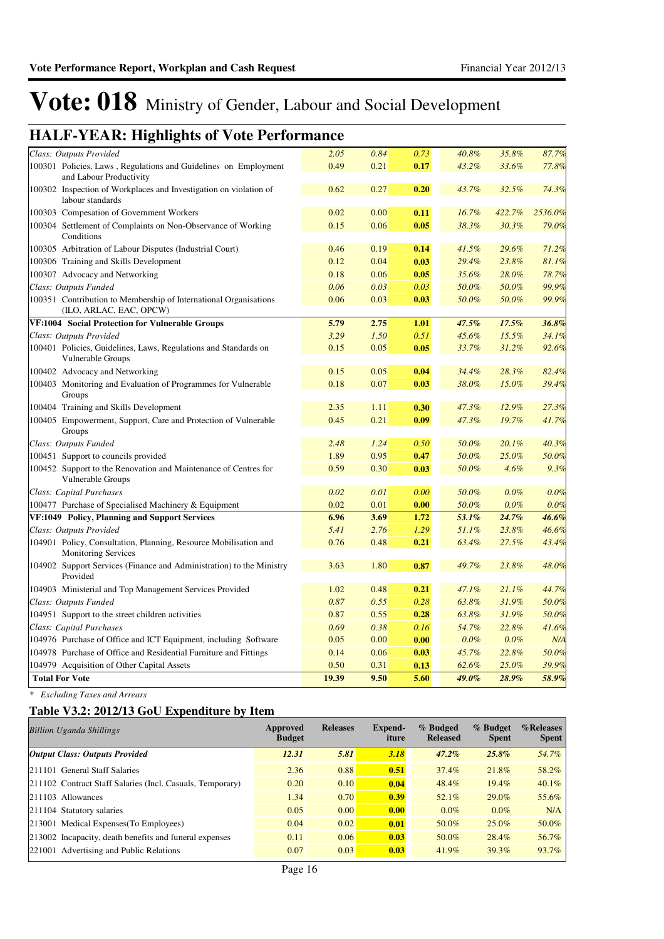### **HALF-YEAR: Highlights of Vote Performance**

| Class: Outputs Provided                                                                        | 2.05  | 0.84 | 0.73 | 40.8% | 35.8%  | 87.7%   |
|------------------------------------------------------------------------------------------------|-------|------|------|-------|--------|---------|
| 100301 Policies, Laws, Regulations and Guidelines on Employment<br>and Labour Productivity     | 0.49  | 0.21 | 0.17 | 43.2% | 33.6%  | 77.8%   |
| 100302 Inspection of Workplaces and Investigation on violation of                              | 0.62  | 0.27 | 0.20 | 43.7% | 32.5%  | 74.3%   |
| labour standards                                                                               | 0.02  | 0.00 | 0.11 | 16.7% | 422.7% | 2536.0% |
| 100303 Compesation of Government Workers                                                       |       |      |      |       |        |         |
| 100304 Settlement of Complaints on Non-Observance of Working<br>Conditions                     | 0.15  | 0.06 | 0.05 | 38.3% | 30.3%  | 79.0%   |
| 100305 Arbitration of Labour Disputes (Industrial Court)                                       | 0.46  | 0.19 | 0.14 | 41.5% | 29.6%  | 71.2%   |
| 100306 Training and Skills Development                                                         | 0.12  | 0.04 | 0.03 | 29.4% | 23.8%  | 81.1%   |
| 100307 Advocacy and Networking                                                                 | 0.18  | 0.06 | 0.05 | 35.6% | 28.0%  | 78.7%   |
| Class: Outputs Funded                                                                          | 0.06  | 0.03 | 0.03 | 50.0% | 50.0%  | 99.9%   |
| 100351 Contribution to Membership of International Organisations                               | 0.06  | 0.03 | 0.03 | 50.0% | 50.0%  | 99.9%   |
| (ILO, ARLAC, EAC, OPCW)                                                                        |       |      |      |       |        |         |
| VF:1004 Social Protection for Vulnerable Groups                                                | 5.79  | 2.75 | 1.01 | 47.5% | 17.5%  | 36.8%   |
| Class: Outputs Provided                                                                        | 3.29  | 1.50 | 0.51 | 45.6% | 15.5%  | 34.1%   |
| 100401 Policies, Guidelines, Laws, Regulations and Standards on<br>Vulnerable Groups           | 0.15  | 0.05 | 0.05 | 33.7% | 31.2%  | 92.6%   |
| 100402 Advocacy and Networking                                                                 | 0.15  | 0.05 | 0.04 | 34.4% | 28.3%  | 82.4%   |
| 100403 Monitoring and Evaluation of Programmes for Vulnerable<br>Groups                        | 0.18  | 0.07 | 0.03 | 38.0% | 15.0%  | 39.4%   |
| 100404 Training and Skills Development                                                         | 2.35  | 1.11 | 0.30 | 47.3% | 12.9%  | 27.3%   |
| 100405 Empowerment, Support, Care and Protection of Vulnerable<br>Groups                       | 0.45  | 0.21 | 0.09 | 47.3% | 19.7%  | 41.7%   |
| Class: Outputs Funded                                                                          | 2.48  | 1.24 | 0.50 | 50.0% | 20.1%  | 40.3%   |
| 100451 Support to councils provided                                                            | 1.89  | 0.95 | 0.47 | 50.0% | 25.0%  | 50.0%   |
| 100452 Support to the Renovation and Maintenance of Centres for                                | 0.59  | 0.30 | 0.03 | 50.0% | 4.6%   | 9.3%    |
| Vulnerable Groups                                                                              |       |      |      |       |        |         |
| Class: Capital Purchases                                                                       | 0.02  | 0.01 | 0.00 | 50.0% | 0.0%   | 0.0%    |
| 100477 Purchase of Specialised Machinery & Equipment                                           | 0.02  | 0.01 | 0.00 | 50.0% | 0.0%   | 0.0%    |
| VF:1049 Policy, Planning and Support Services                                                  | 6.96  | 3.69 | 1.72 | 53.1% | 24.7%  | 46.6%   |
| Class: Outputs Provided                                                                        | 5.41  | 2.76 | 1.29 | 51.1% | 23.8%  | 46.6%   |
| 104901 Policy, Consultation, Planning, Resource Mobilisation and<br><b>Monitoring Services</b> | 0.76  | 0.48 | 0.21 | 63.4% | 27.5%  | 43.4%   |
| 104902 Support Services (Finance and Administration) to the Ministry<br>Provided               | 3.63  | 1.80 | 0.87 | 49.7% | 23.8%  | 48.0%   |
| 104903 Ministerial and Top Management Services Provided                                        | 1.02  | 0.48 | 0.21 | 47.1% | 21.1%  | 44.7%   |
| Class: Outputs Funded                                                                          | 0.87  | 0.55 | 0.28 | 63.8% | 31.9%  | 50.0%   |
| 104951 Support to the street children activities                                               | 0.87  | 0.55 | 0.28 | 63.8% | 31.9%  | 50.0%   |
| Class: Capital Purchases                                                                       | 0.69  | 0.38 | 0.16 | 54.7% | 22.8%  | 41.6%   |
| 104976 Purchase of Office and ICT Equipment, including Software                                | 0.05  | 0.00 | 0.00 | 0.0%  | 0.0%   | N/A     |
| 104978 Purchase of Office and Residential Furniture and Fittings                               | 0.14  | 0.06 | 0.03 | 45.7% | 22.8%  | 50.0%   |
| 104979 Acquisition of Other Capital Assets                                                     | 0.50  | 0.31 | 0.13 | 62.6% | 25.0%  | 39.9%   |
| <b>Total For Vote</b>                                                                          | 19.39 | 9.50 | 5.60 | 49.0% | 28.9%  | 58.9%   |
|                                                                                                |       |      |      |       |        |         |

*\* Excluding Taxes and Arrears*

### **Table V3.2: 2012/13 GoU Expenditure by Item**

| <b>Billion Uganda Shillings</b>                           | Approved<br><b>Budget</b> | <b>Releases</b> | Expend-<br>iture | % Budged<br><b>Released</b> | % Budget<br><b>Spent</b> | %Releases<br>Spent |
|-----------------------------------------------------------|---------------------------|-----------------|------------------|-----------------------------|--------------------------|--------------------|
| <b>Output Class: Outputs Provided</b>                     | 12.31                     | 5.81            | 3.18             | $47.2\%$                    | $25.8\%$                 | 54.7%              |
| 211101 General Staff Salaries                             | 2.36                      | 0.88            | 0.51             | 37.4%                       | 21.8%                    | 58.2%              |
| 211102 Contract Staff Salaries (Incl. Casuals, Temporary) | 0.20                      | 0.10            | 0.04             | 48.4%                       | 19.4%                    | 40.1%              |
| 211103 Allowances                                         | 1.34                      | 0.70            | 0.39             | 52.1%                       | 29.0%                    | 55.6%              |
| 211104 Statutory salaries                                 | 0.05                      | 0.00            | 0.00             | $0.0\%$                     | $0.0\%$                  | N/A                |
| 213001 Medical Expenses (To Employees)                    | 0.04                      | 0.02            | 0.01             | 50.0%                       | 25.0%                    | 50.0%              |
| 213002 Incapacity, death benefits and funeral expenses    | 0.11                      | 0.06            | 0.03             | 50.0%                       | 28.4%                    | 56.7%              |
| 221001 Advertising and Public Relations                   | 0.07                      | 0.03            | 0.03             | 41.9%                       | 39.3%                    | 93.7%              |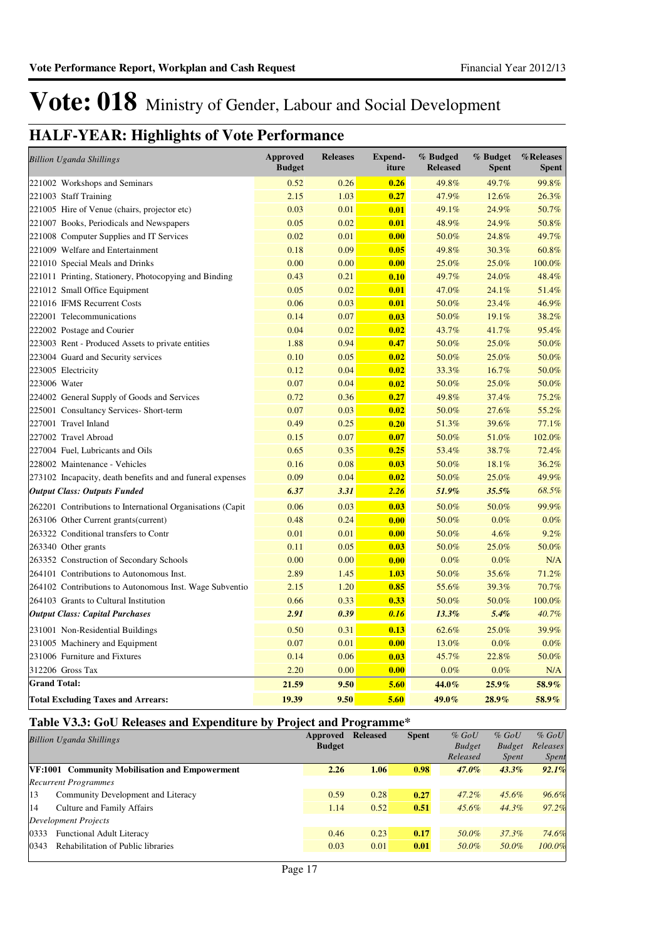### **HALF-YEAR: Highlights of Vote Performance**

| <b>Billion Uganda Shillings</b>                             | <b>Approved</b><br><b>Budget</b> | <b>Releases</b> | <b>Expend-</b><br>iture | % Budged<br><b>Released</b> | % Budget<br><b>Spent</b> | %Releases<br><b>Spent</b> |
|-------------------------------------------------------------|----------------------------------|-----------------|-------------------------|-----------------------------|--------------------------|---------------------------|
| 221002 Workshops and Seminars                               | 0.52                             | 0.26            | 0.26                    | 49.8%                       | 49.7%                    | 99.8%                     |
| 221003 Staff Training                                       | 2.15                             | 1.03            | 0.27                    | 47.9%                       | 12.6%                    | 26.3%                     |
| 221005 Hire of Venue (chairs, projector etc)                | 0.03                             | 0.01            | 0.01                    | 49.1%                       | 24.9%                    | 50.7%                     |
| 221007 Books, Periodicals and Newspapers                    | 0.05                             | 0.02            | 0.01                    | 48.9%                       | 24.9%                    | 50.8%                     |
| 221008 Computer Supplies and IT Services                    | 0.02                             | 0.01            | 0.00                    | 50.0%                       | 24.8%                    | 49.7%                     |
| 221009 Welfare and Entertainment                            | 0.18                             | 0.09            | 0.05                    | 49.8%                       | 30.3%                    | 60.8%                     |
| 221010 Special Meals and Drinks                             | 0.00                             | 0.00            | 0.00                    | 25.0%                       | 25.0%                    | 100.0%                    |
| 221011 Printing, Stationery, Photocopying and Binding       | 0.43                             | 0.21            | 0.10                    | 49.7%                       | 24.0%                    | 48.4%                     |
| 221012 Small Office Equipment                               | 0.05                             | 0.02            | 0.01                    | 47.0%                       | 24.1%                    | 51.4%                     |
| 221016 IFMS Recurrent Costs                                 | 0.06                             | 0.03            | 0.01                    | 50.0%                       | 23.4%                    | 46.9%                     |
| 222001 Telecommunications                                   | 0.14                             | 0.07            | 0.03                    | 50.0%                       | 19.1%                    | 38.2%                     |
| 222002 Postage and Courier                                  | 0.04                             | 0.02            | 0.02                    | 43.7%                       | 41.7%                    | 95.4%                     |
| 223003 Rent - Produced Assets to private entities           | 1.88                             | 0.94            | 0.47                    | 50.0%                       | 25.0%                    | 50.0%                     |
| 223004 Guard and Security services                          | 0.10                             | 0.05            | 0.02                    | 50.0%                       | 25.0%                    | 50.0%                     |
| 223005 Electricity                                          | 0.12                             | 0.04            | 0.02                    | 33.3%                       | 16.7%                    | 50.0%                     |
| 223006 Water                                                | 0.07                             | 0.04            | 0.02                    | 50.0%                       | 25.0%                    | 50.0%                     |
| 224002 General Supply of Goods and Services                 | 0.72                             | 0.36            | 0.27                    | 49.8%                       | 37.4%                    | 75.2%                     |
| 225001 Consultancy Services- Short-term                     | 0.07                             | 0.03            | 0.02                    | 50.0%                       | 27.6%                    | 55.2%                     |
| 227001 Travel Inland                                        | 0.49                             | 0.25            | 0.20                    | 51.3%                       | 39.6%                    | 77.1%                     |
| 227002 Travel Abroad                                        | 0.15                             | 0.07            | 0.07                    | 50.0%                       | 51.0%                    | 102.0%                    |
| 227004 Fuel, Lubricants and Oils                            | 0.65                             | 0.35            | 0.25                    | 53.4%                       | 38.7%                    | 72.4%                     |
| 228002 Maintenance - Vehicles                               | 0.16                             | 0.08            | 0.03                    | 50.0%                       | 18.1%                    | 36.2%                     |
| 273102 Incapacity, death benefits and and funeral expenses  | 0.09                             | 0.04            | 0.02                    | 50.0%                       | 25.0%                    | 49.9%                     |
| <b>Output Class: Outputs Funded</b>                         | 6.37                             | 3.31            | 2.26                    | 51.9%                       | 35.5%                    | 68.5%                     |
| 262201 Contributions to International Organisations (Capit) | 0.06                             | 0.03            | 0.03                    | 50.0%                       | 50.0%                    | 99.9%                     |
| 263106 Other Current grants (current)                       | 0.48                             | 0.24            | 0.00                    | 50.0%                       | $0.0\%$                  | 0.0%                      |
| 263322 Conditional transfers to Contr                       | 0.01                             | 0.01            | 0.00                    | 50.0%                       | 4.6%                     | 9.2%                      |
| 263340 Other grants                                         | 0.11                             | 0.05            | 0.03                    | 50.0%                       | 25.0%                    | 50.0%                     |
| 263352 Construction of Secondary Schools                    | 0.00                             | 0.00            | 0.00                    | 0.0%                        | 0.0%                     | N/A                       |
| 264101 Contributions to Autonomous Inst.                    | 2.89                             | 1.45            | 1.03                    | 50.0%                       | 35.6%                    | 71.2%                     |
| 264102 Contributions to Autonomous Inst. Wage Subventio     | 2.15                             | 1.20            | 0.85                    | 55.6%                       | 39.3%                    | 70.7%                     |
| 264103 Grants to Cultural Institution                       | 0.66                             | 0.33            | 0.33                    | 50.0%                       | 50.0%                    | 100.0%                    |
| <b>Output Class: Capital Purchases</b>                      | 2.91                             | 0.39            | 0.16                    | 13.3%                       | 5.4%                     | 40.7%                     |
| 231001 Non-Residential Buildings                            | 0.50                             | 0.31            | 0.13                    | 62.6%                       | 25.0%                    | 39.9%                     |
| 231005 Machinery and Equipment                              | 0.07                             | 0.01            | 0.00                    | 13.0%                       | 0.0%                     | 0.0%                      |
| 231006 Furniture and Fixtures                               | 0.14                             | 0.06            | 0.03                    | 45.7%                       | 22.8%                    | 50.0%                     |
| 312206 Gross Tax                                            | 2.20                             | 0.00            | 0.00                    | 0.0%                        | $0.0\%$                  | N/A                       |
| <b>Grand Total:</b>                                         | 21.59                            | 9.50            | 5.60                    | 44.0%                       | $25.9\%$                 | 58.9%                     |
| <b>Total Excluding Taxes and Arrears:</b>                   | 19.39                            | 9.50            | 5.60                    | 49.0%                       | 28.9%                    | 58.9%                     |

### **Table V3.3: GoU Releases and Expenditure by Project and Programme\***

|      | <b>Billion Uganda Shillings</b>                | Approved      | <b>Released</b> | <b>Spent</b> | $%$ GoU       | $%$ GoU       | $%$ GoU      |
|------|------------------------------------------------|---------------|-----------------|--------------|---------------|---------------|--------------|
|      |                                                | <b>Budget</b> |                 |              | <b>Budget</b> | <b>Budget</b> | Releases     |
|      |                                                |               |                 |              | Released      | <i>Spent</i>  | <i>Spent</i> |
|      | VF:1001 Community Mobilisation and Empowerment | 2.26          | 1.06            | 0.98         | $47.0\%$      | $43.3\%$      | 92.1%        |
|      | <b>Recurrent Programmes</b>                    |               |                 |              |               |               |              |
| 13   | Community Development and Literacy             | 0.59          | 0.28            | 0.27         | $47.2\%$      | $45.6\%$      | 96.6%        |
| 14   | Culture and Family Affairs                     | 1.14          | 0.52            | 0.51         | $45.6\%$      | 44.3%         | 97.2%        |
|      | Development Projects                           |               |                 |              |               |               |              |
| 0333 | <b>Functional Adult Literacy</b>               | 0.46          | 0.23            | 0.17         | 50.0%         | $37.3\%$      | 74.6%        |
| 0343 | Rehabilitation of Public libraries             | 0.03          | 0.01            | 0.01         | 50.0%         | 50.0%         | 100.0%       |
|      |                                                |               |                 |              |               |               |              |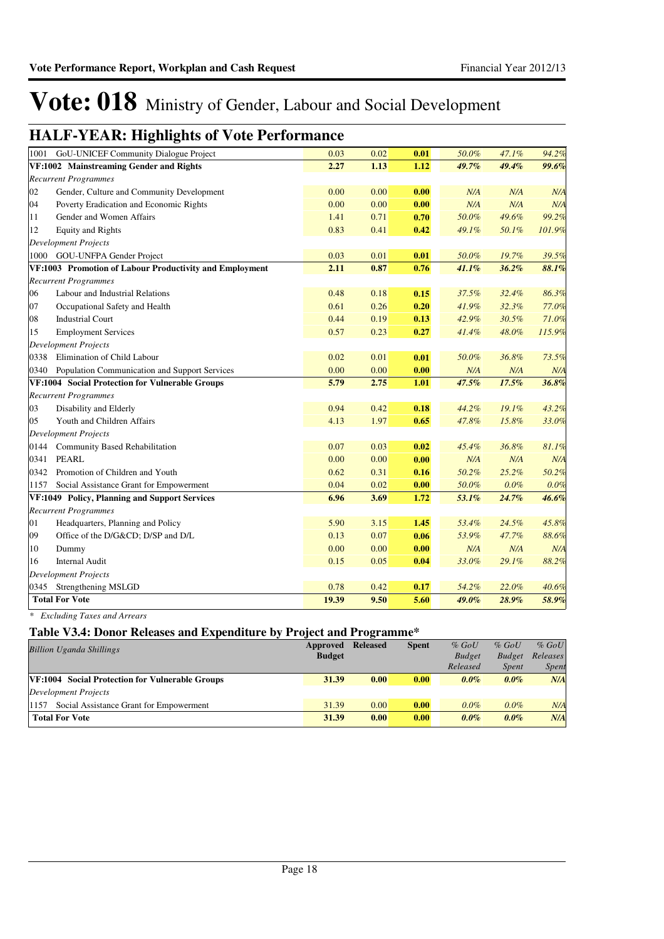### **HALF-YEAR: Highlights of Vote Performance**

| 1001 | GoU-UNICEF Community Dialogue Project                   | 0.03  | 0.02 | 0.01 | 50.0% | 47.1% | 94.2%  |
|------|---------------------------------------------------------|-------|------|------|-------|-------|--------|
|      | VF:1002 Mainstreaming Gender and Rights                 | 2.27  | 1.13 | 1.12 | 49.7% | 49.4% | 99.6%  |
|      | <b>Recurrent Programmes</b>                             |       |      |      |       |       |        |
| 02   | Gender, Culture and Community Development               | 0.00  | 0.00 | 0.00 | N/A   | N/A   | N/A    |
| 04   | Poverty Eradication and Economic Rights                 | 0.00  | 0.00 | 0.00 | N/A   | N/A   | N/A    |
| 11   | Gender and Women Affairs                                | 1.41  | 0.71 | 0.70 | 50.0% | 49.6% | 99.2%  |
| 12   | <b>Equity and Rights</b>                                | 0.83  | 0.41 | 0.42 | 49.1% | 50.1% | 101.9% |
|      | <b>Development Projects</b>                             |       |      |      |       |       |        |
|      | 1000 GOU-UNFPA Gender Project                           | 0.03  | 0.01 | 0.01 | 50.0% | 19.7% | 39.5%  |
|      | VF:1003 Promotion of Labour Productivity and Employment | 2.11  | 0.87 | 0.76 | 41.1% | 36.2% | 88.1%  |
|      | <b>Recurrent Programmes</b>                             |       |      |      |       |       |        |
| 06   | Labour and Industrial Relations                         | 0.48  | 0.18 | 0.15 | 37.5% | 32.4% | 86.3%  |
| 07   | Occupational Safety and Health                          | 0.61  | 0.26 | 0.20 | 41.9% | 32.3% | 77.0%  |
| 08   | <b>Industrial Court</b>                                 | 0.44  | 0.19 | 0.13 | 42.9% | 30.5% | 71.0%  |
| 15   | <b>Employment Services</b>                              | 0.57  | 0.23 | 0.27 | 41.4% | 48.0% | 115.9% |
|      | <b>Development Projects</b>                             |       |      |      |       |       |        |
| 0338 | Elimination of Child Labour                             | 0.02  | 0.01 | 0.01 | 50.0% | 36.8% | 73.5%  |
| 0340 | <b>Population Communication and Support Services</b>    | 0.00  | 0.00 | 0.00 | N/A   | N/A   | N/A    |
|      | VF:1004 Social Protection for Vulnerable Groups         | 5.79  | 2.75 | 1.01 | 47.5% | 17.5% | 36.8%  |
|      | <b>Recurrent Programmes</b>                             |       |      |      |       |       |        |
| 03   | Disability and Elderly                                  | 0.94  | 0.42 | 0.18 | 44.2% | 19.1% | 43.2%  |
| 05   | Youth and Children Affairs                              | 4.13  | 1.97 | 0.65 | 47.8% | 15.8% | 33.0%  |
|      | <b>Development Projects</b>                             |       |      |      |       |       |        |
| 0144 | Community Based Rehabilitation                          | 0.07  | 0.03 | 0.02 | 45.4% | 36.8% | 81.1%  |
| 0341 | <b>PEARL</b>                                            | 0.00  | 0.00 | 0.00 | N/A   | N/A   | N/A    |
| 0342 | Promotion of Children and Youth                         | 0.62  | 0.31 | 0.16 | 50.2% | 25.2% | 50.2%  |
| 1157 | Social Assistance Grant for Empowerment                 | 0.04  | 0.02 | 0.00 | 50.0% | 0.0%  | 0.0%   |
|      | VF:1049 Policy, Planning and Support Services           | 6.96  | 3.69 | 1.72 | 53.1% | 24.7% | 46.6%  |
|      | <b>Recurrent Programmes</b>                             |       |      |      |       |       |        |
| 01   | Headquarters, Planning and Policy                       | 5.90  | 3.15 | 1.45 | 53.4% | 24.5% | 45.8%  |
| 09   | Office of the D/G&CD D/SP and D/L                       | 0.13  | 0.07 | 0.06 | 53.9% | 47.7% | 88.6%  |
| 10   | Dummy                                                   | 0.00  | 0.00 | 0.00 | N/A   | N/A   | N/A    |
| 16   | <b>Internal Audit</b>                                   | 0.15  | 0.05 | 0.04 | 33.0% | 29.1% | 88.2%  |
|      | <b>Development Projects</b>                             |       |      |      |       |       |        |
|      | 0345 Strengthening MSLGD                                | 0.78  | 0.42 | 0.17 | 54.2% | 22.0% | 40.6%  |
|      | <b>Total For Vote</b>                                   | 19.39 | 9.50 | 5.60 | 49.0% | 28.9% | 58.9%  |

*\* Excluding Taxes and Arrears*

### **Table V3.4: Donor Releases and Expenditure by Project and Programme\***

| <b>Billion Uganda Shillings</b>                        | Approved      | <b>Released</b> | <b>Spent</b> | $%$ GoU       | $%$ GoU       | $%$ GoU      |
|--------------------------------------------------------|---------------|-----------------|--------------|---------------|---------------|--------------|
|                                                        | <b>Budget</b> |                 |              | <b>Budget</b> | <b>Budget</b> | Releases     |
|                                                        |               |                 |              | Released      | <i>Spent</i>  | <b>Spent</b> |
| <b>VF:1004</b> Social Protection for Vulnerable Groups | 31.39         | 0.00            | 0.00         | $0.0\%$       | $0.0\%$       | N/A          |
| Development Projects                                   |               |                 |              |               |               |              |
| Social Assistance Grant for Empowerment<br>1157        | 31.39         | 0.00            | 0.00         | $0.0\%$       | $0.0\%$       | N/A          |
| <b>Total For Vote</b>                                  | 31.39         | 0.00            | 0.00         | $0.0\%$       | $0.0\%$       | N/A          |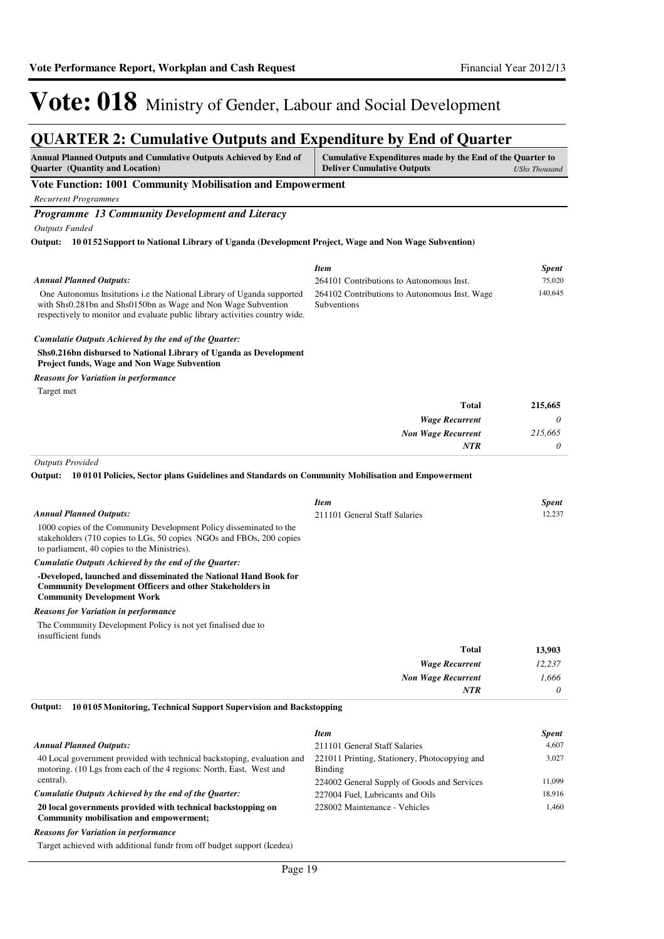#### **QUARTER 2: Cumulative Outputs and Expenditure by End of Quarter Annual Planned Outputs and Cumulative Outputs Achieved by End of Cumulative Expenditures made by the End of the Quarter to**

| Annuar Pianneu Outputs and Cumulative Outputs Achieved by End of<br><b>Quarter</b> (Quantity and Location)                                                                                                                     | Cumulative Expenditures made by the End of the Quarter to<br><b>Deliver Cumulative Outputs</b> | <b>UShs Thousand</b> |
|--------------------------------------------------------------------------------------------------------------------------------------------------------------------------------------------------------------------------------|------------------------------------------------------------------------------------------------|----------------------|
| Vote Function: 1001 Community Mobilisation and Empowerment                                                                                                                                                                     |                                                                                                |                      |
| <b>Recurrent Programmes</b>                                                                                                                                                                                                    |                                                                                                |                      |
| Programme 13 Community Development and Literacy                                                                                                                                                                                |                                                                                                |                      |
| <b>Outputs Funded</b>                                                                                                                                                                                                          |                                                                                                |                      |
| 10 0152 Support to National Library of Uganda (Development Project, Wage and Non Wage Subvention)<br>Output:                                                                                                                   |                                                                                                |                      |
|                                                                                                                                                                                                                                |                                                                                                |                      |
|                                                                                                                                                                                                                                | <b>Item</b>                                                                                    | <b>Spent</b>         |
| <b>Annual Planned Outputs:</b>                                                                                                                                                                                                 | 264101 Contributions to Autonomous Inst.                                                       | 75,020               |
| One Autonomus Insitutions <i>i.e</i> the National Library of Uganda supported<br>with Shs0.281bn and Shs0150bn as Wage and Non Wage Subvention<br>respectively to monitor and evaluate public library activities country wide. | 264102 Contributions to Autonomous Inst. Wage<br>Subventions                                   | 140,645              |
| Cumulatie Outputs Achieved by the end of the Quarter:                                                                                                                                                                          |                                                                                                |                      |
| Shs0.216bn disbursed to National Library of Uganda as Development<br><b>Project funds, Wage and Non Wage Subvention</b>                                                                                                        |                                                                                                |                      |
| Reasons for Variation in performance                                                                                                                                                                                           |                                                                                                |                      |
| Target met                                                                                                                                                                                                                     |                                                                                                |                      |
|                                                                                                                                                                                                                                | <b>Total</b>                                                                                   | 215,665              |
|                                                                                                                                                                                                                                | <b>Wage Recurrent</b>                                                                          | 0                    |
|                                                                                                                                                                                                                                | <b>Non Wage Recurrent</b>                                                                      | 215,665              |
|                                                                                                                                                                                                                                | <b>NTR</b>                                                                                     | 0                    |
|                                                                                                                                                                                                                                | Item                                                                                           | <b>Spent</b>         |
| <b>Annual Planned Outputs:</b><br>1000 copies of the Community Development Policy disseminated to the<br>stakeholders (710 copies to LGs, 50 copies NGOs and FBOs, 200 copies<br>to parliament, 40 copies to the Ministries).  | 211101 General Staff Salaries                                                                  | 12,237               |
| Cumulatie Outputs Achieved by the end of the Quarter:                                                                                                                                                                          |                                                                                                |                      |
| -Developed, launched and disseminated the National Hand Book for<br><b>Community Development Officers and other Stakeholders in</b><br><b>Community Development Work</b>                                                       |                                                                                                |                      |
| <b>Reasons for Variation in performance</b>                                                                                                                                                                                    |                                                                                                |                      |
| The Community Development Policy is not yet finalised due to<br>insufficient funds                                                                                                                                             |                                                                                                |                      |
|                                                                                                                                                                                                                                | Total                                                                                          | 13,903               |
|                                                                                                                                                                                                                                | <b>Wage Recurrent</b>                                                                          | 12,237               |
|                                                                                                                                                                                                                                | <b>Non Wage Recurrent</b>                                                                      | 1,666                |
|                                                                                                                                                                                                                                | <b>NTR</b>                                                                                     | 0                    |
| Output:<br>100105 Monitoring, Technical Support Supervision and Backstopping                                                                                                                                                   |                                                                                                |                      |
|                                                                                                                                                                                                                                | <b>Item</b>                                                                                    | <b>Spent</b>         |
| <b>Annual Planned Outputs:</b>                                                                                                                                                                                                 | 211101 General Staff Salaries                                                                  | 4,607                |
| 40 Local government provided with technical backstoping, evaluation and<br>motoring. (10 Lgs from each of the 4 regions: North, East, West and<br>central).                                                                    | 221011 Printing, Stationery, Photocopying and<br>Binding                                       | 3,027                |
| Cumulatie Outputs Achieved by the end of the Quarter:                                                                                                                                                                          | 224002 General Supply of Goods and Services<br>227004 Fuel, Lubricants and Oils                | 11,099<br>18,916     |
| 20 local governments provided with technical backstopping on<br>Community mobilisation and empowerment;                                                                                                                        | 228002 Maintenance - Vehicles                                                                  | 1,460                |
| <b>Reasons for Variation in performance</b>                                                                                                                                                                                    |                                                                                                |                      |

Target achieved with additional fundr from off budget support (Icedea)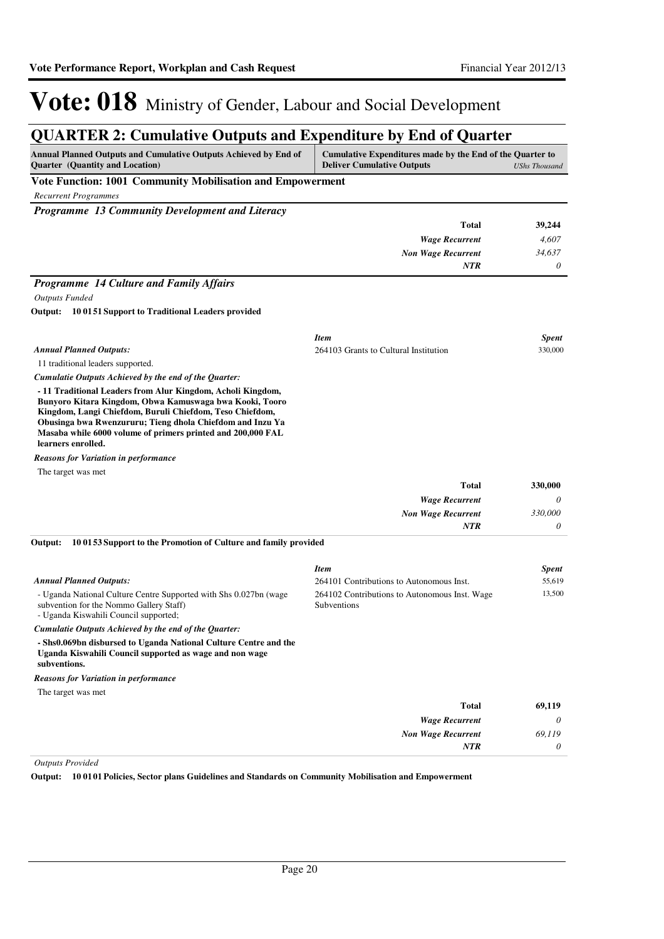### **QUARTER 2: Cumulative Outputs and Expenditure by End of Quarter**

| Annual Planned Outputs and Cumulative Outputs Achieved by End of                                                                                                                   | Cumulative Expenditures made by the End of the Quarter to    |                      |
|------------------------------------------------------------------------------------------------------------------------------------------------------------------------------------|--------------------------------------------------------------|----------------------|
| <b>Quarter</b> (Quantity and Location)<br>Vote Function: 1001 Community Mobilisation and Empowerment                                                                               | <b>Deliver Cumulative Outputs</b>                            | <b>UShs Thousand</b> |
| <b>Recurrent Programmes</b>                                                                                                                                                        |                                                              |                      |
| Programme 13 Community Development and Literacy                                                                                                                                    |                                                              |                      |
|                                                                                                                                                                                    | <b>Total</b>                                                 | 39,244               |
|                                                                                                                                                                                    | <b>Wage Recurrent</b>                                        | 4,607                |
|                                                                                                                                                                                    | <b>Non Wage Recurrent</b>                                    | 34,637               |
|                                                                                                                                                                                    | <b>NTR</b>                                                   | 0                    |
| <b>Programme 14 Culture and Family Affairs</b>                                                                                                                                     |                                                              |                      |
| <b>Outputs Funded</b>                                                                                                                                                              |                                                              |                      |
| Output: 10 01 51 Support to Traditional Leaders provided                                                                                                                           |                                                              |                      |
|                                                                                                                                                                                    | <b>Item</b>                                                  | <b>Spent</b>         |
| <b>Annual Planned Outputs:</b>                                                                                                                                                     | 264103 Grants to Cultural Institution                        | 330,000              |
| 11 traditional leaders supported.                                                                                                                                                  |                                                              |                      |
| Cumulatie Outputs Achieved by the end of the Quarter:                                                                                                                              |                                                              |                      |
| - 11 Traditional Leaders from Alur Kingdom, Acholi Kingdom,<br>Bunyoro Kitara Kingdom, Obwa Kamuswaga bwa Kooki, Tooro<br>Kingdom, Langi Chiefdom, Buruli Chiefdom, Teso Chiefdom, |                                                              |                      |
| Obusinga bwa Rwenzururu; Tieng dhola Chiefdom and Inzu Ya<br>Masaba while 6000 volume of primers printed and 200,000 FAL<br>learners enrolled.                                     |                                                              |                      |
| <b>Reasons for Variation in performance</b>                                                                                                                                        |                                                              |                      |
| The target was met                                                                                                                                                                 |                                                              |                      |
|                                                                                                                                                                                    | Total                                                        | 330,000              |
|                                                                                                                                                                                    | <b>Wage Recurrent</b>                                        | 0                    |
|                                                                                                                                                                                    | <b>Non Wage Recurrent</b>                                    | 330,000              |
|                                                                                                                                                                                    | NTR                                                          | 0                    |
| 100153 Support to the Promotion of Culture and family provided<br>Output:                                                                                                          |                                                              |                      |
|                                                                                                                                                                                    | <b>Item</b>                                                  | <b>Spent</b>         |
| <b>Annual Planned Outputs:</b>                                                                                                                                                     | 264101 Contributions to Autonomous Inst.                     | 55,619               |
| - Uganda National Culture Centre Supported with Shs 0.027bn (wage<br>subvention for the Nommo Gallery Staff)<br>- Uganda Kiswahili Council supported;                              | 264102 Contributions to Autonomous Inst. Wage<br>Subventions | 13,500               |
| Cumulatie Outputs Achieved by the end of the Quarter:                                                                                                                              |                                                              |                      |
| - Shs0.069bn disbursed to Uganda National Culture Centre and the<br>Uganda Kiswahili Council supported as wage and non wage                                                        |                                                              |                      |
| subventions.                                                                                                                                                                       |                                                              |                      |
| <b>Reasons for Variation in performance</b>                                                                                                                                        |                                                              |                      |
| The target was met                                                                                                                                                                 |                                                              |                      |
|                                                                                                                                                                                    | <b>Total</b>                                                 | 69,119               |
|                                                                                                                                                                                    | <b>Wage Recurrent</b><br><b>Non Wage Recurrent</b>           | 0<br>69,119          |
|                                                                                                                                                                                    | NTR                                                          | 0                    |
|                                                                                                                                                                                    |                                                              |                      |

*Outputs Provided*

**Output: 10 0101 Policies, Sector plans Guidelines and Standards on Community Mobilisation and Empowerment**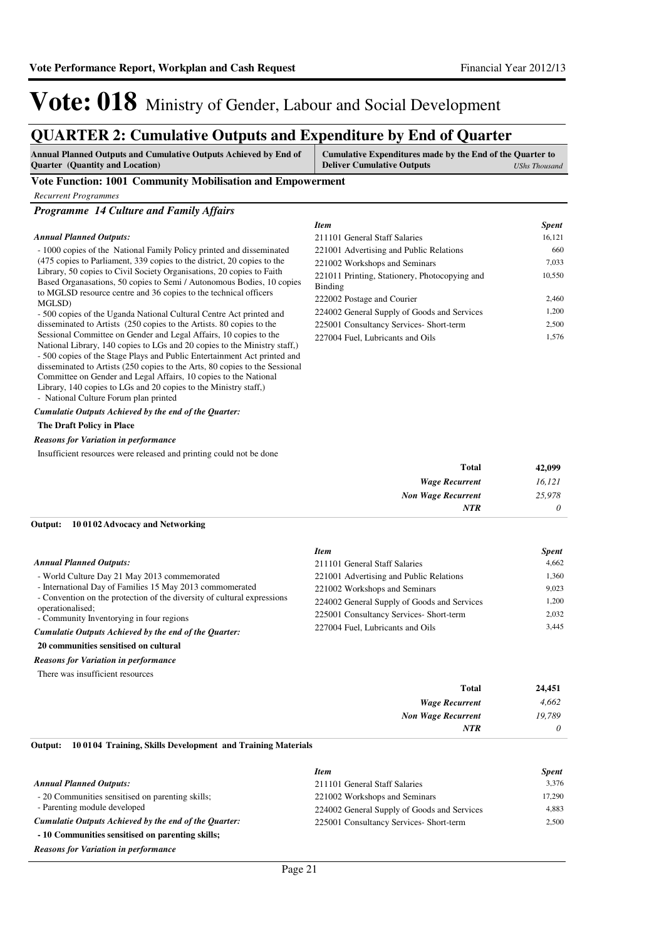10,550

*Item Spent* 211101 General Staff Salaries 16,121 221001 Advertising and Public Relations 660 221002 Workshops and Seminars 7,033

222002 Postage and Courier 2,460 224002 General Supply of Goods and Services 1,200 225001 Consultancy Services- Short-term 2,500 227004 Fuel, Lubricants and Oils 1,576

221011 Printing, Stationery, Photocopying and

# Vote: 018 Ministry of Gender, Labour and Social Development

### **QUARTER 2: Cumulative Outputs and Expenditure by End of Quarter**

| <b>Annual Planned Outputs and Cumulative Outputs Achieved by End of</b> | Cumulative Expenditures made by the End of the Quarter to |               |
|-------------------------------------------------------------------------|-----------------------------------------------------------|---------------|
| <b>Quarter</b> (Quantity and Location)                                  | <b>Deliver Cumulative Outputs</b>                         | UShs Thousand |

Binding

#### **Vote Function: 1001 Community Mobilisation and Empowerment**

*Recurrent Programmes*

*Programme 14 Culture and Family Affairs*

#### *Annual Planned Outputs:*

- 1000 copies of the National Family Policy printed and disseminated (475 copies to Parliament, 339 copies to the district, 20 copies to the Library, 50 copies to Civil Society Organisations, 20 copies to Faith Based Organasations, 50 copies to Semi / Autonomous Bodies, 10 copies to MGLSD resource centre and 36 copies to the technical officers MGLSD)

- 500 copies of the Uganda National Cultural Centre Act printed and disseminated to Artists (250 copies to the Artists. 80 copies to the Sessional Committee on Gender and Legal Affairs, 10 copies to the National Library, 140 copies to LGs and 20 copies to the Ministry staff,) - 500 copies of the Stage Plays and Public Entertainment Act printed and disseminated to Artists (250 copies to the Arts, 80 copies to the Sessional Committee on Gender and Legal Affairs, 10 copies to the National Library, 140 copies to LGs and 20 copies to the Ministry staff,) - National Culture Forum plan printed

*Cumulatie Outputs Achieved by the end of the Quarter:*

#### **The Draft Policy in Place**

#### *Reasons for Variation in performance*

Insufficient resources were released and printing could not be done

| 42,099   | <b>Total</b>              |
|----------|---------------------------|
| 16,121   | <b>Wage Recurrent</b>     |
| 25,978   | <b>Non Wage Recurrent</b> |
| $\theta$ | <b>NTR</b>                |
|          |                           |

### **10 0102 Advocacy and Networking Output:**

|                                                                         | <b>Item</b>                                 | <b>Spent</b> |
|-------------------------------------------------------------------------|---------------------------------------------|--------------|
| <b>Annual Planned Outputs:</b>                                          | 211101 General Staff Salaries               | 4.662        |
| - World Culture Day 21 May 2013 commemorated                            | 221001 Advertising and Public Relations     | 1.360        |
| - International Day of Families 15 May 2013 commomerated                | 221002 Workshops and Seminars               | 9.023        |
| - Convention on the protection of the diversity of cultural expressions | 224002 General Supply of Goods and Services | 1.200        |
| operationalised;<br>- Community Inventorying in four regions            | 225001 Consultancy Services- Short-term     | 2.032        |
| Cumulatie Outputs Achieved by the end of the Ouarter:                   | 227004 Fuel, Lubricants and Oils            | 3.445        |
| 20 communities sensitised on cultural                                   |                                             |              |

### *Reasons for Variation in performance*

There was insufficient resources

| <b>Total</b>              | 24,451   |
|---------------------------|----------|
| <b>Wage Recurrent</b>     | 4,662    |
| <b>Non Wage Recurrent</b> | 19,789   |
| <b>NTR</b>                | $\theta$ |

**10 0104 Training, Skills Development and Training Materials Output:**

|                                                       | <b>Item</b>                                 | <b>Spent</b> |
|-------------------------------------------------------|---------------------------------------------|--------------|
| <b>Annual Planned Outputs:</b>                        | 211101 General Staff Salaries               | 3.376        |
| - 20 Communities sensitised on parenting skills;      | 221002 Workshops and Seminars               | 17.290       |
| - Parenting module developed                          | 224002 General Supply of Goods and Services | 4.883        |
| Cumulatie Outputs Achieved by the end of the Ouarter: | 225001 Consultancy Services- Short-term     | 2.500        |
| - 10 Communities sensitised on parenting skills;      |                                             |              |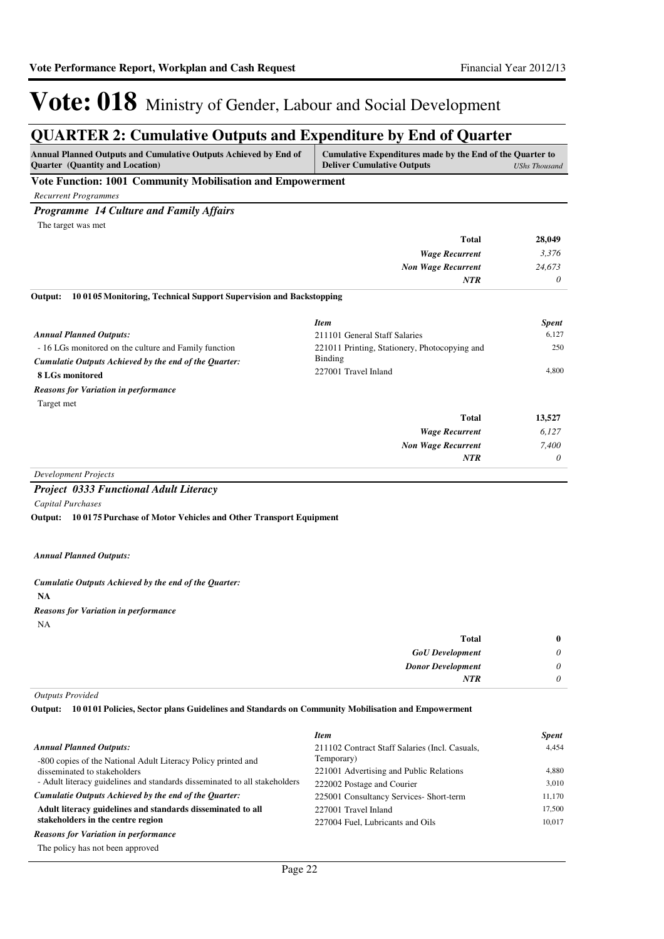### **QUARTER 2: Cumulative Outputs and Expenditure by End of Quarter**

| Annual Planned Outputs and Cumulative Outputs Achieved by End of<br><b>Quarter</b> (Quantity and Location) | Cumulative Expenditures made by the End of the Quarter to<br><b>Deliver Cumulative Outputs</b> | <b>UShs Thousand</b> |
|------------------------------------------------------------------------------------------------------------|------------------------------------------------------------------------------------------------|----------------------|
| Vote Function: 1001 Community Mobilisation and Empowerment                                                 |                                                                                                |                      |
| <b>Recurrent Programmes</b>                                                                                |                                                                                                |                      |
| <b>Programme 14 Culture and Family Affairs</b>                                                             |                                                                                                |                      |
| The target was met                                                                                         |                                                                                                |                      |
|                                                                                                            | <b>Total</b>                                                                                   | 28,049               |
|                                                                                                            | <b>Wage Recurrent</b>                                                                          | 3,376                |
|                                                                                                            | <b>Non Wage Recurrent</b>                                                                      | 24,673               |
|                                                                                                            | NTR                                                                                            | 0                    |
| 100105 Monitoring, Technical Support Supervision and Backstopping<br>Output:                               |                                                                                                |                      |
|                                                                                                            | <b>Item</b>                                                                                    | <b>Spent</b>         |
| <b>Annual Planned Outputs:</b>                                                                             | 211101 General Staff Salaries                                                                  | 6,127                |
| - 16 LGs monitored on the culture and Family function                                                      | 221011 Printing, Stationery, Photocopying and                                                  | 250                  |
| Cumulatie Outputs Achieved by the end of the Quarter:                                                      | Binding                                                                                        |                      |
| 8 LGs monitored                                                                                            | 227001 Travel Inland                                                                           | 4,800                |
| <b>Reasons for Variation in performance</b>                                                                |                                                                                                |                      |
| Target met                                                                                                 |                                                                                                |                      |
|                                                                                                            | <b>Total</b>                                                                                   | 13,527               |
|                                                                                                            | <b>Wage Recurrent</b>                                                                          | 6,127                |
|                                                                                                            | <b>Non Wage Recurrent</b>                                                                      | 7,400                |
|                                                                                                            | <b>NTR</b>                                                                                     | 0                    |
| <b>Development Projects</b>                                                                                |                                                                                                |                      |
| <b>Project 0333 Functional Adult Literacy</b>                                                              |                                                                                                |                      |
| <b>Capital Purchases</b>                                                                                   |                                                                                                |                      |

**10 0175 Purchase of Motor Vehicles and Other Transport Equipment Output:**

#### *Annual Planned Outputs:*

#### **NA** *Cumulatie Outputs Achieved by the end of the Quarter: Reasons for Variation in performance*

NA

| Total<br>$\bf{0}$                    |  |
|--------------------------------------|--|
| <b>GoU</b> Development<br>$\theta$   |  |
| <b>Donor Development</b><br>$\theta$ |  |
| <b>NTR</b><br>0                      |  |

#### *Outputs Provided*

**10 0101 Policies, Sector plans Guidelines and Standards on Community Mobilisation and Empowerment Output:**

|                                                                            | <b>Item</b>                                    | <b>Spent</b> |
|----------------------------------------------------------------------------|------------------------------------------------|--------------|
| <b>Annual Planned Outputs:</b>                                             | 211102 Contract Staff Salaries (Incl. Casuals, | 4.454        |
| -800 copies of the National Adult Literacy Policy printed and              | Temporary)                                     |              |
| disseminated to stakeholders                                               | 221001 Advertising and Public Relations        | 4.880        |
| - Adult literacy guidelines and standards disseminated to all stakeholders | 222002 Postage and Courier                     | 3.010        |
| Cumulatie Outputs Achieved by the end of the Ouarter:                      | 225001 Consultancy Services- Short-term        | 11,170       |
| Adult literacy guidelines and standards disseminated to all                | 227001 Travel Inland                           | 17.500       |
| stakeholders in the centre region                                          | 227004 Fuel, Lubricants and Oils               | 10.017       |
| <b>Reasons for Variation in performance</b>                                |                                                |              |
|                                                                            |                                                |              |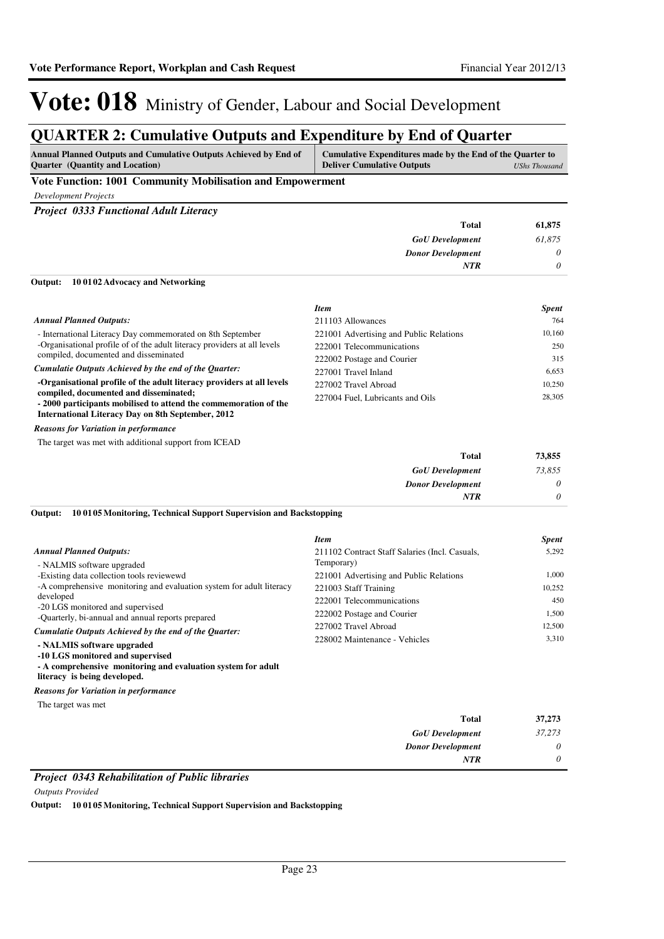### **QUARTER 2: Cumulative Outputs and Expenditure by End of Quarter**

| <b>Annual Planned Outputs and Cumulative Outputs Achieved by End of</b> | Cumulative Expenditures made by the End of the Quarter to |
|-------------------------------------------------------------------------|-----------------------------------------------------------|
| <b>Ouarter</b> (Quantity and Location)                                  | <b>Deliver Cumulative Outputs</b><br>UShs Thousand        |
|                                                                         |                                                           |

#### **Vote Function: 1001 Community Mobilisation and Empowerment**

*Development Projects*

*Project 0333 Functional Adult Literacy*

|                                          | <b>Total</b> | 61,875 |
|------------------------------------------|--------------|--------|
| <b>GoU</b> Development                   |              | 61.875 |
| <b>Donor Development</b>                 |              | 0      |
|                                          | <b>NTR</b>   | 0      |
| Output: 10 01 02 Advocacy and Networking |              |        |

#### - International Literacy Day commemorated on 8th September -Organisational profile of of the adult literacy providers at all levels compiled, documented and disseminated **-Organisational profile of the adult literacy providers at all levels compiled, documented and disseminated; - 2000 participants mobilised to attend the commemoration of the International Literacy Day on 8th September, 2012** *Cumulatie Outputs Achieved by the end of the Quarter: Annual Planned Outputs: Item Spent* 211103 Allowances 764 221001 Advertising and Public Relations 10,160 222001 Telecommunications 250 222002 Postage and Courier 315 227001 Travel Inland 6,653 227002 Travel Abroad 10,250 227004 Fuel, Lubricants and Oils 28,305

*Reasons for Variation in performance*

The target was met with additional support from ICEAD

| 73,855   | <b>Total</b>             |
|----------|--------------------------|
| 73,855   | <b>GoU</b> Development   |
| $\theta$ | <b>Donor Development</b> |
| $\theta$ | <b>NTR</b>               |
|          |                          |

#### **10 0105 Monitoring, Technical Support Supervision and Backstopping Output:**

|                                                                                                                                                                                                                                      | <b>Item</b>                                    | <b>Spent</b> |
|--------------------------------------------------------------------------------------------------------------------------------------------------------------------------------------------------------------------------------------|------------------------------------------------|--------------|
| <b>Annual Planned Outputs:</b>                                                                                                                                                                                                       | 211102 Contract Staff Salaries (Incl. Casuals, | 5,292        |
| - NALMIS software upgraded                                                                                                                                                                                                           | Temporary)                                     |              |
| -Existing data collection tools reviewewd                                                                                                                                                                                            | 221001 Advertising and Public Relations        | 1.000        |
| -A comprehensive monitoring and evaluation system for a dult literacy<br>developed<br>-20 LGS monitored and supervised<br>-Quarterly, bi-annual and annual reports prepared<br>Cumulatie Outputs Achieved by the end of the Ouarter: | 221003 Staff Training                          | 10,252       |
|                                                                                                                                                                                                                                      | 222001 Telecommunications                      | 450          |
|                                                                                                                                                                                                                                      | 222002 Postage and Courier                     | 1.500        |
|                                                                                                                                                                                                                                      | 227002 Travel Abroad                           | 12.500       |
| - NALMIS software upgraded<br>-10 LGS monitored and supervised<br>- A comprehensive monitoring and evaluation system for adult                                                                                                       | 228002 Maintenance - Vehicles                  | 3.310        |

**literacy is being developed.**

*Reasons for Variation in performance*

The target was met

| <b>Total</b>             | 37,273 |
|--------------------------|--------|
| <b>GoU</b> Development   | 37,273 |
| <b>Donor Development</b> | 0      |
| <b>NTR</b>               | 0      |

#### *Project 0343 Rehabilitation of Public libraries*

*Outputs Provided*

**Output: 10 0105 Monitoring, Technical Support Supervision and Backstopping**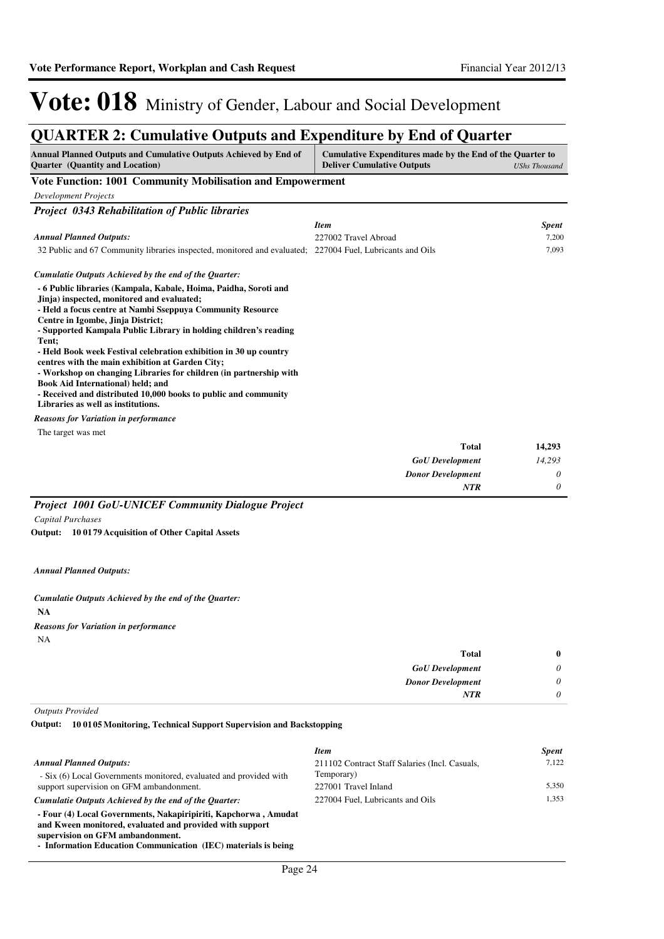### **QUARTER 2: Cumulative Outputs and Expenditure by End of Quarter**

| <b>Annual Planned Outputs and Cumulative Outputs Achieved by End of</b><br><b>Quarter</b> (Quantity and Location)                                                                                                                                                                                                                                                                                                                                                                                                                                                                                                                           | Cumulative Expenditures made by the End of the Quarter to<br><b>Deliver Cumulative Outputs</b> | <b>UShs Thousand</b> |
|---------------------------------------------------------------------------------------------------------------------------------------------------------------------------------------------------------------------------------------------------------------------------------------------------------------------------------------------------------------------------------------------------------------------------------------------------------------------------------------------------------------------------------------------------------------------------------------------------------------------------------------------|------------------------------------------------------------------------------------------------|----------------------|
| Vote Function: 1001 Community Mobilisation and Empowerment                                                                                                                                                                                                                                                                                                                                                                                                                                                                                                                                                                                  |                                                                                                |                      |
| <b>Development Projects</b>                                                                                                                                                                                                                                                                                                                                                                                                                                                                                                                                                                                                                 |                                                                                                |                      |
| <b>Project 0343 Rehabilitation of Public libraries</b>                                                                                                                                                                                                                                                                                                                                                                                                                                                                                                                                                                                      |                                                                                                |                      |
|                                                                                                                                                                                                                                                                                                                                                                                                                                                                                                                                                                                                                                             | <b>Item</b>                                                                                    | <b>Spent</b>         |
| <b>Annual Planned Outputs:</b>                                                                                                                                                                                                                                                                                                                                                                                                                                                                                                                                                                                                              | 227002 Travel Abroad                                                                           | 7,200                |
| 32 Public and 67 Community libraries inspected, monitored and evaluated; 227004 Fuel, Lubricants and Oils                                                                                                                                                                                                                                                                                                                                                                                                                                                                                                                                   |                                                                                                | 7,093                |
| Cumulatie Outputs Achieved by the end of the Ouarter:                                                                                                                                                                                                                                                                                                                                                                                                                                                                                                                                                                                       |                                                                                                |                      |
| - 6 Public libraries (Kampala, Kabale, Hoima, Paidha, Soroti and<br>Jinja) inspected, monitored and evaluated;<br>- Held a focus centre at Nambi Sseppuva Community Resource<br>Centre in Igombe, Jinja District;<br>- Supported Kampala Public Library in holding children's reading<br>Tent;<br>- Held Book week Festival celebration exhibition in 30 up country<br>centres with the main exhibition at Garden City;<br>- Workshop on changing Libraries for children (in partnership with<br>Book Aid International) held; and<br>- Received and distributed 10,000 books to public and community<br>Libraries as well as institutions. |                                                                                                |                      |
| <b>Reasons for Variation in performance</b>                                                                                                                                                                                                                                                                                                                                                                                                                                                                                                                                                                                                 |                                                                                                |                      |
| The target was met                                                                                                                                                                                                                                                                                                                                                                                                                                                                                                                                                                                                                          |                                                                                                |                      |
|                                                                                                                                                                                                                                                                                                                                                                                                                                                                                                                                                                                                                                             | <b>Total</b>                                                                                   | 14,293               |
|                                                                                                                                                                                                                                                                                                                                                                                                                                                                                                                                                                                                                                             | <b>GoU</b> Development                                                                         | 14,293               |
|                                                                                                                                                                                                                                                                                                                                                                                                                                                                                                                                                                                                                                             | <b>Donor Development</b>                                                                       | 0                    |
|                                                                                                                                                                                                                                                                                                                                                                                                                                                                                                                                                                                                                                             | <b>NTR</b>                                                                                     | 0                    |

#### *Project 1001 GoU-UNICEF Community Dialogue Project*

*Capital Purchases*

**10 0179 Acquisition of Other Capital Assets Output:**

*Annual Planned Outputs:*

**NA** *Cumulatie Outputs Achieved by the end of the Quarter:* NA *Reasons for Variation in performance*

| $\bf{0}$ | <b>Total</b>             |
|----------|--------------------------|
| 0        | <b>GoU</b> Development   |
| $\theta$ | <b>Donor Development</b> |
| 0        | <b>NTR</b>               |
|          |                          |

*Outputs Provided*

**10 0105 Monitoring, Technical Support Supervision and Backstopping Output:**

|                                                                                                                                                                 | <b>Item</b>                                    | <b>Spent</b> |
|-----------------------------------------------------------------------------------------------------------------------------------------------------------------|------------------------------------------------|--------------|
| <b>Annual Planned Outputs:</b>                                                                                                                                  | 211102 Contract Staff Salaries (Incl. Casuals, | 7.122        |
| - Six (6) Local Governments monitored, evaluated and provided with                                                                                              | Temporary)                                     |              |
| support supervision on GFM ambandonment.                                                                                                                        | 227001 Travel Inland                           | 5.350        |
| Cumulatie Outputs Achieved by the end of the Quarter:                                                                                                           | 227004 Fuel. Lubricants and Oils               | 1.353        |
| - Four (4) Local Governments, Nakapiripiriti, Kapchorwa, Amudat<br>and Kween monitored, evaluated and provided with support<br>supervision on GFM ambandonment. |                                                |              |
| Let $f_1, f_2, \ldots, f_n$ and $f_2, \ldots, f_n$ and $f_1, f_2, \ldots, f_n$ and $f_2, f_3, f_4, \ldots, f_n$ and $f_1, f_2, \ldots, f_n$                     |                                                |              |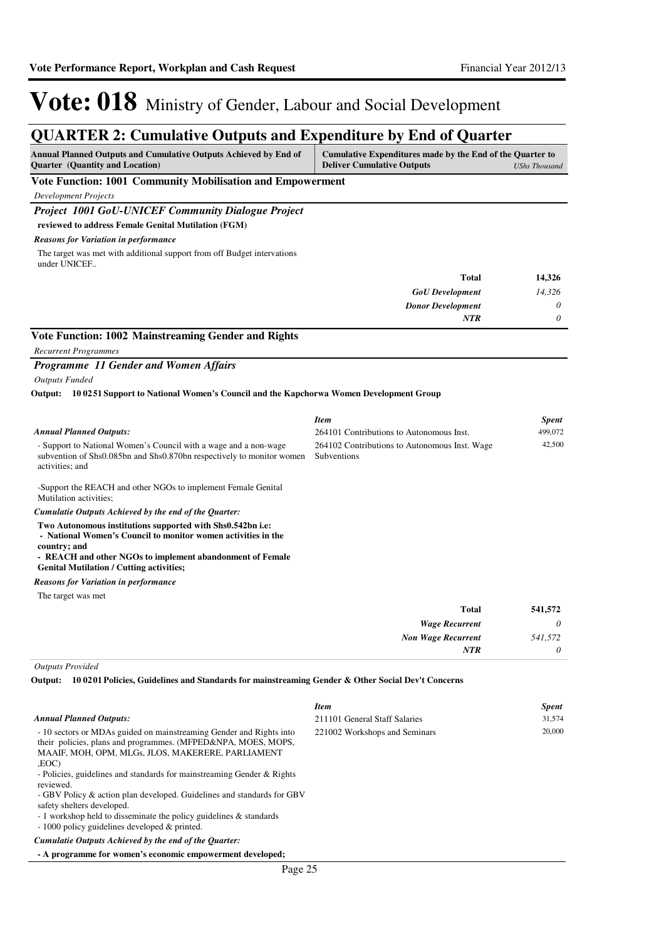### **QUARTER 2: Cumulative Outputs and Expenditure by End of Quarter**

| Annual Planned Outputs and Cumulative Outputs Achieved by End of<br>Quarter (Quantity and Location)                                                                                                                                                         | Cumulative Expenditures made by the End of the Quarter to<br><b>Deliver Cumulative Outputs</b> | <b>UShs Thousand</b> |
|-------------------------------------------------------------------------------------------------------------------------------------------------------------------------------------------------------------------------------------------------------------|------------------------------------------------------------------------------------------------|----------------------|
| Vote Function: 1001 Community Mobilisation and Empowerment                                                                                                                                                                                                  |                                                                                                |                      |
| <b>Development Projects</b>                                                                                                                                                                                                                                 |                                                                                                |                      |
| Project 1001 GoU-UNICEF Community Dialogue Project                                                                                                                                                                                                          |                                                                                                |                      |
| reviewed to address Female Genital Mutilation (FGM)                                                                                                                                                                                                         |                                                                                                |                      |
| <b>Reasons for Variation in performance</b>                                                                                                                                                                                                                 |                                                                                                |                      |
| The target was met with additional support from off Budget intervations<br>under UNICEF                                                                                                                                                                     |                                                                                                |                      |
|                                                                                                                                                                                                                                                             | Total                                                                                          | 14,326               |
|                                                                                                                                                                                                                                                             | <b>GoU</b> Development                                                                         | 14,326               |
|                                                                                                                                                                                                                                                             | <b>Donor Development</b>                                                                       | 0                    |
|                                                                                                                                                                                                                                                             | <b>NTR</b>                                                                                     | 0                    |
| Vote Function: 1002 Mainstreaming Gender and Rights                                                                                                                                                                                                         |                                                                                                |                      |
| <b>Recurrent Programmes</b>                                                                                                                                                                                                                                 |                                                                                                |                      |
| Programme 11 Gender and Women Affairs                                                                                                                                                                                                                       |                                                                                                |                      |
| <b>Outputs Funded</b>                                                                                                                                                                                                                                       |                                                                                                |                      |
| 10 0251 Support to National Women's Council and the Kapchorwa Women Development Group<br>Output:                                                                                                                                                            |                                                                                                |                      |
|                                                                                                                                                                                                                                                             | <b>Item</b>                                                                                    | <b>Spent</b>         |
| <b>Annual Planned Outputs:</b>                                                                                                                                                                                                                              | 264101 Contributions to Autonomous Inst.                                                       | 499,072              |
| - Support to National Women's Council with a wage and a non-wage<br>subvention of Shs0.085bn and Shs0.870bn respectively to monitor women<br>activities; and                                                                                                | 264102 Contributions to Autonomous Inst. Wage<br>Subventions                                   | 42,500               |
| -Support the REACH and other NGOs to implement Female Genital<br>Mutilation activities;                                                                                                                                                                     |                                                                                                |                      |
| Cumulatie Outputs Achieved by the end of the Quarter:                                                                                                                                                                                                       |                                                                                                |                      |
| Two Autonomous institutions supported with Shs0.542bn i.e:<br>- National Women's Council to monitor women activities in the<br>country; and<br>- REACH and other NGOs to implement abandonment of Female<br><b>Genital Mutilation / Cutting activities;</b> |                                                                                                |                      |
| <b>Reasons for Variation in performance</b>                                                                                                                                                                                                                 |                                                                                                |                      |
| The target was met                                                                                                                                                                                                                                          |                                                                                                |                      |
|                                                                                                                                                                                                                                                             | <b>Total</b>                                                                                   | 541,572              |
|                                                                                                                                                                                                                                                             | <b>Wage Recurrent</b>                                                                          | 0                    |
|                                                                                                                                                                                                                                                             | <b>Non Wage Recurrent</b>                                                                      | 541,572              |
|                                                                                                                                                                                                                                                             | NTR                                                                                            | 0                    |
| <b>Outputs Provided</b><br>Output: 10 0201 Policies, Guidelines and Standards for mainstreaming Gender & Other Social Dev't Concerns                                                                                                                        |                                                                                                |                      |
|                                                                                                                                                                                                                                                             | <b>Item</b>                                                                                    | <b>Spent</b>         |
| <b>Annual Planned Outputs:</b>                                                                                                                                                                                                                              | 211101 General Staff Salaries                                                                  | 31,574               |

MAAIF, MOH, OPM, MLGs, JLOS, MAKERERE, PARLIAMENT ,EOC) - Policies, guidelines and standards for mainstreaming Gender & Rights reviewed.

- 10 sectors or MDAs guided on mainstreaming Gender and Rights into their policies, plans and programmes. (MFPED&NPA, MOES, MOPS,

- GBV Policy & action plan developed. Guidelines and standards for GBV safety shelters developed.

- 1 workshop held to disseminate the policy guidelines & standards

- 1000 policy guidelines developed & printed.

*Cumulatie Outputs Achieved by the end of the Quarter:*

**- A programme for women's economic empowerment developed;**

221002 Workshops and Seminars 20,000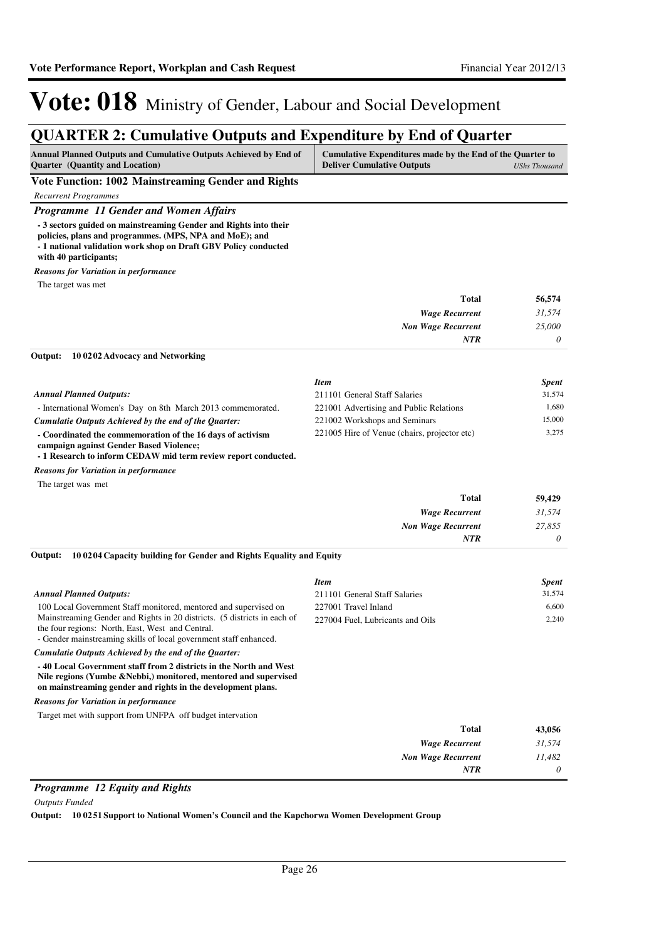### **QUARTER 2: Cumulative Outputs and Expenditure by End of Quarter**

| <b>Annual Planned Outputs and Cumulative Outputs Achieved by End of</b> | Cumulative Expenditures made by the End of the Quarter to |               |
|-------------------------------------------------------------------------|-----------------------------------------------------------|---------------|
| <b>Ouarter</b> (Quantity and Location)                                  | <b>Deliver Cumulative Outputs</b>                         | UShs Thousand |

**Vote Function: 1002 Mainstreaming Gender and Rights**

*Recurrent Programmes*

#### *Programme 11 Gender and Women Affairs*

**- 3 sectors guided on mainstreaming Gender and Rights into their** 

**policies, plans and programmes. (MPS, NPA and MoE); and**

**- 1 national validation work shop on Draft GBV Policy conducted** 

**with 40 participants;**

```
Reasons for Variation in performance
```
The target was met

| Total                     | 56,574   |
|---------------------------|----------|
| <b>Wage Recurrent</b>     | 31,574   |
| <b>Non Wage Recurrent</b> | 25,000   |
| <b>NTR</b>                | $\theta$ |

#### **10 0202 Advocacy and Networking Output:**

|                                                                                                       | <b>Item</b>                                  | <b>Spent</b> |
|-------------------------------------------------------------------------------------------------------|----------------------------------------------|--------------|
| <b>Annual Planned Outputs:</b>                                                                        | 211101 General Staff Salaries                | 31.574       |
| - International Women's Day on 8th March 2013 commemorated.                                           | 221001 Advertising and Public Relations      | 1.680        |
| Cumulatie Outputs Achieved by the end of the Ouarter:                                                 | 221002 Workshops and Seminars                | 15,000       |
| - Coordinated the commemoration of the 16 days of activism<br>campaign against Gender Based Violence; | 221005 Hire of Venue (chairs, projector etc) | 3.275        |

**- 1 Research to inform CEDAW mid term review report conducted.**

*Reasons for Variation in performance*

The target was met

| <b>Total</b>              | 59,429   |
|---------------------------|----------|
| <b>Wage Recurrent</b>     | 31,574   |
| <b>Non Wage Recurrent</b> | 27,855   |
| <b>NTR</b>                | $\theta$ |

#### **10 0204 Capacity building for Gender and Rights Equality and Equity Output:**

|                                                                                                                                                                                                       | Item                             | <b>Spent</b> |
|-------------------------------------------------------------------------------------------------------------------------------------------------------------------------------------------------------|----------------------------------|--------------|
| <b>Annual Planned Outputs:</b>                                                                                                                                                                        | 211101 General Staff Salaries    | 31,574       |
| 100 Local Government Staff monitored, mentored and supervised on                                                                                                                                      | 227001 Travel Inland             | 6,600        |
| Mainstreaming Gender and Rights in 20 districts. (5 districts in each of<br>the four regions: North, East, West and Central.<br>- Gender mainstreaming skills of local government staff enhanced.     | 227004 Fuel, Lubricants and Oils | 2,240        |
| Cumulatie Outputs Achieved by the end of the Quarter:                                                                                                                                                 |                                  |              |
| -40 Local Government staff from 2 districts in the North and West<br>Nile regions (Yumbe & Nebbi,) monitored, mentored and supervised<br>on mainstreaming gender and rights in the development plans. |                                  |              |
| <b>Reasons for Variation in performance</b>                                                                                                                                                           |                                  |              |
| Target met with support from UNFPA off budget intervation                                                                                                                                             |                                  |              |
|                                                                                                                                                                                                       | <b>Total</b>                     | 43,056       |
|                                                                                                                                                                                                       | <b>Wage Recurrent</b>            | 31,574       |
|                                                                                                                                                                                                       | <b>Non Wage Recurrent</b>        | 11,482       |
|                                                                                                                                                                                                       | <b>NTR</b>                       | 0            |

#### *Programme 12 Equity and Rights*

*Outputs Funded*

**Output: 10 0251 Support to National Women's Council and the Kapchorwa Women Development Group**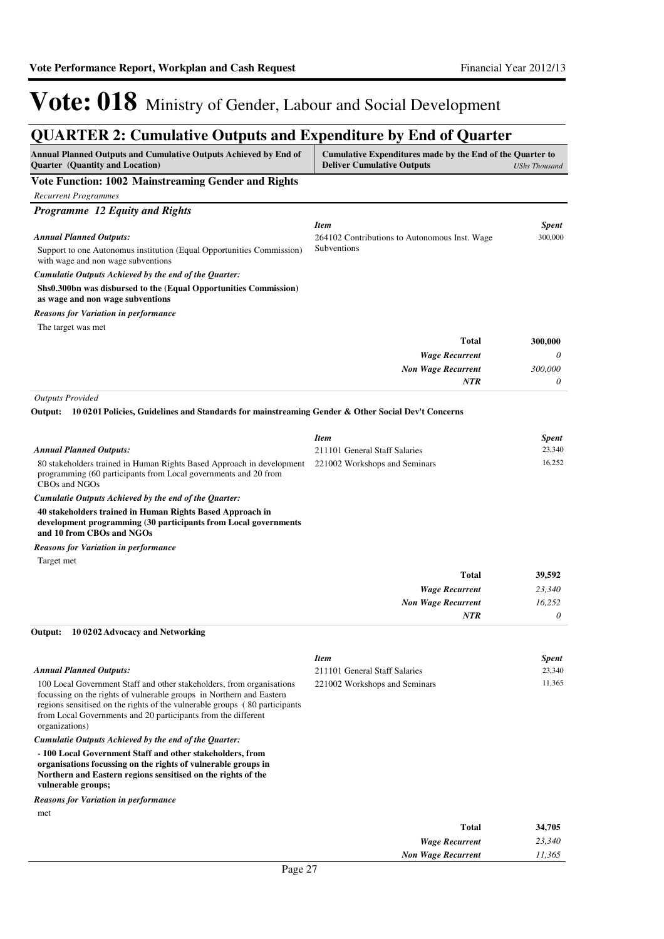### **QUARTER 2: Cumulative Outputs and Expenditure by End of Quarter**

| $\frac{1}{2}$<br>PWW WILL LIS                                                                                                                             | $\beta$ charcar $\sigma$ <sub>y</sub> End of                                                                           |                        |
|-----------------------------------------------------------------------------------------------------------------------------------------------------------|------------------------------------------------------------------------------------------------------------------------|------------------------|
| Annual Planned Outputs and Cumulative Outputs Achieved by End of<br>Quarter (Quantity and Location)                                                       | Cumulative Expenditures made by the End of the Quarter to<br><b>Deliver Cumulative Outputs</b><br><b>UShs Thousand</b> |                        |
| Vote Function: 1002 Mainstreaming Gender and Rights                                                                                                       |                                                                                                                        |                        |
| <b>Recurrent Programmes</b>                                                                                                                               |                                                                                                                        |                        |
| Programme 12 Equity and Rights                                                                                                                            |                                                                                                                        |                        |
|                                                                                                                                                           | <b>Item</b>                                                                                                            | <b>Spent</b>           |
| <b>Annual Planned Outputs:</b>                                                                                                                            | 264102 Contributions to Autonomous Inst. Wage<br>Subventions                                                           | 300,000                |
| Support to one Autonomus institution (Equal Opportunities Commission)<br>with wage and non wage subventions                                               |                                                                                                                        |                        |
| Cumulatie Outputs Achieved by the end of the Quarter:                                                                                                     |                                                                                                                        |                        |
| Shs0.300bn was disbursed to the (Equal Opportunities Commission)                                                                                          |                                                                                                                        |                        |
| as wage and non wage subventions                                                                                                                          |                                                                                                                        |                        |
| <b>Reasons for Variation in performance</b>                                                                                                               |                                                                                                                        |                        |
| The target was met                                                                                                                                        |                                                                                                                        |                        |
|                                                                                                                                                           | <b>Total</b>                                                                                                           | 300,000                |
|                                                                                                                                                           | <b>Wage Recurrent</b>                                                                                                  | 0                      |
|                                                                                                                                                           | <b>Non Wage Recurrent</b>                                                                                              | 300,000                |
|                                                                                                                                                           | <b>NTR</b>                                                                                                             | 0                      |
| <b>Outputs Provided</b>                                                                                                                                   |                                                                                                                        |                        |
| Output:<br>10 0201 Policies, Guidelines and Standards for mainstreaming Gender & Other Social Dev't Concerns                                              |                                                                                                                        |                        |
|                                                                                                                                                           | <b>Item</b>                                                                                                            | <b>Spent</b>           |
| <b>Annual Planned Outputs:</b>                                                                                                                            | 211101 General Staff Salaries                                                                                          | 23,340                 |
| 80 stakeholders trained in Human Rights Based Approach in development                                                                                     | 221002 Workshops and Seminars                                                                                          | 16,252                 |
| programming (60 participants from Local governments and 20 from<br>CBOs and NGOs                                                                          |                                                                                                                        |                        |
| Cumulatie Outputs Achieved by the end of the Quarter:                                                                                                     |                                                                                                                        |                        |
| 40 stakeholders trained in Human Rights Based Approach in<br>development programming (30 participants from Local governments<br>and 10 from CBOs and NGOs |                                                                                                                        |                        |
| <b>Reasons for Variation in performance</b>                                                                                                               |                                                                                                                        |                        |
| Target met                                                                                                                                                |                                                                                                                        |                        |
|                                                                                                                                                           | <b>Total</b>                                                                                                           | 39,592                 |
|                                                                                                                                                           | <b>Wage Recurrent</b>                                                                                                  | 23,340                 |
|                                                                                                                                                           | <b>Non Wage Recurrent</b>                                                                                              | 16,252                 |
|                                                                                                                                                           | NTR                                                                                                                    | 0                      |
| 100202 Advocacy and Networking<br>Output:                                                                                                                 |                                                                                                                        |                        |
|                                                                                                                                                           |                                                                                                                        |                        |
| <b>Annual Planned Outputs:</b>                                                                                                                            | <b>Item</b><br>211101 General Staff Salaries                                                                           | <b>Spent</b><br>23,340 |
| 100 Local Government Staff and other stakeholders, from organisations                                                                                     | 221002 Workshops and Seminars                                                                                          | 11,365                 |
| focussing on the rights of vulnerable groups in Northern and Eastern                                                                                      |                                                                                                                        |                        |
| regions sensitised on the rights of the vulnerable groups (80 participants                                                                                |                                                                                                                        |                        |
| from Local Governments and 20 participants from the different<br>organizations)                                                                           |                                                                                                                        |                        |
| Cumulatie Outputs Achieved by the end of the Ouarter:                                                                                                     |                                                                                                                        |                        |
| - 100 Local Government Staff and other stakeholders, from                                                                                                 |                                                                                                                        |                        |
| organisations focussing on the rights of vulnerable groups in<br>Northern and Eastern regions sensitised on the rights of the<br>vulnerable groups;       |                                                                                                                        |                        |
| <b>Reasons for Variation in performance</b>                                                                                                               |                                                                                                                        |                        |
| met                                                                                                                                                       |                                                                                                                        |                        |
|                                                                                                                                                           | <b>Total</b>                                                                                                           | 34,705                 |
|                                                                                                                                                           | <b>Wage Recurrent</b>                                                                                                  | 23,340                 |
|                                                                                                                                                           | <b>Non Wage Recurrent</b>                                                                                              | 11,365                 |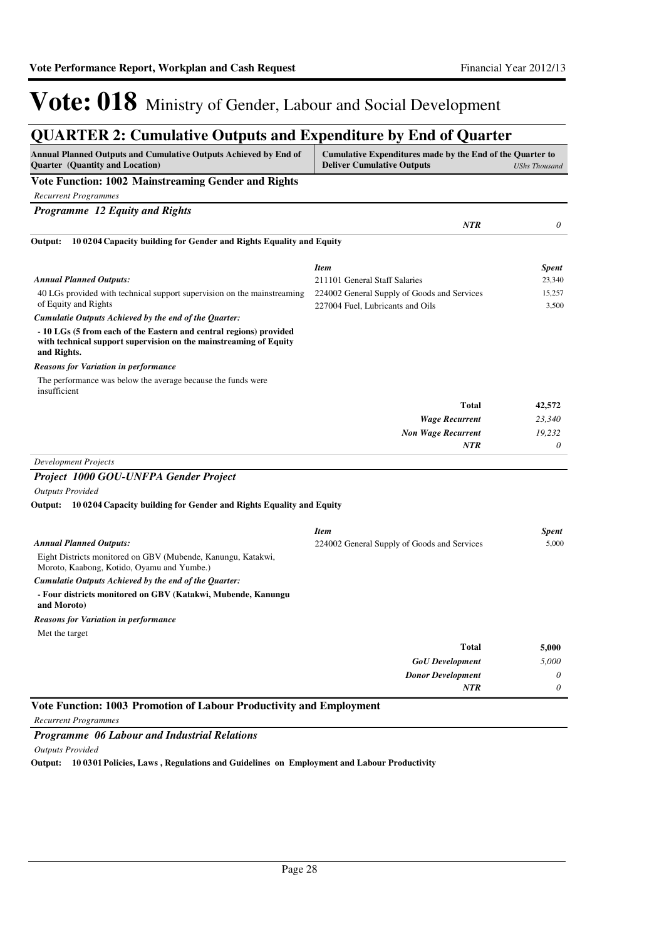### **QUARTER 2: Cumulative Outputs and Expenditure by End of Quarter**

| Annual Planned Outputs and Cumulative Outputs Achieved by End of<br><b>Quarter</b> (Quantity and Location)                                             | Cumulative Expenditures made by the End of the Quarter to<br><b>Deliver Cumulative Outputs</b> | <b>UShs Thousand</b> |
|--------------------------------------------------------------------------------------------------------------------------------------------------------|------------------------------------------------------------------------------------------------|----------------------|
| Vote Function: 1002 Mainstreaming Gender and Rights                                                                                                    |                                                                                                |                      |
| <b>Recurrent Programmes</b>                                                                                                                            |                                                                                                |                      |
| <b>Programme 12 Equity and Rights</b>                                                                                                                  |                                                                                                |                      |
|                                                                                                                                                        | <b>NTR</b>                                                                                     | 0                    |
| 100204 Capacity building for Gender and Rights Equality and Equity<br>Output:                                                                          |                                                                                                |                      |
|                                                                                                                                                        | <b>Item</b>                                                                                    | <b>Spent</b>         |
| <b>Annual Planned Outputs:</b>                                                                                                                         | 211101 General Staff Salaries                                                                  | 23,340               |
| 40 LGs provided with technical support supervision on the mainstreaming<br>of Equity and Rights                                                        | 224002 General Supply of Goods and Services<br>227004 Fuel, Lubricants and Oils                | 15,257<br>3,500      |
| Cumulatie Outputs Achieved by the end of the Quarter:                                                                                                  |                                                                                                |                      |
| - 10 LGs (5 from each of the Eastern and central regions) provided<br>with technical support supervision on the mainstreaming of Equity<br>and Rights. |                                                                                                |                      |
| <b>Reasons for Variation in performance</b>                                                                                                            |                                                                                                |                      |
| The performance was below the average because the funds were<br>insufficient                                                                           |                                                                                                |                      |
|                                                                                                                                                        | <b>Total</b>                                                                                   | 42,572               |
|                                                                                                                                                        | <b>Wage Recurrent</b>                                                                          | 23,340               |
|                                                                                                                                                        | <b>Non Wage Recurrent</b>                                                                      | 19,232               |
|                                                                                                                                                        | <b>NTR</b>                                                                                     | $\theta$             |
| <b>Development Projects</b>                                                                                                                            |                                                                                                |                      |
| Project 1000 GOU-UNFPA Gender Project                                                                                                                  |                                                                                                |                      |
| <b>Outputs Provided</b>                                                                                                                                |                                                                                                |                      |
| Output: 10 0204 Capacity building for Gender and Rights Equality and Equity                                                                            |                                                                                                |                      |
|                                                                                                                                                        | <b>Item</b>                                                                                    | <b>Spent</b>         |
| <b>Annual Planned Outputs:</b>                                                                                                                         | 224002 General Supply of Goods and Services                                                    | 5,000                |
| Eight Districts monitored on GBV (Mubende, Kanungu, Katakwi,<br>Moroto, Kaabong, Kotido, Oyamu and Yumbe.)                                             |                                                                                                |                      |
| Cumulatie Outputs Achieved by the end of the Quarter:                                                                                                  |                                                                                                |                      |
| - Four districts monitored on GBV (Katakwi, Mubende, Kanungu<br>and Moroto)                                                                            |                                                                                                |                      |
| <b>Reasons for Variation in performance</b>                                                                                                            |                                                                                                |                      |
| Met the target                                                                                                                                         |                                                                                                |                      |
|                                                                                                                                                        | <b>Total</b>                                                                                   | 5,000                |
|                                                                                                                                                        | <b>GoU</b> Development                                                                         | 5,000                |
|                                                                                                                                                        | <b>Donor Development</b>                                                                       | 0                    |
|                                                                                                                                                        | <b>NTR</b>                                                                                     | 0                    |

*Recurrent Programmes*

*Programme 06 Labour and Industrial Relations*

*Outputs Provided*

**Output: 10 0301 Policies, Laws , Regulations and Guidelines on Employment and Labour Productivity**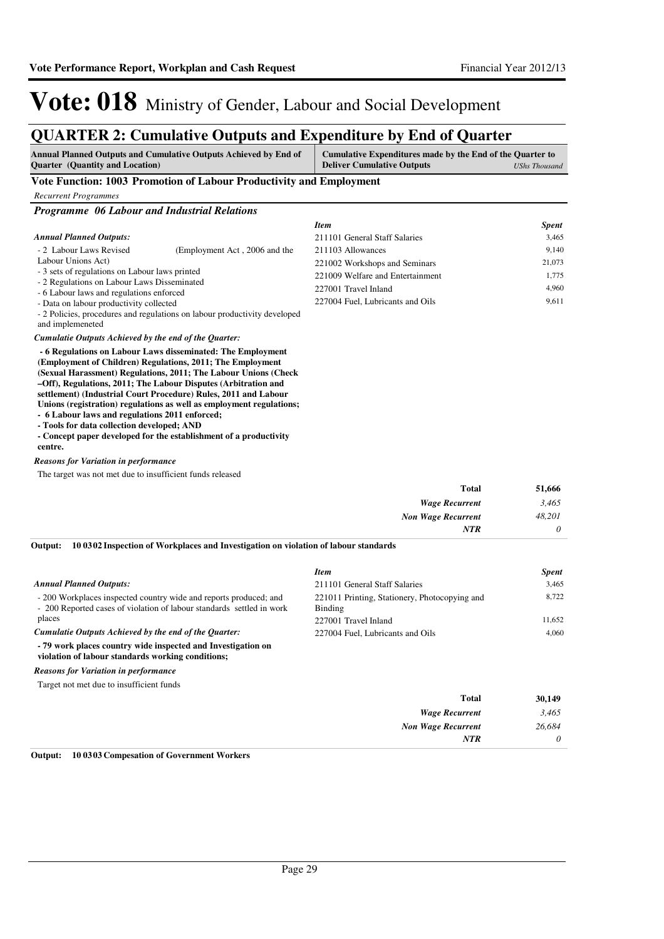### **QUARTER 2: Cumulative Outputs and Expenditure by End of Quarter**

| <b>Annual Planned Outputs and Cumulative Outputs Achieved by End of</b><br><b>Ouarter</b> (Quantity and Location) | Cumulative Expenditures made by the End of the Quarter to<br><b>Deliver Cumulative Outputs</b> | UShs Thousand |
|-------------------------------------------------------------------------------------------------------------------|------------------------------------------------------------------------------------------------|---------------|
| Vote Function: 1003 Promotion of Labour Productivity and Employment                                               |                                                                                                |               |
| Recurrent Programmes                                                                                              |                                                                                                |               |

*Programme 06 Labour and Industrial Relations*

|                                                                                                                                           |                                                                           | <b>Item</b>                      | <b>Spent</b> |
|-------------------------------------------------------------------------------------------------------------------------------------------|---------------------------------------------------------------------------|----------------------------------|--------------|
| <b>Annual Planned Outputs:</b>                                                                                                            |                                                                           | 211101 General Staff Salaries    | 3.465        |
| - 2 Labour Laws Revised                                                                                                                   | (Employment Act, 2006 and the                                             | 211103 Allowances                | 9,140        |
| Labour Unions Act)                                                                                                                        |                                                                           | 221002 Workshops and Seminars    | 21,073       |
| - 3 sets of regulations on Labour laws printed<br>- 2 Regulations on Labour Laws Disseminated<br>- 6 Labour laws and regulations enforced | 221009 Welfare and Entertainment                                          | 1.775                            |              |
|                                                                                                                                           | 227001 Travel Inland                                                      | 4.960                            |              |
| - Data on labour productivity collected                                                                                                   |                                                                           | 227004 Fuel, Lubricants and Oils | 9,611        |
| and implemeneted                                                                                                                          | - 2 Policies, procedures and regulations on labour productivity developed |                                  |              |
| Cumulatie Outputs Achieved by the end of the Quarter:                                                                                     |                                                                           |                                  |              |
|                                                                                                                                           | 6 Deculations on Labour Laws disseminated: The Employment                 |                                  |              |

 **- 6 Regulations on Labour Laws disseminated: The Employment (Employment of Children) Regulations, 2011; The Employment (Sexual Harassment) Regulations, 2011; The Labour Unions (Check –Off), Regulations, 2011; The Labour Disputes (Arbitration and settlement) (Industrial Court Procedure) Rules, 2011 and Labour Unions (registration) regulations as well as employment regulations;**

**- 6 Labour laws and regulations 2011 enforced;**

**- Tools for data collection developed; AND**

**- Concept paper developed for the establishment of a productivity centre.**

#### *Reasons for Variation in performance*

The target was not met due to insufficient funds released

| 51,666   | <b>Total</b>              |
|----------|---------------------------|
| 3,465    | <b>Wage Recurrent</b>     |
| 48,201   | <b>Non Wage Recurrent</b> |
| $\theta$ | <b>NTR</b>                |
|          |                           |

**10 0302 Inspection of Workplaces and Investigation on violation of labour standards Output:**

|                                                                                                                                            | <b>Item</b>                                              | <b>Spent</b> |
|--------------------------------------------------------------------------------------------------------------------------------------------|----------------------------------------------------------|--------------|
| <b>Annual Planned Outputs:</b>                                                                                                             | 211101 General Staff Salaries                            | 3,465        |
| - 200 Workplaces inspected country wide and reports produced; and<br>- 200 Reported cases of violation of labour standards settled in work | 221011 Printing, Stationery, Photocopying and<br>Binding | 8,722        |
| places                                                                                                                                     | 227001 Travel Inland                                     | 11,652       |
| Cumulatie Outputs Achieved by the end of the Ouarter:                                                                                      | 227004 Fuel, Lubricants and Oils                         | 4.060        |
| - 79 work places country wide inspected and Investigation on<br>violation of labour standards working conditions;                          |                                                          |              |
| <b>Reasons for Variation in performance</b>                                                                                                |                                                          |              |
| Target not met due to insufficient funds                                                                                                   |                                                          |              |
|                                                                                                                                            | <b>Total</b>                                             | 30.149       |
|                                                                                                                                            | $\mathbf{W}$ $\cdots$ $\mathbf{D}$ $\cdots$ $\cdots$     | 2.165        |

| - - - - - - | .                     |
|-------------|-----------------------|
| 3,465       | <b>Wage Recurrent</b> |
| 26,684      | Non Wage Recurrent    |
|             | NTR                   |
|             |                       |

**Output: 10 0303 Compesation of Government Workers**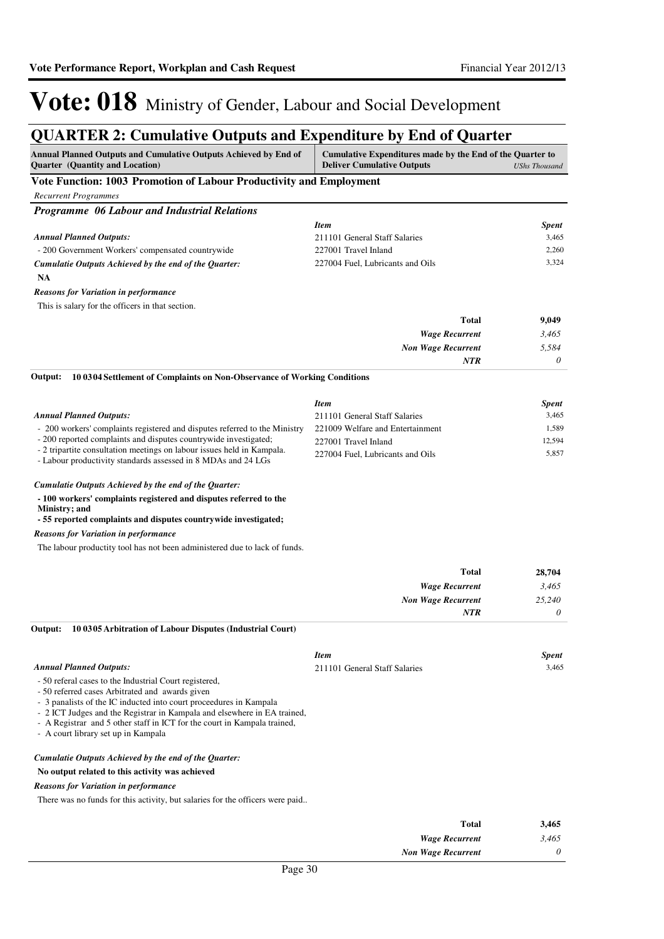### **QUARTER 2: Cumulative Outputs and Expenditure by End of Quarter**

| Annual Planned Outputs and Cumulative Outputs Achieved by End of<br><b>Quarter</b> (Quantity and Location)                                     | Cumulative Expenditures made by the End of the Quarter to<br><b>Deliver Cumulative Outputs</b><br><b>UShs Thousand</b> |              |
|------------------------------------------------------------------------------------------------------------------------------------------------|------------------------------------------------------------------------------------------------------------------------|--------------|
| Vote Function: 1003 Promotion of Labour Productivity and Employment                                                                            |                                                                                                                        |              |
| <b>Recurrent Programmes</b>                                                                                                                    |                                                                                                                        |              |
| <b>Programme 06 Labour and Industrial Relations</b>                                                                                            |                                                                                                                        |              |
|                                                                                                                                                | <b>Item</b>                                                                                                            | <b>Spent</b> |
| <b>Annual Planned Outputs:</b>                                                                                                                 | 211101 General Staff Salaries                                                                                          | 3,465        |
| - 200 Government Workers' compensated countrywide                                                                                              | 227001 Travel Inland                                                                                                   | 2,260        |
| Cumulatie Outputs Achieved by the end of the Quarter:                                                                                          | 227004 Fuel, Lubricants and Oils                                                                                       | 3,324        |
| <b>NA</b>                                                                                                                                      |                                                                                                                        |              |
| <b>Reasons for Variation in performance</b>                                                                                                    |                                                                                                                        |              |
| This is salary for the officers in that section.                                                                                               |                                                                                                                        |              |
|                                                                                                                                                | <b>Total</b>                                                                                                           | 9,049        |
|                                                                                                                                                | <b>Wage Recurrent</b>                                                                                                  | 3,465        |
|                                                                                                                                                | <b>Non Wage Recurrent</b>                                                                                              | 5,584        |
|                                                                                                                                                | <b>NTR</b>                                                                                                             | 0            |
| 10 03 04 Settlement of Complaints on Non-Observance of Working Conditions<br>Output:                                                           |                                                                                                                        |              |
|                                                                                                                                                |                                                                                                                        |              |
|                                                                                                                                                | <b>Item</b>                                                                                                            | <b>Spent</b> |
| <b>Annual Planned Outputs:</b>                                                                                                                 | 211101 General Staff Salaries                                                                                          | 3,465        |
| - 200 workers' complaints registered and disputes referred to the Ministry<br>- 200 reported complaints and disputes countrywide investigated; | 221009 Welfare and Entertainment                                                                                       | 1,589        |
| - 2 tripartite consultation meetings on labour issues held in Kampala.                                                                         | 227001 Travel Inland                                                                                                   | 12,594       |
| - Labour productivity standards assessed in 8 MDAs and 24 LGs                                                                                  | 227004 Fuel, Lubricants and Oils                                                                                       | 5,857        |
| Cumulatie Outputs Achieved by the end of the Quarter:                                                                                          |                                                                                                                        |              |
|                                                                                                                                                |                                                                                                                        |              |
| - 100 workers' complaints registered and disputes referred to the<br>Ministry; and                                                             |                                                                                                                        |              |
| - 55 reported complaints and disputes countrywide investigated;                                                                                |                                                                                                                        |              |
| <b>Reasons for Variation in performance</b>                                                                                                    |                                                                                                                        |              |
| The labour productity tool has not been administered due to lack of funds.                                                                     |                                                                                                                        |              |
|                                                                                                                                                |                                                                                                                        |              |
|                                                                                                                                                | <b>Total</b>                                                                                                           | 28,704       |
|                                                                                                                                                | <b>Wage Recurrent</b>                                                                                                  | 3,465        |
|                                                                                                                                                | <b>Non Wage Recurrent</b>                                                                                              | 25,240       |
|                                                                                                                                                | NTR                                                                                                                    | 0            |
| 10 0305 Arbitration of Labour Disputes (Industrial Court)<br>Output:                                                                           |                                                                                                                        |              |
|                                                                                                                                                | <b>Item</b>                                                                                                            | <b>Spent</b> |
| <b>Annual Planned Outputs:</b>                                                                                                                 | 211101 General Staff Salaries                                                                                          | 3,465        |
| - 50 referal cases to the Industrial Court registered,                                                                                         |                                                                                                                        |              |
| - 50 referred cases Arbitrated and awards given                                                                                                |                                                                                                                        |              |
| - 3 panalists of the IC inducted into court proceedures in Kampala<br>- 2 ICT Judges and the Registrar in Kampala and elsewhere in EA trained, |                                                                                                                        |              |
| - A Registrar and 5 other staff in ICT for the court in Kampala trained,                                                                       |                                                                                                                        |              |
| - A court library set up in Kampala                                                                                                            |                                                                                                                        |              |
| Cumulatie Outputs Achieved by the end of the Quarter:                                                                                          |                                                                                                                        |              |
| No output related to this activity was achieved                                                                                                |                                                                                                                        |              |
| <b>Reasons for Variation in performance</b>                                                                                                    |                                                                                                                        |              |
| There was no funds for this activity, but salaries for the officers were paid                                                                  |                                                                                                                        |              |
|                                                                                                                                                |                                                                                                                        |              |
|                                                                                                                                                | <b>Total</b>                                                                                                           | 3,465        |
|                                                                                                                                                | <b>Wage Recurrent</b>                                                                                                  | 3,465        |

*Non Wage Recurrent*

*0*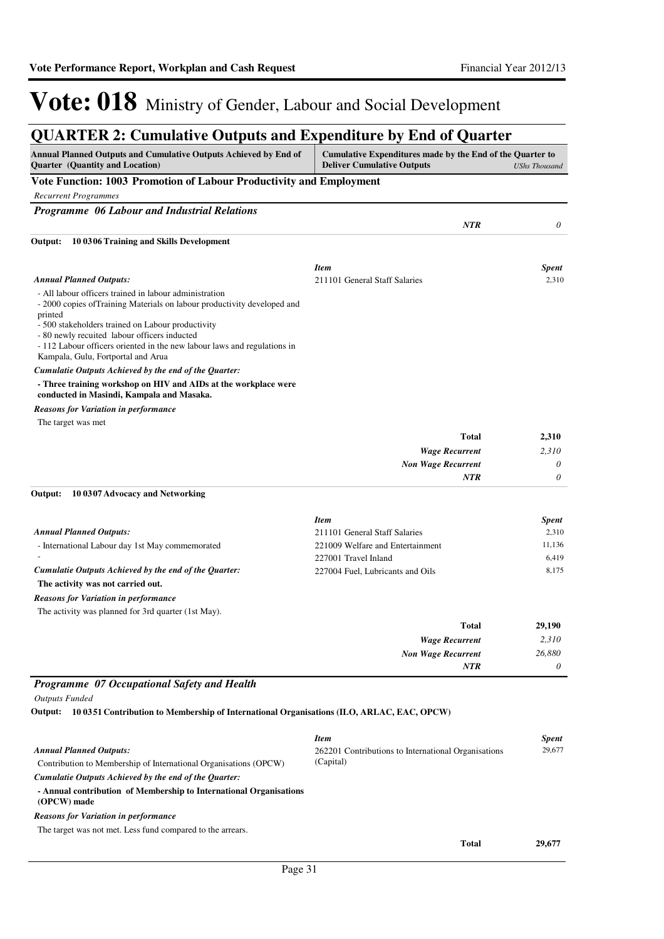### **QUARTER 2: Cumulative Outputs and Expenditure by End of Quarter**

| <b>Annual Planned Outputs and Cumulative Outputs Achieved by End of</b><br><b>Quarter</b> (Quantity and Location)                                                                                                                                                                                                                                                    | Cumulative Expenditures made by the End of the Quarter to<br><b>Deliver Cumulative Outputs</b> | <b>UShs Thousand</b> |
|----------------------------------------------------------------------------------------------------------------------------------------------------------------------------------------------------------------------------------------------------------------------------------------------------------------------------------------------------------------------|------------------------------------------------------------------------------------------------|----------------------|
| Vote Function: 1003 Promotion of Labour Productivity and Employment                                                                                                                                                                                                                                                                                                  |                                                                                                |                      |
| <b>Recurrent Programmes</b>                                                                                                                                                                                                                                                                                                                                          |                                                                                                |                      |
| Programme 06 Labour and Industrial Relations                                                                                                                                                                                                                                                                                                                         |                                                                                                |                      |
|                                                                                                                                                                                                                                                                                                                                                                      | <b>NTR</b>                                                                                     | 0                    |
| Output:<br>100306 Training and Skills Development                                                                                                                                                                                                                                                                                                                    |                                                                                                |                      |
|                                                                                                                                                                                                                                                                                                                                                                      | Item                                                                                           | <b>Spent</b>         |
| <b>Annual Planned Outputs:</b>                                                                                                                                                                                                                                                                                                                                       | 211101 General Staff Salaries                                                                  | 2,310                |
| - All labour officers trained in labour administration<br>- 2000 copies of Training Materials on labour productivity developed and<br>printed<br>- 500 stakeholders trained on Labour productivity<br>- 80 newly recuited labour officers inducted<br>- 112 Labour officers oriented in the new labour laws and regulations in<br>Kampala, Gulu, Fortportal and Arua |                                                                                                |                      |
| Cumulatie Outputs Achieved by the end of the Quarter:                                                                                                                                                                                                                                                                                                                |                                                                                                |                      |
| - Three training workshop on HIV and AIDs at the workplace were<br>conducted in Masindi, Kampala and Masaka.                                                                                                                                                                                                                                                         |                                                                                                |                      |
| <b>Reasons for Variation in performance</b>                                                                                                                                                                                                                                                                                                                          |                                                                                                |                      |
| The target was met                                                                                                                                                                                                                                                                                                                                                   |                                                                                                |                      |
|                                                                                                                                                                                                                                                                                                                                                                      | <b>Total</b>                                                                                   | 2,310                |
|                                                                                                                                                                                                                                                                                                                                                                      | <b>Wage Recurrent</b>                                                                          | 2,310                |
|                                                                                                                                                                                                                                                                                                                                                                      | <b>Non Wage Recurrent</b>                                                                      | $\theta$             |
|                                                                                                                                                                                                                                                                                                                                                                      | <b>NTR</b>                                                                                     | 0                    |
| 10 0307 Advocacy and Networking<br>Output:                                                                                                                                                                                                                                                                                                                           |                                                                                                |                      |
|                                                                                                                                                                                                                                                                                                                                                                      | <b>Item</b>                                                                                    | <b>Spent</b>         |
| <b>Annual Planned Outputs:</b>                                                                                                                                                                                                                                                                                                                                       | 211101 General Staff Salaries                                                                  | 2,310                |
| - International Labour day 1st May commemorated                                                                                                                                                                                                                                                                                                                      | 221009 Welfare and Entertainment                                                               | 11,136               |
| Cumulatie Outputs Achieved by the end of the Quarter:                                                                                                                                                                                                                                                                                                                | 227001 Travel Inland                                                                           | 6,419                |
| The activity was not carried out.                                                                                                                                                                                                                                                                                                                                    | 227004 Fuel, Lubricants and Oils                                                               | 8,175                |
|                                                                                                                                                                                                                                                                                                                                                                      |                                                                                                |                      |
| <b>Reasons for Variation in performance</b>                                                                                                                                                                                                                                                                                                                          |                                                                                                |                      |
| The activity was planned for 3rd quarter (1st May).                                                                                                                                                                                                                                                                                                                  |                                                                                                |                      |
|                                                                                                                                                                                                                                                                                                                                                                      | <b>Total</b>                                                                                   | 29,190               |
|                                                                                                                                                                                                                                                                                                                                                                      | <b>Wage Recurrent</b>                                                                          | 2,310<br>26,880      |
|                                                                                                                                                                                                                                                                                                                                                                      | <b>Non Wage Recurrent</b><br>NTR                                                               | $\theta$             |

#### *Programme 07 Occupational Safety and Health*

*Outputs Funded*

#### **10 0351 Contribution to Membership of International Organisations (ILO, ARLAC, EAC, OPCW) Output:**

|                                                                                   | <b>Item</b>                                         | <b>Spent</b> |
|-----------------------------------------------------------------------------------|-----------------------------------------------------|--------------|
| <b>Annual Planned Outputs:</b>                                                    | 262201 Contributions to International Organisations | 29,677       |
| Contribution to Membership of International Organisations (OPCW)                  | (Capital)                                           |              |
| Cumulatie Outputs Achieved by the end of the Ouarter:                             |                                                     |              |
| - Annual contribution of Membership to International Organisations<br>(OPCW) made |                                                     |              |
| <b>Reasons for Variation in performance</b>                                       |                                                     |              |
| The target was not met. Less fund compared to the arrears.                        |                                                     |              |
|                                                                                   | <b>Total</b>                                        | 29,677       |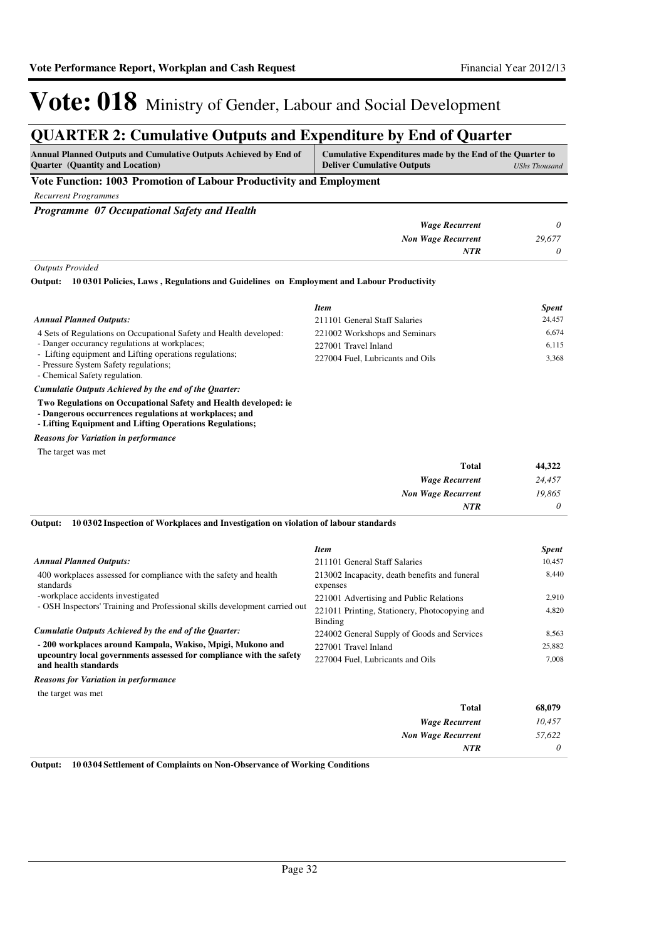### **QUARTER 2: Cumulative Outputs and Expenditure by End of Quarter**

| <b>Annual Planned Outputs and Cumulative Outputs Achieved by End of</b><br><b>Ouarter</b> (Quantity and Location) | Cumulative Expenditures made by the End of the Quarter to<br><b>Deliver Cumulative Outputs</b><br>UShs Thousand |  |  |
|-------------------------------------------------------------------------------------------------------------------|-----------------------------------------------------------------------------------------------------------------|--|--|
| Vote Function: 1003 Promotion of Labour Productivity and Employment                                               |                                                                                                                 |  |  |

*Recurrent Programmes*

*Programme 07 Occupational Safety and Health*

|        | <b>Wage Recurrent</b>     |
|--------|---------------------------|
| 29,677 | <b>Non Wage Recurrent</b> |
|        | NTR                       |
|        |                           |

*Outputs Provided*

#### **10 0301 Policies, Laws , Regulations and Guidelines on Employment and Labour Productivity Output:**

|                                                                    | <b>Item</b>                      | <b>Spent</b> |
|--------------------------------------------------------------------|----------------------------------|--------------|
| <b>Annual Planned Outputs:</b>                                     | 211101 General Staff Salaries    | 24.457       |
| 4 Sets of Regulations on Occupational Safety and Health developed: | 221002 Workshops and Seminars    | 6.674        |
| - Danger occurancy regulations at workplaces;                      | 227001 Travel Inland             | 6,115        |
| - Lifting equipment and Lifting operations regulations;            |                                  | 3.368        |
| - Pressure System Safety regulations;                              |                                  |              |
| $\alpha$ $\alpha$ $\alpha$ $\alpha$ $\beta$ $\beta$                | 227004 Fuel, Lubricants and Oils |              |

- Chemical Safety regulation.

*Cumulatie Outputs Achieved by the end of the Quarter:*

**Two Regulations on Occupational Safety and Health developed: ie**

**- Dangerous occurrences regulations at workplaces; and** 

**- Lifting Equipment and Lifting Operations Regulations;**

*Reasons for Variation in performance*

The target was met

| <b>Total</b>              | 44,322   |
|---------------------------|----------|
| <b>Wage Recurrent</b>     | 24,457   |
| <b>Non Wage Recurrent</b> | 19,865   |
| <b>NTR</b>                | $\theta$ |

**10 0302 Inspection of Workplaces and Investigation on violation of labour standards Output:**

|                                                                                             | <b>Item</b>                                               | <b>Spent</b> |
|---------------------------------------------------------------------------------------------|-----------------------------------------------------------|--------------|
| <b>Annual Planned Outputs:</b>                                                              | 211101 General Staff Salaries                             | 10,457       |
| 400 workplaces assessed for compliance with the safety and health<br>standards              | 213002 Incapacity, death benefits and funeral<br>expenses | 8.440        |
| -workplace accidents investigated                                                           | 221001 Advertising and Public Relations                   | 2.910        |
| - OSH Inspectors' Training and Professional skills development carried out                  | 221011 Printing, Stationery, Photocopying and             | 4,820        |
|                                                                                             | Binding                                                   |              |
| Cumulatie Outputs Achieved by the end of the Quarter:                                       | 224002 General Supply of Goods and Services               | 8.563        |
| - 200 workplaces around Kampala, Wakiso, Mpigi, Mukono and                                  | 227001 Travel Inland                                      | 25,882       |
| upcountry local governments assessed for compliance with the safety<br>and health standards | 227004 Fuel, Lubricants and Oils                          | 7.008        |
| <b>Reasons for Variation in performance</b>                                                 |                                                           |              |

the target was met

| 68,079   |
|----------|
| 10,457   |
| 57,622   |
| $\theta$ |
|          |

**Output: 10 0304 Settlement of Complaints on Non-Observance of Working Conditions**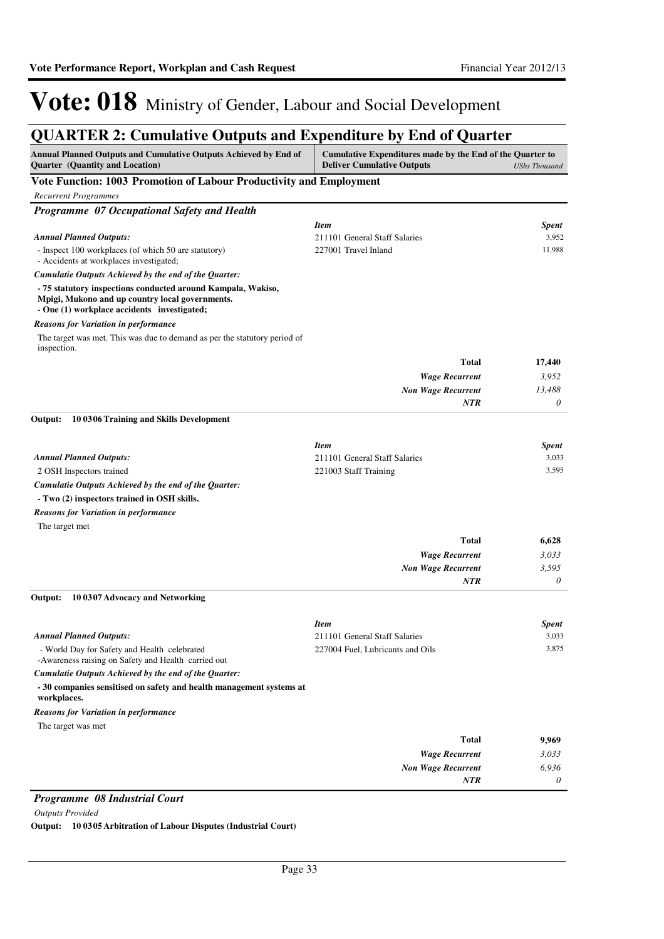### **QUARTER 2: Cumulative Outputs and Expenditure by End of Quarter**

| Annual Planned Outputs and Cumulative Outputs Achieved by End of<br>Quarter (Quantity and Location)                                                            | Cumulative Expenditures made by the End of the Quarter to<br><b>Deliver Cumulative Outputs</b> | <b>UShs Thousand</b>  |
|----------------------------------------------------------------------------------------------------------------------------------------------------------------|------------------------------------------------------------------------------------------------|-----------------------|
| Vote Function: 1003 Promotion of Labour Productivity and Employment                                                                                            |                                                                                                |                       |
| <b>Recurrent Programmes</b>                                                                                                                                    |                                                                                                |                       |
| Programme 07 Occupational Safety and Health                                                                                                                    |                                                                                                |                       |
|                                                                                                                                                                | <b>Item</b>                                                                                    | <b>Spent</b>          |
| <b>Annual Planned Outputs:</b>                                                                                                                                 | 211101 General Staff Salaries                                                                  | 3,952                 |
| - Inspect 100 workplaces (of which 50 are statutory)<br>- Accidents at workplaces investigated;                                                                | 227001 Travel Inland                                                                           | 11,988                |
| Cumulatie Outputs Achieved by the end of the Quarter:                                                                                                          |                                                                                                |                       |
| - 75 statutory inspections conducted around Kampala, Wakiso,<br>Mpigi, Mukono and up country local governments.<br>- One (1) workplace accidents investigated; |                                                                                                |                       |
| <b>Reasons for Variation in performance</b>                                                                                                                    |                                                                                                |                       |
| The target was met. This was due to demand as per the statutory period of<br>inspection.                                                                       |                                                                                                |                       |
|                                                                                                                                                                | <b>Total</b>                                                                                   | 17,440                |
|                                                                                                                                                                | <b>Wage Recurrent</b>                                                                          | 3,952                 |
|                                                                                                                                                                | <b>Non Wage Recurrent</b>                                                                      | 13,488                |
|                                                                                                                                                                | <b>NTR</b>                                                                                     | 0                     |
| 10 03 06 Training and Skills Development<br>Output:                                                                                                            |                                                                                                |                       |
|                                                                                                                                                                | <b>Item</b>                                                                                    |                       |
| <b>Annual Planned Outputs:</b>                                                                                                                                 | 211101 General Staff Salaries                                                                  | <b>Spent</b><br>3,033 |
| 2 OSH Inspectors trained                                                                                                                                       | 221003 Staff Training                                                                          | 3,595                 |
| Cumulatie Outputs Achieved by the end of the Quarter:                                                                                                          |                                                                                                |                       |
| - Two (2) inspectors trained in OSH skills.                                                                                                                    |                                                                                                |                       |
| <b>Reasons for Variation in performance</b>                                                                                                                    |                                                                                                |                       |
| The target met                                                                                                                                                 |                                                                                                |                       |
|                                                                                                                                                                | <b>Total</b>                                                                                   | 6,628                 |
|                                                                                                                                                                | <b>Wage Recurrent</b>                                                                          | 3,033                 |
|                                                                                                                                                                | <b>Non Wage Recurrent</b>                                                                      | 3,595                 |
|                                                                                                                                                                | <b>NTR</b>                                                                                     | 0                     |
| Output:<br>10 0307 Advocacy and Networking                                                                                                                     |                                                                                                |                       |
|                                                                                                                                                                | <b>Item</b>                                                                                    | Spent                 |
| <b>Annual Planned Outputs:</b>                                                                                                                                 | 211101 General Staff Salaries                                                                  | 3,033                 |
| - World Day for Safety and Health celebrated<br>-Awareness raising on Safety and Health carried out                                                            | 227004 Fuel, Lubricants and Oils                                                               | 3,875                 |
| Cumulatie Outputs Achieved by the end of the Quarter:                                                                                                          |                                                                                                |                       |
| - 30 companies sensitised on safety and health management systems at<br>workplaces.                                                                            |                                                                                                |                       |
| <b>Reasons for Variation in performance</b>                                                                                                                    |                                                                                                |                       |
| The target was met                                                                                                                                             |                                                                                                |                       |
|                                                                                                                                                                | <b>Total</b>                                                                                   | 9,969                 |
|                                                                                                                                                                | <b>Wage Recurrent</b>                                                                          | 3,033                 |
|                                                                                                                                                                | <b>Non Wage Recurrent</b>                                                                      | 6,936                 |
|                                                                                                                                                                | NTR                                                                                            | 0                     |

*Programme 08 Industrial Court*

*Outputs Provided*

**Output: 10 0305 Arbitration of Labour Disputes (Industrial Court)**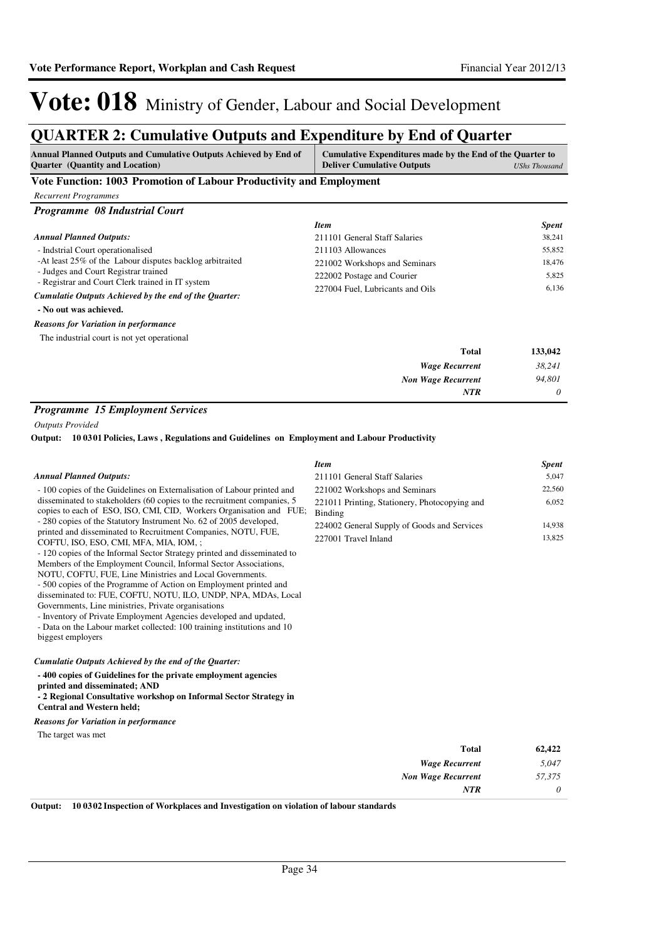## **QUARTER 2: Cumulative Outputs and Expenditure by End of Quarter**

| <b>Annual Planned Outputs and Cumulative Outputs Achieved by End of</b><br><b>Quarter</b> (Quantity and Location) | Cumulative Expenditures made by the End of the Quarter to<br><b>Deliver Cumulative Outputs</b> | <b>UShs Thousand</b> |
|-------------------------------------------------------------------------------------------------------------------|------------------------------------------------------------------------------------------------|----------------------|
| Vote Function: 1003 Promotion of Labour Productivity and Employment                                               |                                                                                                |                      |
| <b>Recurrent Programmes</b>                                                                                       |                                                                                                |                      |
| Programme 08 Industrial Court                                                                                     |                                                                                                |                      |
|                                                                                                                   | <b>Item</b>                                                                                    | <b>Spent</b>         |
| <b>Annual Planned Outputs:</b>                                                                                    | 211101 General Staff Salaries                                                                  | 38,241               |
| - Indstrial Court operationalised                                                                                 | 211103 Allowances                                                                              | 55,852               |
| -At least 25% of the Labour disputes backlog arbitraited                                                          | 221002 Workshops and Seminars                                                                  | 18,476               |
| - Judges and Court Registrar trained                                                                              | 222002 Postage and Courier                                                                     | 5,825                |
| - Registrar and Court Clerk trained in IT system                                                                  | 227004 Fuel, Lubricants and Oils                                                               | 6,136                |
| Cumulatie Outputs Achieved by the end of the Quarter:                                                             |                                                                                                |                      |
| - No out was achieved.                                                                                            |                                                                                                |                      |
| <b>Reasons for Variation in performance</b>                                                                       |                                                                                                |                      |
| The industrial court is not yet operational                                                                       |                                                                                                |                      |
|                                                                                                                   | <b>Total</b>                                                                                   | 133,042              |
|                                                                                                                   | <b>Wage Recurrent</b>                                                                          | 38,241               |
|                                                                                                                   | <b>Non Wage Recurrent</b>                                                                      | 94,801               |
| $\mathbf{r} = \mathbf{r}$<br>$\sim$ $\sim$<br>$\mathbf{r}$                                                        | <b>NTR</b>                                                                                     | 0                    |

#### *Programme 15 Employment Services*

*Outputs Provided*

**10 0301 Policies, Laws , Regulations and Guidelines on Employment and Labour Productivity Output:**

|                                                                                                                                                                                                                                                                                                                                                                                                                                                                                                                                                                                                                                                                                        | <b>Item</b>                                              | <b>Spent</b> |
|----------------------------------------------------------------------------------------------------------------------------------------------------------------------------------------------------------------------------------------------------------------------------------------------------------------------------------------------------------------------------------------------------------------------------------------------------------------------------------------------------------------------------------------------------------------------------------------------------------------------------------------------------------------------------------------|----------------------------------------------------------|--------------|
| <b>Annual Planned Outputs:</b>                                                                                                                                                                                                                                                                                                                                                                                                                                                                                                                                                                                                                                                         | 211101 General Staff Salaries                            | 5,047        |
| - 100 copies of the Guidelines on Externalisation of Labour printed and                                                                                                                                                                                                                                                                                                                                                                                                                                                                                                                                                                                                                | 221002 Workshops and Seminars                            | 22,560       |
| disseminated to stakeholders (60 copies to the recruitment companies, 5<br>copies to each of ESO, ISO, CMI, CID, Workers Organisation and FUE;                                                                                                                                                                                                                                                                                                                                                                                                                                                                                                                                         | 221011 Printing, Stationery, Photocopying and<br>Binding | 6,052        |
| - 280 copies of the Statutory Instrument No. 62 of 2005 developed,                                                                                                                                                                                                                                                                                                                                                                                                                                                                                                                                                                                                                     | 224002 General Supply of Goods and Services              | 14,938       |
| printed and disseminated to Recruitment Companies, NOTU, FUE,<br>COFTU, ISO, ESO, CMI, MFA, MIA, IOM, ;<br>- 120 copies of the Informal Sector Strategy printed and disseminated to<br>Members of the Employment Council, Informal Sector Associations,<br>NOTU, COFTU, FUE, Line Ministries and Local Governments.<br>- 500 copies of the Programme of Action on Employment printed and<br>disseminated to: FUE, COFTU, NOTU, ILO, UNDP, NPA, MDAs, Local<br>Governments, Line ministries, Private organisations<br>- Inventory of Private Employment Agencies developed and updated,<br>- Data on the Labour market collected: 100 training institutions and 10<br>biggest employers | 227001 Travel Inland                                     | 13,825       |
| Cumulatie Outputs Achieved by the end of the Quarter:                                                                                                                                                                                                                                                                                                                                                                                                                                                                                                                                                                                                                                  |                                                          |              |
| -400 copies of Guidelines for the private employment agencies<br>printed and disseminated; AND<br>- 2 Regional Consultative workshop on Informal Sector Strategy in<br><b>Central and Western held;</b>                                                                                                                                                                                                                                                                                                                                                                                                                                                                                |                                                          |              |
| <b>Reasons for Variation in performance</b>                                                                                                                                                                                                                                                                                                                                                                                                                                                                                                                                                                                                                                            |                                                          |              |
| The target was met                                                                                                                                                                                                                                                                                                                                                                                                                                                                                                                                                                                                                                                                     |                                                          |              |
|                                                                                                                                                                                                                                                                                                                                                                                                                                                                                                                                                                                                                                                                                        | <b>Total</b>                                             | 62,422       |
|                                                                                                                                                                                                                                                                                                                                                                                                                                                                                                                                                                                                                                                                                        | <b>Wage Recurrent</b>                                    | 5,047        |
|                                                                                                                                                                                                                                                                                                                                                                                                                                                                                                                                                                                                                                                                                        | <b>Non Wage Recurrent</b>                                | 57,375       |
|                                                                                                                                                                                                                                                                                                                                                                                                                                                                                                                                                                                                                                                                                        | <b>NTR</b>                                               | 0            |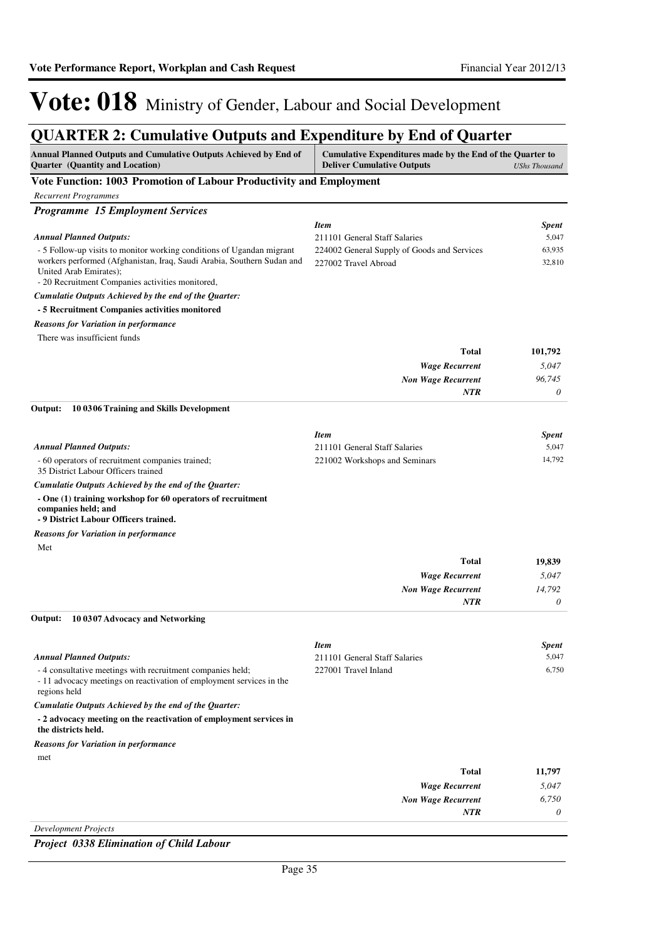## **QUARTER 2: Cumulative Outputs and Expenditure by End of Quarter**

| Annual Planned Outputs and Cumulative Outputs Achieved by End of<br>Quarter (Quantity and Location)                                                                                                                           | Cumulative Expenditures made by the End of the Quarter to<br><b>Deliver Cumulative Outputs</b> | <b>UShs Thousand</b>  |
|-------------------------------------------------------------------------------------------------------------------------------------------------------------------------------------------------------------------------------|------------------------------------------------------------------------------------------------|-----------------------|
| Vote Function: 1003 Promotion of Labour Productivity and Employment                                                                                                                                                           |                                                                                                |                       |
| <b>Recurrent Programmes</b>                                                                                                                                                                                                   |                                                                                                |                       |
| <b>Programme 15 Employment Services</b>                                                                                                                                                                                       |                                                                                                |                       |
|                                                                                                                                                                                                                               | <b>Item</b>                                                                                    | Spent                 |
| <b>Annual Planned Outputs:</b>                                                                                                                                                                                                | 211101 General Staff Salaries                                                                  | 5,047                 |
| - 5 Follow-up visits to monitor working conditions of Ugandan migrant<br>workers performed (Afghanistan, Iraq, Saudi Arabia, Southern Sudan and<br>United Arab Emirates);<br>- 20 Recruitment Companies activities monitored, | 224002 General Supply of Goods and Services<br>227002 Travel Abroad                            | 63,935<br>32,810      |
| Cumulatie Outputs Achieved by the end of the Quarter:                                                                                                                                                                         |                                                                                                |                       |
| - 5 Recruitment Companies activities monitored                                                                                                                                                                                |                                                                                                |                       |
| <b>Reasons for Variation in performance</b>                                                                                                                                                                                   |                                                                                                |                       |
| There was insufficient funds                                                                                                                                                                                                  |                                                                                                |                       |
|                                                                                                                                                                                                                               | <b>Total</b>                                                                                   | 101,792               |
|                                                                                                                                                                                                                               | <b>Wage Recurrent</b>                                                                          | 5,047                 |
|                                                                                                                                                                                                                               | <b>Non Wage Recurrent</b>                                                                      | 96,745                |
|                                                                                                                                                                                                                               | NTR                                                                                            | 0                     |
| 10 0306 Training and Skills Development<br>Output:                                                                                                                                                                            |                                                                                                |                       |
|                                                                                                                                                                                                                               |                                                                                                |                       |
|                                                                                                                                                                                                                               | <b>Item</b>                                                                                    | <b>Spent</b>          |
| <b>Annual Planned Outputs:</b><br>- 60 operators of recruitment companies trained;                                                                                                                                            | 211101 General Staff Salaries<br>221002 Workshops and Seminars                                 | 5,047<br>14,792       |
| 35 District Labour Officers trained                                                                                                                                                                                           |                                                                                                |                       |
| Cumulatie Outputs Achieved by the end of the Quarter:                                                                                                                                                                         |                                                                                                |                       |
| - One (1) training workshop for 60 operators of recruitment<br>companies held; and<br>- 9 District Labour Officers trained.                                                                                                   |                                                                                                |                       |
| <b>Reasons for Variation in performance</b>                                                                                                                                                                                   |                                                                                                |                       |
| Met                                                                                                                                                                                                                           |                                                                                                |                       |
|                                                                                                                                                                                                                               | <b>Total</b>                                                                                   | 19,839                |
|                                                                                                                                                                                                                               | <b>Wage Recurrent</b>                                                                          | 5,047                 |
|                                                                                                                                                                                                                               | <b>Non Wage Recurrent</b>                                                                      | 14,792                |
|                                                                                                                                                                                                                               | <b>NTR</b>                                                                                     | 0                     |
| 10 0307 Advocacy and Networking<br>Output:                                                                                                                                                                                    |                                                                                                |                       |
|                                                                                                                                                                                                                               | <b>Item</b>                                                                                    |                       |
| <b>Annual Planned Outputs:</b>                                                                                                                                                                                                | 211101 General Staff Salaries                                                                  | <b>Spent</b><br>5,047 |
| - 4 consultative meetings with recruitment companies held;<br>- 11 advocacy meetings on reactivation of employment services in the<br>regions held                                                                            | 227001 Travel Inland                                                                           | 6.750                 |
| Cumulatie Outputs Achieved by the end of the Quarter:                                                                                                                                                                         |                                                                                                |                       |
| - 2 advocacy meeting on the reactivation of employment services in<br>the districts held.                                                                                                                                     |                                                                                                |                       |
| <b>Reasons for Variation in performance</b>                                                                                                                                                                                   |                                                                                                |                       |
| met                                                                                                                                                                                                                           |                                                                                                |                       |
|                                                                                                                                                                                                                               | <b>Total</b>                                                                                   | 11,797                |
|                                                                                                                                                                                                                               | <b>Wage Recurrent</b>                                                                          | 5,047                 |
|                                                                                                                                                                                                                               | <b>Non Wage Recurrent</b>                                                                      | 6,750                 |
|                                                                                                                                                                                                                               | NTR                                                                                            | 0                     |

*Development Projects*

*Project 0338 Elimination of Child Labour*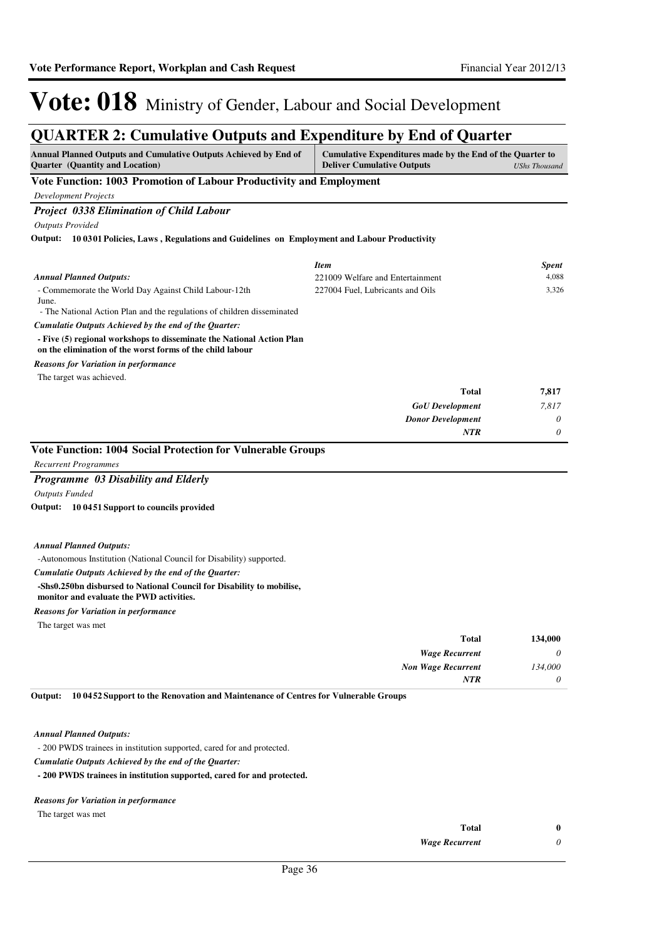### **QUARTER 2: Cumulative Outputs and Expenditure by End of Quarter**

| <b>Annual Planned Outputs and Cumulative Outputs Achieved by End of</b><br><b>Quarter</b> (Quantity and Location)                  | Cumulative Expenditures made by the End of the Quarter to<br><b>Deliver Cumulative Outputs</b> | <b>UShs Thousand</b> |
|------------------------------------------------------------------------------------------------------------------------------------|------------------------------------------------------------------------------------------------|----------------------|
| Vote Function: 1003 Promotion of Labour Productivity and Employment                                                                |                                                                                                |                      |
| <b>Development Projects</b>                                                                                                        |                                                                                                |                      |
| <b>Project 0338 Elimination of Child Labour</b>                                                                                    |                                                                                                |                      |
| <b>Outputs Provided</b>                                                                                                            |                                                                                                |                      |
| Output: 10 0301 Policies, Laws, Regulations and Guidelines on Employment and Labour Productivity                                   |                                                                                                |                      |
|                                                                                                                                    |                                                                                                |                      |
|                                                                                                                                    | <b>Item</b>                                                                                    | <b>Spent</b>         |
| <b>Annual Planned Outputs:</b>                                                                                                     | 221009 Welfare and Entertainment<br>227004 Fuel, Lubricants and Oils                           | 4,088<br>3,326       |
| - Commemorate the World Day Against Child Labour-12th<br>June.                                                                     |                                                                                                |                      |
| - The National Action Plan and the regulations of children disseminated                                                            |                                                                                                |                      |
| Cumulatie Outputs Achieved by the end of the Quarter:                                                                              |                                                                                                |                      |
| - Five (5) regional workshops to disseminate the National Action Plan<br>on the elimination of the worst forms of the child labour |                                                                                                |                      |
| <b>Reasons for Variation in performance</b>                                                                                        |                                                                                                |                      |
| The target was achieved.                                                                                                           |                                                                                                |                      |
|                                                                                                                                    | <b>Total</b>                                                                                   | 7,817                |
|                                                                                                                                    | <b>GoU</b> Development                                                                         | 7,817                |
|                                                                                                                                    | <b>Donor Development</b>                                                                       | 0                    |
|                                                                                                                                    | <b>NTR</b>                                                                                     | 0                    |
| Vote Function: 1004 Social Protection for Vulnerable Groups                                                                        |                                                                                                |                      |
| <b>Recurrent Programmes</b>                                                                                                        |                                                                                                |                      |
| Programme 03 Disability and Elderly                                                                                                |                                                                                                |                      |
| <b>Outputs Funded</b>                                                                                                              |                                                                                                |                      |
| Output: 10 0451 Support to councils provided                                                                                       |                                                                                                |                      |
| <b>Annual Planned Outputs:</b>                                                                                                     |                                                                                                |                      |
| -Autonomous Institution (National Council for Disability) supported.                                                               |                                                                                                |                      |
| Cumulatie Outputs Achieved by the end of the Quarter:                                                                              |                                                                                                |                      |
| -Shs0.250bn disbursed to National Council for Disability to mobilise,<br>monitor and evaluate the PWD activities.                  |                                                                                                |                      |
| <b>Reasons for Variation in performance</b>                                                                                        |                                                                                                |                      |
| The target was met                                                                                                                 |                                                                                                |                      |
|                                                                                                                                    | <b>Total</b>                                                                                   | 134,000              |
|                                                                                                                                    | <b>Wage Recurrent</b>                                                                          | 0                    |
|                                                                                                                                    | <b>Non Wage Recurrent</b>                                                                      | 134,000              |
|                                                                                                                                    | <b>NTR</b>                                                                                     | $\theta$             |

*Annual Planned Outputs:*

- 200 PWDS trainees in institution supported, cared for and protected.

*Cumulatie Outputs Achieved by the end of the Quarter:*

**- 200 PWDS trainees in institution supported, cared for and protected.**

#### *Reasons for Variation in performance*

The target was met

| Total                 |  |
|-----------------------|--|
| <b>Wage Recurrent</b> |  |

*Wage Recurrent*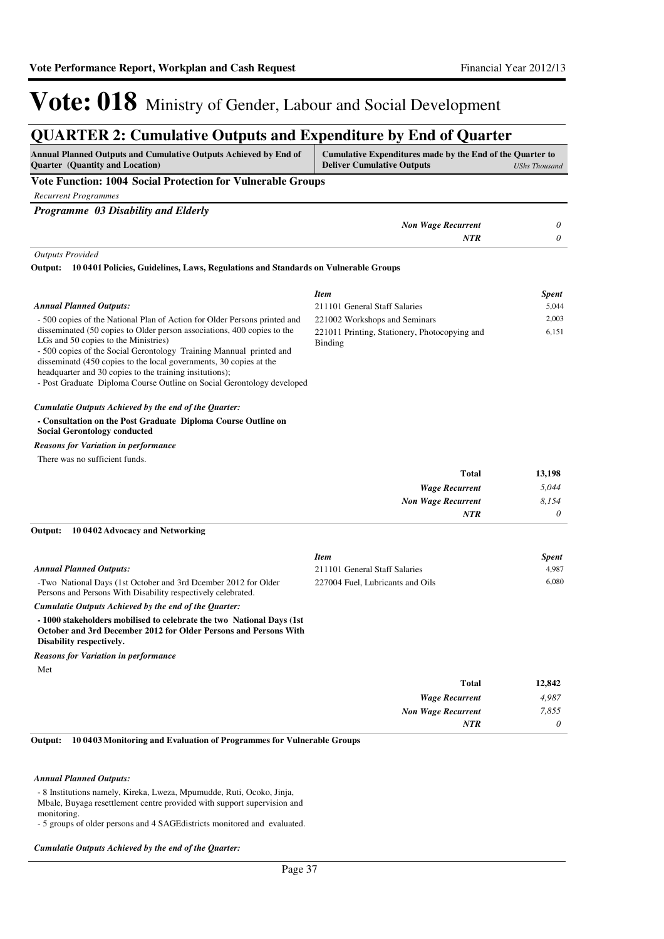### **QUARTER 2: Cumulative Outputs and Expenditure by End of Quarter**

| Annual Planned Outputs and Cumulative Outputs Achieved by End of<br><b>Quarter</b> (Quantity and Location)                                                                                                                                                                                                                                                                                        | Cumulative Expenditures made by the End of the Quarter to<br><b>Deliver Cumulative Outputs</b> | <b>UShs Thousand</b> |
|---------------------------------------------------------------------------------------------------------------------------------------------------------------------------------------------------------------------------------------------------------------------------------------------------------------------------------------------------------------------------------------------------|------------------------------------------------------------------------------------------------|----------------------|
| <b>Vote Function: 1004 Social Protection for Vulnerable Groups</b>                                                                                                                                                                                                                                                                                                                                |                                                                                                |                      |
| <b>Recurrent Programmes</b>                                                                                                                                                                                                                                                                                                                                                                       |                                                                                                |                      |
| Programme 03 Disability and Elderly                                                                                                                                                                                                                                                                                                                                                               |                                                                                                |                      |
|                                                                                                                                                                                                                                                                                                                                                                                                   | <b>Non Wage Recurrent</b>                                                                      | 0                    |
|                                                                                                                                                                                                                                                                                                                                                                                                   | <b>NTR</b>                                                                                     | $\theta$             |
| <b>Outputs Provided</b>                                                                                                                                                                                                                                                                                                                                                                           |                                                                                                |                      |
| Output:<br>10 0401 Policies, Guidelines, Laws, Regulations and Standards on Vulnerable Groups                                                                                                                                                                                                                                                                                                     |                                                                                                |                      |
|                                                                                                                                                                                                                                                                                                                                                                                                   | <b>Item</b>                                                                                    | <b>Spent</b>         |
| <b>Annual Planned Outputs:</b>                                                                                                                                                                                                                                                                                                                                                                    | 211101 General Staff Salaries                                                                  | 5,044                |
| - 500 copies of the National Plan of Action for Older Persons printed and                                                                                                                                                                                                                                                                                                                         | 221002 Workshops and Seminars                                                                  | 2,003                |
| disseminated (50 copies to Older person associations, 400 copies to the<br>LGs and 50 copies to the Ministries)<br>- 500 copies of the Social Gerontology Training Mannual printed and<br>disseminatd (450 copies to the local governments, 30 copies at the<br>headquarter and 30 copies to the training insitutions);<br>- Post Graduate Diploma Course Outline on Social Gerontology developed | 221011 Printing, Stationery, Photocopying and<br><b>Binding</b>                                | 6,151                |
| Cumulatie Outputs Achieved by the end of the Quarter:                                                                                                                                                                                                                                                                                                                                             |                                                                                                |                      |
| - Consultation on the Post Graduate Diploma Course Outline on<br><b>Social Gerontology conducted</b>                                                                                                                                                                                                                                                                                              |                                                                                                |                      |
| <b>Reasons for Variation in performance</b>                                                                                                                                                                                                                                                                                                                                                       |                                                                                                |                      |
| There was no sufficient funds.                                                                                                                                                                                                                                                                                                                                                                    |                                                                                                |                      |
|                                                                                                                                                                                                                                                                                                                                                                                                   | <b>Total</b>                                                                                   | 13,198               |
|                                                                                                                                                                                                                                                                                                                                                                                                   | <b>Wage Recurrent</b>                                                                          | 5,044                |
|                                                                                                                                                                                                                                                                                                                                                                                                   | <b>Non Wage Recurrent</b>                                                                      | 8,154                |
|                                                                                                                                                                                                                                                                                                                                                                                                   | NTR                                                                                            | 0                    |
| Output:<br>10 04 02 Advocacy and Networking                                                                                                                                                                                                                                                                                                                                                       |                                                                                                |                      |
|                                                                                                                                                                                                                                                                                                                                                                                                   | <b>Item</b>                                                                                    | <b>Spent</b>         |
| <b>Annual Planned Outputs:</b>                                                                                                                                                                                                                                                                                                                                                                    | 211101 General Staff Salaries                                                                  | 4,987                |
| -Two National Days (1st October and 3rd Dcember 2012 for Older<br>Persons and Persons With Disability respectively celebrated.                                                                                                                                                                                                                                                                    | 227004 Fuel, Lubricants and Oils                                                               | 6,080                |
| Cumulatie Outputs Achieved by the end of the Quarter:                                                                                                                                                                                                                                                                                                                                             |                                                                                                |                      |
| -1000 stakeholders mobilised to celebrate the two National Days (1st)<br>October and 3rd December 2012 for Older Persons and Persons With<br>Disability respectively.                                                                                                                                                                                                                             |                                                                                                |                      |
| <b>Reasons for Variation in performance</b>                                                                                                                                                                                                                                                                                                                                                       |                                                                                                |                      |
| Met                                                                                                                                                                                                                                                                                                                                                                                               |                                                                                                |                      |
|                                                                                                                                                                                                                                                                                                                                                                                                   | <b>Total</b>                                                                                   | 12,842               |
|                                                                                                                                                                                                                                                                                                                                                                                                   | <b>Wage Recurrent</b>                                                                          | 4,987                |
|                                                                                                                                                                                                                                                                                                                                                                                                   | <b>Non Wage Recurrent</b>                                                                      | 7,855                |
|                                                                                                                                                                                                                                                                                                                                                                                                   | NTR                                                                                            | 0                    |

**10 0403 Monitoring and Evaluation of Programmes for Vulnerable Groups Output:**

#### *Annual Planned Outputs:*

- 8 Institutions namely, Kireka, Lweza, Mpumudde, Ruti, Ocoko, Jinja, Mbale, Buyaga resettlement centre provided with support supervision and monitoring.

- 5 groups of older persons and 4 SAGEdistricts monitored and evaluated.

*Cumulatie Outputs Achieved by the end of the Quarter:*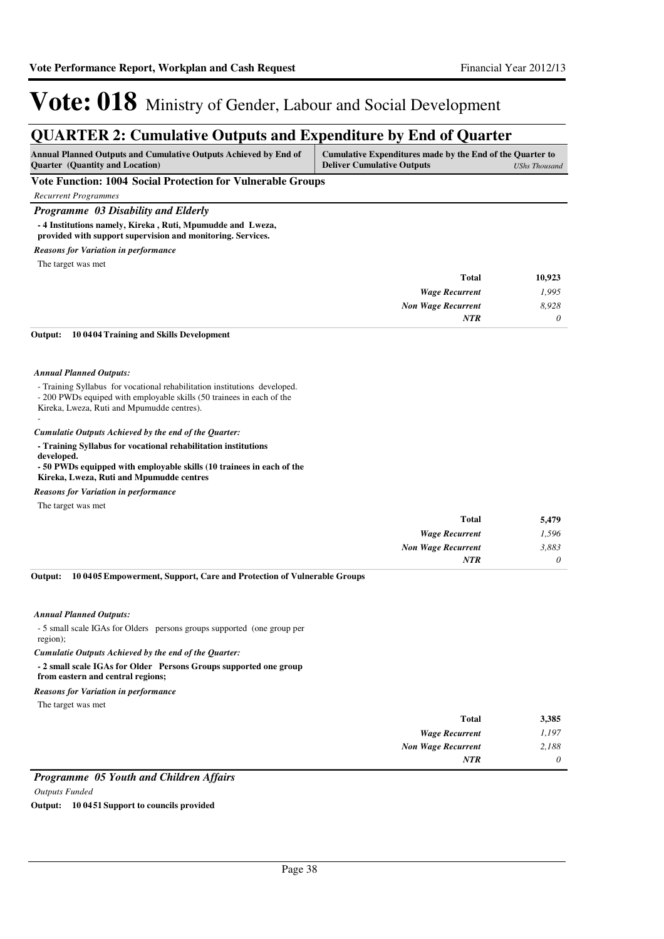### **QUARTER 2: Cumulative Outputs and Expenditure by End of Quarter**

| <b>Annual Planned Outputs and Cumulative Outputs Achieved by End of</b><br><b>Ouarter</b> (Quantity and Location)                                  | Cumulative Expenditures made by the End of the Quarter to<br><b>Deliver Cumulative Outputs</b> | <b>UShs Thousand</b> |
|----------------------------------------------------------------------------------------------------------------------------------------------------|------------------------------------------------------------------------------------------------|----------------------|
| Vote Function: 1004 Social Protection for Vulnerable Groups                                                                                        |                                                                                                |                      |
| <b>Recurrent Programmes</b>                                                                                                                        |                                                                                                |                      |
| <b>Programme</b> 03 Disability and Elderly                                                                                                         |                                                                                                |                      |
| -4 Institutions namely, Kireka, Ruti, Mpumudde and Lweza,<br>provided with support supervision and monitoring. Services.                           |                                                                                                |                      |
| <b>Reasons for Variation in performance</b>                                                                                                        |                                                                                                |                      |
| The target was met                                                                                                                                 |                                                                                                |                      |
|                                                                                                                                                    | <b>Total</b>                                                                                   | 10,923               |
|                                                                                                                                                    | <b>Wage Recurrent</b>                                                                          | 1,995                |
|                                                                                                                                                    | <b>Non Wage Recurrent</b>                                                                      | 8,928                |
|                                                                                                                                                    | <b>NTR</b>                                                                                     | 0                    |
| 100404 Training and Skills Development<br>Output:                                                                                                  |                                                                                                |                      |
|                                                                                                                                                    |                                                                                                |                      |
| <b>Annual Planned Outputs:</b>                                                                                                                     |                                                                                                |                      |
| - Training Syllabus for vocational rehabilitation institutions developed.<br>- 200 PWDs equiped with employable skills (50 trainees in each of the |                                                                                                |                      |

- Kireka, Lweza, Ruti and Mpumudde centres).
- -

#### *Cumulatie Outputs Achieved by the end of the Quarter:*

**- Training Syllabus for vocational rehabilitation institutions** 

**developed. - 50 PWDs equipped with employable skills (10 trainees in each of the Kireka, Lweza, Ruti and Mpumudde centres**

#### *Reasons for Variation in performance*

The target was met

| 5,479 | Total                     |
|-------|---------------------------|
| 1,596 | <b>Wage Recurrent</b>     |
| 3,883 | <b>Non Wage Recurrent</b> |
| 0     | <b>NTR</b>                |
|       |                           |

**10 0405 Empowerment, Support, Care and Protection of Vulnerable Groups Output:**

#### *Annual Planned Outputs:*

- 5 small scale IGAs for Olders persons groups supported (one group per region);

*Cumulatie Outputs Achieved by the end of the Quarter:*

#### **- 2 small scale IGAs for Older Persons Groups supported one group**

**from eastern and central regions;**

*Reasons for Variation in performance*

The target was met

| 3,385 | <b>Total</b>              |
|-------|---------------------------|
| 1,197 | <b>Wage Recurrent</b>     |
| 2,188 | <b>Non Wage Recurrent</b> |
| 0     | <b>NTR</b>                |
|       |                           |

### *Programme 05 Youth and Children Affairs*

*Outputs Funded*

**Output: 10 0451 Support to councils provided**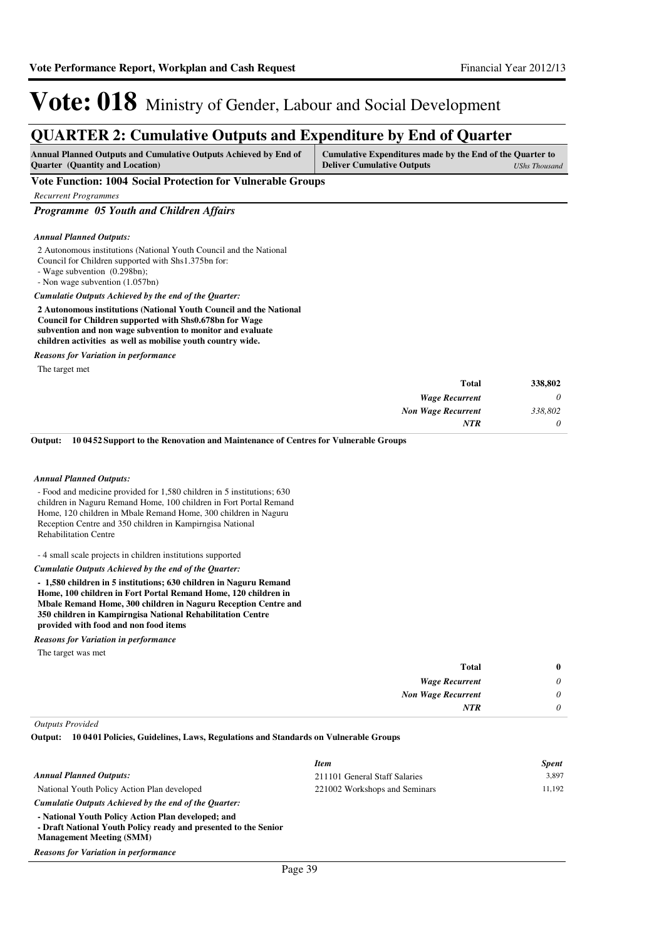### **QUARTER 2: Cumulative Outputs and Expenditure by End of Quarter**

| <b>Annual Planned Outputs and Cumulative Outputs Achieved by End of</b> | Cumulative Expenditures made by the End of the Quarter to |               |
|-------------------------------------------------------------------------|-----------------------------------------------------------|---------------|
| <b>Ouarter</b> (Quantity and Location)                                  | <b>Deliver Cumulative Outputs</b>                         | UShs Thousand |

#### **Vote Function: 1004 Social Protection for Vulnerable Groups**

*Recurrent Programmes*

*Programme 05 Youth and Children Affairs*

#### *Annual Planned Outputs:*

- 2 Autonomous institutions (National Youth Council and the National
- Council for Children supported with Shs1.375bn for:
- Wage subvention (0.298bn);

- Non wage subvention (1.057bn)

*Cumulatie Outputs Achieved by the end of the Quarter:*

**2 Autonomous institutions (National Youth Council and the National Council for Children supported with Shs0.678bn for Wage subvention and non wage subvention to monitor and evaluate children activities as well as mobilise youth country wide.**

*Reasons for Variation in performance*

The target met

| <b>Total</b>              | 338,802  |
|---------------------------|----------|
| <b>Wage Recurrent</b>     | $\theta$ |
| <b>Non Wage Recurrent</b> | 338,802  |
| <b>NTR</b>                | $\theta$ |

**10 0452 Support to the Renovation and Maintenance of Centres for Vulnerable Groups Output:**

#### *Annual Planned Outputs:*

- Food and medicine provided for 1,580 children in 5 institutions; 630 children in Naguru Remand Home, 100 children in Fort Portal Remand Home, 120 children in Mbale Remand Home, 300 children in Naguru Reception Centre and 350 children in Kampirngisa National Rehabilitation Centre

- 4 small scale projects in children institutions supported

#### *Cumulatie Outputs Achieved by the end of the Quarter:*

**- 1,580 children in 5 institutions; 630 children in Naguru Remand Home, 100 children in Fort Portal Remand Home, 120 children in Mbale Remand Home, 300 children in Naguru Reception Centre and 350 children in Kampirngisa National Rehabilitation Centre provided with food and non food items**

*Reasons for Variation in performance*

The target was met

| 0        | <b>Total</b>              |
|----------|---------------------------|
| $\theta$ | <b>Wage Recurrent</b>     |
| 0        | <b>Non Wage Recurrent</b> |
|          | <b>NTR</b>                |
|          |                           |

*Outputs Provided*

**10 0401 Policies, Guidelines, Laws, Regulations and Standards on Vulnerable Groups Output:**

|                                                                                                                                                          | <b>Item</b>                   | <b>Spent</b> |
|----------------------------------------------------------------------------------------------------------------------------------------------------------|-------------------------------|--------------|
| <b>Annual Planned Outputs:</b>                                                                                                                           | 211101 General Staff Salaries | 3.897        |
| National Youth Policy Action Plan developed                                                                                                              | 221002 Workshops and Seminars | 11.192       |
| Cumulatie Outputs Achieved by the end of the Ouarter:                                                                                                    |                               |              |
| - National Youth Policy Action Plan developed; and<br>- Draft National Youth Policy ready and presented to the Senior<br><b>Management Meeting (SMM)</b> |                               |              |

*Reasons for Variation in performance*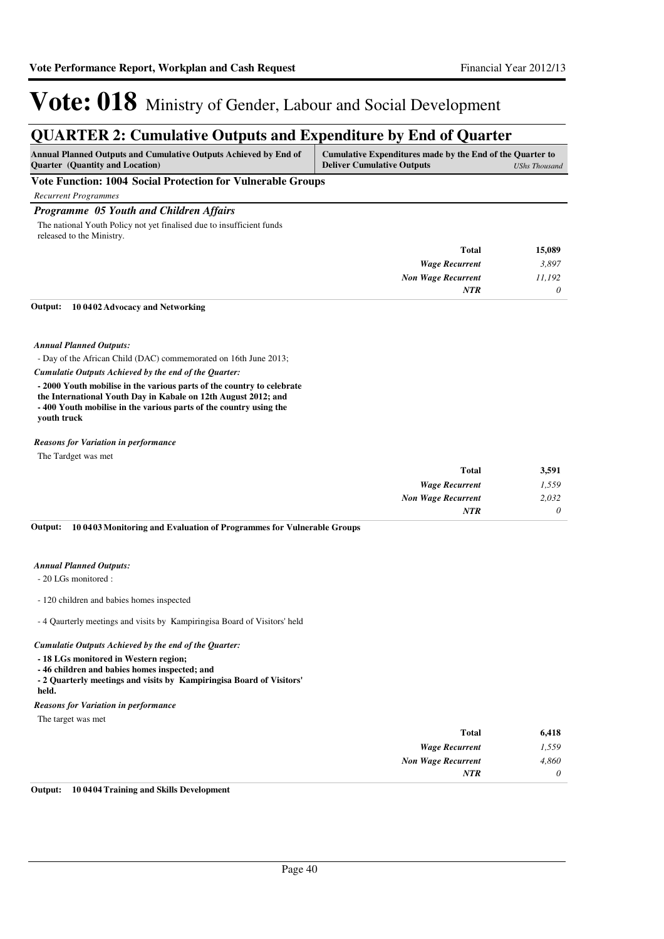## Vote: 018 Ministry of Gender, Labour and Social Development

### **QUARTER 2: Cumulative Outputs and Expenditure by End of Quarter**

| <b>Annual Planned Outputs and Cumulative Outputs Achieved by End of</b><br><b>Ouarter</b> (Quantity and Location) | Cumulative Expenditures made by the End of the Quarter to<br><b>Deliver Cumulative Outputs</b> | UShs Thousand |
|-------------------------------------------------------------------------------------------------------------------|------------------------------------------------------------------------------------------------|---------------|
| Vote Function: 1004 Social Protection for Vulnerable Groups                                                       |                                                                                                |               |

*Recurrent Programmes*

#### *Programme 05 Youth and Children Affairs*

The national Youth Policy not yet finalised due to insufficient funds released to the Ministry.

| <b>Total</b>              | 15,089   |
|---------------------------|----------|
| <b>Wage Recurrent</b>     | 3,897    |
| <b>Non Wage Recurrent</b> | 11,192   |
| <b>NTR</b>                | $\theta$ |

#### **10 0402 Advocacy and Networking Output:**

#### *Annual Planned Outputs:*

- Day of the African Child (DAC) commemorated on 16th June 2013;

*Cumulatie Outputs Achieved by the end of the Quarter:*

**- 2000 Youth mobilise in the various parts of the country to celebrate the International Youth Day in Kabale on 12th August 2012; and - 400 Youth mobilise in the various parts of the country using the youth truck**

#### *Reasons for Variation in performance*

The Tardget was met

| <b>Total</b>              | 3,591    |
|---------------------------|----------|
| <b>Wage Recurrent</b>     | 1,559    |
| <b>Non Wage Recurrent</b> | 2,032    |
| NTR                       | $\theta$ |

**10 0403 Monitoring and Evaluation of Programmes for Vulnerable Groups Output:**

#### *Annual Planned Outputs:*

- 20 LGs monitored :

- 120 children and babies homes inspected

- 4 Qaurterly meetings and visits by Kampiringisa Board of Visitors' held

#### *Cumulatie Outputs Achieved by the end of the Quarter:*

**- 18 LGs monitored in Western region;** 

**- 46 children and babies homes inspected; and**

**- 2 Quarterly meetings and visits by Kampiringisa Board of Visitors'** 

### **held.**

*Reasons for Variation in performance*

The target was met

| 6,418    | <b>Total</b>              |
|----------|---------------------------|
| 1,559    | <b>Wage Recurrent</b>     |
| 4,860    | <b>Non Wage Recurrent</b> |
| $\theta$ | <b>NTR</b>                |
|          |                           |

**Output: 10 0404 Training and Skills Development**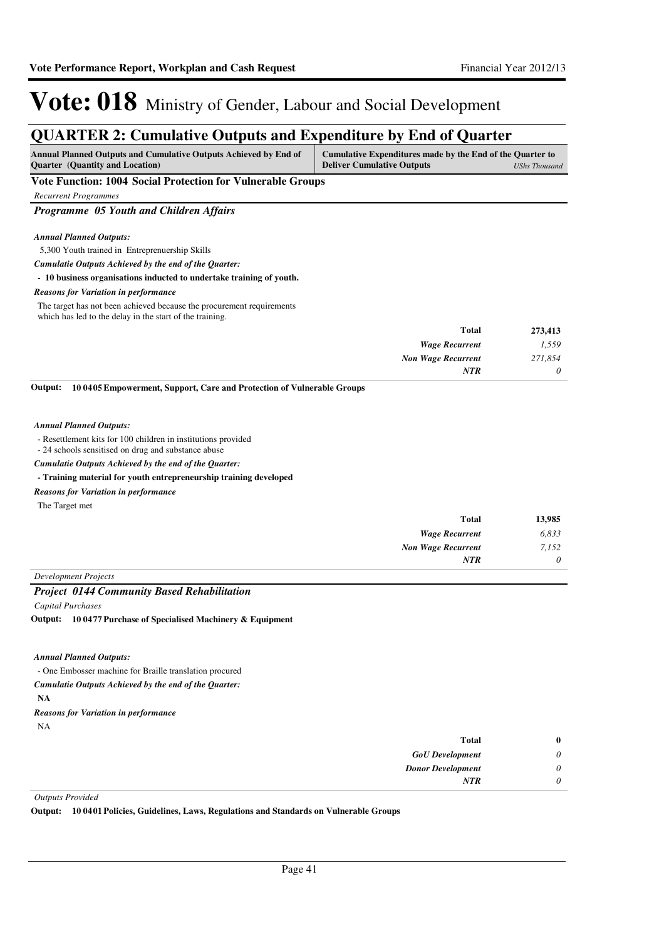### **QUARTER 2: Cumulative Outputs and Expenditure by End of Quarter**

| VOITATER 41 Camarative Outputs and Expenditure by End of Quarter                                                  |                                                                                                                 |  |  |
|-------------------------------------------------------------------------------------------------------------------|-----------------------------------------------------------------------------------------------------------------|--|--|
| <b>Annual Planned Outputs and Cumulative Outputs Achieved by End of</b><br><b>Ouarter</b> (Quantity and Location) | Cumulative Expenditures made by the End of the Quarter to<br><b>Deliver Cumulative Outputs</b><br>UShs Thousand |  |  |
| Vote Function: 1004 Social Protection for Vulnerable Groups                                                       |                                                                                                                 |  |  |
| <b>Recurrent Programmes</b>                                                                                       |                                                                                                                 |  |  |
| <b>Programme</b> 05 Youth and Children Affairs                                                                    |                                                                                                                 |  |  |
|                                                                                                                   |                                                                                                                 |  |  |
| <b>Annual Planned Outputs:</b>                                                                                    |                                                                                                                 |  |  |
| 5,300 Youth trained in Entreprenuership Skills                                                                    |                                                                                                                 |  |  |
| Cumulatie Outputs Achieved by the end of the Ouarter:                                                             |                                                                                                                 |  |  |
| - 10 business organisations inducted to undertake training of youth.                                              |                                                                                                                 |  |  |
| <b>Reasons for Variation in performance</b>                                                                       |                                                                                                                 |  |  |
|                                                                                                                   |                                                                                                                 |  |  |

The target has not been achieved because the procurement requirements which has led to the delay in the start of the training.

| <b>Total</b>              | 273,413  |
|---------------------------|----------|
| <b>Wage Recurrent</b>     | 1,559    |
| <b>Non Wage Recurrent</b> | 271,854  |
| NTR                       | $\theta$ |

**10 0405 Empowerment, Support, Care and Protection of Vulnerable Groups Output:**

#### *Annual Planned Outputs:*

- Resettlement kits for 100 children in institutions provided

- 24 schools sensitised on drug and substance abuse

*Cumulatie Outputs Achieved by the end of the Quarter:*

#### **- Training material for youth entrepreneurship training developed**

#### *Reasons for Variation in performance*

The Target met

| 13,985   | Total                     |
|----------|---------------------------|
| 6,833    | <b>Wage Recurrent</b>     |
| 7,152    | <b>Non Wage Recurrent</b> |
| $\theta$ | <b>NTR</b>                |
|          |                           |

*Development Projects*

#### *Project 0144 Community Based Rehabilitation*

*Capital Purchases*

**10 0477 Purchase of Specialised Machinery & Equipment Output:**

*Annual Planned Outputs:*

- One Embosser machine for Braille translation procured

*Cumulatie Outputs Achieved by the end of the Quarter:*

- **NA**
- *Reasons for Variation in performance*

| w |  |
|---|--|
|   |  |

|   | <b>Total</b>             |
|---|--------------------------|
| 0 | <b>GoU</b> Development   |
| 0 | <b>Donor Development</b> |
|   | <b>NTR</b>               |
|   |                          |

*Outputs Provided*

**Output: 10 0401 Policies, Guidelines, Laws, Regulations and Standards on Vulnerable Groups**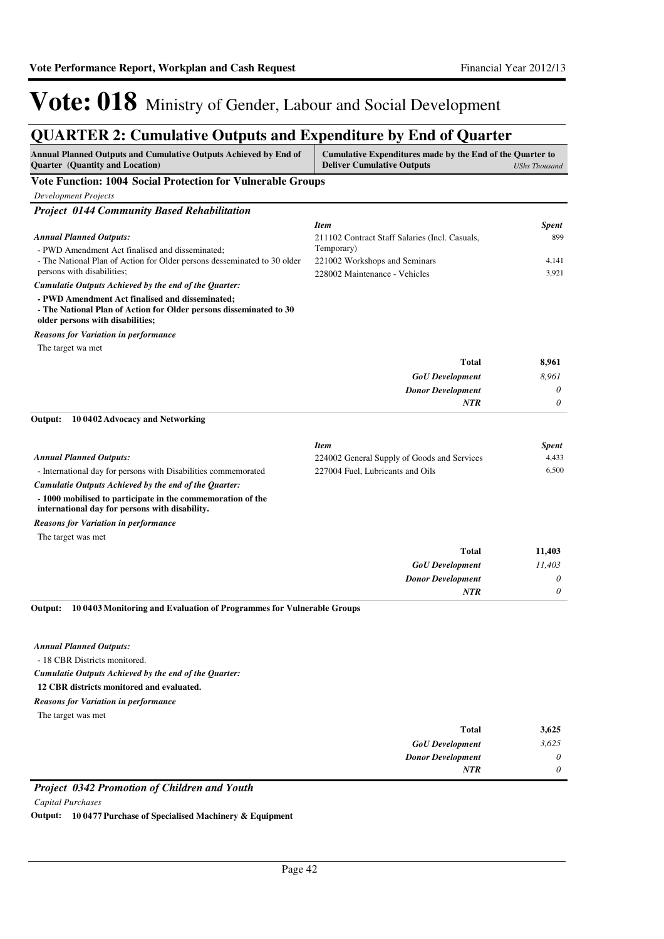### **QUARTER 2: Cumulative Outputs and Expenditure by End of Quarter**

| <b>Annual Planned Outputs and Cumulative Outputs Achieved by End of</b><br>Cumulative Expenditures made by the End of the Quarter to<br><b>Quarter</b> (Quantity and Location)<br><b>Deliver Cumulative Outputs</b> |                                                                                 | <b>UShs Thousand</b> |
|---------------------------------------------------------------------------------------------------------------------------------------------------------------------------------------------------------------------|---------------------------------------------------------------------------------|----------------------|
| <b>Vote Function: 1004 Social Protection for Vulnerable Groups</b>                                                                                                                                                  |                                                                                 |                      |
| <b>Development Projects</b>                                                                                                                                                                                         |                                                                                 |                      |
| <b>Project 0144 Community Based Rehabilitation</b>                                                                                                                                                                  |                                                                                 |                      |
|                                                                                                                                                                                                                     | <b>Item</b>                                                                     | <b>Spent</b>         |
| <b>Annual Planned Outputs:</b>                                                                                                                                                                                      | 211102 Contract Staff Salaries (Incl. Casuals,                                  | 899                  |
| - PWD Amendment Act finalised and disseminated;                                                                                                                                                                     | Temporary)                                                                      |                      |
| - The National Plan of Action for Older persons desseminated to 30 older<br>persons with disabilities;                                                                                                              | 221002 Workshops and Seminars<br>228002 Maintenance - Vehicles                  | 4,141<br>3,921       |
| Cumulatie Outputs Achieved by the end of the Quarter:                                                                                                                                                               |                                                                                 |                      |
| - PWD Amendment Act finalised and disseminated;<br>- The National Plan of Action for Older persons disseminated to 30<br>older persons with disabilities;                                                           |                                                                                 |                      |
| <b>Reasons for Variation in performance</b>                                                                                                                                                                         |                                                                                 |                      |
| The target wa met                                                                                                                                                                                                   |                                                                                 |                      |
|                                                                                                                                                                                                                     | <b>Total</b>                                                                    | 8,961                |
|                                                                                                                                                                                                                     | <b>GoU</b> Development                                                          | 8,961                |
|                                                                                                                                                                                                                     | <b>Donor Development</b>                                                        | 0                    |
|                                                                                                                                                                                                                     | <b>NTR</b>                                                                      | 0                    |
| 10 04 02 Advocacy and Networking<br>Output:                                                                                                                                                                         |                                                                                 |                      |
|                                                                                                                                                                                                                     |                                                                                 |                      |
|                                                                                                                                                                                                                     | <b>Item</b>                                                                     | <b>Spent</b>         |
| <b>Annual Planned Outputs:</b><br>- International day for persons with Disabilities commemorated                                                                                                                    | 224002 General Supply of Goods and Services<br>227004 Fuel, Lubricants and Oils | 4,433<br>6,500       |
| Cumulatie Outputs Achieved by the end of the Quarter:                                                                                                                                                               |                                                                                 |                      |
| - 1000 mobilised to participate in the commemoration of the<br>international day for persons with disability.                                                                                                       |                                                                                 |                      |
| <b>Reasons for Variation in performance</b>                                                                                                                                                                         |                                                                                 |                      |
| The target was met                                                                                                                                                                                                  |                                                                                 |                      |
|                                                                                                                                                                                                                     | <b>Total</b>                                                                    | 11,403               |
|                                                                                                                                                                                                                     | <b>GoU</b> Development                                                          | 11,403               |
|                                                                                                                                                                                                                     | <b>Donor Development</b>                                                        | 0                    |
|                                                                                                                                                                                                                     | NTR                                                                             | 0                    |
| Output:<br>10 0403 Monitoring and Evaluation of Programmes for Vulnerable Groups                                                                                                                                    |                                                                                 |                      |
| <b>Annual Planned Outputs:</b>                                                                                                                                                                                      |                                                                                 |                      |
| - 18 CBR Districts monitored.                                                                                                                                                                                       |                                                                                 |                      |
| Cumulatie Outputs Achieved by the end of the Quarter:                                                                                                                                                               |                                                                                 |                      |
| 12 CBR districts monitored and evaluated.                                                                                                                                                                           |                                                                                 |                      |
| <b>Reasons for Variation in performance</b>                                                                                                                                                                         |                                                                                 |                      |
| The target was met                                                                                                                                                                                                  |                                                                                 |                      |
|                                                                                                                                                                                                                     | Total                                                                           | 3,625                |
|                                                                                                                                                                                                                     | <b>GoU</b> Development                                                          | 3,625                |

#### *Project 0342 Promotion of Children and Youth*

*Capital Purchases*

**Output: 10 0477 Purchase of Specialised Machinery & Equipment**

*Donor Development*

*NTR*

*0 0*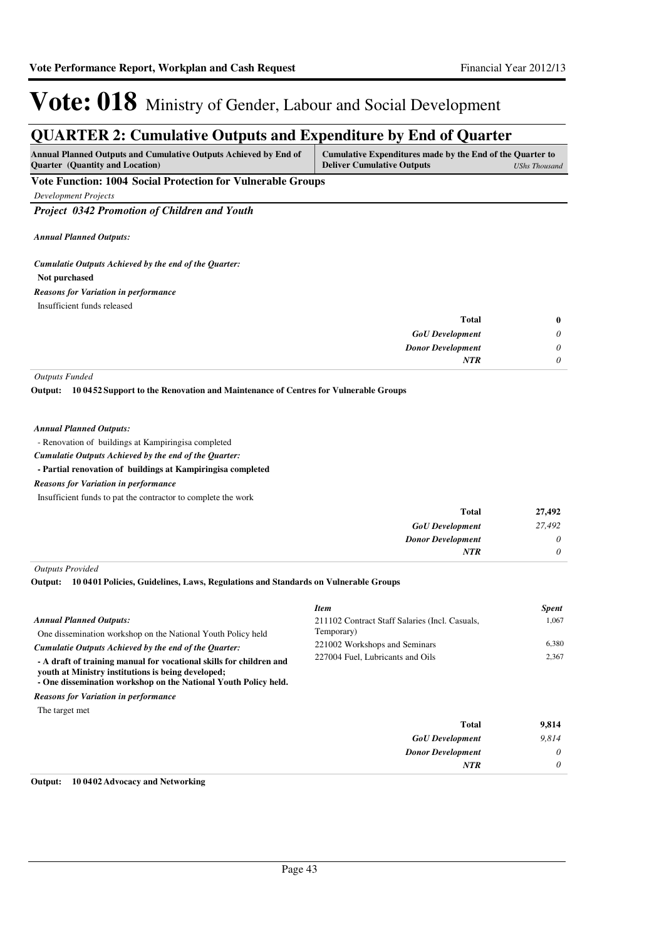### **QUARTER 2: Cumulative Outputs and Expenditure by End of Quarter**

| <b>Annual Planned Outputs and Cumulative Outputs Achieved by End of</b> | Cumulative Expenditures made by the End of the Quarter to |               |
|-------------------------------------------------------------------------|-----------------------------------------------------------|---------------|
| <b>Ouarter</b> (Quantity and Location)                                  | <b>Deliver Cumulative Outputs</b>                         | UShs Thousand |

**Vote Function: 1004 Social Protection for Vulnerable Groups**

*Development Projects*

*Project 0342 Promotion of Children and Youth*

*Annual Planned Outputs:*

*Cumulatie Outputs Achieved by the end of the Quarter:*

#### **Not purchased**

Insufficient funds released *Reasons for Variation in performance*

| <b>Total</b>             | 0        |
|--------------------------|----------|
| <b>GoU</b> Development   | $\theta$ |
| <b>Donor Development</b> | $\theta$ |
| <b>NTR</b>               | $\theta$ |

*Outputs Funded*

**10 0452 Support to the Renovation and Maintenance of Centres for Vulnerable Groups Output:**

#### *Annual Planned Outputs:*

- Renovation of buildings at Kampiringisa completed

*Cumulatie Outputs Achieved by the end of the Quarter:*

**- Partial renovation of buildings at Kampiringisa completed**

*Reasons for Variation in performance*

Insufficient funds to pat the contractor to complete the work

| 27,492   | <b>Total</b>             |
|----------|--------------------------|
| 27,492   | <b>GoU</b> Development   |
| $\theta$ | <b>Donor Development</b> |
| 0        | NTR                      |
|          |                          |

*Outputs Provided*

**10 0401 Policies, Guidelines, Laws, Regulations and Standards on Vulnerable Groups Output:**

|                                                                                                                                                                                                                                                       | <b>Item</b>                                                       | <b>Spent</b>   |
|-------------------------------------------------------------------------------------------------------------------------------------------------------------------------------------------------------------------------------------------------------|-------------------------------------------------------------------|----------------|
| <b>Annual Planned Outputs:</b><br>One dissemination workshop on the National Youth Policy held                                                                                                                                                        | 211102 Contract Staff Salaries (Incl. Casuals,<br>Temporary)      | 1.067          |
| Cumulatie Outputs Achieved by the end of the Ouarter:<br>- A draft of training manual for vocational skills for children and<br>vouth at Ministry institutions is being developed;<br>- One dissemination workshop on the National Youth Policy held. | 221002 Workshops and Seminars<br>227004 Fuel, Lubricants and Oils | 6.380<br>2.367 |
| <b>Reasons for Variation in performance</b>                                                                                                                                                                                                           |                                                                   |                |

The target met

| <b>Total</b>             | 9,814 |
|--------------------------|-------|
| <b>GoU</b> Development   | 9,814 |
| <b>Donor Development</b> | 0     |
| <b>NTR</b>               | 0     |

#### **Output: 10 0402 Advocacy and Networking**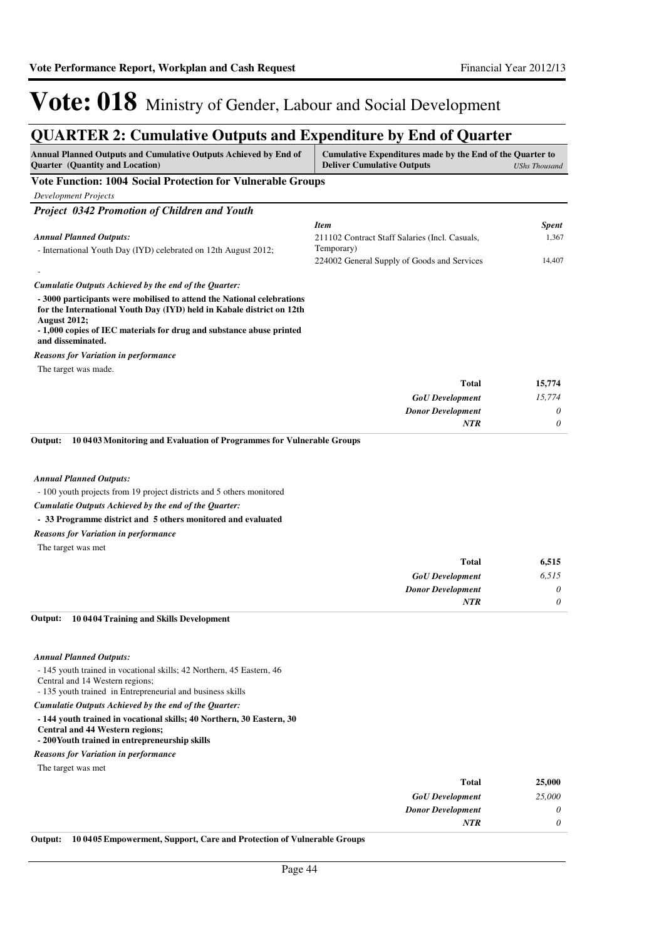### **QUARTER 2: Cumulative Outputs and Expenditure by End of Quarter**

| Annual Planned Outputs and Cumulative Outputs Achieved by End of<br><b>Quarter</b> (Quantity and Location)                                                                                                                                                                                                                   | Cumulative Expenditures made by the End of the Quarter to<br><b>Deliver Cumulative Outputs</b> | <b>UShs Thousand</b> |
|------------------------------------------------------------------------------------------------------------------------------------------------------------------------------------------------------------------------------------------------------------------------------------------------------------------------------|------------------------------------------------------------------------------------------------|----------------------|
| Vote Function: 1004 Social Protection for Vulnerable Groups                                                                                                                                                                                                                                                                  |                                                                                                |                      |
| <b>Development Projects</b>                                                                                                                                                                                                                                                                                                  |                                                                                                |                      |
| Project 0342 Promotion of Children and Youth                                                                                                                                                                                                                                                                                 |                                                                                                |                      |
| <b>Annual Planned Outputs:</b>                                                                                                                                                                                                                                                                                               | <b>Item</b><br>211102 Contract Staff Salaries (Incl. Casuals,                                  | Spent<br>1,367       |
| - International Youth Day (IYD) celebrated on 12th August 2012;                                                                                                                                                                                                                                                              | Temporary)<br>224002 General Supply of Goods and Services                                      | 14,407               |
|                                                                                                                                                                                                                                                                                                                              |                                                                                                |                      |
| Cumulatie Outputs Achieved by the end of the Quarter:<br>- 3000 participants were mobilised to attend the National celebrations<br>for the International Youth Day (IYD) held in Kabale district on 12th<br><b>August 2012;</b><br>- 1,000 copies of IEC materials for drug and substance abuse printed<br>and disseminated. |                                                                                                |                      |
| <b>Reasons for Variation in performance</b>                                                                                                                                                                                                                                                                                  |                                                                                                |                      |
| The target was made.                                                                                                                                                                                                                                                                                                         |                                                                                                |                      |
|                                                                                                                                                                                                                                                                                                                              | Total                                                                                          | 15,774               |
|                                                                                                                                                                                                                                                                                                                              | <b>GoU</b> Development                                                                         | 15,774               |
|                                                                                                                                                                                                                                                                                                                              | <b>Donor Development</b>                                                                       | 0                    |
|                                                                                                                                                                                                                                                                                                                              | <b>NTR</b>                                                                                     | 0                    |
| <b>Annual Planned Outputs:</b><br>- 100 youth projects from 19 project districts and 5 others monitored<br>Cumulatie Outputs Achieved by the end of the Quarter:<br>- 33 Programme district and 5 others monitored and evaluated<br><b>Reasons for Variation in performance</b>                                              |                                                                                                |                      |
| The target was met                                                                                                                                                                                                                                                                                                           |                                                                                                |                      |
|                                                                                                                                                                                                                                                                                                                              | <b>Total</b>                                                                                   | 6,515                |
|                                                                                                                                                                                                                                                                                                                              | <b>GoU</b> Development                                                                         | 6,515                |
|                                                                                                                                                                                                                                                                                                                              | <b>Donor Development</b><br><b>NTR</b>                                                         | 0<br>0               |
| Output:<br>100404 Training and Skills Development                                                                                                                                                                                                                                                                            |                                                                                                |                      |
| <b>Annual Planned Outputs:</b>                                                                                                                                                                                                                                                                                               |                                                                                                |                      |
| - 145 youth trained in vocational skills; 42 Northern, 45 Eastern, 46<br>Central and 14 Western regions;<br>- 135 youth trained in Entrepreneurial and business skills                                                                                                                                                       |                                                                                                |                      |
| Cumulatie Outputs Achieved by the end of the Quarter:                                                                                                                                                                                                                                                                        |                                                                                                |                      |
| - 144 youth trained in vocational skills; 40 Northern, 30 Eastern, 30<br><b>Central and 44 Western regions;</b><br>- 200 Youth trained in entrepreneurship skills                                                                                                                                                            |                                                                                                |                      |
| <b>Reasons for Variation in performance</b>                                                                                                                                                                                                                                                                                  |                                                                                                |                      |
| The target was met                                                                                                                                                                                                                                                                                                           |                                                                                                |                      |

| 25,000 | <b>Total</b>               |
|--------|----------------------------|
| 25,000 | <b>GoU</b> Development     |
| 0      | <b>Donor Development</b>   |
| 0      | NTR                        |
|        | $\cdots$ $\cdots$ $\cdots$ |

**Output: 10 0405 Empowerment, Support, Care and Protection of Vulnerable Groups**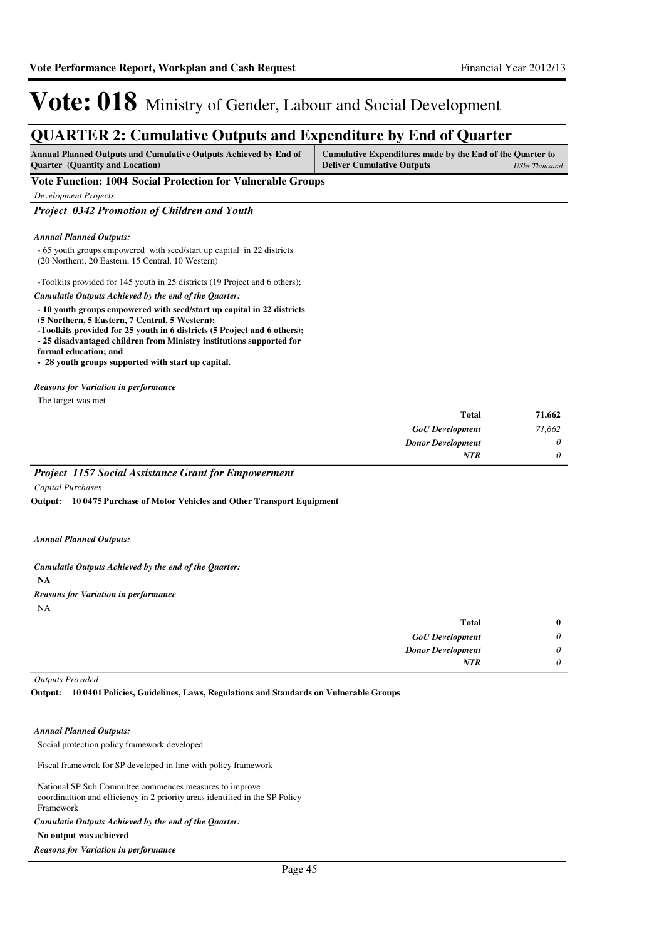### **QUARTER 2: Cumulative Outputs and Expenditure by End of Quarter**

| <b>Annual Planned Outputs and Cumulative Outputs Achieved by End of</b> | Cumulative Expenditures made by the End of the Quarter to |               |
|-------------------------------------------------------------------------|-----------------------------------------------------------|---------------|
| <b>Ouarter</b> (Quantity and Location)                                  | <b>Deliver Cumulative Outputs</b>                         | UShs Thousand |

#### **Vote Function: 1004 Social Protection for Vulnerable Groups**

*Development Projects*

*Project 0342 Promotion of Children and Youth*

#### *Annual Planned Outputs:*

- 65 youth groups empowered with seed/start up capital in 22 districts (20 Northern, 20 Eastern, 15 Central, 10 Western)

-Toolkits provided for 145 youth in 25 districts (19 Project and 6 others); *Cumulatie Outputs Achieved by the end of the Quarter:*

#### **- 10 youth groups empowered with seed/start up capital in 22 districts (5 Northern, 5 Eastern, 7 Central, 5 Western);**

- **-Toolkits provided for 25 youth in 6 districts (5 Project and 6 others);**
- **25 disadvantaged children from Ministry institutions supported for**

**formal education; and**

**- 28 youth groups supported with start up capital.**

#### *Reasons for Variation in performance*

The target was met

| 71,662   | <b>Total</b>             |
|----------|--------------------------|
| 71,662   | <b>GoU</b> Development   |
| $\theta$ | <b>Donor Development</b> |
| $\theta$ | <b>NTR</b>               |

#### *Project 1157 Social Assistance Grant for Empowerment*

*Capital Purchases*

**10 0475 Purchase of Motor Vehicles and Other Transport Equipment Output:**

#### *Annual Planned Outputs:*

#### *Cumulatie Outputs Achieved by the end of the Quarter:*

**NA**

#### NA *Reasons for Variation in performance*

| <b>Total</b>             | $\bf{0}$ |
|--------------------------|----------|
| <b>GoU</b> Development   | 0        |
| <b>Donor Development</b> | 0        |
| <b>NTR</b>               | 0        |

*Outputs Provided*

**10 0401 Policies, Guidelines, Laws, Regulations and Standards on Vulnerable Groups Output:**

#### *Annual Planned Outputs:*

Social protection policy framework developed

Fiscal framewrok for SP developed in line with policy framework

National SP Sub Committee commences measures to improve coordinattion and efficiency in 2 priority areas identified in the SP Policy Framework

#### *Cumulatie Outputs Achieved by the end of the Quarter:*

#### **No output was achieved**

*Reasons for Variation in performance*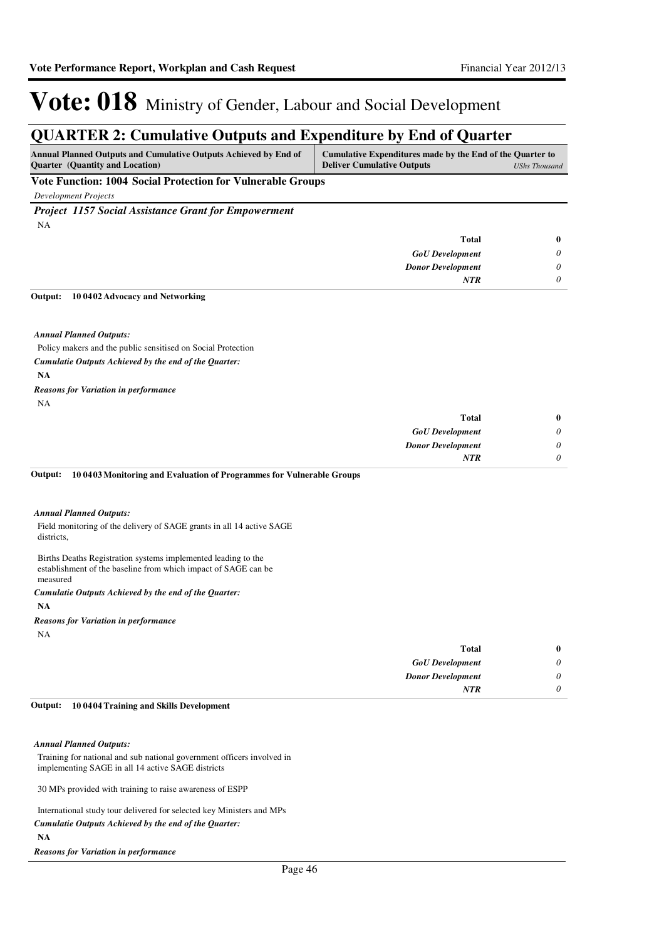### **QUARTER 2: Cumulative Outputs and Expenditure by End of Quarter**

| <b>Annual Planned Outputs and Cumulative Outputs Achieved by End of</b> | Cumulative Expenditures made by the End of the Quarter to |               |
|-------------------------------------------------------------------------|-----------------------------------------------------------|---------------|
| <b>Ouarter</b> (Quantity and Location)                                  | <b>Deliver Cumulative Outputs</b>                         | UShs Thousand |
| the property of the property of                                         |                                                           |               |

#### **Vote Function: 1004 Social Protection for Vulnerable Groups**

*Development Projects*

*Project 1157 Social Assistance Grant for Empowerment* NA

| <b>Total</b>             | $\bf{0}$                    |
|--------------------------|-----------------------------|
| <b>GoU</b> Development   | $\boldsymbol{\mathsf{U}}$   |
| <b>Donor Development</b> | $\theta$                    |
| <b>NTR</b>               | $\boldsymbol{\mathsf{\nu}}$ |

#### **10 0402 Advocacy and Networking Output:**

*Annual Planned Outputs:*

Policy makers and the public sensitised on Social Protection *Cumulatie Outputs Achieved by the end of the Quarter:*

**NA**

NA *Reasons for Variation in performance*

| <b>Total</b>             | $\bf{0}$ |
|--------------------------|----------|
| <b>GoU</b> Development   | $\theta$ |
| <b>Donor Development</b> | $\theta$ |
| <b>NTR</b>               | $\theta$ |

#### **10 0403 Monitoring and Evaluation of Programmes for Vulnerable Groups Output:**

#### *Annual Planned Outputs:*

Field monitoring of the delivery of SAGE grants in all 14 active SAGE districts,

Births Deaths Registration systems implemented leading to the establishment of the baseline from which impact of SAGE can be measured

#### **NA** *Cumulatie Outputs Achieved by the end of the Quarter:*

#### *Reasons for Variation in performance*

NA

| $\bf{0}$ | <b>Total</b>             |
|----------|--------------------------|
| 0        | <b>GoU</b> Development   |
| 0        | <b>Donor Development</b> |
| 0        | <b>NTR</b>               |
|          |                          |

#### **10 0404 Training and Skills Development Output:**

#### *Annual Planned Outputs:*

Training for national and sub national government officers involved in implementing SAGE in all 14 active SAGE districts

30 MPs provided with training to raise awareness of ESPP

International study tour delivered for selected key Ministers and MPs **NA** *Cumulatie Outputs Achieved by the end of the Quarter:*

*Reasons for Variation in performance*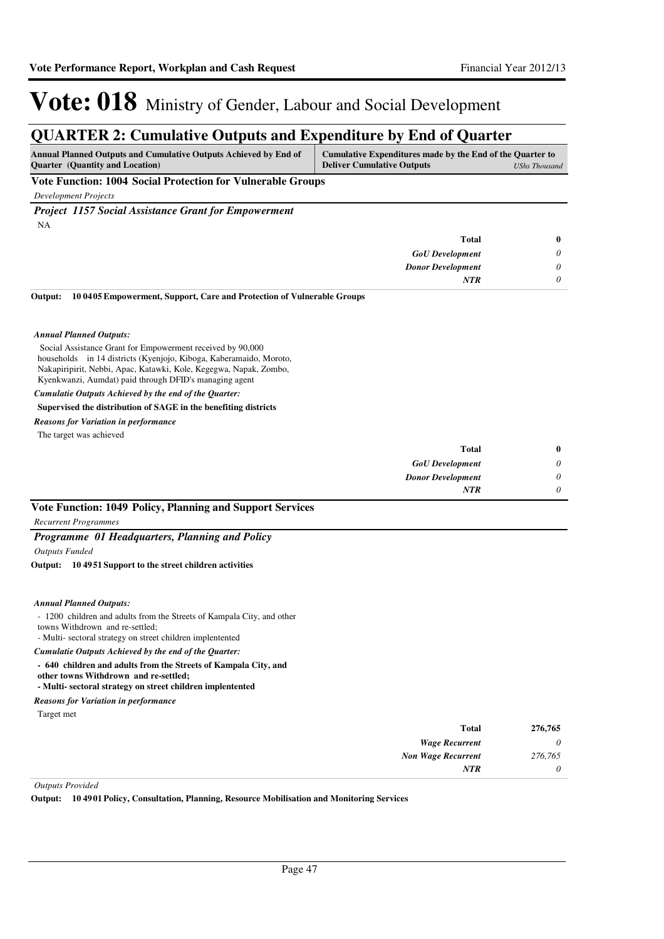### **QUARTER 2: Cumulative Outputs and Expenditure by End of Quarter**

| <b>Annual Planned Outputs and Cumulative Outputs Achieved by End of</b> | Cumulative Expenditures made by the End of the Quarter to |
|-------------------------------------------------------------------------|-----------------------------------------------------------|
| <b>Ouarter</b> (Quantity and Location)                                  | <b>Deliver Cumulative Outputs</b><br>UShs Thousand        |
| ___                                                                     |                                                           |

**Vote Function: 1004 Social Protection for Vulnerable Groups**

*Development Projects*

*Project 1157 Social Assistance Grant for Empowerment* NA

| Total                    | $\bf{0}$ |
|--------------------------|----------|
| <b>GoU</b> Development   | $\theta$ |
| <b>Donor Development</b> | 0        |
| <b>NTR</b>               | $\theta$ |

**10 0405 Empowerment, Support, Care and Protection of Vulnerable Groups Output:**

#### *Annual Planned Outputs:*

 Social Assistance Grant for Empowerment received by 90,000 households in 14 districts (Kyenjojo, Kiboga, Kaberamaido, Moroto, Nakapiripirit, Nebbi, Apac, Katawki, Kole, Kegegwa, Napak, Zombo, Kyenkwanzi, Aumdat) paid through DFID's managing agent *Cumulatie Outputs Achieved by the end of the Quarter:*

### **Supervised the distribution of SAGE in the benefiting districts**

#### *Reasons for Variation in performance*

The target was achieved

| <b>Total</b>             | $\bf{0}$ |
|--------------------------|----------|
| <b>GoU</b> Development   | 0        |
| <b>Donor Development</b> | 0        |
| <b>NTR</b>               | 0        |

#### **Vote Function: 1049 Policy, Planning and Support Services**

*Recurrent Programmes*

#### *Programme 01 Headquarters, Planning and Policy*

*Outputs Funded*

#### **10 4951 Support to the street children activities Output:**

#### *Annual Planned Outputs:*

- 1200 children and adults from the Streets of Kampala City, and other
- towns Withdrown and re-settled;
- Multi- sectoral strategy on street children implentented
- *Cumulatie Outputs Achieved by the end of the Quarter:*
- **640 children and adults from the Streets of Kampala City, and**
- **other towns Withdrown and re-settled;**

#### **- Multi- sectoral strategy on street children implentented**

Target met *Reasons for Variation in performance*

| 276,765 | Total                     |
|---------|---------------------------|
| 0       | <b>Wage Recurrent</b>     |
| 276,765 | <b>Non Wage Recurrent</b> |
| 0       | <b>NTR</b>                |

#### *Outputs Provided*

**Output: 10 4901 Policy, Consultation, Planning, Resource Mobilisation and Monitoring Services**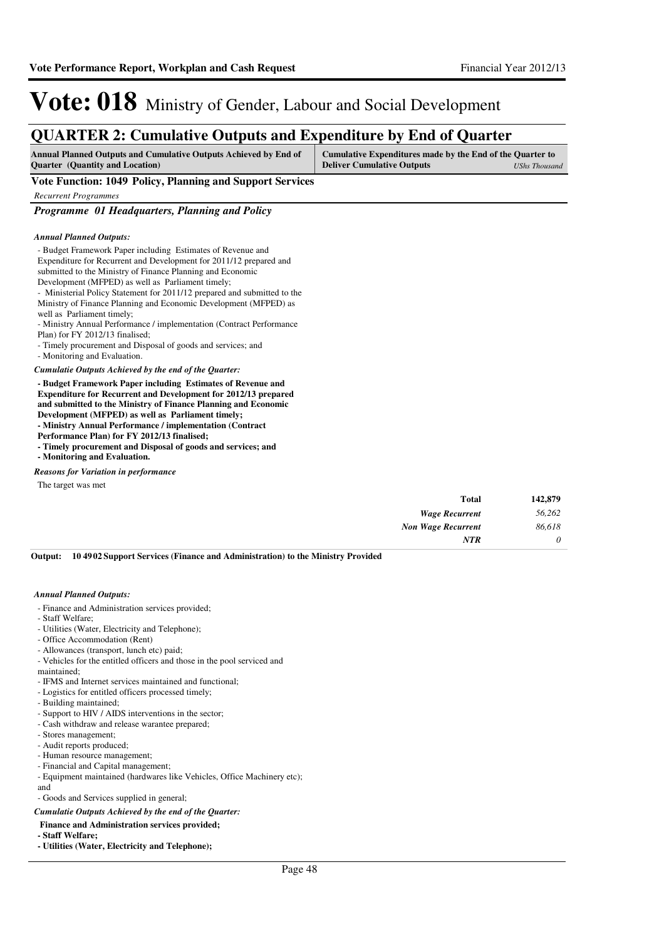### **QUARTER 2: Cumulative Outputs and Expenditure by End of Quarter**

| Annual Planned Outputs and Cumulative Outputs Achieved by End of | Cumulative Expenditures made by the End of the Quarter to |  |
|------------------------------------------------------------------|-----------------------------------------------------------|--|
| <b>Ouarter</b> (Quantity and Location)                           | <b>Deliver Cumulative Outputs</b><br>UShs Thousand        |  |
|                                                                  |                                                           |  |

**Vote Function: 1049 Policy, Planning and Support Services**

*Recurrent Programmes*

*Programme 01 Headquarters, Planning and Policy*

#### *Annual Planned Outputs:*

- Budget Framework Paper including Estimates of Revenue and Expenditure for Recurrent and Development for 2011/12 prepared and submitted to the Ministry of Finance Planning and Economic Development (MFPED) as well as Parliament timely; - Ministerial Policy Statement for 2011/12 prepared and submitted to the Ministry of Finance Planning and Economic Development (MFPED) as well as Parliament timely; - Ministry Annual Performance / implementation (Contract Performance Plan) for FY 2012/13 finalised; - Timely procurement and Disposal of goods and services; and - Monitoring and Evaluation. **- Budget Framework Paper including Estimates of Revenue and Expenditure for Recurrent and Development for 2012/13 prepared and submitted to the Ministry of Finance Planning and Economic**  *Cumulatie Outputs Achieved by the end of the Quarter:*

**Development (MFPED) as well as Parliament timely;**

**- Ministry Annual Performance / implementation (Contract** 

**Performance Plan) for FY 2012/13 finalised;** 

**- Timely procurement and Disposal of goods and services; and**

**- Monitoring and Evaluation.**

*Reasons for Variation in performance*

The target was met

| 142,879  | Total                 |
|----------|-----------------------|
| 56,262   | <b>Wage Recurrent</b> |
| 86,618   | Non Wage Recurrent    |
| $\theta$ | <b>NTR</b>            |
|          |                       |

**10 4902 Support Services (Finance and Administration) to the Ministry Provided Output:**

#### *Annual Planned Outputs:*

- Finance and Administration services provided;
- Staff Welfare;
- Utilities (Water, Electricity and Telephone);
- Office Accommodation (Rent)
- Allowances (transport, lunch etc) paid;
- Vehicles for the entitled officers and those in the pool serviced and

maintained; - IFMS and Internet services maintained and functional;

- Logistics for entitled officers processed timely;
- Building maintained;
- Support to HIV / AIDS interventions in the sector;
- Cash withdraw and release warantee prepared;
- Stores management;
- Audit reports produced;
- Human resource management;
- Financial and Capital management;
- Equipment maintained (hardwares like Vehicles, Office Machinery etc);
- and

- Goods and Services supplied in general;

*Cumulatie Outputs Achieved by the end of the Quarter:*

- **Finance and Administration services provided;**
- **Staff Welfare;**
- **Utilities (Water, Electricity and Telephone);**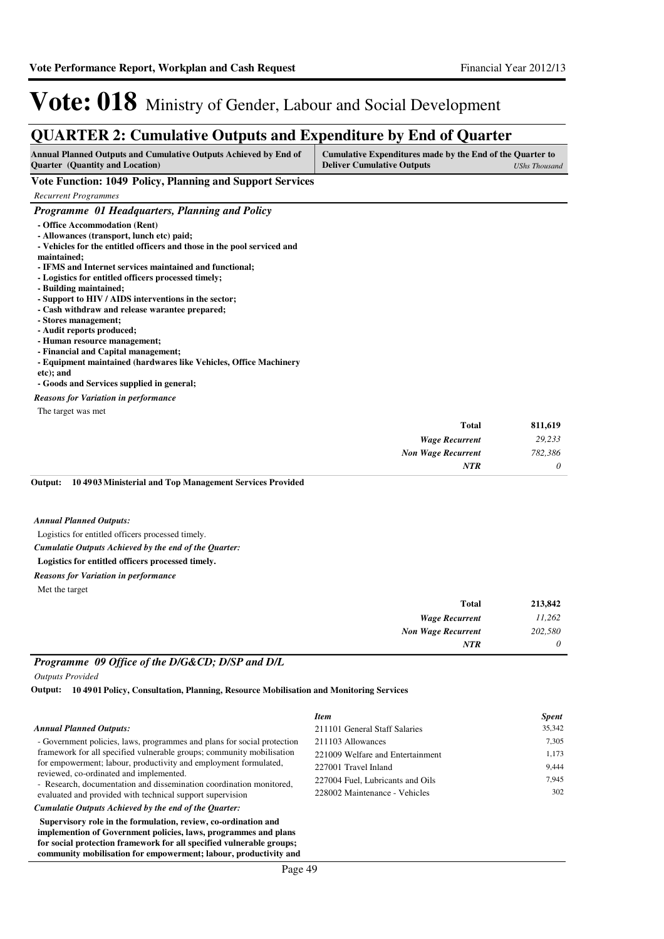### **QUARTER 2: Cumulative Outputs and Expenditure by End of Quarter**

| Annual Planned Outputs and Cumulative Outputs Achieved by End of<br><b>Ouarter</b> (Quantity and Location)                                                                                                                                                                                                                                                                                                                                                                                                                                                                                                                                                                            | Cumulative Expenditures made by the End of the Quarter to<br><b>Deliver Cumulative Outputs</b> | <b>UShs Thousand</b> |
|---------------------------------------------------------------------------------------------------------------------------------------------------------------------------------------------------------------------------------------------------------------------------------------------------------------------------------------------------------------------------------------------------------------------------------------------------------------------------------------------------------------------------------------------------------------------------------------------------------------------------------------------------------------------------------------|------------------------------------------------------------------------------------------------|----------------------|
| Vote Function: 1049 Policy, Planning and Support Services                                                                                                                                                                                                                                                                                                                                                                                                                                                                                                                                                                                                                             |                                                                                                |                      |
| <b>Recurrent Programmes</b>                                                                                                                                                                                                                                                                                                                                                                                                                                                                                                                                                                                                                                                           |                                                                                                |                      |
| Programme 01 Headquarters, Planning and Policy                                                                                                                                                                                                                                                                                                                                                                                                                                                                                                                                                                                                                                        |                                                                                                |                      |
| - Office Accommodation (Rent)<br>- Allowances (transport, lunch etc) paid;<br>- Vehicles for the entitled officers and those in the pool serviced and<br>maintained;<br>- IFMS and Internet services maintained and functional;<br>- Logistics for entitled officers processed timely;<br>- Building maintained;<br>- Support to HIV / AIDS interventions in the sector;<br>- Cash withdraw and release warantee prepared;<br>- Stores management:<br>- Audit reports produced;<br>- Human resource management;<br>- Financial and Capital management;<br>- Equipment maintained (hardwares like Vehicles, Office Machinery<br>etc); and<br>- Goods and Services supplied in general; |                                                                                                |                      |
| <b>Reasons for Variation in performance</b>                                                                                                                                                                                                                                                                                                                                                                                                                                                                                                                                                                                                                                           |                                                                                                |                      |
| The target was met                                                                                                                                                                                                                                                                                                                                                                                                                                                                                                                                                                                                                                                                    |                                                                                                |                      |
|                                                                                                                                                                                                                                                                                                                                                                                                                                                                                                                                                                                                                                                                                       | <b>Total</b>                                                                                   | 811,619              |
|                                                                                                                                                                                                                                                                                                                                                                                                                                                                                                                                                                                                                                                                                       | <b>Wage Recurrent</b>                                                                          | 29,233               |
|                                                                                                                                                                                                                                                                                                                                                                                                                                                                                                                                                                                                                                                                                       | <b>Non Wage Recurrent</b>                                                                      | 782,386              |
|                                                                                                                                                                                                                                                                                                                                                                                                                                                                                                                                                                                                                                                                                       | <b>NTR</b>                                                                                     | 0                    |

#### **10 4903 Ministerial and Top Management Services Provided Output:**

#### *Annual Planned Outputs:*

Logistics for entitled officers processed timely.

#### *Cumulatie Outputs Achieved by the end of the Quarter:*

#### **Logistics for entitled officers processed timely.**

*Reasons for Variation in performance*

Met the target

| Total                     | 213,842 |
|---------------------------|---------|
| <b>Wage Recurrent</b>     | 11,262  |
| <b>Non Wage Recurrent</b> | 202,580 |
| <b>NTR</b>                | 0       |

#### *Programme 09 Office of the D/G&CD; D/SP and D/L*

**community mobilisation for empowerment; labour, productivity and** 

*Outputs Provided*

**10 4901 Policy, Consultation, Planning, Resource Mobilisation and Monitoring Services Output:**

|                                                                                                                                                                                                                                                                                                                                                                                                     | <b>Item</b>                      | <b>Spent</b> |
|-----------------------------------------------------------------------------------------------------------------------------------------------------------------------------------------------------------------------------------------------------------------------------------------------------------------------------------------------------------------------------------------------------|----------------------------------|--------------|
| <b>Annual Planned Outputs:</b>                                                                                                                                                                                                                                                                                                                                                                      | 211101 General Staff Salaries    | 35,342       |
| - Government policies, laws, programmes and plans for social protection<br>framework for all specified vulnerable groups; community mobilisation<br>for empowerment; labour, productivity and employment formulated,<br>reviewed, co-ordinated and implemented.<br>- Research, documentation and dissemination coordination monitored,<br>evaluated and provided with technical support supervision | 211103 Allowances                | 7,305        |
|                                                                                                                                                                                                                                                                                                                                                                                                     | 221009 Welfare and Entertainment | 1,173        |
|                                                                                                                                                                                                                                                                                                                                                                                                     | 227001 Travel Inland             | 9,444        |
|                                                                                                                                                                                                                                                                                                                                                                                                     | 227004 Fuel, Lubricants and Oils | 7.945        |
|                                                                                                                                                                                                                                                                                                                                                                                                     | 228002 Maintenance - Vehicles    | 302          |
| Cumulatie Outputs Achieved by the end of the Ouarter:                                                                                                                                                                                                                                                                                                                                               |                                  |              |
| Supervisory role in the formulation, review, co-ordination and<br>implemention of Government policies, laws, programmes and plans<br>for social protection framework for all specified vulnerable groups;                                                                                                                                                                                           |                                  |              |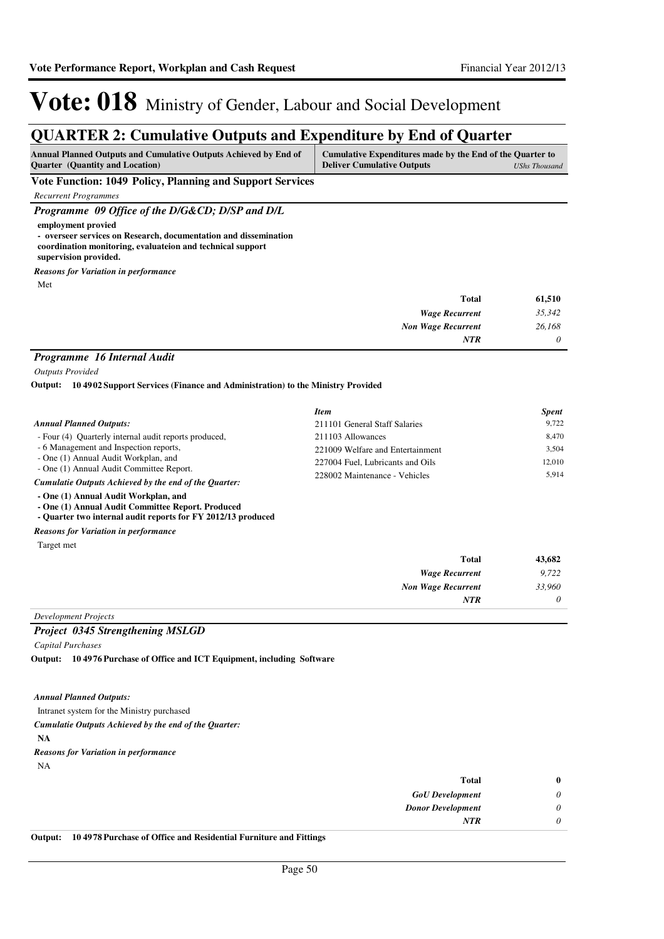### **QUARTER 2: Cumulative Outputs and Expenditure by End of Quarter**

| <b>Annual Planned Outputs and Cumulative Outputs Achieved by End of</b> | Cumulative Expenditures made by the End of the Quarter to |  |
|-------------------------------------------------------------------------|-----------------------------------------------------------|--|
| <b>Ouarter</b> (Quantity and Location)                                  | <b>Deliver Cumulative Outputs</b><br>UShs Thousand        |  |
| ___<br>. <del>.</del>                                                   |                                                           |  |

**Vote Function: 1049 Policy, Planning and Support Services**

*Recurrent Programmes*

*Programme 09 Office of the D/G&CD; D/SP and D/L*

**employment provied - overseer services on Research, documentation and dissemination** 

**coordination monitoring, evaluateion and technical support** 

**supervision provided.**

Met *Reasons for Variation in performance*

| <b>Total</b>              | 61,510   |
|---------------------------|----------|
| <b>Wage Recurrent</b>     | 35,342   |
| <b>Non Wage Recurrent</b> | 26,168   |
| <b>NTR</b>                | $\theta$ |

#### *Programme 16 Internal Audit*

*Outputs Provided*

**10 4902 Support Services (Finance and Administration) to the Ministry Provided Output:**

|                                                       | <b>Item</b>                      | <b>Spent</b> |
|-------------------------------------------------------|----------------------------------|--------------|
| <b>Annual Planned Outputs:</b>                        | 211101 General Staff Salaries    | 9.722        |
| - Four (4) Ouarterly internal audit reports produced, | 211103 Allowances                | 8.470        |
| - 6 Management and Inspection reports,                | 221009 Welfare and Entertainment | 3.504        |
| - One (1) Annual Audit Workplan, and                  | 227004 Fuel, Lubricants and Oils | 12.010       |
| - One (1) Annual Audit Committee Report.              | 228002 Maintenance - Vehicles    | 5.914        |
| Cumulatie Outputs Achieved by the end of the Ouarter: |                                  |              |

**- One (1) Annual Audit Workplan, and**

**- One (1) Annual Audit Committee Report. Produced**

**- Quarter two internal audit reports for FY 2012/13 produced**

*Reasons for Variation in performance*

Target met

| 43,682   | Total                     |
|----------|---------------------------|
| 9,722    | <b>Wage Recurrent</b>     |
| 33,960   | <b>Non Wage Recurrent</b> |
| $\theta$ | <b>NTR</b>                |
|          |                           |

#### *Development Projects*

#### *Project 0345 Strengthening MSLGD*

*Capital Purchases*

**10 4976 Purchase of Office and ICT Equipment, including Software Output:**

#### *Annual Planned Outputs:*

Intranet system for the Ministry purchased

*Cumulatie Outputs Achieved by the end of the Quarter:*

**NA**

```
Reasons for Variation in performance
```

```
NA
```

| Total                                                             | $\bf{0}$ |
|-------------------------------------------------------------------|----------|
| <b>GoU</b> Development                                            | 0        |
| <b>Donor Development</b>                                          |          |
| <b>NTR</b>                                                        |          |
| 10.4079 Dunchase of Office and Decidential Funniture and Fittings |          |

**Output: 10 4978 Purchase of Office and Residential Furniture and Fittings**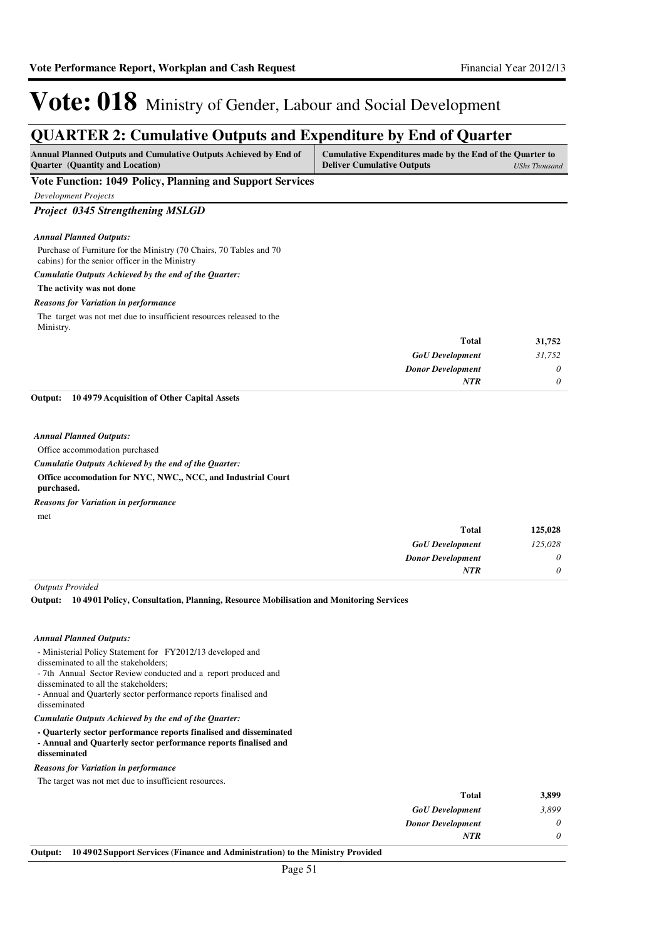| <b>QUARTER 2: Cumulative Outputs and Expenditure by End of Quarter</b>                                                |                                                                                                |                      |
|-----------------------------------------------------------------------------------------------------------------------|------------------------------------------------------------------------------------------------|----------------------|
| Annual Planned Outputs and Cumulative Outputs Achieved by End of<br>Quarter (Quantity and Location)                   | Cumulative Expenditures made by the End of the Quarter to<br><b>Deliver Cumulative Outputs</b> | <b>UShs Thousand</b> |
| Vote Function: 1049 Policy, Planning and Support Services                                                             |                                                                                                |                      |
| <b>Development Projects</b>                                                                                           |                                                                                                |                      |
| Project 0345 Strengthening MSLGD                                                                                      |                                                                                                |                      |
| <b>Annual Planned Outputs:</b>                                                                                        |                                                                                                |                      |
| Purchase of Furniture for the Ministry (70 Chairs, 70 Tables and 70<br>cabins) for the senior officer in the Ministry |                                                                                                |                      |
| Cumulatie Outputs Achieved by the end of the Quarter:                                                                 |                                                                                                |                      |
| The activity was not done                                                                                             |                                                                                                |                      |
| <b>Reasons for Variation in performance</b>                                                                           |                                                                                                |                      |
| The target was not met due to insufficient resources released to the<br>Ministry.                                     |                                                                                                |                      |
|                                                                                                                       | <b>Total</b>                                                                                   | 31,752               |
|                                                                                                                       | <b>GoU</b> Development                                                                         | 31,752               |
|                                                                                                                       | <b>Donor Development</b>                                                                       | 0                    |
|                                                                                                                       | <b>NTR</b>                                                                                     | 0                    |
| 104979 Acquisition of Other Capital Assets<br>Output:                                                                 |                                                                                                |                      |
| <b>Annual Planned Outputs:</b>                                                                                        |                                                                                                |                      |
| Office accommodation purchased                                                                                        |                                                                                                |                      |
| Cumulatie Outputs Achieved by the end of the Quarter:                                                                 |                                                                                                |                      |
| Office accomodation for NYC, NWC,, NCC, and Industrial Court<br>purchased.                                            |                                                                                                |                      |
| <b>Reasons for Variation in performance</b>                                                                           |                                                                                                |                      |

met

| <b>Total</b>             | 125,028  |
|--------------------------|----------|
| <b>GoU</b> Development   | 125,028  |
| <b>Donor Development</b> | $\theta$ |
| NTR                      | $\theta$ |

*Outputs Provided*

**10 4901 Policy, Consultation, Planning, Resource Mobilisation and Monitoring Services Output:**

#### *Annual Planned Outputs:*

- Ministerial Policy Statement for FY2012/13 developed and

disseminated to all the stakeholders;

- 7th Annual Sector Review conducted and a report produced and
- disseminated to all the stakeholders; - Annual and Quarterly sector performance reports finalised and
- disseminated

*Cumulatie Outputs Achieved by the end of the Quarter:*

**- Quarterly sector performance reports finalised and disseminated - Annual and Quarterly sector performance reports finalised and disseminated**

#### *Reasons for Variation in performance*

The target was not met due to insufficient resources.

|    |                                                                                 | <b>Total</b>             | 3,899    |
|----|---------------------------------------------------------------------------------|--------------------------|----------|
|    |                                                                                 | <b>GoU</b> Development   | 3,899    |
|    |                                                                                 | <b>Donor Development</b> | $\theta$ |
|    |                                                                                 | NTR                      |          |
| n. | 10.40.02 Support Sourises (Finance and Administration) to the Minister Drovided |                          |          |

#### **Output: 10 4902 Support Services (Finance and Administration) to the Ministry Provided**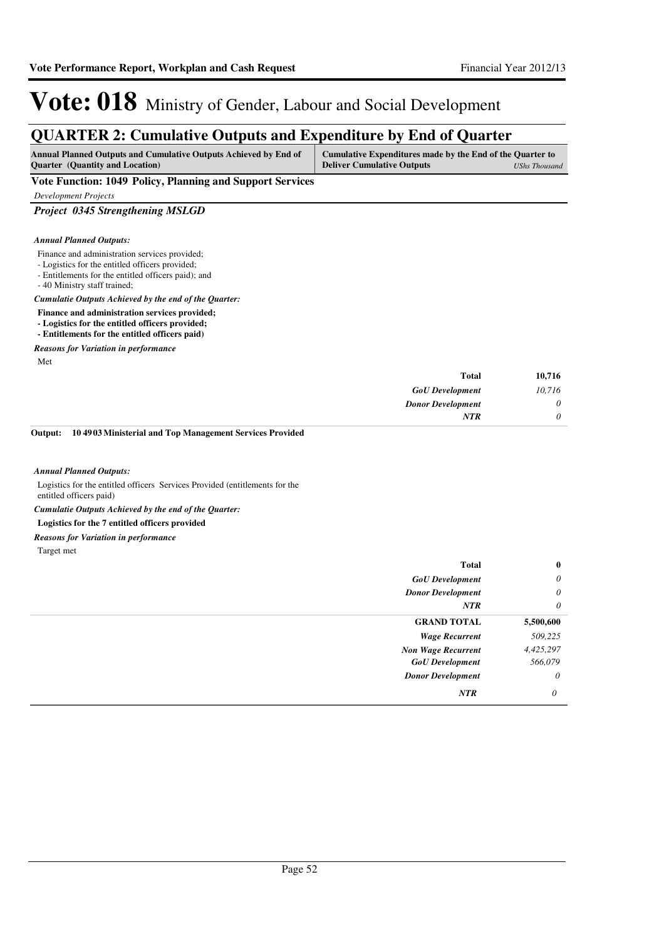### **QUARTER 2: Cumulative Outputs and Expenditure by End of Quarter**

| Annual Planned Outputs and Cumulative Outputs Achieved by End of | Cumulative Expenditures made by the End of the Quarter to |               |
|------------------------------------------------------------------|-----------------------------------------------------------|---------------|
| <b>Ouarter</b> (Quantity and Location)                           | <b>Deliver Cumulative Outputs</b>                         | UShs Thousand |

#### **Vote Function: 1049 Policy, Planning and Support Services**

*Development Projects*

#### *Project 0345 Strengthening MSLGD*

#### *Annual Planned Outputs:*

- Finance and administration services provided;
- Logistics for the entitled officers provided;
- Entitlements for the entitled officers paid); and
- 40 Ministry staff trained;

#### *Cumulatie Outputs Achieved by the end of the Quarter:*

- **Finance and administration services provided;**
- **Logistics for the entitled officers provided;**
- **Entitlements for the entitled officers paid)**

#### *Reasons for Variation in performance*

Met

| 10,716   | Total                    |
|----------|--------------------------|
| 10,716   | <b>GoU</b> Development   |
| 0        | <b>Donor Development</b> |
| $\theta$ | <b>NTR</b>               |
|          |                          |

#### **10 4903 Ministerial and Top Management Services Provided Output:**

#### *Annual Planned Outputs:*

Logistics for the entitled officers Services Provided (entitlements for the entitled officers paid)

*Cumulatie Outputs Achieved by the end of the Quarter:*

#### **Logistics for the 7 entitled officers provided**

#### *Reasons for Variation in performance*

Target met

| <b>GoU</b> Development<br><b>Donor Development</b><br>NTR<br><b>GRAND TOTAL</b><br><b>Wage Recurrent</b><br><b>Non Wage Recurrent</b><br><b>GoU</b> Development<br><b>Donor Development</b><br>NTR | $\bf{0}$ | <b>Total</b> |  |
|----------------------------------------------------------------------------------------------------------------------------------------------------------------------------------------------------|----------|--------------|--|
|                                                                                                                                                                                                    | $\theta$ |              |  |
|                                                                                                                                                                                                    | $\theta$ |              |  |
|                                                                                                                                                                                                    | $\theta$ |              |  |
|                                                                                                                                                                                                    |          | 5,500,600    |  |
|                                                                                                                                                                                                    |          | 509,225      |  |
|                                                                                                                                                                                                    |          | 4,425,297    |  |
|                                                                                                                                                                                                    |          | 566,079      |  |
|                                                                                                                                                                                                    | $\theta$ |              |  |
|                                                                                                                                                                                                    | 0        |              |  |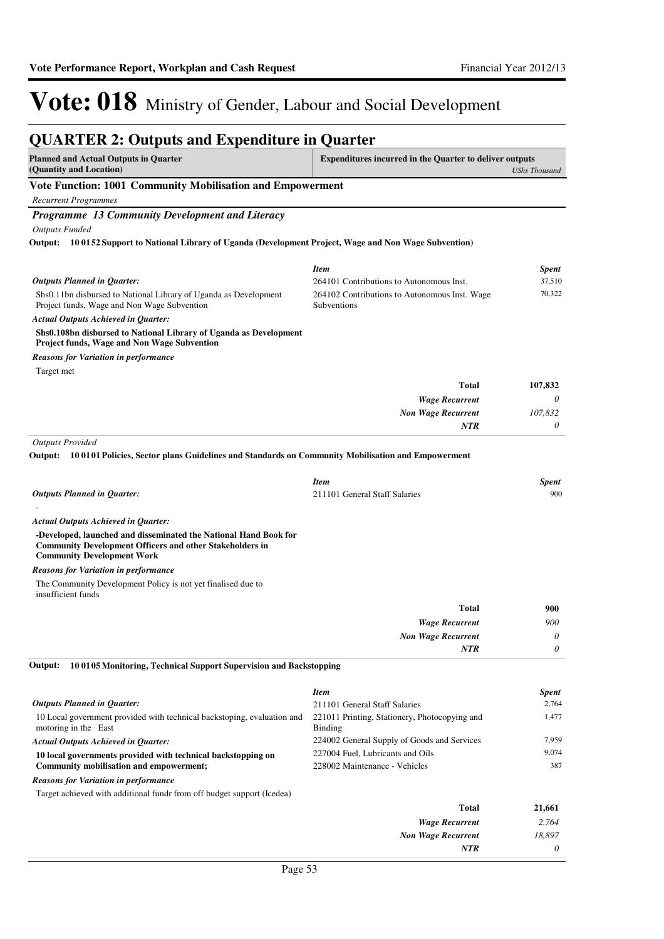*0*

*NTR*

### Vote: 018 Ministry of Gender, Labour and Social Development

#### **QUARTER 2: Outputs and Expenditure in Quarter Planned and Actual Outputs in Quarter (Quantity and Location) Expenditures incurred in the Quarter to deliver outputs**  *UShs Thousand* **Vote Function: 1001 Community Mobilisation and Empowerment** *Recurrent Programmes Programme 13 Community Development and Literacy Outputs Funded* Shs0.11bn disbursed to National Library of Uganda as Development Project funds, Wage and Non Wage Subvention **Shs0.108bn disbursed to National Library of Uganda as Development Project funds, Wage and Non Wage Subvention 10 0152 Support to National Library of Uganda (Development Project, Wage and Non Wage Subvention) Output:** *Wage Recurrent Non Wage Recurrent* **Total** *0 107,832 0* **107,832** *Actual Outputs Achieved in Quarter: Outputs Planned in Quarter: NTR* Target met *Reasons for Variation in performance Item Spent* 264101 Contributions to Autonomous Inst. 37,510 264102 Contributions to Autonomous Inst. Wage **Subventions** 70,322 *Outputs Provided* - **-Developed, launched and disseminated the National Hand Book for Community Development Officers and other Stakeholders in Community Development Work 10 0101 Policies, Sector plans Guidelines and Standards on Community Mobilisation and Empowerment Output:** *Wage Recurrent Non Wage Recurrent* **Total** *900 0 0* **900** *Actual Outputs Achieved in Quarter: Outputs Planned in Quarter: NTR* The Community Development Policy is not yet finalised due to insufficient funds *Reasons for Variation in performance Item Spent* 211101 General Staff Salaries 900 10 Local government provided with technical backstoping, evaluation and motoring in the East **10 local governments provided with technical backstopping on Community mobilisation and empowerment; 10 0105 Monitoring, Technical Support Supervision and Backstopping** *Wage Recurrent Non Wage Recurrent* **Total** *2,764 18,897* **21,661** *Actual Outputs Achieved in Quarter: Outputs Planned in Quarter:* **Output:** Target achieved with additional fundr from off budget support (Icedea) *Reasons for Variation in performance Item Spent* 211101 General Staff Salaries 2,764 221011 Printing, Stationery, Photocopying and Binding 1,477 224002 General Supply of Goods and Services 7,959 227004 Fuel, Lubricants and Oils 9,074 228002 Maintenance - Vehicles 387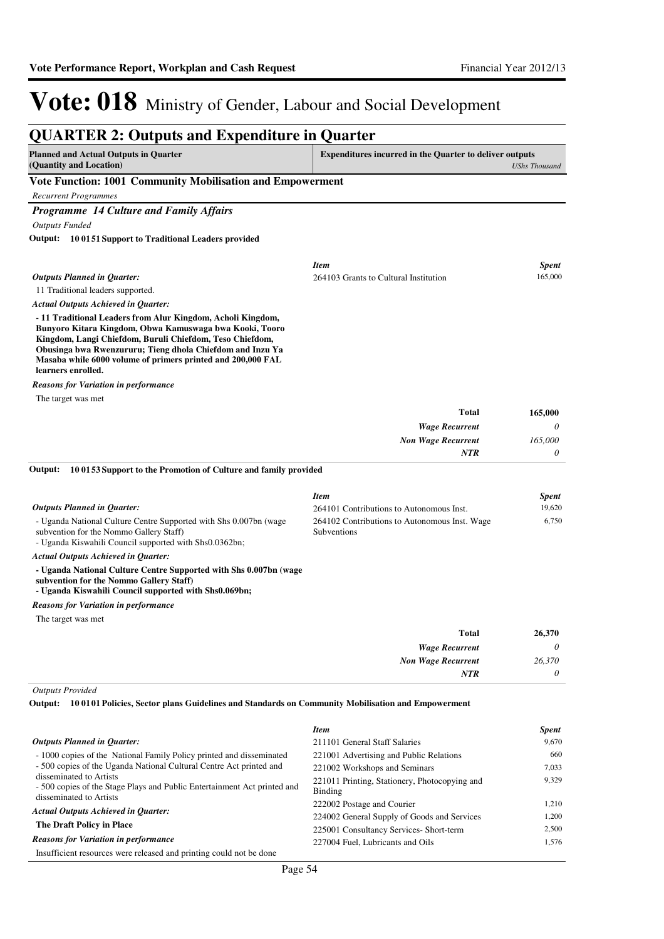| <b>QUARTER 2: Outputs and Expenditure in Quarter</b>                                                                                                                                                                                                                                                                                 |                                                                          |                      |
|--------------------------------------------------------------------------------------------------------------------------------------------------------------------------------------------------------------------------------------------------------------------------------------------------------------------------------------|--------------------------------------------------------------------------|----------------------|
| <b>Planned and Actual Outputs in Quarter</b><br>(Quantity and Location)                                                                                                                                                                                                                                                              | <b>Expenditures incurred in the Quarter to deliver outputs</b>           | <b>UShs Thousand</b> |
| Vote Function: 1001 Community Mobilisation and Empowerment                                                                                                                                                                                                                                                                           |                                                                          |                      |
| <b>Recurrent Programmes</b>                                                                                                                                                                                                                                                                                                          |                                                                          |                      |
| <b>Programme 14 Culture and Family Affairs</b>                                                                                                                                                                                                                                                                                       |                                                                          |                      |
| <b>Outputs Funded</b>                                                                                                                                                                                                                                                                                                                |                                                                          |                      |
| 10 0151 Support to Traditional Leaders provided<br>Output:                                                                                                                                                                                                                                                                           |                                                                          |                      |
|                                                                                                                                                                                                                                                                                                                                      | <b>Item</b>                                                              | <b>Spent</b>         |
| <b>Outputs Planned in Quarter:</b>                                                                                                                                                                                                                                                                                                   | 264103 Grants to Cultural Institution                                    | 165,000              |
| 11 Traditional leaders supported.                                                                                                                                                                                                                                                                                                    |                                                                          |                      |
| <b>Actual Outputs Achieved in Quarter:</b>                                                                                                                                                                                                                                                                                           |                                                                          |                      |
| - 11 Traditional Leaders from Alur Kingdom, Acholi Kingdom,<br>Bunyoro Kitara Kingdom, Obwa Kamuswaga bwa Kooki, Tooro<br>Kingdom, Langi Chiefdom, Buruli Chiefdom, Teso Chiefdom,<br>Obusinga bwa Rwenzururu; Tieng dhola Chiefdom and Inzu Ya<br>Masaba while 6000 volume of primers printed and 200,000 FAL<br>learners enrolled. |                                                                          |                      |
| <b>Reasons for Variation in performance</b>                                                                                                                                                                                                                                                                                          |                                                                          |                      |
| The target was met                                                                                                                                                                                                                                                                                                                   | <b>Total</b>                                                             |                      |
|                                                                                                                                                                                                                                                                                                                                      |                                                                          | 165,000              |
|                                                                                                                                                                                                                                                                                                                                      | <b>Wage Recurrent</b>                                                    | 0<br>165,000         |
|                                                                                                                                                                                                                                                                                                                                      | <b>Non Wage Recurrent</b><br><b>NTR</b>                                  | 0                    |
|                                                                                                                                                                                                                                                                                                                                      |                                                                          |                      |
| Output:<br>10 0153 Support to the Promotion of Culture and family provided                                                                                                                                                                                                                                                           |                                                                          |                      |
|                                                                                                                                                                                                                                                                                                                                      | <b>Item</b>                                                              | <b>Spent</b>         |
| <b>Outputs Planned in Quarter:</b>                                                                                                                                                                                                                                                                                                   | 264101 Contributions to Autonomous Inst.                                 | 19,620               |
| - Uganda National Culture Centre Supported with Shs 0.007bn (wage<br>subvention for the Nommo Gallery Staff)<br>- Uganda Kiswahili Council supported with Shs0.0362bn;                                                                                                                                                               | 264102 Contributions to Autonomous Inst. Wage<br>Subventions             | 6,750                |
| <b>Actual Outputs Achieved in Quarter:</b>                                                                                                                                                                                                                                                                                           |                                                                          |                      |
| - Uganda National Culture Centre Supported with Shs 0.007bn (wage<br>subvention for the Nommo Gallery Staff)<br>- Uganda Kiswahili Council supported with Shs0.069bn;                                                                                                                                                                |                                                                          |                      |
| <b>Reasons for Variation in performance</b>                                                                                                                                                                                                                                                                                          |                                                                          |                      |
| The target was met                                                                                                                                                                                                                                                                                                                   |                                                                          |                      |
|                                                                                                                                                                                                                                                                                                                                      | <b>Total</b>                                                             | 26,370               |
|                                                                                                                                                                                                                                                                                                                                      | <b>Wage Recurrent</b>                                                    | 0                    |
|                                                                                                                                                                                                                                                                                                                                      | <b>Non Wage Recurrent</b>                                                | 26,370               |
|                                                                                                                                                                                                                                                                                                                                      | NTR                                                                      | 0                    |
| <b>Outputs Provided</b>                                                                                                                                                                                                                                                                                                              |                                                                          |                      |
| Output:<br>10 0101 Policies, Sector plans Guidelines and Standards on Community Mobilisation and Empowerment                                                                                                                                                                                                                         |                                                                          |                      |
|                                                                                                                                                                                                                                                                                                                                      |                                                                          |                      |
|                                                                                                                                                                                                                                                                                                                                      | <b>Item</b>                                                              | <b>Spent</b>         |
| <b>Outputs Planned in Quarter:</b>                                                                                                                                                                                                                                                                                                   | 211101 General Staff Salaries                                            | 9,670                |
| -1000 copies of the National Family Policy printed and disseminated<br>- 500 copies of the Uganda National Cultural Centre Act printed and                                                                                                                                                                                           | 221001 Advertising and Public Relations<br>221002 Workshops and Seminars | 660<br>7,033         |
| disseminated to Artists                                                                                                                                                                                                                                                                                                              | 221011 Printing, Stationery, Photocopying and                            | 9,329                |
| - 500 copies of the Stage Plays and Public Entertainment Act printed and                                                                                                                                                                                                                                                             | <b>Binding</b>                                                           |                      |
| disseminated to Artists                                                                                                                                                                                                                                                                                                              | 222002 Postage and Courier                                               | 1,210                |
| <b>Actual Outputs Achieved in Quarter:</b>                                                                                                                                                                                                                                                                                           | 224002 General Supply of Goods and Services                              | 1,200                |
| The Draft Policy in Place                                                                                                                                                                                                                                                                                                            | 225001 Consultancy Services- Short-term                                  | 2,500                |
| <b>Reasons for Variation in performance</b>                                                                                                                                                                                                                                                                                          | 227004 Fuel, Lubricants and Oils                                         | 1,576                |

Insufficient resources were released and printing could not be done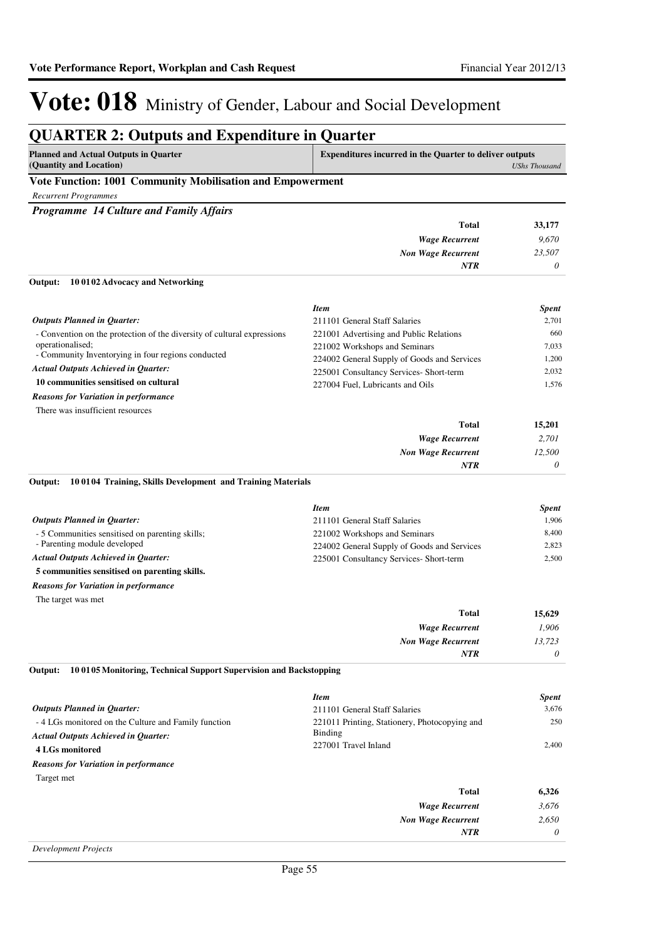*0*

*NTR*

# Vote: 018 Ministry of Gender, Labour and Social Development

### **QUARTER 2: Outputs and Expenditure in Quarter**

| Planned and Actual Outputs in Quarter                                                  | <b>Expenditures incurred in the Quarter to deliver outputs</b> |  |
|----------------------------------------------------------------------------------------|----------------------------------------------------------------|--|
| (Quantity and Location)                                                                | <b>UShs Thousand</b>                                           |  |
| <b>TT . TT</b><br>$\begin{array}{c} \n \text{1.001} \\ \n \text{1.001} \n \end{array}$ |                                                                |  |

#### **Vote Function: 1001 Community Mobilisation and Empowerment**

*Recurrent Programmes*

*Programme 14 Culture and Family Affairs*

|                                         | <b>Total</b>              | 33,177   |
|-----------------------------------------|---------------------------|----------|
|                                         | <b>Wage Recurrent</b>     | 9,670    |
|                                         | <b>Non Wage Recurrent</b> | 23,507   |
|                                         | <b>NTR</b>                | $\theta$ |
| Output: 10 0102 Advocacy and Networking |                           |          |

#### - Convention on the protection of the diversity of cultural expressions operationalised; - Community Inventorying in four regions conducted **10 communities sensitised on cultural Total 15,201** *Actual Outputs Achieved in Quarter: Outputs Planned in Quarter:* There was insufficient resources *Reasons for Variation in performance Item Spent* 211101 General Staff Salaries 2,701 221001 Advertising and Public Relations 660 221002 Workshops and Seminars 7,033 224002 General Supply of Goods and Services 1,200 225001 Consultancy Services- Short-term 2,032 227004 Fuel, Lubricants and Oils 1,576

| 15,201   | <b>Total</b>              |
|----------|---------------------------|
| 2,701    | <b>Wage Recurrent</b>     |
| 12,500   | <b>Non Wage Recurrent</b> |
| $\theta$ | <b>NTR</b>                |

#### **10 0104 Training, Skills Development and Training Materials Output:**

|                                                 | <b>Item</b>                                 | <b>Spent</b> |
|-------------------------------------------------|---------------------------------------------|--------------|
| <b>Outputs Planned in Ouarter:</b>              | 211101 General Staff Salaries               | 1.906        |
| - 5 Communities sensitised on parenting skills; | 221002 Workshops and Seminars               | 8.400        |
| - Parenting module developed                    | 224002 General Supply of Goods and Services | 2.823        |
| <b>Actual Outputs Achieved in Ouarter:</b>      | 225001 Consultancy Services- Short-term     | 2.500        |
| 5 communities sensitised on parenting skills.   |                                             |              |
| <b>Reasons for Variation in performance</b>     |                                             |              |

The target was met

| 15,629   | <b>Total</b>              |
|----------|---------------------------|
| 1,906    | <b>Wage Recurrent</b>     |
| 13,723   | <b>Non Wage Recurrent</b> |
| $\theta$ | <b>NTR</b>                |
|          |                           |

#### **10 0105 Monitoring, Technical Support Supervision and Backstopping Output:**

|                                                     | <b>Item</b>                                                                      | <b>Spent</b> |
|-----------------------------------------------------|----------------------------------------------------------------------------------|--------------|
| <b>Outputs Planned in Quarter:</b>                  | 211101 General Staff Salaries                                                    | 3.676        |
| -4 LGs monitored on the Culture and Family function | 221011 Printing, Stationery, Photocopying and<br>Binding<br>227001 Travel Inland | 250<br>2.400 |
| <b>Actual Outputs Achieved in Ouarter:</b>          |                                                                                  |              |
| 4 LGs monitored                                     |                                                                                  |              |
| <b>Reasons for Variation in performance</b>         |                                                                                  |              |
| Target met                                          |                                                                                  |              |
|                                                     | Total                                                                            | 6,326        |
|                                                     | <b>Wage Recurrent</b>                                                            | 3.676        |
|                                                     | <b>Non Wage Recurrent</b>                                                        | 2.650        |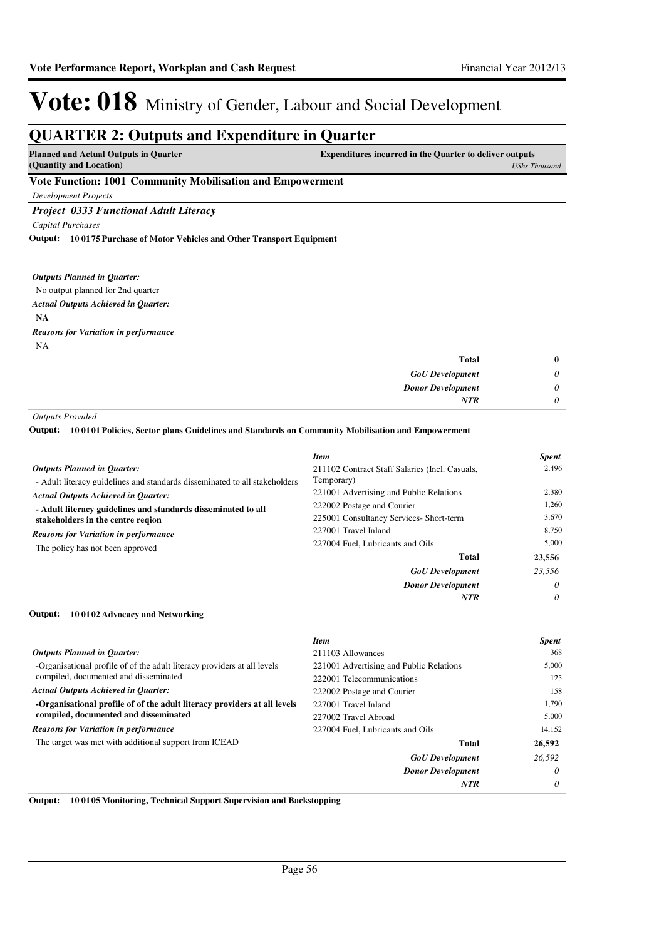#### **QUARTER 2: Outputs and Expenditure in Quarter Planned and Actual Outputs in Quarter (Quantity and Location) Expenditures incurred in the Quarter to deliver outputs**  *UShs Thousand* **Vote Function: 1001 Community Mobilisation and Empowerment** *Development Projects Project 0333 Functional Adult Literacy Capital Purchases* No output planned for 2nd quarter **NA 10 0175 Purchase of Motor Vehicles and Other Transport Equipment Output:** *GoU Development Donor Development* **Total** *0 0 0* **0** *Actual Outputs Achieved in Quarter: Outputs Planned in Quarter: NTR* NA *Reasons for Variation in performance*

*Outputs Provided*

**10 0101 Policies, Sector plans Guidelines and Standards on Community Mobilisation and Empowerment Output:**

|                                                                                                                                                                                                               | <b>Item</b>                                    | <b>Spent</b> |
|---------------------------------------------------------------------------------------------------------------------------------------------------------------------------------------------------------------|------------------------------------------------|--------------|
| <b>Outputs Planned in Quarter:</b>                                                                                                                                                                            | 211102 Contract Staff Salaries (Incl. Casuals, | 2.496        |
| - Adult literacy guidelines and standards disseminated to all stakeholders                                                                                                                                    | Temporary)                                     |              |
| <b>Actual Outputs Achieved in Ouarter:</b>                                                                                                                                                                    | 221001 Advertising and Public Relations        | 2.380        |
| - Adult literacy guidelines and standards disseminated to all<br>stakeholders in the centre region<br>227001 Travel Inland<br><b>Reasons for Variation in performance</b><br>The policy has not been approved | 222002 Postage and Courier                     | 1.260        |
|                                                                                                                                                                                                               | 225001 Consultancy Services- Short-term        | 3.670        |
|                                                                                                                                                                                                               |                                                | 8.750        |
|                                                                                                                                                                                                               | 227004 Fuel. Lubricants and Oils               | 5.000        |
|                                                                                                                                                                                                               | Total                                          | 23,556       |
|                                                                                                                                                                                                               | <b>GoU</b> Development                         | 23.556       |
|                                                                                                                                                                                                               | <b>Donor Development</b>                       | $\theta$     |
|                                                                                                                                                                                                               | <b>NTR</b>                                     | 0            |

#### **10 0102 Advocacy and Networking Output:**

|                                                                          | <b>Item</b>                             | <b>Spent</b> |
|--------------------------------------------------------------------------|-----------------------------------------|--------------|
| <b>Outputs Planned in Ouarter:</b>                                       | 211103 Allowances                       | 368          |
| -Organisational profile of of the adult literacy providers at all levels | 221001 Advertising and Public Relations | 5,000        |
| compiled, documented and disseminated                                    | 222001 Telecommunications               | 125          |
| <b>Actual Outputs Achieved in Ouarter:</b>                               | 222002 Postage and Courier              | 158          |
| -Organisational profile of of the adult literacy providers at all levels | 227001 Travel Inland                    | 1,790        |
| compiled, documented and disseminated                                    | 227002 Travel Abroad                    | 5,000        |
| <b>Reasons for Variation in performance</b>                              | 227004 Fuel, Lubricants and Oils        | 14,152       |
| The target was met with additional support from ICEAD                    | Total                                   | 26,592       |
|                                                                          | <b>GoU</b> Development                  | 26,592       |
|                                                                          | <b>Donor Development</b>                | $\theta$     |
|                                                                          | <b>NTR</b>                              | $\theta$     |

**Output: 10 0105 Monitoring, Technical Support Supervision and Backstopping**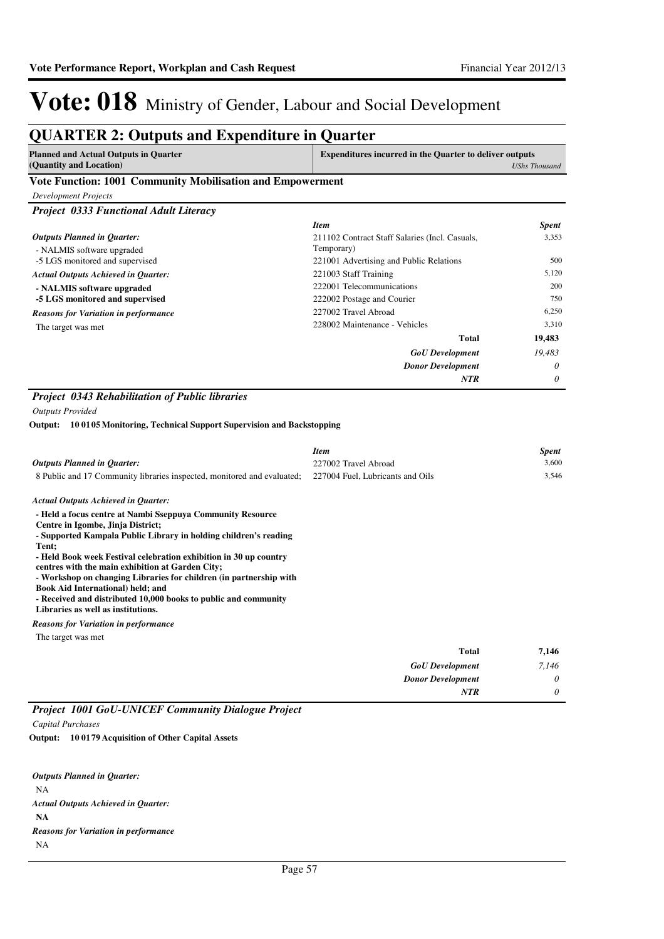### **QUARTER 2: Outputs and Expenditure in Quarter**

| Planned and Actual Outputs in Quarter | <b>Expenditures incurred in the Quarter to deliver outputs</b> |
|---------------------------------------|----------------------------------------------------------------|
| (Quantity and Location)               | <b>UShs Thousand</b>                                           |
|                                       |                                                                |

#### **Vote Function: 1001 Community Mobilisation and Empowerment**

| <b>Development Projects</b> |  |
|-----------------------------|--|
|-----------------------------|--|

*Project 0333 Functional Adult Literacy*

|                                             | <b>Item</b>                                    | <b>Spent</b> |
|---------------------------------------------|------------------------------------------------|--------------|
| Outputs Planned in Ouarter:                 | 211102 Contract Staff Salaries (Incl. Casuals, | 3,353        |
| - NALMIS software upgraded                  | Temporary)                                     |              |
| -5 LGS monitored and supervised             | 221001 Advertising and Public Relations        | 500          |
| <b>Actual Outputs Achieved in Ouarter:</b>  | 221003 Staff Training                          | 5,120        |
| - NALMIS software upgraded                  | 222001 Telecommunications                      | 200          |
| -5 LGS monitored and supervised             | 222002 Postage and Courier                     | 750          |
| <b>Reasons for Variation in performance</b> | 227002 Travel Abroad                           | 6,250        |
| The target was met                          | 228002 Maintenance - Vehicles                  | 3,310        |
|                                             | Total                                          | 19,483       |
|                                             | <b>GoU</b> Development                         | 19,483       |
|                                             | <b>Donor Development</b>                       | $\theta$     |
|                                             | <b>NTR</b>                                     | $\theta$     |

#### *Project 0343 Rehabilitation of Public libraries*

*Outputs Provided*

**10 0105 Monitoring, Technical Support Supervision and Backstopping Output:**

|                                                                                                                                                                                                                                                                                                                                                                                                                                                                                                                                  | <b>Item</b>                      |              | <b>Spent</b> |
|----------------------------------------------------------------------------------------------------------------------------------------------------------------------------------------------------------------------------------------------------------------------------------------------------------------------------------------------------------------------------------------------------------------------------------------------------------------------------------------------------------------------------------|----------------------------------|--------------|--------------|
| <b>Outputs Planned in Quarter:</b>                                                                                                                                                                                                                                                                                                                                                                                                                                                                                               | 227002 Travel Abroad             |              | 3,600        |
| 8 Public and 17 Community libraries inspected, monitored and evaluated;                                                                                                                                                                                                                                                                                                                                                                                                                                                          | 227004 Fuel, Lubricants and Oils |              | 3,546        |
| <b>Actual Outputs Achieved in Quarter:</b>                                                                                                                                                                                                                                                                                                                                                                                                                                                                                       |                                  |              |              |
| - Held a focus centre at Nambi Sseppuya Community Resource<br>Centre in Igombe, Jinja District;<br>- Supported Kampala Public Library in holding children's reading<br>Tent;<br>- Held Book week Festival celebration exhibition in 30 up country<br>centres with the main exhibition at Garden City;<br>- Workshop on changing Libraries for children (in partnership with<br><b>Book Aid International) held; and</b><br>- Received and distributed 10,000 books to public and community<br>Libraries as well as institutions. |                                  |              |              |
| <b>Reasons for Variation in performance</b>                                                                                                                                                                                                                                                                                                                                                                                                                                                                                      |                                  |              |              |
| The target was met                                                                                                                                                                                                                                                                                                                                                                                                                                                                                                               |                                  |              |              |
|                                                                                                                                                                                                                                                                                                                                                                                                                                                                                                                                  |                                  | <b>Total</b> | 7.146        |

| 1,170 | 1 vuu                    |
|-------|--------------------------|
| 7,146 | <b>GoU</b> Development   |
|       | <b>Donor Development</b> |
|       | <b>NTR</b>               |
|       |                          |

#### *Project 1001 GoU-UNICEF Community Dialogue Project Capital Purchases*

**10 0179 Acquisition of Other Capital Assets Output:**

NA **NA** *Actual Outputs Achieved in Quarter: Outputs Planned in Quarter:* NA *Reasons for Variation in performance*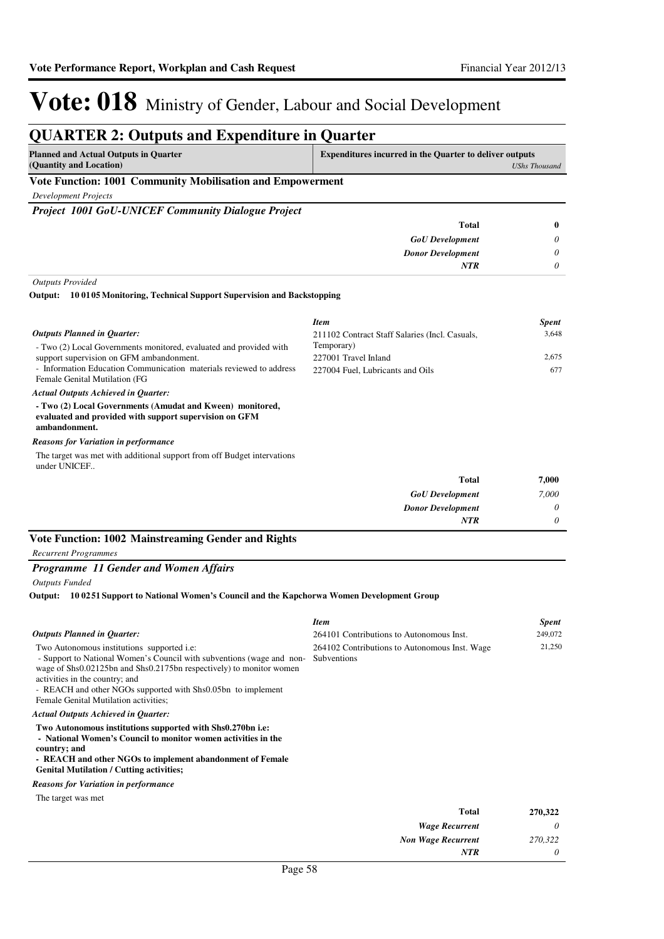## Vote: 018 Ministry of Gender, Labour and Social Development

#### **QUARTER 2: Outputs and Expenditure in Quarter Planned and Actual Outputs in Quarter (Quantity and Location) Expenditures incurred in the Quarter to deliver outputs**  *UShs Thousand* **Vote Function: 1001 Community Mobilisation and Empowerment** *Development Projects Project 1001 GoU-UNICEF Community Dialogue Project GoU Development Donor Development* **Total** *0 0 0* **0** *NTR Outputs Provided* - Two (2) Local Governments monitored, evaluated and provided with support supervision on GFM ambandonment. - Information Education Communication materials reviewed to address Female Genital Mutilation (FG **- Two (2) Local Governments (Amudat and Kween) monitored, evaluated and provided with support supervision on GFM ambandonment. 10 0105 Monitoring, Technical Support Supervision and Backstopping Output:** *Actual Outputs Achieved in Quarter: Outputs Planned in Quarter:* The target was met with additional support from off Budget intervations under UNICEF.. *Reasons for Variation in performance Item Spent* 211102 Contract Staff Salaries (Incl. Casuals, Temporary) 3,648 227001 Travel Inland 2,675 227004 Fuel, Lubricants and Oils 677

| 7,000    | Total                    |
|----------|--------------------------|
| 7,000    | <b>GoU</b> Development   |
| $\theta$ | <b>Donor Development</b> |
| 0        | <b>NTR</b>               |

### **Vote Function: 1002 Mainstreaming Gender and Rights**

*Recurrent Programmes*

#### *Programme 11 Gender and Women Affairs*

*Outputs Funded*

#### **10 0251 Support to National Women's Council and the Kapchorwa Women Development Group Output:**

|                                                                                                                                                                                                                                                                                                                                              | <b>Item</b>                                                         | <b>Spent</b> |
|----------------------------------------------------------------------------------------------------------------------------------------------------------------------------------------------------------------------------------------------------------------------------------------------------------------------------------------------|---------------------------------------------------------------------|--------------|
| <b>Outputs Planned in Quarter:</b>                                                                                                                                                                                                                                                                                                           | 264101 Contributions to Autonomous Inst.                            | 249,072      |
| Two Autonomous institutions supported <i>i.e:</i><br>- Support to National Women's Council with subventions (wage and non-<br>wage of Shs0.02125bn and Shs0.2175bn respectively) to monitor women<br>activities in the country; and<br>- REACH and other NGOs supported with Shs0.05bn to implement<br>Female Genital Mutilation activities; | 264102 Contributions to Autonomous Inst. Wage<br><b>Subventions</b> | 21,250       |
| <b>Actual Outputs Achieved in Quarter:</b>                                                                                                                                                                                                                                                                                                   |                                                                     |              |
| Two Autonomous institutions supported with Shs0.270bn i.e:<br>- National Women's Council to monitor women activities in the<br>country; and<br>- REACH and other NGOs to implement abandonment of Female<br><b>Genital Mutilation / Cutting activities;</b>                                                                                  |                                                                     |              |
| <b>Reasons for Variation in performance</b>                                                                                                                                                                                                                                                                                                  |                                                                     |              |
| The target was met                                                                                                                                                                                                                                                                                                                           |                                                                     |              |
|                                                                                                                                                                                                                                                                                                                                              | <b>Total</b>                                                        | 270,322      |
|                                                                                                                                                                                                                                                                                                                                              | <b>Wage Recurrent</b>                                               | 0            |
|                                                                                                                                                                                                                                                                                                                                              | <b>Non Wage Recurrent</b>                                           | 270,322      |
|                                                                                                                                                                                                                                                                                                                                              | <b>NTR</b>                                                          | 0            |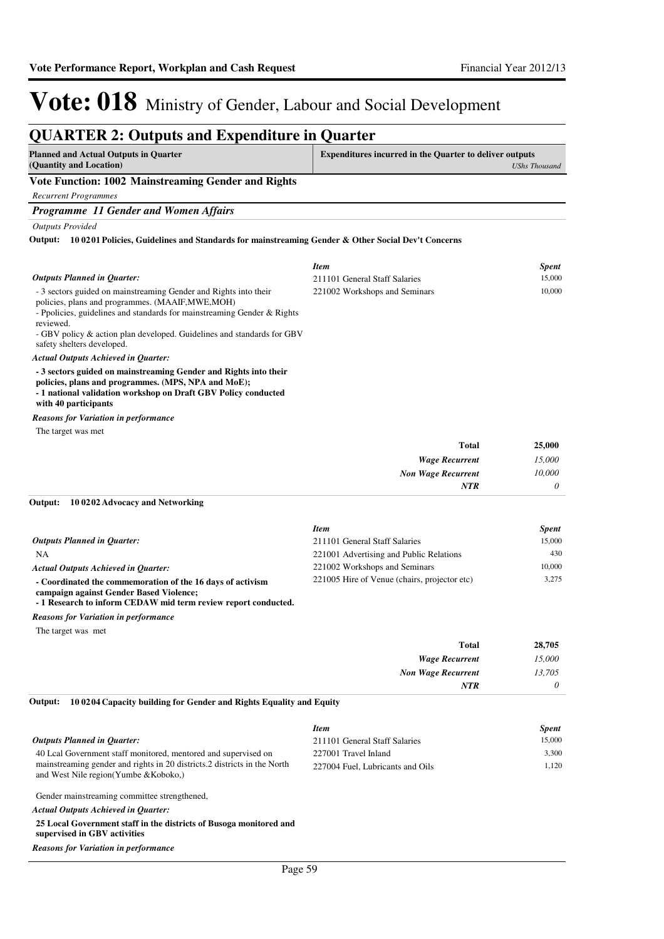*0*

## Vote: 018 Ministry of Gender, Labour and Social Development

#### **QUARTER 2: Outputs and Expenditure in Quarter Planned and Actual Outputs in Quarter (Quantity and Location) Expenditures incurred in the Quarter to deliver outputs**  *UShs Thousand* **Vote Function: 1002 Mainstreaming Gender and Rights** *Recurrent Programmes Programme 11 Gender and Women Affairs Outputs Provided* - 3 sectors guided on mainstreaming Gender and Rights into their policies, plans and programmes. (MAAIF,MWE,MOH) - Ppolicies, guidelines and standards for mainstreaming Gender & Rights reviewed. - GBV policy & action plan developed. Guidelines and standards for GBV safety shelters developed. **- 3 sectors guided on mainstreaming Gender and Rights into their policies, plans and programmes. (MPS, NPA and MoE); - 1 national validation workshop on Draft GBV Policy conducted with 40 participants 10 0201 Policies, Guidelines and Standards for mainstreaming Gender & Other Social Dev't Concerns Output:** *Wage Recurrent Non Wage Recurrent* **Total** *15,000 10,000* **25,000** *Actual Outputs Achieved in Quarter: Outputs Planned in Quarter: NTR* The target was met *Reasons for Variation in performance Item Spent* 211101 General Staff Salaries 15,000 221002 Workshops and Seminars 10,000

#### **10 0202 Advocacy and Networking Output:**

|                                                                                                       | <b>Item</b>                                  | <b>Spent</b> |
|-------------------------------------------------------------------------------------------------------|----------------------------------------------|--------------|
| <b>Outputs Planned in Ouarter:</b>                                                                    | 211101 General Staff Salaries                | 15,000       |
| NA.                                                                                                   | 221001 Advertising and Public Relations      | 430          |
| <b>Actual Outputs Achieved in Ouarter:</b>                                                            | 221002 Workshops and Seminars                | 10,000       |
| - Coordinated the commemoration of the 16 days of activism<br>campaign against Gender Based Violence; | 221005 Hire of Venue (chairs, projector etc) | 3.275        |
| - 1 Research to inform CEDAW mid term review report conducted.                                        |                                              |              |

*Reasons for Variation in performance*

The target was met

| 28,705 | <b>Total</b>              |
|--------|---------------------------|
| 15,000 | <b>Wage Recurrent</b>     |
| 13,705 | <b>Non Wage Recurrent</b> |
| 0      | <b>NTR</b>                |

#### **10 0204 Capacity building for Gender and Rights Equality and Equity Output:**

|                                                                                                                     | <b>Item</b>                      | <b>Spent</b> |
|---------------------------------------------------------------------------------------------------------------------|----------------------------------|--------------|
| <b>Outputs Planned in Ouarter:</b>                                                                                  | 211101 General Staff Salaries    | 15,000       |
| 40 Lcal Government staff monitored, mentored and supervised on                                                      | 227001 Travel Inland             | 3.300        |
| mainstreaming gender and rights in 20 districts. 2 districts in the North<br>and West Nile region (Yumbe & Koboko,) | 227004 Fuel, Lubricants and Oils | 1.120        |
| Gender mainstreaming committee strengthened,                                                                        |                                  |              |

*Actual Outputs Achieved in Quarter:*

**25 Local Government staff in the districts of Busoga monitored and supervised in GBV activities**

*Reasons for Variation in performance*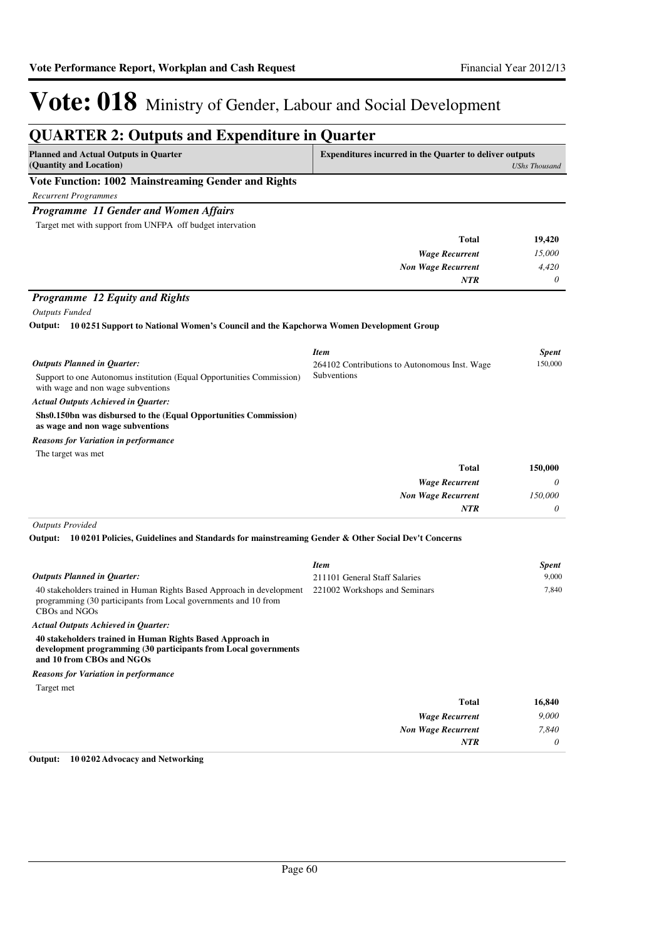| <b>Planned and Actual Outputs in Quarter</b><br>(Quantity and Location)                                                      | <b>Expenditures incurred in the Quarter to deliver outputs</b> | <b>UShs Thousand</b> |
|------------------------------------------------------------------------------------------------------------------------------|----------------------------------------------------------------|----------------------|
| Vote Function: 1002 Mainstreaming Gender and Rights                                                                          |                                                                |                      |
| <b>Recurrent Programmes</b>                                                                                                  |                                                                |                      |
| Programme 11 Gender and Women Affairs                                                                                        |                                                                |                      |
| Target met with support from UNFPA off budget intervation                                                                    |                                                                |                      |
|                                                                                                                              | <b>Total</b>                                                   | 19,420               |
|                                                                                                                              | <b>Wage Recurrent</b>                                          | 15,000               |
|                                                                                                                              | <b>Non Wage Recurrent</b>                                      | 4,420                |
|                                                                                                                              | NTR                                                            | 0                    |
| <b>Programme 12 Equity and Rights</b>                                                                                        |                                                                |                      |
| <b>Outputs Funded</b>                                                                                                        |                                                                |                      |
| Output: 100251 Support to National Women's Council and the Kapchorwa Women Development Group                                 |                                                                |                      |
|                                                                                                                              | <b>Item</b>                                                    | <b>Spent</b>         |
| <b>Outputs Planned in Quarter:</b>                                                                                           | 264102 Contributions to Autonomous Inst. Wage                  | 150,000              |
| Support to one Autonomus institution (Equal Opportunities Commission)<br>with wage and non wage subventions                  | Subventions                                                    |                      |
| Actual Outputs Achieved in Quarter:                                                                                          |                                                                |                      |
| Shs0.150bn was disbursed to the (Equal Opportunities Commission)<br>as wage and non wage subventions                         |                                                                |                      |
| Reasons for Variation in performance                                                                                         |                                                                |                      |
| The target was met                                                                                                           |                                                                |                      |
|                                                                                                                              | <b>Total</b>                                                   | 150,000              |
|                                                                                                                              | <b>Wage Recurrent</b>                                          | 0                    |
|                                                                                                                              | <b>Non Wage Recurrent</b><br>NTR                               | 150,000<br>0         |
| <b>Outputs Provided</b>                                                                                                      |                                                                |                      |
| 10 0201 Policies, Guidelines and Standards for mainstreaming Gender & Other Social Dev't Concerns<br>Output:                 |                                                                |                      |
|                                                                                                                              | <b>Item</b>                                                    | <b>Spent</b>         |
| <b>Outputs Planned in Quarter:</b>                                                                                           | 211101 General Staff Salaries                                  | 9,000                |
| 40 stakeholders trained in Human Rights Based Approach in development                                                        |                                                                |                      |
| programming (30 participants from Local governments and 10 from<br>CBOs and NGOs                                             | 221002 Workshops and Seminars                                  | 7,840                |
| <b>Actual Outputs Achieved in Ouarter:</b>                                                                                   |                                                                |                      |
| 40 stakeholders trained in Human Rights Based Approach in<br>development programming (30 participants from Local governments |                                                                |                      |
| and 10 from CBOs and NGOs                                                                                                    |                                                                |                      |
| <b>Reasons for Variation in performance</b><br>Target met                                                                    |                                                                |                      |
|                                                                                                                              | <b>Total</b>                                                   | 16,840               |
|                                                                                                                              | <b>Wage Recurrent</b>                                          | 9,000                |
|                                                                                                                              | <b>Non Wage Recurrent</b><br>NTR                               | 7,840<br>0           |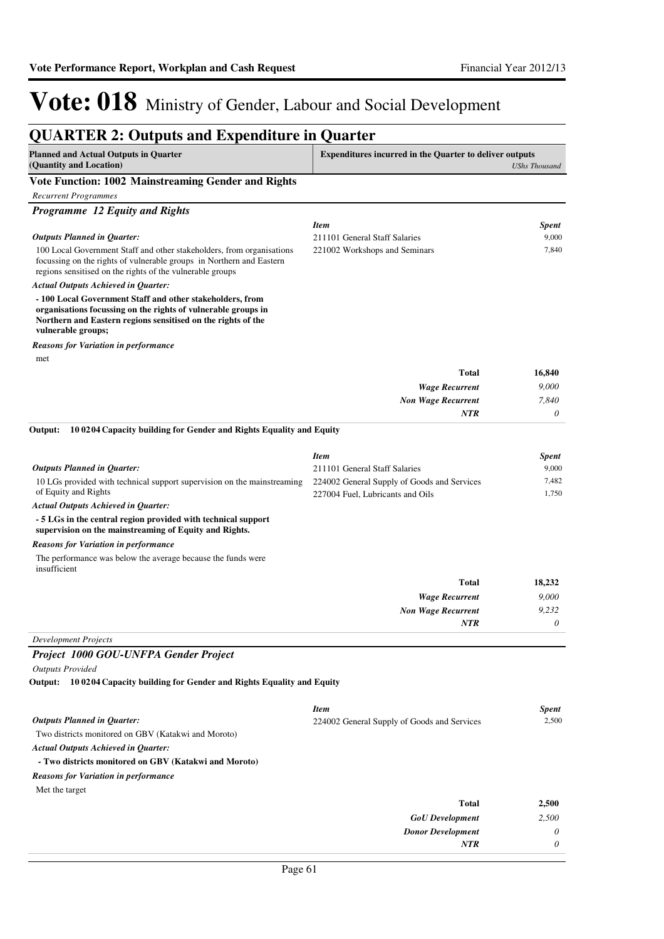| <b>QUARTER 2: Outputs and Expenditure in Quarter</b>                                                                                                                                                            |                                                                |                      |
|-----------------------------------------------------------------------------------------------------------------------------------------------------------------------------------------------------------------|----------------------------------------------------------------|----------------------|
| <b>Planned and Actual Outputs in Quarter</b><br>(Quantity and Location)                                                                                                                                         | <b>Expenditures incurred in the Quarter to deliver outputs</b> | <b>UShs Thousand</b> |
| Vote Function: 1002 Mainstreaming Gender and Rights                                                                                                                                                             |                                                                |                      |
| <b>Recurrent Programmes</b>                                                                                                                                                                                     |                                                                |                      |
| Programme 12 Equity and Rights                                                                                                                                                                                  |                                                                |                      |
|                                                                                                                                                                                                                 | <b>Item</b>                                                    | <b>Spent</b>         |
| <b>Outputs Planned in Quarter:</b>                                                                                                                                                                              | 211101 General Staff Salaries                                  | 9,000                |
| 100 Local Government Staff and other stakeholders, from organisations<br>focussing on the rights of vulnerable groups in Northern and Eastern<br>regions sensitised on the rights of the vulnerable groups      | 221002 Workshops and Seminars                                  | 7,840                |
| <b>Actual Outputs Achieved in Quarter:</b>                                                                                                                                                                      |                                                                |                      |
| -100 Local Government Staff and other stakeholders, from<br>organisations focussing on the rights of vulnerable groups in<br>Northern and Eastern regions sensitised on the rights of the<br>vulnerable groups; |                                                                |                      |
| <b>Reasons for Variation in performance</b>                                                                                                                                                                     |                                                                |                      |
| met                                                                                                                                                                                                             |                                                                |                      |
|                                                                                                                                                                                                                 | <b>Total</b>                                                   | 16,840               |
|                                                                                                                                                                                                                 | <b>Wage Recurrent</b>                                          | 9,000                |
|                                                                                                                                                                                                                 | <b>Non Wage Recurrent</b>                                      | 7,840                |
|                                                                                                                                                                                                                 | <b>NTR</b>                                                     | 0                    |
| Output:<br>100204 Capacity building for Gender and Rights Equality and Equity                                                                                                                                   |                                                                |                      |
|                                                                                                                                                                                                                 | <b>Item</b>                                                    | <b>Spent</b>         |
| <b>Outputs Planned in Quarter:</b>                                                                                                                                                                              | 211101 General Staff Salaries                                  | 9,000                |
| 10 LGs provided with technical support supervision on the mainstreaming                                                                                                                                         | 224002 General Supply of Goods and Services                    | 7,482                |
| of Equity and Rights                                                                                                                                                                                            | 227004 Fuel, Lubricants and Oils                               | 1,750                |
| <b>Actual Outputs Achieved in Quarter:</b>                                                                                                                                                                      |                                                                |                      |
| - 5 LGs in the central region provided with technical support<br>supervision on the mainstreaming of Equity and Rights.                                                                                         |                                                                |                      |
| <b>Reasons for Variation in performance</b>                                                                                                                                                                     |                                                                |                      |
| The performance was below the average because the funds were<br>insufficient                                                                                                                                    |                                                                |                      |
|                                                                                                                                                                                                                 | <b>Total</b>                                                   | 18,232               |
|                                                                                                                                                                                                                 | <b>Wage Recurrent</b>                                          | 9,000                |
|                                                                                                                                                                                                                 | <b>Non Wage Recurrent</b>                                      | 9,232                |
|                                                                                                                                                                                                                 | <b>NTR</b>                                                     | $\theta$             |
| <b>Development Projects</b>                                                                                                                                                                                     |                                                                |                      |
| Project 1000 GOU-UNFPA Gender Project                                                                                                                                                                           |                                                                |                      |
| <b>Outputs Provided</b>                                                                                                                                                                                         |                                                                |                      |
| Output: 10 0204 Capacity building for Gender and Rights Equality and Equity                                                                                                                                     |                                                                |                      |
|                                                                                                                                                                                                                 | <b>Item</b>                                                    | <b>Spent</b>         |
| <b>Outputs Planned in Quarter:</b>                                                                                                                                                                              | 224002 General Supply of Goods and Services                    | 2,500                |
| Two districts monitored on GBV (Katakwi and Moroto)                                                                                                                                                             |                                                                |                      |
| <b>Actual Outputs Achieved in Quarter:</b>                                                                                                                                                                      |                                                                |                      |
| - Two districts monitored on GBV (Katakwi and Moroto)                                                                                                                                                           |                                                                |                      |
| <b>Reasons for Variation in performance</b>                                                                                                                                                                     |                                                                |                      |
| Met the target                                                                                                                                                                                                  |                                                                |                      |
|                                                                                                                                                                                                                 | <b>Total</b>                                                   | 2,500                |
|                                                                                                                                                                                                                 | <b>GoU</b> Development<br><b>Donor Development</b>             | 2,500<br>0           |
|                                                                                                                                                                                                                 | <b>NTR</b>                                                     | 0                    |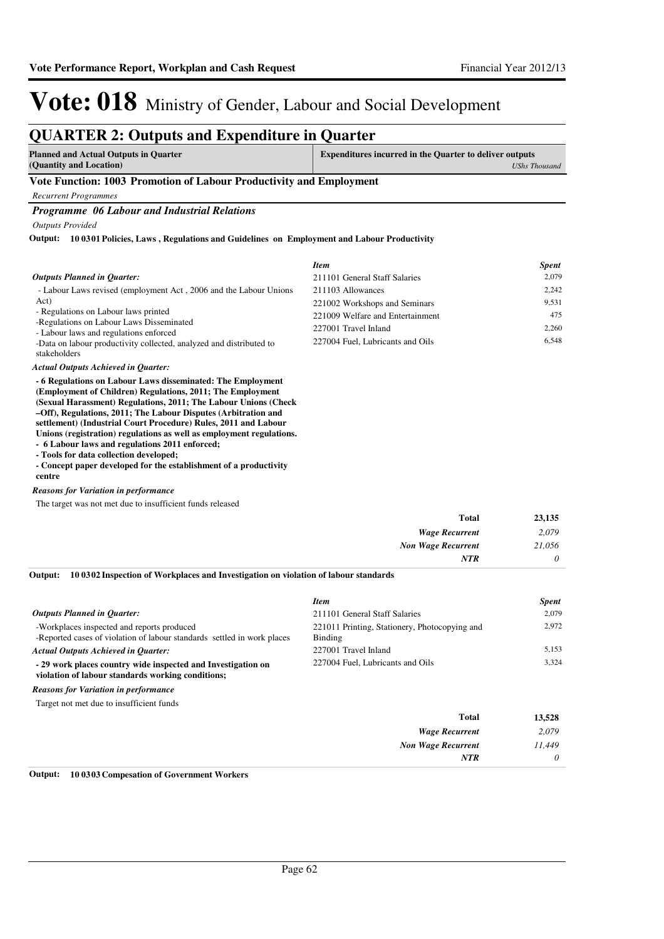#### **QUARTER 2: Outputs and Expenditure in Quarter Planned and Actual Outputs in Quarter (Quantity and Location) Expenditures incurred in the Quarter to deliver outputs**  *UShs Thousand* **Vote Function: 1003 Promotion of Labour Productivity and Employment** *Recurrent Programmes Programme 06 Labour and Industrial Relations Outputs Provided* - Labour Laws revised (employment Act , 2006 and the Labour Unions Act) - Regulations on Labour laws printed -Regulations on Labour Laws Disseminated - Labour laws and regulations enforced -Data on labour productivity collected, analyzed and distributed to stakeholders **- 6 Regulations on Labour Laws disseminated: The Employment (Employment of Children) Regulations, 2011; The Employment (Sexual Harassment) Regulations, 2011; The Labour Unions (Check –Off), Regulations, 2011; The Labour Disputes (Arbitration and settlement) (Industrial Court Procedure) Rules, 2011 and Labour Unions (registration) regulations as well as employment regulations. - 6 Labour laws and regulations 2011 enforced; 10 0301 Policies, Laws , Regulations and Guidelines on Employment and Labour Productivity Output:** *Actual Outputs Achieved in Quarter: Outputs Planned in Quarter: Item Spent* 211101 General Staff Salaries 2,079 211103 Allowances 2,242 221002 Workshops and Seminars 9,531 221009 Welfare and Entertainment 475 227001 Travel Inland 2,260 227004 Fuel, Lubricants and Oils 6,548

**- Tools for data collection developed;**

**- Concept paper developed for the establishment of a productivity centre**

#### *Reasons for Variation in performance*

The target was not met due to insufficient funds released

| <b>Total</b>              | 23,135   |
|---------------------------|----------|
| <b>Wage Recurrent</b>     | 2,079    |
| <b>Non Wage Recurrent</b> | 21,056   |
| <b>NTR</b>                | $\theta$ |

**10 0302 Inspection of Workplaces and Investigation on violation of labour standards Output:**

|                                                                                                                       | <b>Item</b>                                              | <b>Spent</b> |
|-----------------------------------------------------------------------------------------------------------------------|----------------------------------------------------------|--------------|
| <b>Outputs Planned in Ouarter:</b>                                                                                    | 211101 General Staff Salaries                            | 2.079        |
| -Workplaces inspected and reports produced<br>-Reported cases of violation of labour standards settled in work places | 221011 Printing, Stationery, Photocopying and<br>Binding | 2.972        |
| <b>Actual Outputs Achieved in Ouarter:</b>                                                                            | 227001 Travel Inland                                     | 5,153        |
| - 29 work places country wide inspected and Investigation on<br>violation of labour standards working conditions;     | 227004 Fuel, Lubricants and Oils                         | 3.324        |
| <b>Reasons for Variation in performance</b>                                                                           |                                                          |              |
| Target not met due to insufficient funds                                                                              |                                                          |              |
|                                                                                                                       | Total                                                    | 13,528       |
|                                                                                                                       | <b>Wage Recurrent</b>                                    | 2.079        |

*Non Wage Recurrent*

*NTR*

*11,449 0*

| $0$ utnut: $10.0202$ $C$ improved in $\mathcal{L}$ $C$ improvement $W$ colour |  |
|-------------------------------------------------------------------------------|--|
|                                                                               |  |
|                                                                               |  |

**Output: 10 0303 Compesation of Government Workers**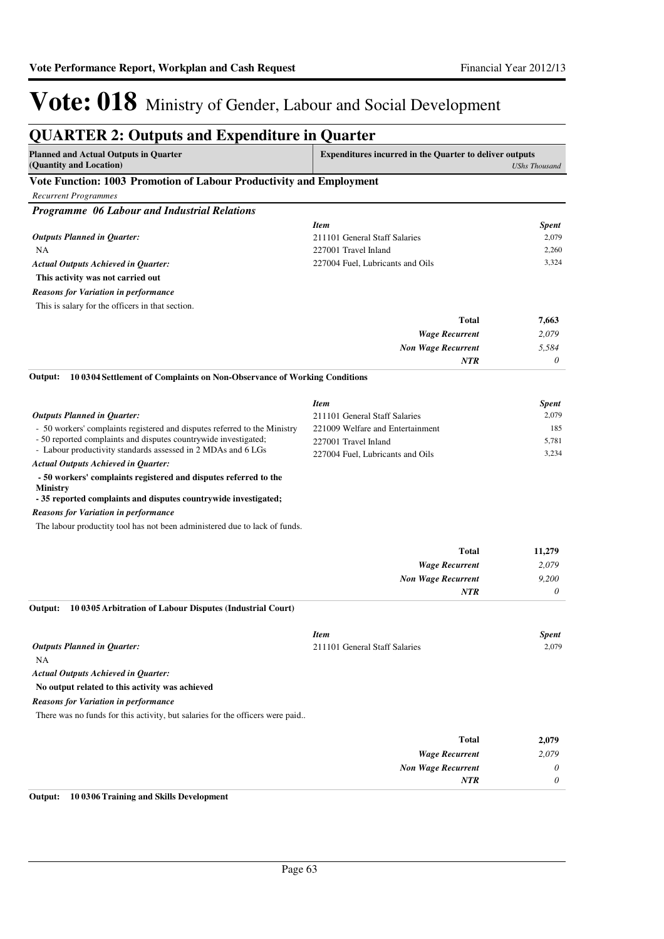| <b>QUARTER 2: Outputs and Expenditure in Quarter</b>                                                                                                   |                                                                |                      |
|--------------------------------------------------------------------------------------------------------------------------------------------------------|----------------------------------------------------------------|----------------------|
| <b>Planned and Actual Outputs in Quarter</b><br>(Quantity and Location)                                                                                | <b>Expenditures incurred in the Quarter to deliver outputs</b> | <b>UShs Thousand</b> |
| Vote Function: 1003 Promotion of Labour Productivity and Employment                                                                                    |                                                                |                      |
| <b>Recurrent Programmes</b>                                                                                                                            |                                                                |                      |
| Programme 06 Labour and Industrial Relations                                                                                                           |                                                                |                      |
|                                                                                                                                                        | <b>Item</b>                                                    | <b>Spent</b>         |
| <b>Outputs Planned in Quarter:</b>                                                                                                                     | 211101 General Staff Salaries                                  | 2,079                |
| NA                                                                                                                                                     | 227001 Travel Inland                                           | 2,260                |
| <b>Actual Outputs Achieved in Quarter:</b>                                                                                                             | 227004 Fuel, Lubricants and Oils                               | 3,324                |
| This activity was not carried out                                                                                                                      |                                                                |                      |
| <b>Reasons for Variation in performance</b>                                                                                                            |                                                                |                      |
| This is salary for the officers in that section.                                                                                                       |                                                                |                      |
|                                                                                                                                                        | Total                                                          | 7,663                |
|                                                                                                                                                        | <b>Wage Recurrent</b>                                          | 2,079                |
|                                                                                                                                                        | <b>Non Wage Recurrent</b>                                      | 5.584                |
|                                                                                                                                                        | <b>NTR</b>                                                     | 0                    |
| 10 0304 Settlement of Complaints on Non-Observance of Working Conditions<br>Output:                                                                    |                                                                |                      |
|                                                                                                                                                        | <b>Item</b>                                                    | <b>Spent</b>         |
| <b>Outputs Planned in Quarter:</b>                                                                                                                     | 211101 General Staff Salaries                                  | 2,079                |
| - 50 workers' complaints registered and disputes referred to the Ministry                                                                              | 221009 Welfare and Entertainment                               | 185                  |
| - 50 reported complaints and disputes countrywide investigated;                                                                                        | 227001 Travel Inland                                           | 5,781                |
| - Labour productivity standards assessed in 2 MDAs and 6 LGs                                                                                           | 227004 Fuel, Lubricants and Oils                               | 3,234                |
| <b>Actual Outputs Achieved in Quarter:</b>                                                                                                             |                                                                |                      |
| - 50 workers' complaints registered and disputes referred to the<br><b>Ministry</b><br>- 35 reported complaints and disputes countrywide investigated; |                                                                |                      |
|                                                                                                                                                        |                                                                |                      |
| <b>Reasons for Variation in performance</b><br>The labour productity tool has not been administered due to lack of funds.                              |                                                                |                      |
|                                                                                                                                                        |                                                                |                      |
|                                                                                                                                                        | <b>Total</b>                                                   | 11,279               |
|                                                                                                                                                        | <b>Wage Recurrent</b>                                          | 2,079                |
|                                                                                                                                                        | <b>Non Wage Recurrent</b>                                      | 9,200                |
|                                                                                                                                                        | <b>NTR</b>                                                     | 0                    |
| 10 0305 Arbitration of Labour Disputes (Industrial Court)<br>Output:                                                                                   |                                                                |                      |
|                                                                                                                                                        | <b>Item</b>                                                    | <b>Spent</b>         |
| <b>Outputs Planned in Quarter:</b>                                                                                                                     | 211101 General Staff Salaries                                  | 2,079                |
| NA                                                                                                                                                     |                                                                |                      |
| <b>Actual Outputs Achieved in Quarter:</b>                                                                                                             |                                                                |                      |
| No output related to this activity was achieved                                                                                                        |                                                                |                      |
| <b>Reasons for Variation in performance</b>                                                                                                            |                                                                |                      |
| There was no funds for this activity, but salaries for the officers were paid                                                                          |                                                                |                      |
|                                                                                                                                                        |                                                                |                      |
|                                                                                                                                                        | <b>Total</b>                                                   | 2,079                |
|                                                                                                                                                        | <b>Wage Recurrent</b>                                          | 2,079                |
|                                                                                                                                                        | <b>Non Wage Recurrent</b>                                      | 0                    |
|                                                                                                                                                        | <b>NTR</b>                                                     | 0                    |
|                                                                                                                                                        |                                                                |                      |

**Output: 10 0306 Training and Skills Development**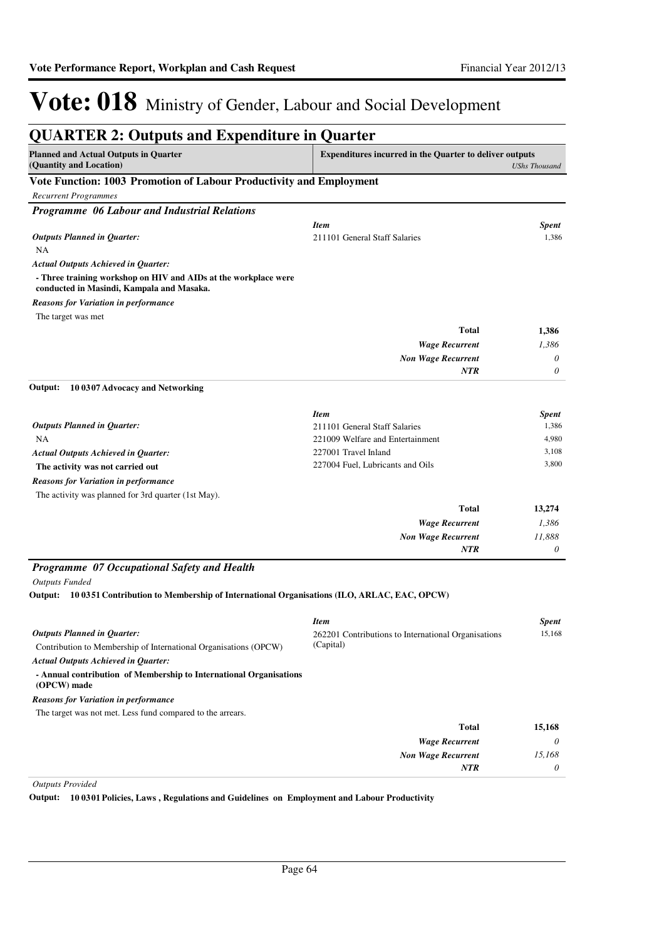| <b>QUARTER 2: Outputs and Expenditure in Quarter</b>                                                         |                                                                |                      |
|--------------------------------------------------------------------------------------------------------------|----------------------------------------------------------------|----------------------|
| <b>Planned and Actual Outputs in Quarter</b><br>(Quantity and Location)                                      | <b>Expenditures incurred in the Quarter to deliver outputs</b> | <b>UShs Thousand</b> |
| Vote Function: 1003 Promotion of Labour Productivity and Employment                                          |                                                                |                      |
| <b>Recurrent Programmes</b>                                                                                  |                                                                |                      |
| Programme 06 Labour and Industrial Relations                                                                 |                                                                |                      |
|                                                                                                              | <b>Item</b>                                                    | <b>Spent</b>         |
| <b>Outputs Planned in Quarter:</b>                                                                           | 211101 General Staff Salaries                                  | 1,386                |
| NA                                                                                                           |                                                                |                      |
| <b>Actual Outputs Achieved in Quarter:</b>                                                                   |                                                                |                      |
| - Three training workshop on HIV and AIDs at the workplace were<br>conducted in Masindi, Kampala and Masaka. |                                                                |                      |
| <b>Reasons for Variation in performance</b>                                                                  |                                                                |                      |
| The target was met                                                                                           |                                                                |                      |
|                                                                                                              | <b>Total</b>                                                   | 1,386                |
|                                                                                                              | <b>Wage Recurrent</b>                                          | 1,386                |
|                                                                                                              | <b>Non Wage Recurrent</b>                                      | 0                    |
|                                                                                                              | NTR                                                            | 0                    |
| 10 0307 Advocacy and Networking<br>Output:                                                                   |                                                                |                      |
|                                                                                                              | <b>Item</b>                                                    | <b>Spent</b>         |
| <b>Outputs Planned in Quarter:</b>                                                                           | 211101 General Staff Salaries                                  | 1,386                |
| NA                                                                                                           | 221009 Welfare and Entertainment                               | 4,980                |
| <b>Actual Outputs Achieved in Quarter:</b>                                                                   | 227001 Travel Inland                                           | 3,108                |
| The activity was not carried out                                                                             | 227004 Fuel, Lubricants and Oils                               | 3,800                |
| <b>Reasons for Variation in performance</b>                                                                  |                                                                |                      |
| The activity was planned for 3rd quarter (1st May).                                                          |                                                                |                      |
|                                                                                                              | Total                                                          | 13,274               |
|                                                                                                              |                                                                |                      |
|                                                                                                              | <b>Wage Recurrent</b>                                          | 1,386                |
|                                                                                                              | <b>Non Wage Recurrent</b><br>NTR                               | 11,888<br>0          |
|                                                                                                              |                                                                |                      |
| Programme 07 Occupational Safety and Health                                                                  |                                                                |                      |
| <b>Outputs Funded</b>                                                                                        |                                                                |                      |
| 10 0351 Contribution to Membership of International Organisations (ILO, ARLAC, EAC, OPCW)<br>Output:         |                                                                |                      |
|                                                                                                              | <b>Item</b>                                                    | <b>Spent</b>         |
| <b>Outputs Planned in Quarter:</b>                                                                           | 262201 Contributions to International Organisations            | 15,168               |
| Contribution to Membership of International Organisations (OPCW)                                             | (Capital)                                                      |                      |
| <b>Actual Outputs Achieved in Quarter:</b>                                                                   |                                                                |                      |
| - Annual contribution of Membership to International Organisations                                           |                                                                |                      |
| (OPCW) made                                                                                                  |                                                                |                      |
| <b>Reasons for Variation in performance</b>                                                                  |                                                                |                      |
| The target was not met. Less fund compared to the arrears.                                                   |                                                                |                      |
|                                                                                                              | <b>Total</b>                                                   | 15,168               |
|                                                                                                              | <b>Wage Recurrent</b>                                          | 0                    |
|                                                                                                              | <b>Non Wage Recurrent</b>                                      | 15,168               |
|                                                                                                              | NTR                                                            | 0                    |

*Outputs Provided*

**Output: 10 0301 Policies, Laws , Regulations and Guidelines on Employment and Labour Productivity**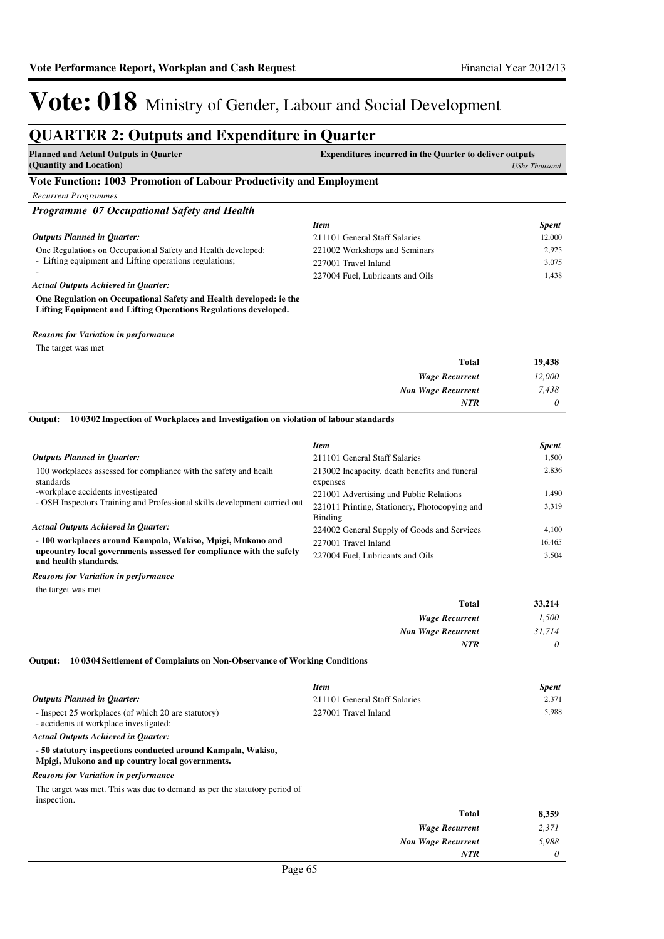### **QUARTER 2: Outputs and Expenditure in Quarter**

| Planned and Actual Outputs in Quarter                               | <b>Expenditures incurred in the Quarter to deliver outputs</b> |
|---------------------------------------------------------------------|----------------------------------------------------------------|
| (Quantity and Location)                                             | UShs Thousand                                                  |
| Vote Function: 1003 Promotion of Labour Productivity and Employment |                                                                |

#### **Vote Function: 1003 Promotion of Labour Productivity and Employment**

*Recurrent Programmes*

| <b>Programme</b> 07 Occupational Safety and Health                     |                                  |              |
|------------------------------------------------------------------------|----------------------------------|--------------|
|                                                                        | <b>Item</b>                      | <b>Spent</b> |
| <b>Outputs Planned in Ouarter:</b>                                     | 211101 General Staff Salaries    | 12,000       |
| One Regulations on Occupational Safety and Health developed:           | 221002 Workshops and Seminars    | 2.925        |
| - Lifting equipment and Lifting operations regulations;                | 227001 Travel Inland             | 3.075        |
|                                                                        | 227004 Fuel, Lubricants and Oils | 1.438        |
| <b>Actual Outputs Achieved in Ouarter:</b>                             |                                  |              |
| $\alpha$ in the $\alpha$ in the set of $\alpha$ is the set of $\alpha$ |                                  |              |

**One Regulation on Occupational Safety and Health developed: ie the Lifting Equipment and Lifting Operations Regulations developed.**

#### *Reasons for Variation in performance*

The target was met

| <b>Total</b>              | 19,438   |
|---------------------------|----------|
| <b>Wage Recurrent</b>     | 12,000   |
| <b>Non Wage Recurrent</b> | 7,438    |
| <b>NTR</b>                | $\theta$ |

#### **10 0302 Inspection of Workplaces and Investigation on violation of labour standards Output:**

|                                                                                              | <b>Item</b>                                               | <b>Spent</b>     |
|----------------------------------------------------------------------------------------------|-----------------------------------------------------------|------------------|
| <b>Outputs Planned in Ouarter:</b>                                                           | 211101 General Staff Salaries                             | 1.500            |
| 100 workplaces assessed for compliance with the safety and healh<br>standards                | 213002 Incapacity, death benefits and funeral<br>expenses | 2.836            |
| -workplace accidents investigated                                                            | 221001 Advertising and Public Relations                   | L <sub>490</sub> |
| - OSH Inspectors Training and Professional skills development carried out                    | 221011 Printing, Stationery, Photocopying and<br>Binding  | 3.319            |
| <b>Actual Outputs Achieved in Ouarter:</b>                                                   | 224002 General Supply of Goods and Services               | 4.100            |
| - 100 workplaces around Kampala, Wakiso, Mpigi, Mukono and                                   | 227001 Travel Inland                                      | 16.465           |
| upcountry local governments assessed for compliance with the safety<br>and health standards. | 227004 Fuel, Lubricants and Oils                          | 3.504            |

*Reasons for Variation in performance*

the target was met

| 33,214   | <b>Total</b>              |
|----------|---------------------------|
| 1,500    | <b>Wage Recurrent</b>     |
| 31,714   | <b>Non Wage Recurrent</b> |
| $\theta$ | <b>NTR</b>                |
|          |                           |

**10 0304 Settlement of Complaints on Non-Observance of Working Conditions Output:**

|                                                                                               | <b>Item</b>                   | <b>Spent</b> |
|-----------------------------------------------------------------------------------------------|-------------------------------|--------------|
| <b>Outputs Planned in Ouarter:</b>                                                            | 211101 General Staff Salaries | 2.371        |
| - Inspect 25 workplaces (of which 20 are statutory)<br>- accidents at workplace investigated; | 227001 Travel Inland          | 5.988        |
| <b>Actual Outputs Achieved in Ouarter:</b>                                                    |                               |              |
| - 50 statutory inspections conducted around Kampala, Wakiso,                                  |                               |              |

**Mpigi, Mukono and up country local governments.**

#### *Reasons for Variation in performance*

The target was met. This was due to demand as per the statutory period of inspection.

| 8,359    | <b>Total</b>              |
|----------|---------------------------|
| 2,371    | <b>Wage Recurrent</b>     |
| 5,988    | <b>Non Wage Recurrent</b> |
| $\theta$ | <b>NTR</b>                |
|          |                           |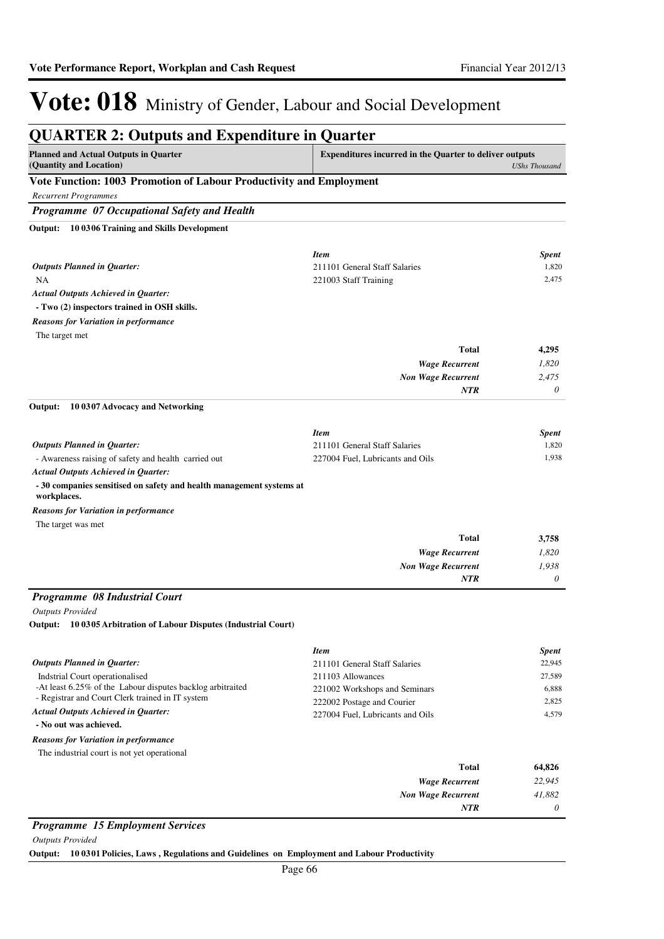| <b>QUARTER 2: Outputs and Expenditure in Quarter</b>                                          |                                                                |                      |
|-----------------------------------------------------------------------------------------------|----------------------------------------------------------------|----------------------|
| <b>Planned and Actual Outputs in Quarter</b><br>(Quantity and Location)                       | <b>Expenditures incurred in the Quarter to deliver outputs</b> | <b>UShs Thousand</b> |
| Vote Function: 1003 Promotion of Labour Productivity and Employment                           |                                                                |                      |
| <b>Recurrent Programmes</b>                                                                   |                                                                |                      |
| Programme 07 Occupational Safety and Health                                                   |                                                                |                      |
| 10 0306 Training and Skills Development<br>Output:                                            |                                                                |                      |
|                                                                                               | <b>Item</b>                                                    | <b>Spent</b>         |
| <b>Outputs Planned in Quarter:</b>                                                            | 211101 General Staff Salaries                                  | 1,820                |
| NA                                                                                            | 221003 Staff Training                                          | 2,475                |
| <b>Actual Outputs Achieved in Quarter:</b>                                                    |                                                                |                      |
| - Two (2) inspectors trained in OSH skills.                                                   |                                                                |                      |
| <b>Reasons for Variation in performance</b>                                                   |                                                                |                      |
| The target met                                                                                |                                                                |                      |
|                                                                                               | <b>Total</b>                                                   | 4,295                |
|                                                                                               | <b>Wage Recurrent</b>                                          | 1,820                |
|                                                                                               | Non Wage Recurrent                                             | 2,475                |
|                                                                                               | <b>NTR</b>                                                     | 0                    |
| 10 0307 Advocacy and Networking<br>Output:                                                    |                                                                |                      |
|                                                                                               | <b>Item</b>                                                    | <b>Spent</b>         |
| <b>Outputs Planned in Quarter:</b>                                                            | 211101 General Staff Salaries                                  | 1,820                |
| - Awareness raising of safety and health carried out                                          | 227004 Fuel, Lubricants and Oils                               | 1,938                |
| <b>Actual Outputs Achieved in Quarter:</b>                                                    |                                                                |                      |
| - 30 companies sensitised on safety and health management systems at<br>workplaces.           |                                                                |                      |
| <b>Reasons for Variation in performance</b>                                                   |                                                                |                      |
| The target was met                                                                            |                                                                |                      |
|                                                                                               | Total                                                          | 3,758                |
|                                                                                               | <b>Wage Recurrent</b>                                          | 1,820                |
|                                                                                               | <b>Non Wage Recurrent</b><br><b>NTR</b>                        | 1,938<br>0           |
|                                                                                               |                                                                |                      |
| Programme 08 Industrial Court                                                                 |                                                                |                      |
| <b>Outputs Provided</b>                                                                       |                                                                |                      |
| Output: 10 0305 Arbitration of Labour Disputes (Industrial Court)                             |                                                                |                      |
|                                                                                               | <b>Item</b>                                                    | <b>Spent</b>         |
| <b>Outputs Planned in Quarter:</b>                                                            | 211101 General Staff Salaries                                  | 22,945               |
| Indstrial Court operationalised<br>-At least 6.25% of the Labour disputes backlog arbitraited | 211103 Allowances                                              | 27,589               |
| - Registrar and Court Clerk trained in IT system                                              | 221002 Workshops and Seminars<br>222002 Postage and Courier    | 6,888<br>2,825       |
| <b>Actual Outputs Achieved in Quarter:</b>                                                    | 227004 Fuel, Lubricants and Oils                               | 4,579                |
| - No out was achieved.                                                                        |                                                                |                      |
| <b>Reasons for Variation in performance</b>                                                   |                                                                |                      |
| The industrial court is not yet operational                                                   |                                                                |                      |
|                                                                                               | <b>Total</b>                                                   | 64,826               |
|                                                                                               | <b>Wage Recurrent</b>                                          | 22,945               |

#### *Programme 15 Employment Services*

*Outputs Provided*

**Output: 10 0301 Policies, Laws , Regulations and Guidelines on Employment and Labour Productivity**

*Non Wage Recurrent*

*NTR*

*41,882 0*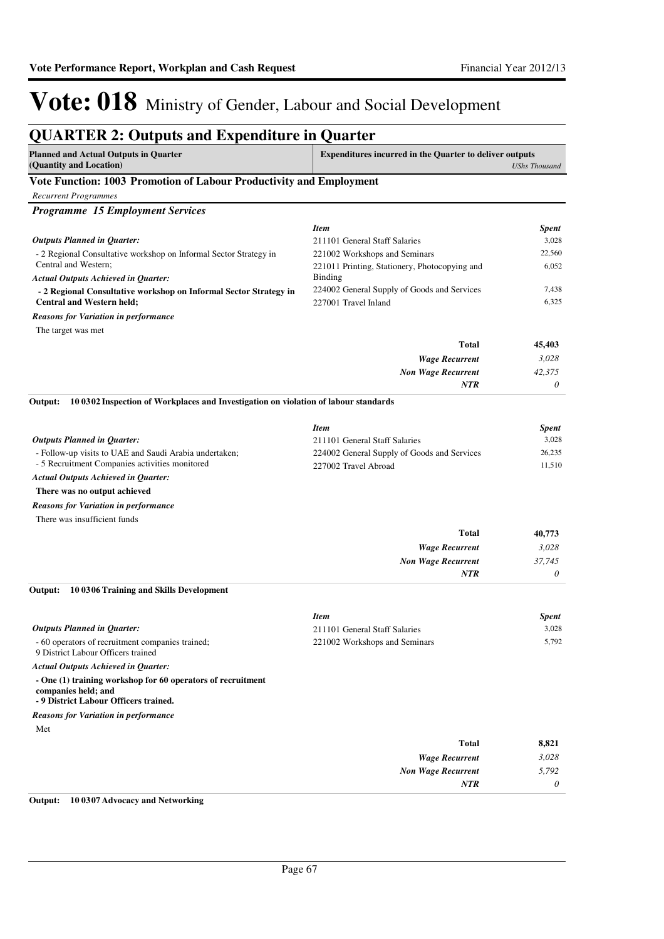| <b>QUARTER 2: Outputs and Expenditure in Quarter</b>                                                                        |                                                                |                       |
|-----------------------------------------------------------------------------------------------------------------------------|----------------------------------------------------------------|-----------------------|
| <b>Planned and Actual Outputs in Quarter</b><br>(Quantity and Location)                                                     | <b>Expenditures incurred in the Quarter to deliver outputs</b> | <b>UShs Thousand</b>  |
| Vote Function: 1003 Promotion of Labour Productivity and Employment                                                         |                                                                |                       |
| <b>Recurrent Programmes</b>                                                                                                 |                                                                |                       |
| <b>Programme 15 Employment Services</b>                                                                                     |                                                                |                       |
|                                                                                                                             | <b>Item</b>                                                    | <b>Spent</b>          |
| <b>Outputs Planned in Quarter:</b>                                                                                          | 211101 General Staff Salaries                                  | 3,028                 |
| - 2 Regional Consultative workshop on Informal Sector Strategy in                                                           | 221002 Workshops and Seminars                                  | 22,560                |
| Central and Western;                                                                                                        | 221011 Printing, Stationery, Photocopying and                  | 6,052                 |
| <b>Actual Outputs Achieved in Quarter:</b>                                                                                  | Binding<br>224002 General Supply of Goods and Services         | 7,438                 |
| - 2 Regional Consultative workshop on Informal Sector Strategy in<br><b>Central and Western held;</b>                       | 227001 Travel Inland                                           | 6,325                 |
| <b>Reasons for Variation in performance</b>                                                                                 |                                                                |                       |
| The target was met                                                                                                          |                                                                |                       |
|                                                                                                                             | <b>Total</b>                                                   | 45,403                |
|                                                                                                                             | <b>Wage Recurrent</b>                                          | 3,028                 |
|                                                                                                                             | <b>Non Wage Recurrent</b>                                      | 42,375                |
|                                                                                                                             | <b>NTR</b>                                                     | 0                     |
| 10 0302 Inspection of Workplaces and Investigation on violation of labour standards<br>Output:                              |                                                                |                       |
|                                                                                                                             | <b>Item</b>                                                    | <b>Spent</b>          |
| <b>Outputs Planned in Quarter:</b>                                                                                          | 211101 General Staff Salaries                                  | 3,028                 |
| - Follow-up visits to UAE and Saudi Arabia undertaken;                                                                      | 224002 General Supply of Goods and Services                    | 26,235                |
| - 5 Recruitment Companies activities monitored                                                                              | 227002 Travel Abroad                                           | 11,510                |
| <b>Actual Outputs Achieved in Quarter:</b>                                                                                  |                                                                |                       |
| There was no output achieved                                                                                                |                                                                |                       |
| Reasons for Variation in performance<br>There was insufficient funds                                                        |                                                                |                       |
|                                                                                                                             | <b>Total</b>                                                   | 40,773                |
|                                                                                                                             | <b>Wage Recurrent</b>                                          | 3,028                 |
|                                                                                                                             | <b>Non Wage Recurrent</b>                                      | 37,745                |
|                                                                                                                             | NTR                                                            | 0                     |
| 10 0306 Training and Skills Development<br>Output:                                                                          |                                                                |                       |
|                                                                                                                             | <b>Item</b>                                                    |                       |
| Outputs Planned in Quarter:                                                                                                 | 211101 General Staff Salaries                                  | <b>Spent</b><br>3,028 |
| - 60 operators of recruitment companies trained;<br>9 District Labour Officers trained                                      | 221002 Workshops and Seminars                                  | 5,792                 |
| <b>Actual Outputs Achieved in Quarter:</b>                                                                                  |                                                                |                       |
| - One (1) training workshop for 60 operators of recruitment<br>companies held; and<br>- 9 District Labour Officers trained. |                                                                |                       |
| <b>Reasons for Variation in performance</b>                                                                                 |                                                                |                       |
| Met                                                                                                                         |                                                                |                       |
|                                                                                                                             | <b>Total</b>                                                   | 8,821                 |
|                                                                                                                             | <b>Wage Recurrent</b>                                          | 3,028                 |
|                                                                                                                             | <b>Non Wage Recurrent</b>                                      | 5,792                 |
|                                                                                                                             | <b>NTR</b>                                                     | 0                     |

#### **Output: 10 0307 Advocacy and Networking**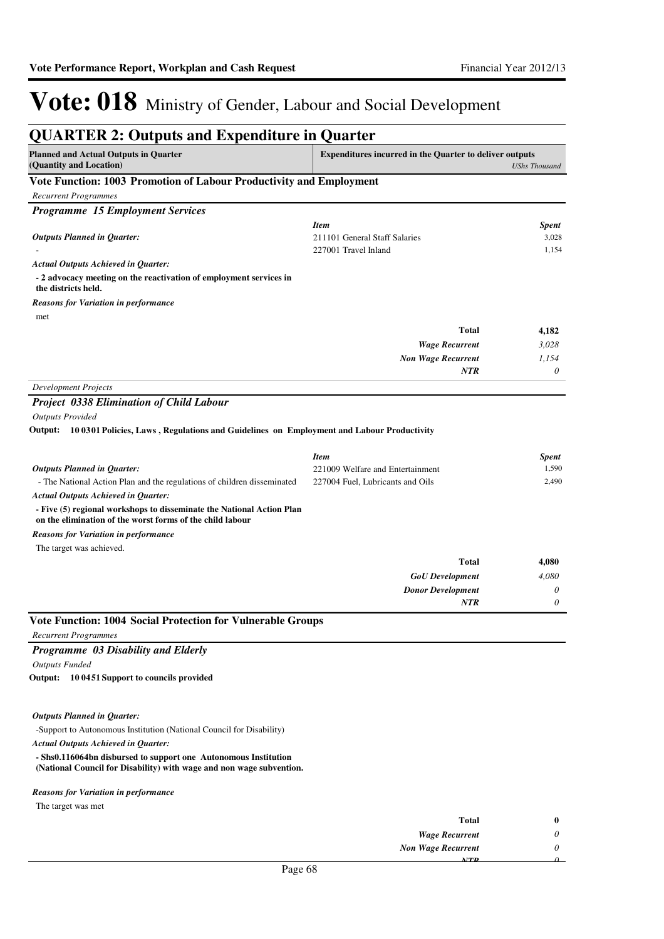| <b>QUARTER 2: Outputs and Expenditure in Quarter</b>                                                                               |                                                                |                      |
|------------------------------------------------------------------------------------------------------------------------------------|----------------------------------------------------------------|----------------------|
| <b>Planned and Actual Outputs in Quarter</b><br>(Quantity and Location)                                                            | <b>Expenditures incurred in the Quarter to deliver outputs</b> | <b>UShs Thousand</b> |
| Vote Function: 1003 Promotion of Labour Productivity and Employment                                                                |                                                                |                      |
| <b>Recurrent Programmes</b>                                                                                                        |                                                                |                      |
| <b>Programme 15 Employment Services</b>                                                                                            |                                                                |                      |
|                                                                                                                                    | <b>Item</b>                                                    | <b>Spent</b>         |
| <b>Outputs Planned in Quarter:</b>                                                                                                 | 211101 General Staff Salaries                                  | 3,028                |
|                                                                                                                                    | 227001 Travel Inland                                           | 1,154                |
| <b>Actual Outputs Achieved in Quarter:</b>                                                                                         |                                                                |                      |
| - 2 advocacy meeting on the reactivation of employment services in<br>the districts held.                                          |                                                                |                      |
| <b>Reasons for Variation in performance</b>                                                                                        |                                                                |                      |
| met                                                                                                                                |                                                                |                      |
|                                                                                                                                    | <b>Total</b>                                                   | 4,182                |
|                                                                                                                                    | <b>Wage Recurrent</b>                                          | 3,028                |
|                                                                                                                                    | <b>Non Wage Recurrent</b>                                      | 1,154                |
|                                                                                                                                    | <b>NTR</b>                                                     | 0                    |
| <b>Development Projects</b>                                                                                                        |                                                                |                      |
| <b>Project 0338 Elimination of Child Labour</b>                                                                                    |                                                                |                      |
| <b>Outputs Provided</b>                                                                                                            |                                                                |                      |
| Output: 10 0301 Policies, Laws, Regulations and Guidelines on Employment and Labour Productivity                                   |                                                                |                      |
|                                                                                                                                    | <b>Item</b>                                                    | <b>Spent</b>         |
| <b>Outputs Planned in Quarter:</b>                                                                                                 | 221009 Welfare and Entertainment                               | 1,590                |
| - The National Action Plan and the regulations of children disseminated                                                            | 227004 Fuel, Lubricants and Oils                               | 2,490                |
| <b>Actual Outputs Achieved in Quarter:</b>                                                                                         |                                                                |                      |
| - Five (5) regional workshops to disseminate the National Action Plan<br>on the elimination of the worst forms of the child labour |                                                                |                      |
| <b>Reasons for Variation in performance</b>                                                                                        |                                                                |                      |
| The target was achieved.                                                                                                           |                                                                |                      |
|                                                                                                                                    | <b>Total</b>                                                   | 4,080                |
|                                                                                                                                    | <b>GoU</b> Development                                         | 4,080                |
|                                                                                                                                    | <b>Donor Development</b>                                       | 0                    |
|                                                                                                                                    | <b>NTR</b>                                                     | 0                    |
| <b>Vote Function: 1004 Social Protection for Vulnerable Groups</b>                                                                 |                                                                |                      |
| <b>Recurrent Programmes</b>                                                                                                        |                                                                |                      |
| Programme 03 Disability and Elderly                                                                                                |                                                                |                      |
| <b>Outputs Funded</b>                                                                                                              |                                                                |                      |
| Output: 10 0451 Support to councils provided                                                                                       |                                                                |                      |
| <b>Outputs Planned in Quarter:</b>                                                                                                 |                                                                |                      |
| -Support to Autonomous Institution (National Council for Disability)                                                               |                                                                |                      |
| <b>Actual Outputs Achieved in Quarter:</b>                                                                                         |                                                                |                      |
| - Shs0.116064bn disbursed to support one Autonomous Institution                                                                    |                                                                |                      |
| (National Council for Disability) with wage and non wage subvention.                                                               |                                                                |                      |
| <b>Reasons for Variation in performance</b>                                                                                        |                                                                |                      |
| The target was met                                                                                                                 |                                                                |                      |
|                                                                                                                                    | <b>Total</b>                                                   | $\bf{0}$             |
|                                                                                                                                    | <b>Wage Recurrent</b>                                          | 0                    |

*Non Wage Recurrent*

*NTR*

*0 0*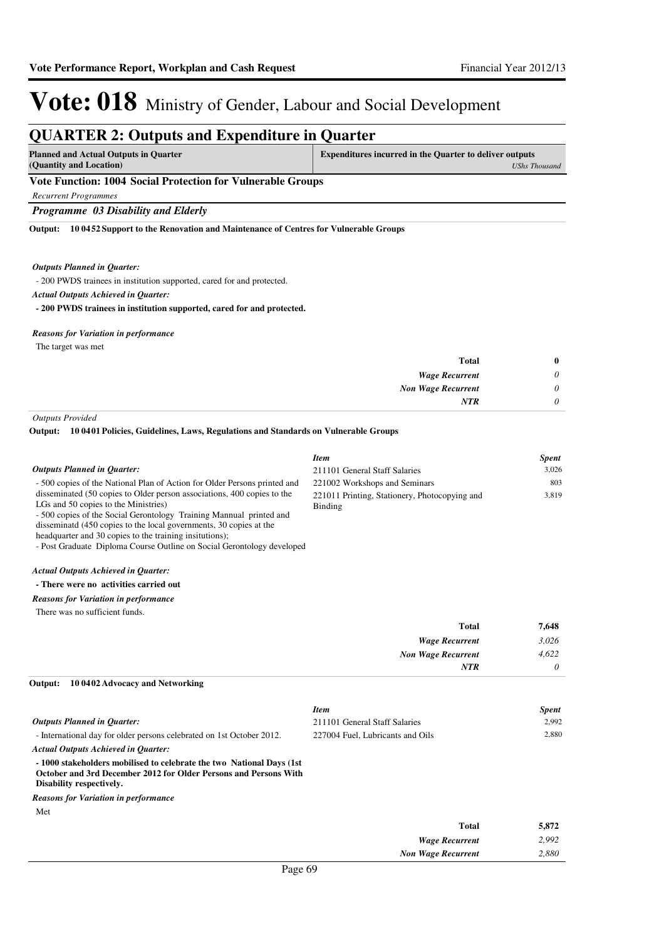### **QUARTER 2: Outputs and Expenditure in Quarter**

| <b>Planned and Actual Outputs in Quarter</b>                | <b>Expenditures incurred in the Quarter to deliver outputs</b> |  |
|-------------------------------------------------------------|----------------------------------------------------------------|--|
| (Quantity and Location)                                     | UShs Thousand                                                  |  |
| Vote Function: 1004 Social Protection for Vulnerable Groups |                                                                |  |

### *Recurrent Programmes*

*Programme 03 Disability and Elderly*

**10 0452 Support to the Renovation and Maintenance of Centres for Vulnerable Groups Output:**

#### *Outputs Planned in Quarter:*

- 200 PWDS trainees in institution supported, cared for and protected.

*Actual Outputs Achieved in Quarter:*

**- 200 PWDS trainees in institution supported, cared for and protected.**

#### *Reasons for Variation in performance*

The target was met

| $\bf{0}$ | Total                     |
|----------|---------------------------|
| 0        | <b>Wage Recurrent</b>     |
| 0        | <b>Non Wage Recurrent</b> |
| 0        | <b>NTR</b>                |
|          |                           |

*Outputs Provided*

#### **10 0401 Policies, Guidelines, Laws, Regulations and Standards on Vulnerable Groups Output:**

|                                                                                                                                                                                                                                                                                                                                                                                                   | <b>Item</b>                                              | <b>Spent</b> |
|---------------------------------------------------------------------------------------------------------------------------------------------------------------------------------------------------------------------------------------------------------------------------------------------------------------------------------------------------------------------------------------------------|----------------------------------------------------------|--------------|
| <b>Outputs Planned in Ouarter:</b>                                                                                                                                                                                                                                                                                                                                                                | 211101 General Staff Salaries                            | 3.026        |
| - 500 copies of the National Plan of Action for Older Persons printed and                                                                                                                                                                                                                                                                                                                         | 221002 Workshops and Seminars                            | 803          |
| disseminated (50 copies to Older person associations, 400 copies to the<br>LGs and 50 copies to the Ministries)<br>- 500 copies of the Social Gerontology Training Mannual printed and<br>disseminate (450 copies to the local governments, 30 copies at the<br>headquarter and 30 copies to the training insitutions);<br>- Post Graduate Diploma Course Outline on Social Gerontology developed | 221011 Printing, Stationery, Photocopying and<br>Binding | 3,819        |
| <b>Actual Outputs Achieved in Quarter:</b>                                                                                                                                                                                                                                                                                                                                                        |                                                          |              |
| - There were no activities carried out                                                                                                                                                                                                                                                                                                                                                            |                                                          |              |
| <b>Reasons for Variation in performance</b>                                                                                                                                                                                                                                                                                                                                                       |                                                          |              |
| There was no sufficient funds.                                                                                                                                                                                                                                                                                                                                                                    |                                                          |              |
|                                                                                                                                                                                                                                                                                                                                                                                                   | <b>Total</b>                                             | 7,648        |
|                                                                                                                                                                                                                                                                                                                                                                                                   | <b>Wage Recurrent</b>                                    | 3,026        |
|                                                                                                                                                                                                                                                                                                                                                                                                   | <b>Non Wage Recurrent</b>                                | 4,622        |
|                                                                                                                                                                                                                                                                                                                                                                                                   | <b>NTR</b>                                               | 0            |
| 10 0402 Advocacy and Networking<br>Output:                                                                                                                                                                                                                                                                                                                                                        |                                                          |              |
|                                                                                                                                                                                                                                                                                                                                                                                                   | <b>Item</b>                                              | <b>Spent</b> |
| <b>Outputs Planned in Quarter:</b>                                                                                                                                                                                                                                                                                                                                                                | 211101 General Staff Salaries                            | 2,992        |
| - International day for older persons celebrated on 1st October 2012.                                                                                                                                                                                                                                                                                                                             | 227004 Fuel, Lubricants and Oils                         | 2,880        |
| <b>Actual Outputs Achieved in Quarter:</b>                                                                                                                                                                                                                                                                                                                                                        |                                                          |              |

**- 1000 stakeholders mobilised to celebrate the two National Days (1st October and 3rd December 2012 for Older Persons and Persons With Disability respectively.**

Met *Reasons for Variation in performance*

| <b>Total</b>              | 5,872 |
|---------------------------|-------|
| <b>Wage Recurrent</b>     | 2,992 |
| <b>Non Wage Recurrent</b> | 2,880 |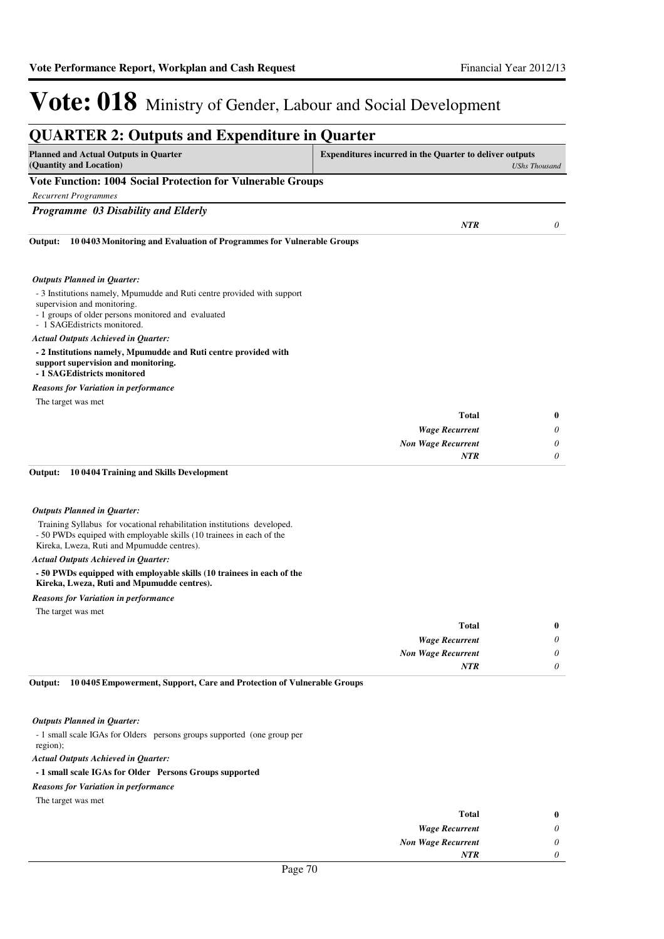*0*

*NTR*

### Vote: 018 Ministry of Gender, Labour and Social Development

| <b>QUARTER 2: Outputs and Expenditure in Quarter</b>                                                                                                                                           |                                                                                        |                       |
|------------------------------------------------------------------------------------------------------------------------------------------------------------------------------------------------|----------------------------------------------------------------------------------------|-----------------------|
| <b>Planned and Actual Outputs in Quarter</b><br>(Quantity and Location)                                                                                                                        | <b>Expenditures incurred in the Quarter to deliver outputs</b><br><b>UShs Thousand</b> |                       |
| <b>Vote Function: 1004 Social Protection for Vulnerable Groups</b>                                                                                                                             |                                                                                        |                       |
| <b>Recurrent Programmes</b>                                                                                                                                                                    |                                                                                        |                       |
| Programme 03 Disability and Elderly                                                                                                                                                            |                                                                                        |                       |
| Output:<br>10 0403 Monitoring and Evaluation of Programmes for Vulnerable Groups                                                                                                               | <b>NTR</b>                                                                             | 0                     |
| <b>Outputs Planned in Quarter:</b>                                                                                                                                                             |                                                                                        |                       |
| - 3 Institutions namely, Mpumudde and Ruti centre provided with support<br>supervision and monitoring.<br>- 1 groups of older persons monitored and evaluated<br>- 1 SAGE districts monitored. |                                                                                        |                       |
| <b>Actual Outputs Achieved in Quarter:</b><br>- 2 Institutions namely, Mpumudde and Ruti centre provided with<br>support supervision and monitoring.<br>- 1 SAGEdistricts monitored            |                                                                                        |                       |
| <b>Reasons for Variation in performance</b>                                                                                                                                                    |                                                                                        |                       |
| The target was met                                                                                                                                                                             |                                                                                        |                       |
|                                                                                                                                                                                                | Total                                                                                  | $\bf{0}$              |
|                                                                                                                                                                                                | <b>Wage Recurrent</b>                                                                  | 0                     |
|                                                                                                                                                                                                | <b>Non Wage Recurrent</b>                                                              | $\boldsymbol{\theta}$ |
|                                                                                                                                                                                                | <b>NTR</b>                                                                             | 0                     |
| Output:<br>100404 Training and Skills Development                                                                                                                                              |                                                                                        |                       |
| <b>Outputs Planned in Quarter:</b>                                                                                                                                                             |                                                                                        |                       |
| Training Syllabus for vocational rehabilitation institutions developed.<br>- 50 PWDs equiped with employable skills (10 trainees in each of the<br>Kireka, Lweza, Ruti and Mpumudde centres).  |                                                                                        |                       |
| <b>Actual Outputs Achieved in Quarter:</b>                                                                                                                                                     |                                                                                        |                       |
| - 50 PWDs equipped with employable skills (10 trainees in each of the<br>Kireka, Lweza, Ruti and Mpumudde centres).                                                                            |                                                                                        |                       |
| <b>Reasons for Variation in performance</b>                                                                                                                                                    |                                                                                        |                       |
| The target was met                                                                                                                                                                             |                                                                                        |                       |
|                                                                                                                                                                                                | <b>Total</b>                                                                           | $\bf{0}$              |
|                                                                                                                                                                                                | <b>Wage Recurrent</b>                                                                  | 0                     |
|                                                                                                                                                                                                | <b>Non Wage Recurrent</b>                                                              | $\theta$              |

**10 0405 Empowerment, Support, Care and Protection of Vulnerable Groups Output:**

#### *Outputs Planned in Quarter:*

- 1 small scale IGAs for Olders persons groups supported (one group per region);

*Actual Outputs Achieved in Quarter:*

#### **- 1 small scale IGAs for Older Persons Groups supported**

#### *Reasons for Variation in performance*

The target was met

| <b>Total</b>              |
|---------------------------|
| <b>Wage Recurrent</b>     |
| <b>Non Wage Recurrent</b> |
| <b>NTR</b>                |
| $-1$<br>$\sim$            |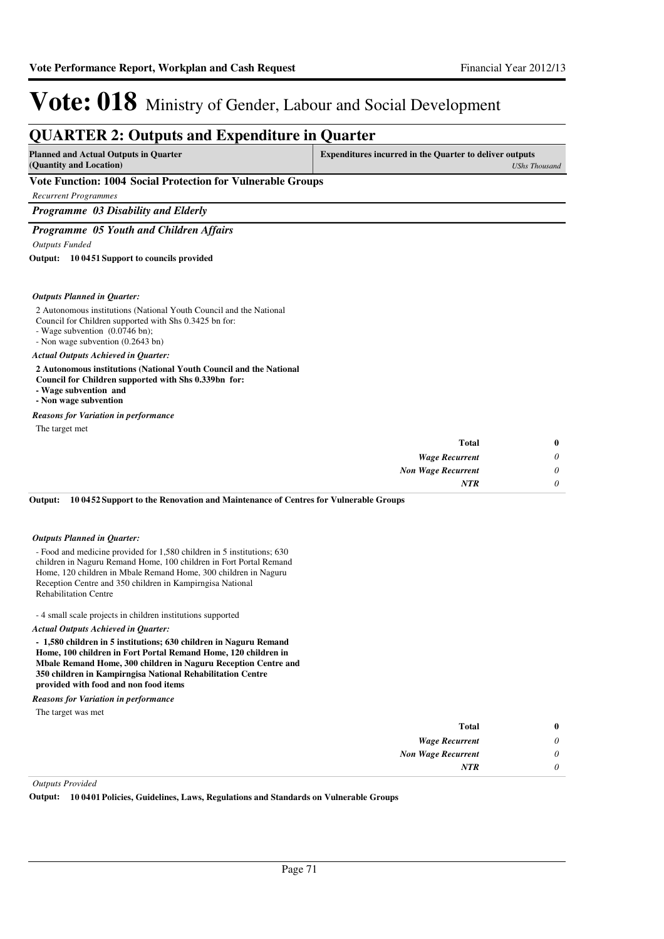| <b>QUARTER 2: Outputs and Expenditure in Quarter</b>                                                                                                                                                |                                                                |                      |
|-----------------------------------------------------------------------------------------------------------------------------------------------------------------------------------------------------|----------------------------------------------------------------|----------------------|
| <b>Planned and Actual Outputs in Quarter</b><br>(Quantity and Location)                                                                                                                             | <b>Expenditures incurred in the Quarter to deliver outputs</b> | <b>UShs Thousand</b> |
| Vote Function: 1004 Social Protection for Vulnerable Groups                                                                                                                                         |                                                                |                      |
| <b>Recurrent Programmes</b>                                                                                                                                                                         |                                                                |                      |
| Programme 03 Disability and Elderly                                                                                                                                                                 |                                                                |                      |
| Programme 05 Youth and Children Affairs                                                                                                                                                             |                                                                |                      |
| <b>Outputs Funded</b>                                                                                                                                                                               |                                                                |                      |
| Output: 10 0451 Support to councils provided                                                                                                                                                        |                                                                |                      |
| <b>Outputs Planned in Quarter:</b>                                                                                                                                                                  |                                                                |                      |
| 2 Autonomous institutions (National Youth Council and the National<br>Council for Children supported with Shs 0.3425 bn for:<br>- Wage subvention (0.0746 bn);<br>- Non wage subvention (0.2643 bn) |                                                                |                      |
| <b>Actual Outputs Achieved in Quarter:</b>                                                                                                                                                          |                                                                |                      |
| 2 Autonomous institutions (National Youth Council and the National<br>Council for Children supported with Shs 0.339bn for:<br>- Wage subvention and<br>- Non wage subvention                        |                                                                |                      |
| <b>Reasons for Variation in performance</b>                                                                                                                                                         |                                                                |                      |
| The target met                                                                                                                                                                                      |                                                                |                      |
|                                                                                                                                                                                                     | <b>Total</b>                                                   | 0                    |
|                                                                                                                                                                                                     | <b>Wage Recurrent</b>                                          | 0                    |
|                                                                                                                                                                                                     | <b>Non Wage Recurrent</b>                                      | 0                    |
|                                                                                                                                                                                                     | NTR                                                            | $\theta$             |

**10 0452 Support to the Renovation and Maintenance of Centres for Vulnerable Groups Output:**

#### *Outputs Planned in Quarter:*

- Food and medicine provided for 1,580 children in 5 institutions; 630 children in Naguru Remand Home, 100 children in Fort Portal Remand Home, 120 children in Mbale Remand Home, 300 children in Naguru Reception Centre and 350 children in Kampirngisa National Rehabilitation Centre

- 4 small scale projects in children institutions supported

*Actual Outputs Achieved in Quarter:*

**- 1,580 children in 5 institutions; 630 children in Naguru Remand Home, 100 children in Fort Portal Remand Home, 120 children in Mbale Remand Home, 300 children in Naguru Reception Centre and 350 children in Kampirngisa National Rehabilitation Centre provided with food and non food items**

*Reasons for Variation in performance*

The target was met

| $\bf{0}$ | <b>Total</b>              |
|----------|---------------------------|
| $\theta$ | <b>Wage Recurrent</b>     |
| $\theta$ | <b>Non Wage Recurrent</b> |
| $\theta$ | <b>NTR</b>                |
|          |                           |

*Outputs Provided*

**Output: 10 0401 Policies, Guidelines, Laws, Regulations and Standards on Vulnerable Groups**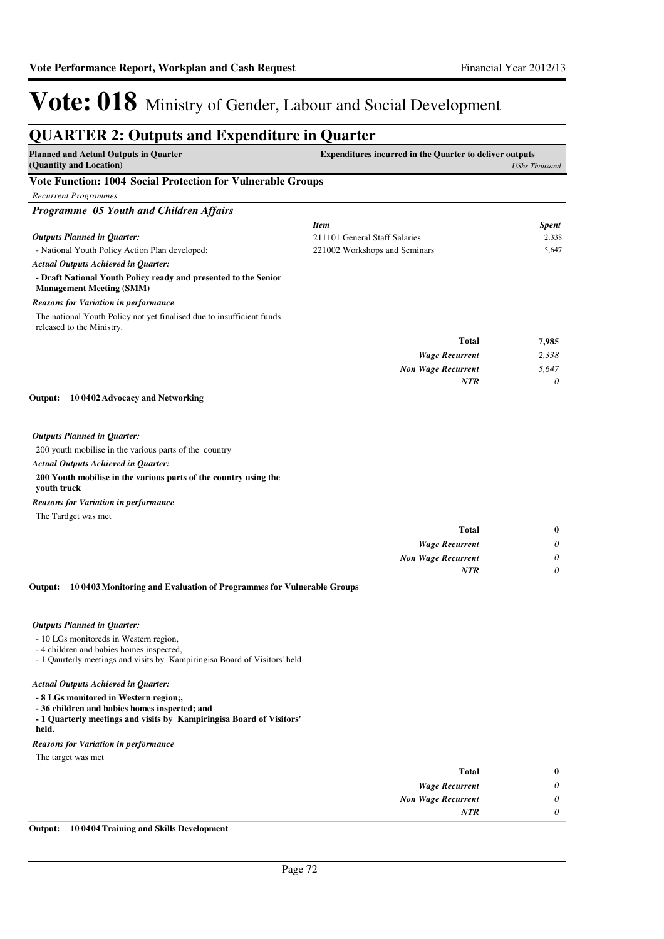| <b>Planned and Actual Outputs in Ouarter</b>                                                       | <b>Expenditures incurred in the Quarter to deliver outputs</b> |                      |
|----------------------------------------------------------------------------------------------------|----------------------------------------------------------------|----------------------|
| (Quantity and Location)                                                                            |                                                                | <b>UShs Thousand</b> |
| Vote Function: 1004 Social Protection for Vulnerable Groups                                        |                                                                |                      |
| <b>Recurrent Programmes</b>                                                                        |                                                                |                      |
| Programme 05 Youth and Children Affairs                                                            |                                                                |                      |
|                                                                                                    | <b>Item</b>                                                    | <b>Spent</b>         |
| <b>Outputs Planned in Quarter:</b>                                                                 | 211101 General Staff Salaries                                  | 2,338                |
| - National Youth Policy Action Plan developed;                                                     | 221002 Workshops and Seminars                                  | 5,647                |
| <b>Actual Outputs Achieved in Quarter:</b>                                                         |                                                                |                      |
| - Draft National Youth Policy ready and presented to the Senior<br><b>Management Meeting (SMM)</b> |                                                                |                      |
| <b>Reasons for Variation in performance</b>                                                        |                                                                |                      |
| The national Youth Policy not yet finalised due to insufficient funds<br>released to the Ministry. |                                                                |                      |
|                                                                                                    | <b>Total</b>                                                   | 7,985                |
|                                                                                                    | <b>Wage Recurrent</b>                                          | 2,338                |
|                                                                                                    | <b>Non Wage Recurrent</b>                                      | 5,647                |
|                                                                                                    | <b>NTR</b>                                                     | 0                    |
| Output:<br>10 0402 Advocacy and Networking                                                         |                                                                |                      |
| <b>Outputs Planned in Quarter:</b>                                                                 |                                                                |                      |
| 200 youth mobilise in the various parts of the country                                             |                                                                |                      |
| <b>Actual Outputs Achieved in Quarter:</b>                                                         |                                                                |                      |
| 200 Youth mobilise in the various parts of the country using the<br>youth truck                    |                                                                |                      |
| <b>Reasons for Variation in performance</b>                                                        |                                                                |                      |
| The Tardget was met                                                                                |                                                                |                      |
|                                                                                                    | Total                                                          | $\bf{0}$             |
|                                                                                                    | <b>Wage Recurrent</b>                                          | 0                    |
|                                                                                                    | <b>Non Wage Recurrent</b>                                      | 0                    |
|                                                                                                    | <b>NTR</b>                                                     | $\theta$             |

**10 0403 Monitoring and Evaluation of Programmes for Vulnerable Groups Output:**

#### *Outputs Planned in Quarter:*

- 10 LGs monitoreds in Western region,
- 4 children and babies homes inspected,
- 1 Qaurterly meetings and visits by Kampiringisa Board of Visitors' held

#### *Actual Outputs Achieved in Quarter:*

- **8 LGs monitored in Western region;,**
- **36 children and babies homes inspected; and**
- **1 Quarterly meetings and visits by Kampiringisa Board of Visitors'**
- **held.**

#### *Reasons for Variation in performance*

The target was met

| 0 | <b>Total</b>              |
|---|---------------------------|
| 0 | <b>Wage Recurrent</b>     |
| 0 | <b>Non Wage Recurrent</b> |
| 0 | <b>NTR</b>                |
|   |                           |

**Output: 10 0404 Training and Skills Development**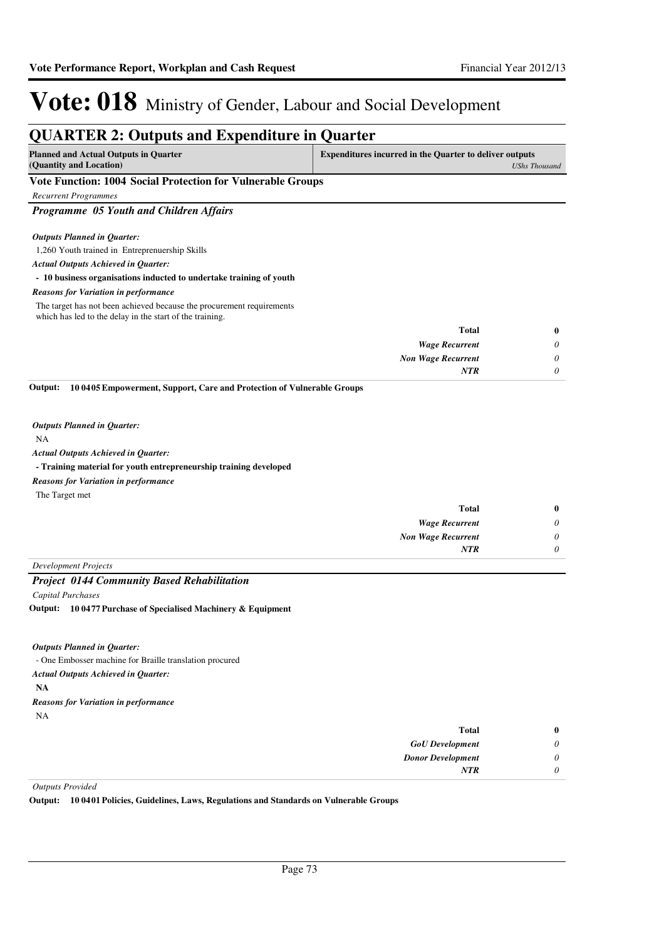#### **QUARTER 2: Outputs and Expenditure in Quarter Planned and Actual Outputs in Quarter (Quantity and Location) Expenditures incurred in the Quarter to deliver outputs**  *UShs Thousand* **Vote Function: 1004 Social Protection for Vulnerable Groups** *Recurrent Programmes Programme 05 Youth and Children Affairs* 1,260 Youth trained in Entreprenuership Skills **- 10 business organisations inducted to undertake training of youth** *Wage Recurrent Non Wage Recurrent* **Total** *0 0 0* **0** *Actual Outputs Achieved in Quarter: Outputs Planned in Quarter: NTR* The target has not been achieved because the procurement requirements which has led to the delay in the start of the training. *Reasons for Variation in performance* NA **- Training material for youth entrepreneurship training developed 10 0405 Empowerment, Support, Care and Protection of Vulnerable Groups** *Wage Recurrent Non Wage Recurrent* **Total** *0 0 0* **0** *Actual Outputs Achieved in Quarter: Outputs Planned in Quarter:* **Output:** *NTR* The Target met *Reasons for Variation in performance Development Projects Project 0144 Community Based Rehabilitation Capital Purchases* - One Embosser machine for Braille translation procured **NA 10 0477 Purchase of Specialised Machinery & Equipment Output:** *GoU Development* **Total** *0* **0** *Actual Outputs Achieved in Quarter: Outputs Planned in Quarter:* NA *Reasons for Variation in performance*

*Outputs Provided*

**Output: 10 0401 Policies, Guidelines, Laws, Regulations and Standards on Vulnerable Groups**

*Donor Development*

*NTR*

*0 0*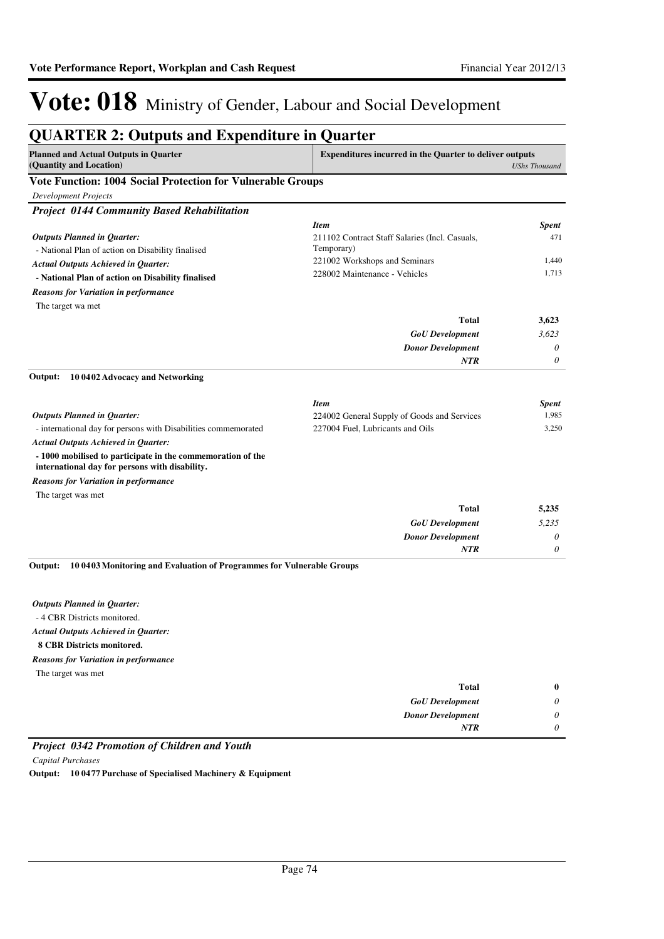| <b>Planned and Actual Outputs in Quarter</b><br><b>Expenditures incurred in the Quarter to deliver outputs</b> |                                                |                      |
|----------------------------------------------------------------------------------------------------------------|------------------------------------------------|----------------------|
| (Quantity and Location)                                                                                        |                                                | <b>UShs Thousand</b> |
| <b>Vote Function: 1004 Social Protection for Vulnerable Groups</b>                                             |                                                |                      |
| <b>Development Projects</b>                                                                                    |                                                |                      |
| <b>Project 0144 Community Based Rehabilitation</b>                                                             |                                                |                      |
|                                                                                                                | <b>Item</b>                                    | <b>Spent</b>         |
| <b>Outputs Planned in Quarter:</b>                                                                             | 211102 Contract Staff Salaries (Incl. Casuals, | 471                  |
| - National Plan of action on Disability finalised                                                              | Temporary)                                     |                      |
| <b>Actual Outputs Achieved in Quarter:</b>                                                                     | 221002 Workshops and Seminars                  | 1,440                |
| - National Plan of action on Disability finalised                                                              | 228002 Maintenance - Vehicles                  | 1,713                |
| <b>Reasons for Variation in performance</b>                                                                    |                                                |                      |
| The target wa met                                                                                              |                                                |                      |
|                                                                                                                | Total                                          | 3,623                |
|                                                                                                                | <b>GoU</b> Development                         | 3,623                |
|                                                                                                                | <b>Donor Development</b>                       | 0                    |
|                                                                                                                | <b>NTR</b>                                     | $\theta$             |
| Output:<br>10 0402 Advocacy and Networking                                                                     |                                                |                      |
|                                                                                                                |                                                |                      |
|                                                                                                                | <b>Item</b>                                    | <b>Spent</b>         |
| <b>Outputs Planned in Quarter:</b>                                                                             | 224002 General Supply of Goods and Services    | 1,985<br>3,250       |
| - international day for persons with Disabilities commemorated                                                 | 227004 Fuel, Lubricants and Oils               |                      |
| <b>Actual Outputs Achieved in Quarter:</b>                                                                     |                                                |                      |
| -1000 mobilised to participate in the commemoration of the<br>international day for persons with disability.   |                                                |                      |
| <b>Reasons for Variation in performance</b>                                                                    |                                                |                      |
| The target was met                                                                                             |                                                |                      |
|                                                                                                                | <b>Total</b>                                   | 5,235                |
|                                                                                                                | <b>GoU</b> Development                         | 5,235                |
|                                                                                                                | <b>Donor Development</b>                       | 0                    |
|                                                                                                                | <b>NTR</b>                                     | 0                    |
| 10 0403 Monitoring and Evaluation of Programmes for Vulnerable Groups<br>Output:                               |                                                |                      |
|                                                                                                                |                                                |                      |
|                                                                                                                |                                                |                      |
| <b>Outputs Planned in Quarter:</b>                                                                             |                                                |                      |
| -4 CBR Districts monitored.                                                                                    |                                                |                      |
| <b>Actual Outputs Achieved in Quarter:</b>                                                                     |                                                |                      |
| 8 CBR Districts monitored.                                                                                     |                                                |                      |

The target was met *Reasons for Variation in performance*

| $\bf{0}$ | Total                    |
|----------|--------------------------|
| $\theta$ | <b>GoU</b> Development   |
| $\theta$ | <b>Donor Development</b> |
| $\theta$ | <b>NTR</b>               |

#### *Project 0342 Promotion of Children and Youth*

*Capital Purchases*

**Output: 10 0477 Purchase of Specialised Machinery & Equipment**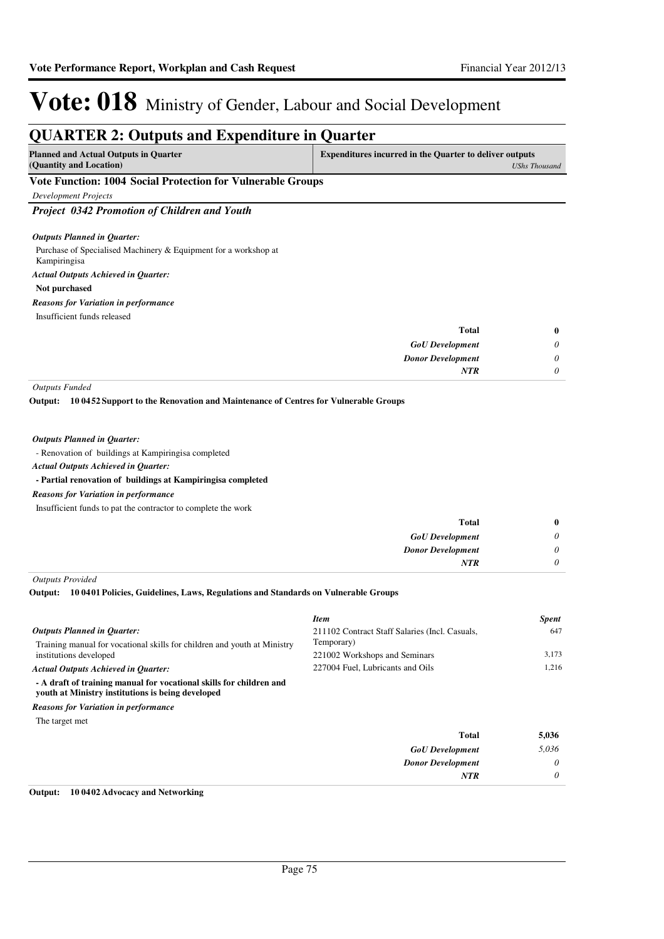### **QUARTER 2: Outputs and Expenditure in Quarter**

| <b>Planned and Actual Outputs in Quarter</b>                | <b>Expenditures incurred in the Quarter to deliver outputs</b> |  |
|-------------------------------------------------------------|----------------------------------------------------------------|--|
| (Quantity and Location)                                     | UShs Thousand                                                  |  |
| Vote Eunction: 1004 Social Protection for Vulnerable Croups |                                                                |  |

#### **Vote Function: 1004 Social Protection for Vulnerable Groups**

*Development Projects*

*Project 0342 Promotion of Children and Youth*

#### *Outputs Planned in Quarter:*

Purchase of Specialised Machinery & Equipment for a workshop at Kampiringisa **Not purchased** *Actual Outputs Achieved in Quarter: Reasons for Variation in performance*

Insufficient funds released

| $\mathbf{0}$ | <b>Total</b>             |
|--------------|--------------------------|
| 0            | <b>GoU</b> Development   |
| 0            | <b>Donor Development</b> |
| 0            | <b>NTR</b>               |
|              |                          |

*Outputs Funded*

**10 0452 Support to the Renovation and Maintenance of Centres for Vulnerable Groups Output:**

#### *Outputs Planned in Quarter:*

- Renovation of buildings at Kampiringisa completed

*Actual Outputs Achieved in Quarter:*

#### **- Partial renovation of buildings at Kampiringisa completed**

#### *Reasons for Variation in performance*

Insufficient funds to pat the contractor to complete the work

| 0        | <b>Total</b>             |
|----------|--------------------------|
| $\theta$ | <b>GoU</b> Development   |
| $\theta$ | <b>Donor Development</b> |
|          | <b>NTR</b>               |
|          |                          |

*Outputs Provided*

#### **10 0401 Policies, Guidelines, Laws, Regulations and Standards on Vulnerable Groups Output:**

|                                                                                                                          | <b>Item</b>                                    | <b>Spent</b> |
|--------------------------------------------------------------------------------------------------------------------------|------------------------------------------------|--------------|
| <b>Outputs Planned in Ouarter:</b>                                                                                       | 211102 Contract Staff Salaries (Incl. Casuals, | 647          |
| Training manual for vocational skills for children and youth at Ministry                                                 | Temporary)                                     |              |
| institutions developed                                                                                                   | 221002 Workshops and Seminars                  | 3.173        |
| <b>Actual Outputs Achieved in Ouarter:</b>                                                                               | 227004 Fuel, Lubricants and Oils               | 1.216        |
| - A draft of training manual for vocational skills for children and<br>youth at Ministry institutions is being developed |                                                |              |
| <b>Reasons for Variation in performance</b>                                                                              |                                                |              |
| The target met                                                                                                           |                                                |              |
|                                                                                                                          | <b>Total</b>                                   | 5,036        |
|                                                                                                                          | <b>GoU</b> Development                         | 5.036        |
|                                                                                                                          | <b>Donor Development</b>                       | $\theta$     |
|                                                                                                                          | <b>NTR</b>                                     | 0            |

#### **Output: 10 0402 Advocacy and Networking**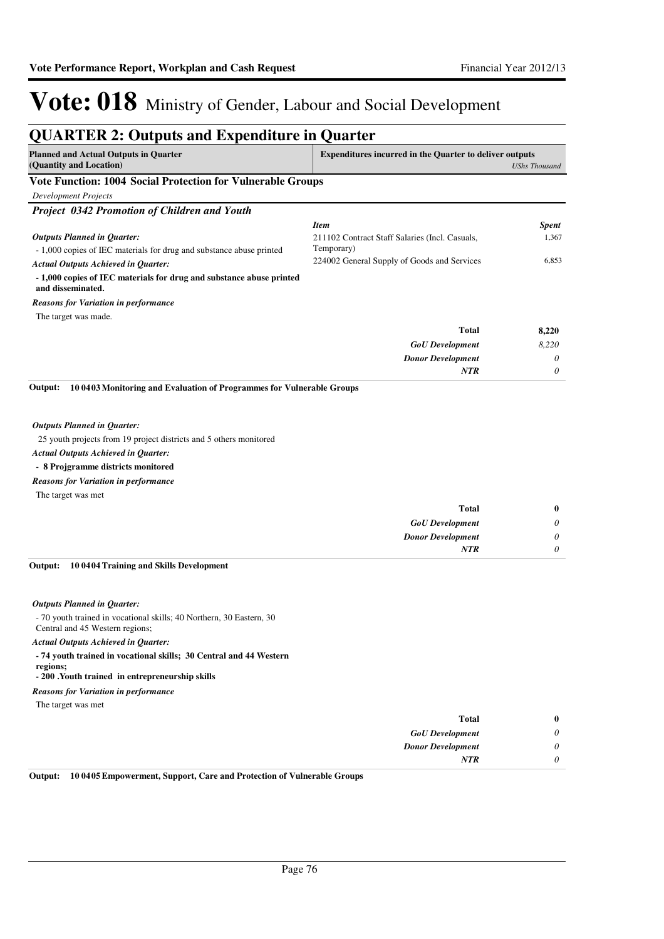| <b>QUARTER 2: Outputs and Expenditure in Quarter</b>                                                                                                                                                                                                                                                                                                                                           |                                                                |                      |
|------------------------------------------------------------------------------------------------------------------------------------------------------------------------------------------------------------------------------------------------------------------------------------------------------------------------------------------------------------------------------------------------|----------------------------------------------------------------|----------------------|
| <b>Planned and Actual Outputs in Quarter</b><br>(Quantity and Location)                                                                                                                                                                                                                                                                                                                        | <b>Expenditures incurred in the Quarter to deliver outputs</b> | <b>UShs Thousand</b> |
| Vote Function: 1004 Social Protection for Vulnerable Groups                                                                                                                                                                                                                                                                                                                                    |                                                                |                      |
| <b>Development Projects</b>                                                                                                                                                                                                                                                                                                                                                                    |                                                                |                      |
| Project 0342 Promotion of Children and Youth                                                                                                                                                                                                                                                                                                                                                   |                                                                |                      |
|                                                                                                                                                                                                                                                                                                                                                                                                | <b>Item</b>                                                    | <b>Spent</b>         |
| <b>Outputs Planned in Quarter:</b>                                                                                                                                                                                                                                                                                                                                                             | 211102 Contract Staff Salaries (Incl. Casuals,                 | 1,367                |
| - 1,000 copies of IEC materials for drug and substance abuse printed                                                                                                                                                                                                                                                                                                                           | Temporary)                                                     |                      |
| <b>Actual Outputs Achieved in Quarter:</b>                                                                                                                                                                                                                                                                                                                                                     | 224002 General Supply of Goods and Services                    | 6,853                |
| - 1,000 copies of IEC materials for drug and substance abuse printed<br>and disseminated.                                                                                                                                                                                                                                                                                                      |                                                                |                      |
| <b>Reasons for Variation in performance</b>                                                                                                                                                                                                                                                                                                                                                    |                                                                |                      |
| The target was made.                                                                                                                                                                                                                                                                                                                                                                           |                                                                |                      |
|                                                                                                                                                                                                                                                                                                                                                                                                | <b>Total</b>                                                   | 8,220                |
|                                                                                                                                                                                                                                                                                                                                                                                                | <b>GoU</b> Development                                         | 8,220                |
|                                                                                                                                                                                                                                                                                                                                                                                                | <b>Donor Development</b>                                       | 0                    |
|                                                                                                                                                                                                                                                                                                                                                                                                | <b>NTR</b>                                                     | 0                    |
| 10 0403 Monitoring and Evaluation of Programmes for Vulnerable Groups<br>Output:<br><b>Outputs Planned in Quarter:</b><br>25 youth projects from 19 project districts and 5 others monitored<br><b>Actual Outputs Achieved in Quarter:</b><br>- 8 Projgramme districts monitored<br><b>Reasons for Variation in performance</b><br>The target was met                                          | Total<br><b>GoU</b> Development                                | $\bf{0}$<br>0        |
|                                                                                                                                                                                                                                                                                                                                                                                                | <b>Donor Development</b>                                       | 0                    |
|                                                                                                                                                                                                                                                                                                                                                                                                | <b>NTR</b>                                                     | 0                    |
| 10 0404 Training and Skills Development<br>Output:                                                                                                                                                                                                                                                                                                                                             |                                                                |                      |
| <b>Outputs Planned in Quarter:</b><br>- 70 youth trained in vocational skills; 40 Northern, 30 Eastern, 30<br>Central and 45 Western regions;<br>Actual Outputs Achieved in Quarter:<br>- 74 youth trained in vocational skills; 30 Central and 44 Western<br>regions;<br>- 200 .Youth trained in entrepreneurship skills<br><b>Reasons for Variation in performance</b><br>The target was met |                                                                |                      |
|                                                                                                                                                                                                                                                                                                                                                                                                | Total                                                          | $\bf{0}$             |
|                                                                                                                                                                                                                                                                                                                                                                                                |                                                                | 0                    |
|                                                                                                                                                                                                                                                                                                                                                                                                | <b>GoU</b> Development                                         |                      |

**Output: 10 0405 Empowerment, Support, Care and Protection of Vulnerable Groups**

*Donor Development*

*NTR*

*0 0*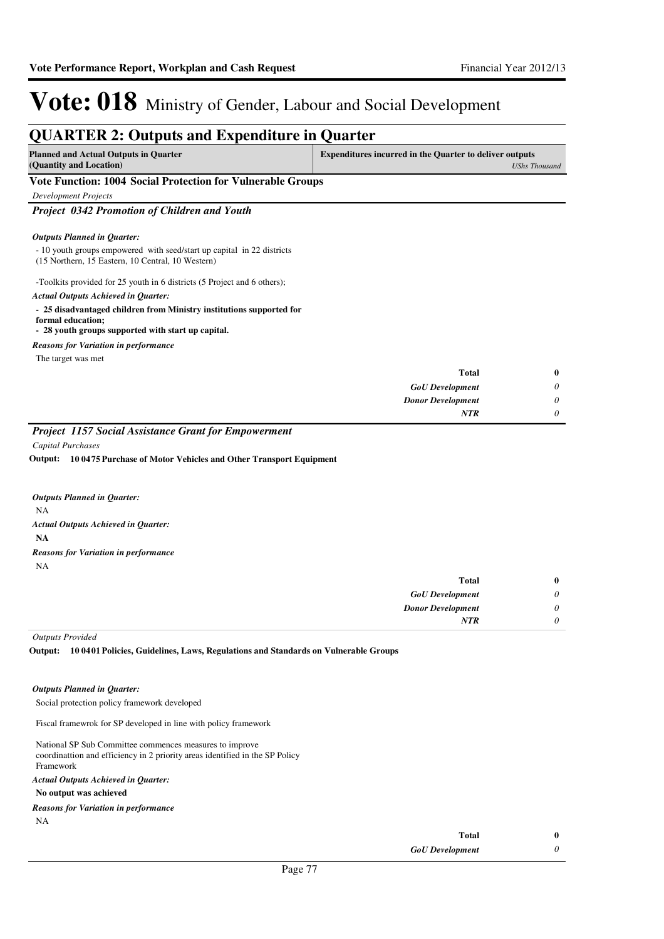*0*

*NTR*

# Vote: 018 Ministry of Gender, Labour and Social Development

#### **QUARTER 2: Outputs and Expenditure in Quarter Planned and Actual Outputs in Quarter (Quantity and Location) Expenditures incurred in the Quarter to deliver outputs**  *UShs Thousand* **Vote Function: 1004 Social Protection for Vulnerable Groups** *Development Projects Project 0342 Promotion of Children and Youth* - 10 youth groups empowered with seed/start up capital in 22 districts (15 Northern, 15 Eastern, 10 Central, 10 Western) -Toolkits provided for 25 youth in 6 districts (5 Project and 6 others); **- 25 disadvantaged children from Ministry institutions supported for formal education; - 28 youth groups supported with start up capital.** *GoU Development Donor Development* **Total** *0 0* **0** *Actual Outputs Achieved in Quarter: Outputs Planned in Quarter:* The target was met *Reasons for Variation in performance*

#### *Project 1157 Social Assistance Grant for Empowerment*

*Capital Purchases*

**10 0475 Purchase of Motor Vehicles and Other Transport Equipment Output:**

| <b>Outputs Planned in Ouarter:</b>          |
|---------------------------------------------|
| NA                                          |
| Actual Outputs Achieved in Ouarter:         |
| NA                                          |
| <b>Reasons for Variation in performance</b> |
| NΑ                                          |
|                                             |

| $\bf{0}$                      |
|-------------------------------|
| 0<br><b>GoU</b> Development   |
| 0<br><b>Donor Development</b> |
| $\theta$                      |
| <b>Total</b>                  |

*Outputs Provided*

**10 0401 Policies, Guidelines, Laws, Regulations and Standards on Vulnerable Groups Output:**

#### *Outputs Planned in Quarter:*

Social protection policy framework developed

Fiscal framewrok for SP developed in line with policy framework

National SP Sub Committee commences measures to improve coordinattion and efficiency in 2 priority areas identified in the SP Policy Framework

#### *Actual Outputs Achieved in Quarter:*

#### **No output was achieved**

NA *Reasons for Variation in performance*

| Total                  | 0 |
|------------------------|---|
| <b>GoU</b> Development |   |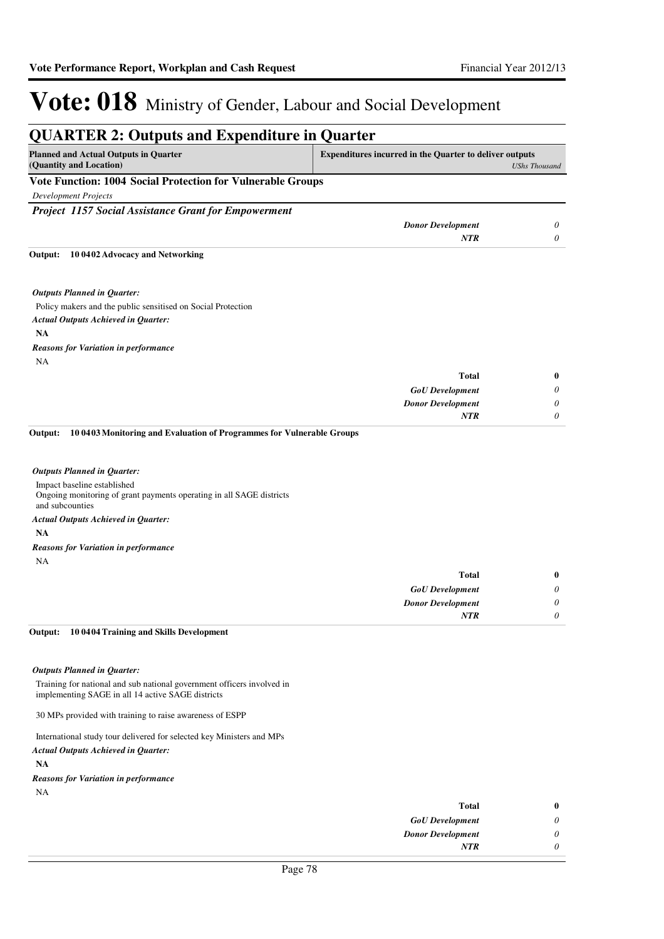|                                                                                                                             | <b>QUARTER 2: Outputs and Expenditure in Quarter</b>           |                      |
|-----------------------------------------------------------------------------------------------------------------------------|----------------------------------------------------------------|----------------------|
| <b>Planned and Actual Outputs in Quarter</b><br>(Quantity and Location)                                                     | <b>Expenditures incurred in the Quarter to deliver outputs</b> | <b>UShs Thousand</b> |
| Vote Function: 1004 Social Protection for Vulnerable Groups                                                                 |                                                                |                      |
| <b>Development Projects</b>                                                                                                 |                                                                |                      |
| <b>Project 1157 Social Assistance Grant for Empowerment</b>                                                                 |                                                                |                      |
|                                                                                                                             | <b>Donor Development</b>                                       | 0                    |
|                                                                                                                             | <b>NTR</b>                                                     | 0                    |
| 10 0402 Advocacy and Networking<br>Output:                                                                                  |                                                                |                      |
| <b>Outputs Planned in Quarter:</b>                                                                                          |                                                                |                      |
| Policy makers and the public sensitised on Social Protection                                                                |                                                                |                      |
| <b>Actual Outputs Achieved in Quarter:</b>                                                                                  |                                                                |                      |
| <b>NA</b>                                                                                                                   |                                                                |                      |
| Reasons for Variation in performance                                                                                        |                                                                |                      |
| NA                                                                                                                          |                                                                |                      |
|                                                                                                                             | <b>Total</b>                                                   | $\bf{0}$             |
|                                                                                                                             | <b>GoU</b> Development                                         | $\theta$             |
|                                                                                                                             | <b>Donor Development</b>                                       | $\theta$             |
|                                                                                                                             | <b>NTR</b>                                                     | $\theta$             |
| 10 0403 Monitoring and Evaluation of Programmes for Vulnerable Groups<br>Output:                                            |                                                                |                      |
| <b>Outputs Planned in Quarter:</b>                                                                                          |                                                                |                      |
| Impact baseline established<br>Ongoing monitoring of grant payments operating in all SAGE districts<br>and subcounties      |                                                                |                      |
| <b>Actual Outputs Achieved in Quarter:</b>                                                                                  |                                                                |                      |
| <b>NA</b>                                                                                                                   |                                                                |                      |
| <b>Reasons for Variation in performance</b>                                                                                 |                                                                |                      |
| NA                                                                                                                          |                                                                |                      |
|                                                                                                                             | <b>Total</b>                                                   | $\bf{0}$             |
|                                                                                                                             | <b>GoU</b> Development                                         | $\theta$             |
|                                                                                                                             | <b>Donor Development</b>                                       | $\theta$             |
|                                                                                                                             | <b>NTR</b>                                                     | $\theta$             |
| 10 0404 Training and Skills Development<br>Output:                                                                          |                                                                |                      |
| <b>Outputs Planned in Quarter:</b>                                                                                          |                                                                |                      |
| Training for national and sub national government officers involved in<br>implementing SAGE in all 14 active SAGE districts |                                                                |                      |

30 MPs provided with training to raise awareness of ESPP

International study tour delivered for selected key Ministers and MPs

#### *Actual Outputs Achieved in Quarter:*

**NA**

*Reasons for Variation in performance*

NA

| $\boldsymbol{0}$ | Total                    |
|------------------|--------------------------|
| $\theta$         | <b>GoU</b> Development   |
| $\theta$         | <b>Donor Development</b> |
| 0                | <b>NTR</b>               |
|                  |                          |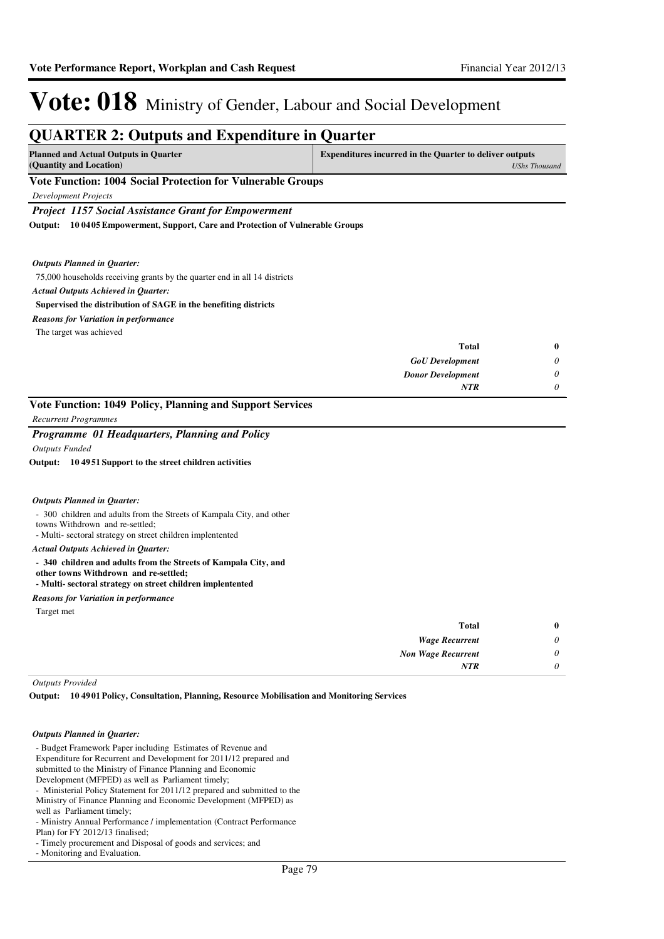| <b>Planned and Actual Outputs in Quarter</b><br><b>Expenditures incurred in the Quarter to deliver outputs</b><br>(Quantity and Location)<br>Vote Function: 1004 Social Protection for Vulnerable Groups<br>Development Projects<br><b>Project 1157 Social Assistance Grant for Empowerment</b><br>10 0405 Empowerment, Support, Care and Protection of Vulnerable Groups<br>Output:<br><b>Outputs Planned in Quarter:</b><br>75,000 households receiving grants by the quarter end in all 14 districts<br><b>Actual Outputs Achieved in Quarter:</b><br>Supervised the distribution of SAGE in the benefiting districts<br><b>Reasons for Variation in performance</b><br>The target was achieved<br><b>Total</b><br><b>GoU</b> Development<br><b>Donor Development</b><br><b>NTR</b><br><b>Recurrent Programmes</b><br>Programme 01 Headquarters, Planning and Policy<br><b>Outputs Funded</b><br>Outputs Planned in Quarter:<br>- 300 children and adults from the Streets of Kampala City, and other<br>towns Withdrown and re-settled;<br>- Multi-sectoral strategy on street children implentented<br><b>Actual Outputs Achieved in Quarter:</b><br>- 340 children and adults from the Streets of Kampala City, and<br>other towns Withdrown and re-settled;<br>- Multi-sectoral strategy on street children implentented<br>Reasons for Variation in performance<br>Target met<br><b>Total</b><br><b>Wage Recurrent</b> |  | <b>UShs Thousand</b> |
|--------------------------------------------------------------------------------------------------------------------------------------------------------------------------------------------------------------------------------------------------------------------------------------------------------------------------------------------------------------------------------------------------------------------------------------------------------------------------------------------------------------------------------------------------------------------------------------------------------------------------------------------------------------------------------------------------------------------------------------------------------------------------------------------------------------------------------------------------------------------------------------------------------------------------------------------------------------------------------------------------------------------------------------------------------------------------------------------------------------------------------------------------------------------------------------------------------------------------------------------------------------------------------------------------------------------------------------------------------------------------------------------------------------------------------|--|----------------------|
|                                                                                                                                                                                                                                                                                                                                                                                                                                                                                                                                                                                                                                                                                                                                                                                                                                                                                                                                                                                                                                                                                                                                                                                                                                                                                                                                                                                                                                |  |                      |
|                                                                                                                                                                                                                                                                                                                                                                                                                                                                                                                                                                                                                                                                                                                                                                                                                                                                                                                                                                                                                                                                                                                                                                                                                                                                                                                                                                                                                                |  |                      |
|                                                                                                                                                                                                                                                                                                                                                                                                                                                                                                                                                                                                                                                                                                                                                                                                                                                                                                                                                                                                                                                                                                                                                                                                                                                                                                                                                                                                                                |  |                      |
|                                                                                                                                                                                                                                                                                                                                                                                                                                                                                                                                                                                                                                                                                                                                                                                                                                                                                                                                                                                                                                                                                                                                                                                                                                                                                                                                                                                                                                |  |                      |
|                                                                                                                                                                                                                                                                                                                                                                                                                                                                                                                                                                                                                                                                                                                                                                                                                                                                                                                                                                                                                                                                                                                                                                                                                                                                                                                                                                                                                                |  |                      |
| Vote Function: 1049 Policy, Planning and Support Services<br>Output: 104951 Support to the street children activities                                                                                                                                                                                                                                                                                                                                                                                                                                                                                                                                                                                                                                                                                                                                                                                                                                                                                                                                                                                                                                                                                                                                                                                                                                                                                                          |  |                      |
|                                                                                                                                                                                                                                                                                                                                                                                                                                                                                                                                                                                                                                                                                                                                                                                                                                                                                                                                                                                                                                                                                                                                                                                                                                                                                                                                                                                                                                |  |                      |
|                                                                                                                                                                                                                                                                                                                                                                                                                                                                                                                                                                                                                                                                                                                                                                                                                                                                                                                                                                                                                                                                                                                                                                                                                                                                                                                                                                                                                                |  |                      |
|                                                                                                                                                                                                                                                                                                                                                                                                                                                                                                                                                                                                                                                                                                                                                                                                                                                                                                                                                                                                                                                                                                                                                                                                                                                                                                                                                                                                                                |  |                      |
|                                                                                                                                                                                                                                                                                                                                                                                                                                                                                                                                                                                                                                                                                                                                                                                                                                                                                                                                                                                                                                                                                                                                                                                                                                                                                                                                                                                                                                |  |                      |
|                                                                                                                                                                                                                                                                                                                                                                                                                                                                                                                                                                                                                                                                                                                                                                                                                                                                                                                                                                                                                                                                                                                                                                                                                                                                                                                                                                                                                                |  |                      |
|                                                                                                                                                                                                                                                                                                                                                                                                                                                                                                                                                                                                                                                                                                                                                                                                                                                                                                                                                                                                                                                                                                                                                                                                                                                                                                                                                                                                                                |  | $\bf{0}$             |
|                                                                                                                                                                                                                                                                                                                                                                                                                                                                                                                                                                                                                                                                                                                                                                                                                                                                                                                                                                                                                                                                                                                                                                                                                                                                                                                                                                                                                                |  | $\theta$             |
|                                                                                                                                                                                                                                                                                                                                                                                                                                                                                                                                                                                                                                                                                                                                                                                                                                                                                                                                                                                                                                                                                                                                                                                                                                                                                                                                                                                                                                |  | 0                    |
|                                                                                                                                                                                                                                                                                                                                                                                                                                                                                                                                                                                                                                                                                                                                                                                                                                                                                                                                                                                                                                                                                                                                                                                                                                                                                                                                                                                                                                |  | $\theta$             |
|                                                                                                                                                                                                                                                                                                                                                                                                                                                                                                                                                                                                                                                                                                                                                                                                                                                                                                                                                                                                                                                                                                                                                                                                                                                                                                                                                                                                                                |  |                      |
|                                                                                                                                                                                                                                                                                                                                                                                                                                                                                                                                                                                                                                                                                                                                                                                                                                                                                                                                                                                                                                                                                                                                                                                                                                                                                                                                                                                                                                |  |                      |
|                                                                                                                                                                                                                                                                                                                                                                                                                                                                                                                                                                                                                                                                                                                                                                                                                                                                                                                                                                                                                                                                                                                                                                                                                                                                                                                                                                                                                                |  |                      |
|                                                                                                                                                                                                                                                                                                                                                                                                                                                                                                                                                                                                                                                                                                                                                                                                                                                                                                                                                                                                                                                                                                                                                                                                                                                                                                                                                                                                                                |  |                      |
|                                                                                                                                                                                                                                                                                                                                                                                                                                                                                                                                                                                                                                                                                                                                                                                                                                                                                                                                                                                                                                                                                                                                                                                                                                                                                                                                                                                                                                |  |                      |
|                                                                                                                                                                                                                                                                                                                                                                                                                                                                                                                                                                                                                                                                                                                                                                                                                                                                                                                                                                                                                                                                                                                                                                                                                                                                                                                                                                                                                                |  |                      |
|                                                                                                                                                                                                                                                                                                                                                                                                                                                                                                                                                                                                                                                                                                                                                                                                                                                                                                                                                                                                                                                                                                                                                                                                                                                                                                                                                                                                                                |  |                      |
|                                                                                                                                                                                                                                                                                                                                                                                                                                                                                                                                                                                                                                                                                                                                                                                                                                                                                                                                                                                                                                                                                                                                                                                                                                                                                                                                                                                                                                |  |                      |
|                                                                                                                                                                                                                                                                                                                                                                                                                                                                                                                                                                                                                                                                                                                                                                                                                                                                                                                                                                                                                                                                                                                                                                                                                                                                                                                                                                                                                                |  | $\bf{0}$             |
|                                                                                                                                                                                                                                                                                                                                                                                                                                                                                                                                                                                                                                                                                                                                                                                                                                                                                                                                                                                                                                                                                                                                                                                                                                                                                                                                                                                                                                |  | $\theta$             |
| <b>Non Wage Recurrent</b>                                                                                                                                                                                                                                                                                                                                                                                                                                                                                                                                                                                                                                                                                                                                                                                                                                                                                                                                                                                                                                                                                                                                                                                                                                                                                                                                                                                                      |  | $\theta$             |
| <b>NTR</b>                                                                                                                                                                                                                                                                                                                                                                                                                                                                                                                                                                                                                                                                                                                                                                                                                                                                                                                                                                                                                                                                                                                                                                                                                                                                                                                                                                                                                     |  | $\theta$             |

#### *Outputs Planned in Quarter:*

- Budget Framework Paper including Estimates of Revenue and Expenditure for Recurrent and Development for 2011/12 prepared and submitted to the Ministry of Finance Planning and Economic Development (MFPED) as well as Parliament timely; - Ministerial Policy Statement for 2011/12 prepared and submitted to the

Ministry of Finance Planning and Economic Development (MFPED) as well as Parliament timely;

- Ministry Annual Performance / implementation (Contract Performance Plan) for FY 2012/13 finalised;

- Timely procurement and Disposal of goods and services; and

- Monitoring and Evaluation.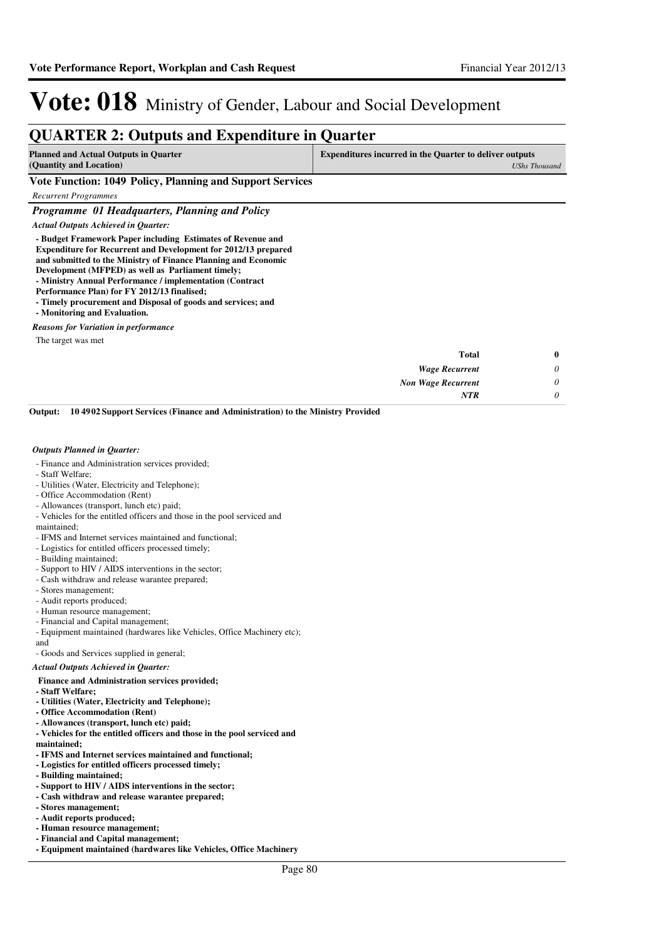### **QUARTER 2: Outputs and Expenditure in Quarter**

| Planned and Actual Outputs in Quarter |  |                                     | Expenditures incurred in the Quarter to deliver outputs |  |  |               |
|---------------------------------------|--|-------------------------------------|---------------------------------------------------------|--|--|---------------|
| (Quantity and Location)               |  |                                     |                                                         |  |  | UShs Thousand |
| <b>TT . TT</b>                        |  | $\overline{1010}$ m $\overline{11}$ | $\sim$                                                  |  |  |               |

**Vote Function: 1049 Policy, Planning and Support Services**

*Recurrent Programmes*

*Programme 01 Headquarters, Planning and Policy*

#### *Actual Outputs Achieved in Quarter:*

**- Budget Framework Paper including Estimates of Revenue and Expenditure for Recurrent and Development for 2012/13 prepared and submitted to the Ministry of Finance Planning and Economic** 

- **Development (MFPED) as well as Parliament timely;**
- **Ministry Annual Performance / implementation (Contract**
- **Performance Plan) for FY 2012/13 finalised;**
- **Timely procurement and Disposal of goods and services; and - Monitoring and Evaluation.**
- *Reasons for Variation in performance*

The target was met

| $\bf{0}$ | <b>Total</b>              |
|----------|---------------------------|
| 0        | <b>Wage Recurrent</b>     |
| 0        | <b>Non Wage Recurrent</b> |
|          | <b>NTR</b>                |
|          |                           |

**10 4902 Support Services (Finance and Administration) to the Ministry Provided Output:**

#### *Outputs Planned in Quarter:*

- Finance and Administration services provided;
- Staff Welfare;
- Utilities (Water, Electricity and Telephone);
- Office Accommodation (Rent)
- Allowances (transport, lunch etc) paid;
- Vehicles for the entitled officers and those in the pool serviced and

maintained;

- IFMS and Internet services maintained and functional;
- Logistics for entitled officers processed timely;
- Building maintained;
- Support to HIV / AIDS interventions in the sector;
- Cash withdraw and release warantee prepared;
- Stores management;
- Audit reports produced;
- Human resource management;
- Financial and Capital management;
- Equipment maintained (hardwares like Vehicles, Office Machinery etc);

and

- Goods and Services supplied in general;

#### *Actual Outputs Achieved in Quarter:*

- **Finance and Administration services provided;**
- **Staff Welfare;**
- **Utilities (Water, Electricity and Telephone);**
- **Office Accommodation (Rent)**
- **Allowances (transport, lunch etc) paid;**
- **Vehicles for the entitled officers and those in the pool serviced and**

**maintained;**

- **IFMS and Internet services maintained and functional;**
- **Logistics for entitled officers processed timely;**
- **Building maintained;**
- **Support to HIV / AIDS interventions in the sector;**
- **Cash withdraw and release warantee prepared;**
- **Stores management;**
- **Audit reports produced;**
- **Human resource management;**
- **Financial and Capital management;**
- **Equipment maintained (hardwares like Vehicles, Office Machinery**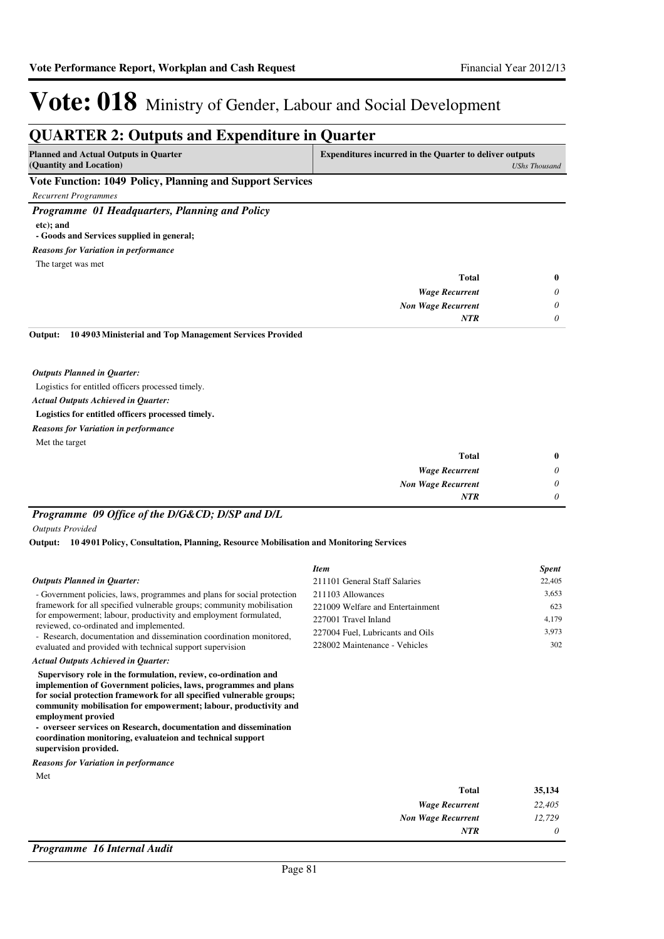*0*

*NTR*

# Vote: 018 Ministry of Gender, Labour and Social Development

### **QUARTER 2: Outputs and Expenditure in Quarter**

| <b>Planned and Actual Outputs in Quarter</b>              | <b>Expenditures incurred in the Quarter to deliver outputs</b> |
|-----------------------------------------------------------|----------------------------------------------------------------|
| (Quantity and Location)                                   | UShs Thousand                                                  |
| Vote Function: 1049 Policy, Planning and Support Services |                                                                |

*Recurrent Programmes*

*Programme 01 Headquarters, Planning and Policy* **etc); and - Goods and Services supplied in general;**

*Reasons for Variation in performance*

The target was met

|          | $-$                       |
|----------|---------------------------|
| $\bf{0}$ | <b>Total</b>              |
| $\theta$ | <b>Wage Recurrent</b>     |
| $\theta$ | <b>Non Wage Recurrent</b> |
| $\theta$ | <b>NTR</b>                |
|          |                           |

#### **10 4903 Ministerial and Top Management Services Provided Output:**

*Outputs Planned in Quarter:*

Logistics for entitled officers processed timely.

*Actual Outputs Achieved in Quarter:*

**Logistics for entitled officers processed timely.**

Met the target *Reasons for Variation in performance*

| $\bf{0}$ | <b>Total</b>              |
|----------|---------------------------|
| $\theta$ | <b>Wage Recurrent</b>     |
| $\theta$ | <b>Non Wage Recurrent</b> |
| $\theta$ | <b>NTR</b>                |

### *Programme 09 Office of the D/G&CD; D/SP and D/L*

*Outputs Provided*

**10 4901 Policy, Consultation, Planning, Resource Mobilisation and Monitoring Services Output:**

| <b>Outputs Planned in Quarter:</b><br>- Government policies, laws, programmes and plans for social protection<br>framework for all specified vulnerable groups; community mobilisation<br>for empowerment; labour, productivity and employment formulated,<br>reviewed, co-ordinated and implemented.<br>- Research, documentation and dissemination coordination monitored,<br>evaluated and provided with technical support supervision                                                                    | <b>Item</b><br>211101 General Staff Salaries<br>211103 Allowances<br>221009 Welfare and Entertainment<br>227001 Travel Inland<br>227004 Fuel, Lubricants and Oils<br>228002 Maintenance - Vehicles | <b>Spent</b><br>22,405<br>3,653<br>623<br>4,179<br>3,973<br>302 |
|--------------------------------------------------------------------------------------------------------------------------------------------------------------------------------------------------------------------------------------------------------------------------------------------------------------------------------------------------------------------------------------------------------------------------------------------------------------------------------------------------------------|----------------------------------------------------------------------------------------------------------------------------------------------------------------------------------------------------|-----------------------------------------------------------------|
| <b>Actual Outputs Achieved in Quarter:</b><br>Supervisory role in the formulation, review, co-ordination and<br>implemention of Government policies, laws, programmes and plans<br>for social protection framework for all specified vulnerable groups;<br>community mobilisation for empowerment; labour, productivity and<br>employment provied<br>- overseer services on Research, documentation and dissemination<br>coordination monitoring, evaluateion and technical support<br>supervision provided. |                                                                                                                                                                                                    |                                                                 |
| <b>Reasons for Variation in performance</b>                                                                                                                                                                                                                                                                                                                                                                                                                                                                  |                                                                                                                                                                                                    |                                                                 |
| Met                                                                                                                                                                                                                                                                                                                                                                                                                                                                                                          | <b>Total</b><br><b>Wage Recurrent</b><br><b>Non Wage Recurrent</b>                                                                                                                                 | 35,134<br>22,405<br>12,729                                      |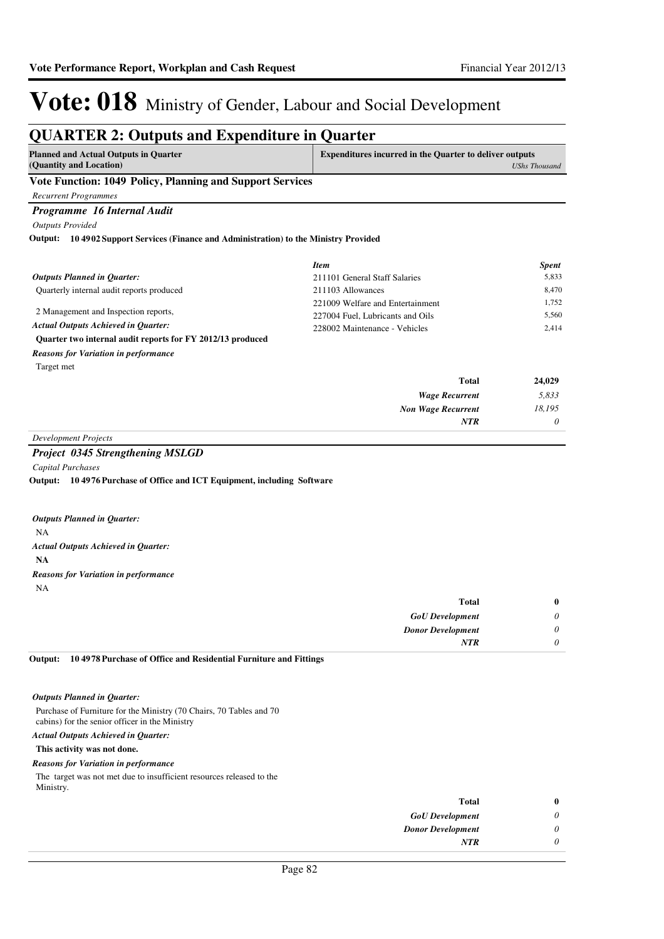#### **QUARTER 2: Outputs and Expenditure in Quarter Planned and Actual Outputs in Quarter (Quantity and Location) Expenditures incurred in the Quarter to deliver outputs**  *UShs Thousand* **Vote Function: 1049 Policy, Planning and Support Services** *Recurrent Programmes Programme 16 Internal Audit Outputs Provided* Quarterly internal audit reports produced 2 Management and Inspection reports, **Quarter two internal audit reports for FY 2012/13 produced 10 4902 Support Services (Finance and Administration) to the Ministry Provided Output:** *Wage Recurrent Non Wage Recurrent* **Total** *5,833 18,195 0* **24,029** *Actual Outputs Achieved in Quarter: Outputs Planned in Quarter: NTR* Target met *Reasons for Variation in performance Item Spent* 211101 General Staff Salaries 5,833 211103 Allowances 8,470 221009 Welfare and Entertainment 1,752 227004 Fuel, Lubricants and Oils 5,560 228002 Maintenance - Vehicles 2,414 *Development Projects*

#### *Project 0345 Strengthening MSLGD*

*Capital Purchases*

**10 4976 Purchase of Office and ICT Equipment, including Software Output:**

|    | <b>Outputs Planned in Ouarter:</b>          |
|----|---------------------------------------------|
| NA |                                             |
|    | Actual Outputs Achieved in Ouarter:         |
| NA |                                             |
|    | <b>Reasons for Variation in performance</b> |
| NΑ |                                             |

| Total                    | $\bf{0}$ |
|--------------------------|----------|
| <b>GoU</b> Development   | 0        |
| <b>Donor Development</b> | 0        |
| <b>NTR</b>               | 0        |
|                          |          |

**10 4978 Purchase of Office and Residential Furniture and Fittings Output:**

#### *Outputs Planned in Quarter:*

Purchase of Furniture for the Ministry (70 Chairs, 70 Tables and 70 cabins) for the senior officer in the Ministry

#### *Actual Outputs Achieved in Quarter:*

#### **This activity was not done.**

#### *Reasons for Variation in performance*

The target was not met due to insufficient resources released to the Ministry.

| Total                    | o |
|--------------------------|---|
| <b>GoU</b> Development   |   |
| <b>Donor Development</b> |   |
| <b>NTR</b>               |   |
|                          |   |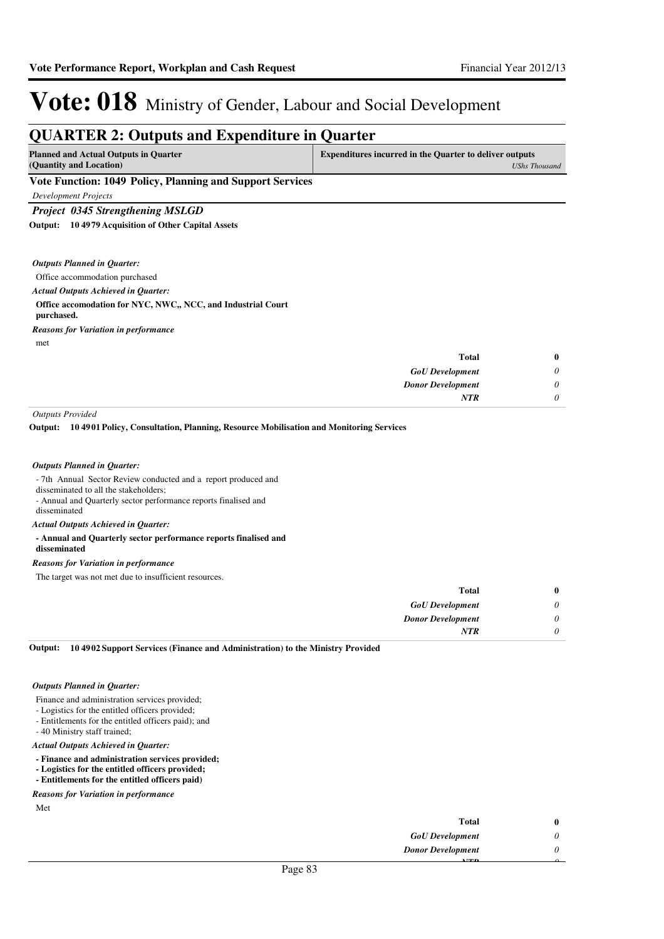### **QUARTER 2: Outputs and Expenditure in Quarter**

| <b>Planned and Actual Outputs in Quarter</b>                                                                                                                                                                                                                                                                           | <b>Expenditures incurred in the Quarter to deliver outputs</b> |
|------------------------------------------------------------------------------------------------------------------------------------------------------------------------------------------------------------------------------------------------------------------------------------------------------------------------|----------------------------------------------------------------|
| (Quantity and Location)                                                                                                                                                                                                                                                                                                | UShs Thousand                                                  |
| $\mathbf{V}_{1}$ (a) $\mathbf{E}_{2}$ (b) $\mathbf{H}_{2}$ (b) $\mathbf{H}_{3}$ (b) $\mathbf{H}_{4}$ (b) $\mathbf{H}_{5}$ (c) $\mathbf{H}_{5}$ (c) $\mathbf{H}_{6}$ (c) $\mathbf{H}_{7}$ (c) $\mathbf{H}_{8}$ (c) $\mathbf{H}_{9}$ (c) $\mathbf{H}_{1}$ (c) $\mathbf{H}_{2}$ (c) $\mathbf{H}_{3}$ (c) $\mathbf{H}_{2}$ |                                                                |

#### **Vote Function: 1049 Policy, Planning and Support Services**

*Development Projects*

#### *Project 0345 Strengthening MSLGD*

**10 4979 Acquisition of Other Capital Assets Output:**

| <b>Outputs Planned in Quarter:</b> |  |  |
|------------------------------------|--|--|
|------------------------------------|--|--|

Office accommodation purchased

*Actual Outputs Achieved in Quarter:*

#### **Office accomodation for NYC, NWC,, NCC, and Industrial Court**

**purchased.**

*Reasons for Variation in performance*

met

| $\bf{0}$ | Total                    |
|----------|--------------------------|
| 0        | <b>GoU</b> Development   |
| 0        | <b>Donor Development</b> |
| 0        | <b>NTR</b>               |
|          |                          |

*Outputs Provided*

**10 4901 Policy, Consultation, Planning, Resource Mobilisation and Monitoring Services Output:**

#### *Outputs Planned in Quarter:*

- 7th Annual Sector Review conducted and a report produced and

disseminated to all the stakeholders;

- Annual and Quarterly sector performance reports finalised and

disseminated

*Actual Outputs Achieved in Quarter:*

#### **- Annual and Quarterly sector performance reports finalised and**

#### **disseminated**

*Reasons for Variation in performance*

The target was not met due to insufficient resources.

| Total                    |   |
|--------------------------|---|
| <b>GoU</b> Development   | 0 |
| <b>Donor Development</b> | 0 |
| <b>NTR</b>               |   |

**10 4902 Support Services (Finance and Administration) to the Ministry Provided Output:**

#### *Outputs Planned in Quarter:*

- Finance and administration services provided;
- Logistics for the entitled officers provided;
- Entitlements for the entitled officers paid); and
- 40 Ministry staff trained;

*Actual Outputs Achieved in Quarter:*

- **Finance and administration services provided;**
- **Logistics for the entitled officers provided;**

**- Entitlements for the entitled officers paid)**

*Reasons for Variation in performance*

Met

| <b>Total</b>             |  |
|--------------------------|--|
| <b>GoU</b> Development   |  |
| <b>Donor Development</b> |  |
| 3.753 Ft.                |  |
| $\mathbf{D}$ $\Omega$    |  |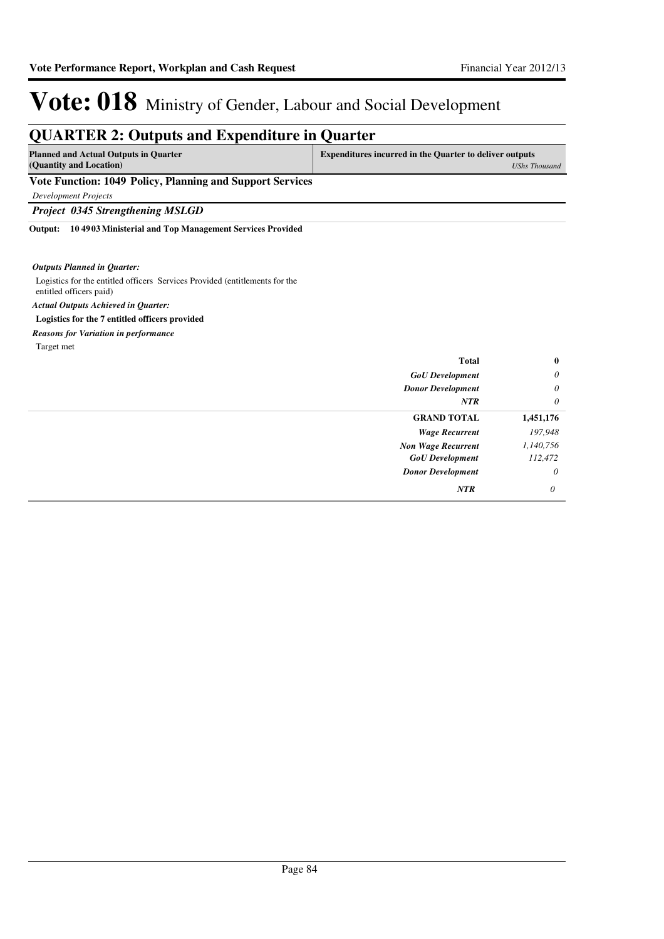### **QUARTER 2: Outputs and Expenditure in Quarter**

| <b>Planned and Actual Outputs in Quarter</b><br>(Quantity and Location) | <b>Expenditures incurred in the Quarter to deliver outputs</b><br>UShs Thousand |
|-------------------------------------------------------------------------|---------------------------------------------------------------------------------|
| Vote Function: 1049 Policy, Planning and Support Services               |                                                                                 |
| Development Projects                                                    |                                                                                 |
| <b>Project 0345 Strengthening MSLGD</b>                                 |                                                                                 |

**10 4903 Ministerial and Top Management Services Provided Output:**

#### *Outputs Planned in Quarter:*

Logistics for the entitled officers Services Provided (entitlements for the entitled officers paid) **Logistics for the 7 entitled officers provided** *Actual Outputs Achieved in Quarter:*

*Reasons for Variation in performance*

Target met

| $\bf{0}$  | <b>Total</b>              |
|-----------|---------------------------|
| $\theta$  | <b>GoU</b> Development    |
| $\theta$  | <b>Donor Development</b>  |
| $\theta$  | <b>NTR</b>                |
| 1,451,176 | <b>GRAND TOTAL</b>        |
| 197,948   | <b>Wage Recurrent</b>     |
| 1,140,756 | <b>Non Wage Recurrent</b> |
| 112,472   | <b>GoU</b> Development    |
| $\theta$  | <b>Donor Development</b>  |
| $\theta$  | NTR                       |
|           |                           |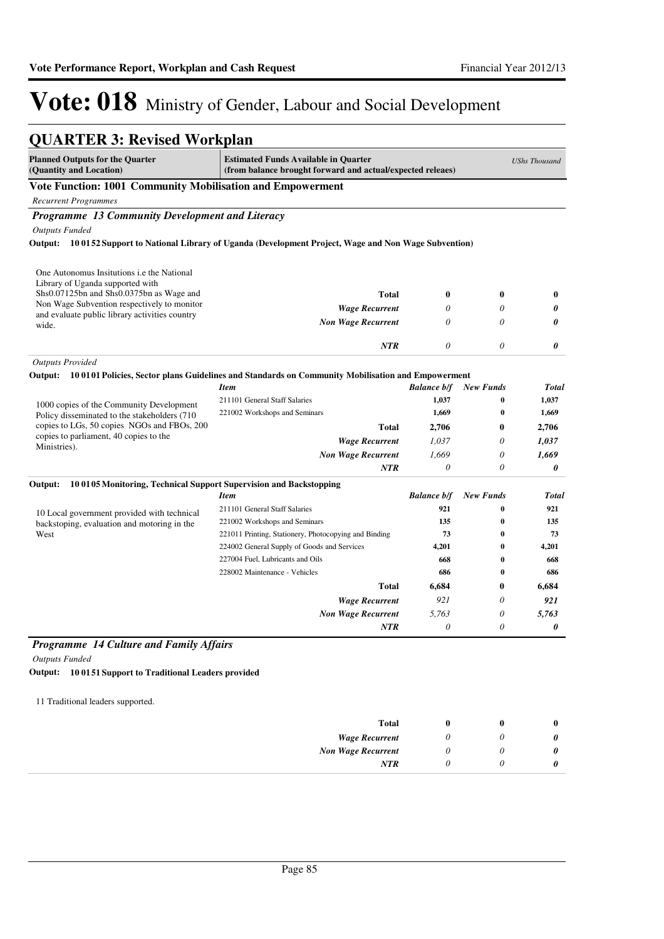| <b>Planned Outputs for the Quarter</b><br>(Quantity and Location)                       | <b>Estimated Funds Available in Quarter</b><br>(from balance brought forward and actual/expected releaes) |                           |                              | <b>UShs Thousand</b> |
|-----------------------------------------------------------------------------------------|-----------------------------------------------------------------------------------------------------------|---------------------------|------------------------------|----------------------|
| Vote Function: 1001 Community Mobilisation and Empowerment                              |                                                                                                           |                           |                              |                      |
| <b>Recurrent Programmes</b>                                                             |                                                                                                           |                           |                              |                      |
| Programme 13 Community Development and Literacy                                         |                                                                                                           |                           |                              |                      |
| <b>Outputs Funded</b>                                                                   |                                                                                                           |                           |                              |                      |
|                                                                                         | Output: 100152 Support to National Library of Uganda (Development Project, Wage and Non Wage Subvention)  |                           |                              |                      |
| One Autonomus Insitutions <i>i.e</i> the National                                       |                                                                                                           |                           |                              |                      |
| Library of Uganda supported with                                                        |                                                                                                           |                           |                              |                      |
| Shs0.07125bn and Shs0.0375bn as Wage and<br>Non Wage Subvention respectively to monitor | Total                                                                                                     | $\bf{0}$                  | $\bf{0}$                     | $\bf{0}$             |
| and evaluate public library activities country                                          | <b>Wage Recurrent</b>                                                                                     | 0                         | $\theta$                     | 0                    |
| wide.                                                                                   | <b>Non Wage Recurrent</b>                                                                                 | $\theta$                  | $\theta$                     | 0                    |
|                                                                                         | <b>NTR</b>                                                                                                | $\theta$                  | $\theta$                     | 0                    |
| <b>Outputs Provided</b>                                                                 |                                                                                                           |                           |                              |                      |
|                                                                                         | Output: 100101 Policies, Sector plans Guidelines and Standards on Community Mobilisation and Empowerment  |                           |                              |                      |
|                                                                                         | <b>Item</b>                                                                                               | <b>Balance b/f</b>        | <b>New Funds</b>             | <b>Total</b>         |
| 1000 copies of the Community Development                                                | 211101 General Staff Salaries                                                                             | 1,037                     | 0                            | 1,037                |
| Policy disseminated to the stakeholders (710)                                           | 221002 Workshops and Seminars                                                                             | 1,669                     | $\bf{0}$                     | 1,669                |
| copies to LGs, 50 copies NGOs and FBOs, 200<br>copies to parliament, 40 copies to the   | Total                                                                                                     | 2,706                     | $\mathbf{0}$                 | 2,706                |
| Ministries).                                                                            | <b>Wage Recurrent</b>                                                                                     | 1,037                     | $\theta$                     | 1,037                |
|                                                                                         | <b>Non Wage Recurrent</b>                                                                                 | 1.669                     | 0                            | 1,669                |
|                                                                                         | <b>NTR</b>                                                                                                | $\theta$                  | $\theta$                     | 0                    |
| 100105 Monitoring, Technical Support Supervision and Backstopping<br>Output:            |                                                                                                           |                           |                              |                      |
|                                                                                         | <b>Item</b><br>211101 General Staff Salaries                                                              | <b>Balance b/f</b><br>921 | <b>New Funds</b><br>$\bf{0}$ | <b>Total</b><br>921  |
| 10 Local government provided with technical                                             | 221002 Workshops and Seminars                                                                             | 135                       | 0                            | 135                  |
| backstoping, evaluation and motoring in the<br>West                                     | 221011 Printing, Stationery, Photocopying and Binding                                                     | 73                        | $\bf{0}$                     | 73                   |
|                                                                                         | 224002 General Supply of Goods and Services                                                               | 4,201                     | $\bf{0}$                     | 4,201                |
|                                                                                         | 227004 Fuel, Lubricants and Oils                                                                          | 668                       | $\bf{0}$                     | 668                  |
|                                                                                         | 228002 Maintenance - Vehicles                                                                             | 686                       | 0                            | 686                  |
|                                                                                         | Total                                                                                                     | 6,684                     | 0                            | 6.684                |
|                                                                                         | <b>Wage Recurrent</b>                                                                                     | 921                       | $\theta$                     | 921                  |
|                                                                                         | <b>Non Wage Recurrent</b>                                                                                 | 5,763                     | 0                            | 5,763                |
|                                                                                         | <b>NTR</b>                                                                                                | $\theta$                  | 0                            | 0                    |
| <b>Programme 14 Culture and Family Affairs</b>                                          |                                                                                                           |                           |                              |                      |

11 Traditional leaders supported.

| 0 |  | Total                     |
|---|--|---------------------------|
| 0 |  | <b>Wage Recurrent</b>     |
| 0 |  | <b>Non Wage Recurrent</b> |
| 0 |  | <b>NTR</b>                |
|   |  |                           |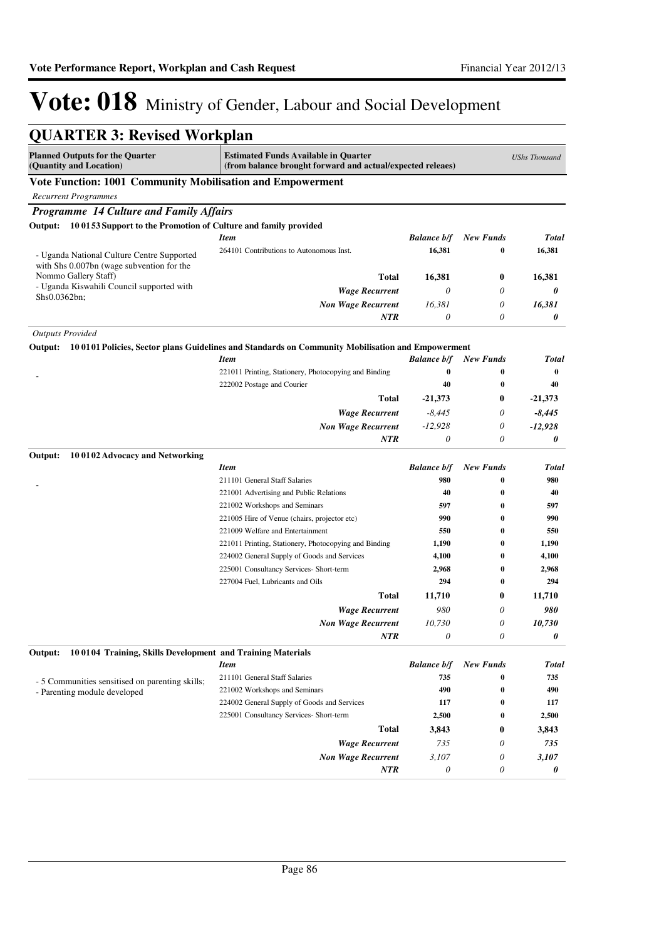| QUARTER 3: Revised Workplan                                               |                                                                                                           |                    |                  |                      |
|---------------------------------------------------------------------------|-----------------------------------------------------------------------------------------------------------|--------------------|------------------|----------------------|
| <b>Planned Outputs for the Quarter</b><br>(Quantity and Location)         | <b>Estimated Funds Available in Quarter</b><br>(from balance brought forward and actual/expected releaes) |                    |                  | <b>UShs Thousand</b> |
| Vote Function: 1001 Community Mobilisation and Empowerment                |                                                                                                           |                    |                  |                      |
| <b>Recurrent Programmes</b>                                               |                                                                                                           |                    |                  |                      |
| Programme 14 Culture and Family Affairs                                   |                                                                                                           |                    |                  |                      |
| 100153 Support to the Promotion of Culture and family provided<br>Output: |                                                                                                           |                    |                  |                      |
|                                                                           | <b>Item</b>                                                                                               | <b>Balance b/f</b> | <b>New Funds</b> | Total                |
| - Uganda National Culture Centre Supported                                | 264101 Contributions to Autonomous Inst.                                                                  | 16,381             | 0                | 16,381               |
| with Shs 0.007bn (wage subvention for the                                 |                                                                                                           |                    |                  |                      |
| Nommo Gallery Staff)                                                      | <b>Total</b>                                                                                              | 16,381             | $\bf{0}$         | 16,381               |
| - Uganda Kiswahili Council supported with                                 | <b>Wage Recurrent</b>                                                                                     | 0                  | 0                | 0                    |
| Shs0.0362bn;                                                              | <b>Non Wage Recurrent</b>                                                                                 | 16,381             | 0                | 16,381               |
|                                                                           | <b>NTR</b>                                                                                                | 0                  | 0                | 0                    |
| <b>Outputs Provided</b>                                                   |                                                                                                           |                    |                  |                      |
| Output:                                                                   | 10 0101 Policies, Sector plans Guidelines and Standards on Community Mobilisation and Empowerment         |                    |                  |                      |
|                                                                           | <b>Item</b>                                                                                               | <b>Balance b/f</b> | <b>New Funds</b> | Total                |
|                                                                           | 221011 Printing, Stationery, Photocopying and Binding                                                     | $\bf{0}$           | $\bf{0}$         | $\bf{0}$             |
|                                                                           | 222002 Postage and Courier                                                                                | 40                 | $\bf{0}$         | 40                   |
|                                                                           | <b>Total</b>                                                                                              | $-21,373$          | $\bf{0}$         | $-21,373$            |
|                                                                           | <b>Wage Recurrent</b>                                                                                     | $-8,445$           | 0                | $-8,445$             |
|                                                                           | <b>Non Wage Recurrent</b>                                                                                 | $-12,928$          | 0                | $-12,928$            |
|                                                                           | <b>NTR</b>                                                                                                | 0                  | 0                | 0                    |
| Output:<br>100102 Advocacy and Networking                                 |                                                                                                           |                    |                  |                      |
|                                                                           | <b>Item</b>                                                                                               | <b>Balance b/f</b> | <b>New Funds</b> | Total                |
|                                                                           | 211101 General Staff Salaries                                                                             | 980                | $\bf{0}$         | 980                  |
|                                                                           | 221001 Advertising and Public Relations                                                                   | 40                 | 0                | 40                   |
|                                                                           | 221002 Workshops and Seminars                                                                             | 597                | $\bf{0}$         | 597                  |
|                                                                           | 221005 Hire of Venue (chairs, projector etc)                                                              | 990                | $\bf{0}$         | 990                  |
|                                                                           | 221009 Welfare and Entertainment                                                                          | 550                | 0                | 550                  |
|                                                                           | 221011 Printing, Stationery, Photocopying and Binding                                                     | 1,190              | 0                | 1,190                |
|                                                                           | 224002 General Supply of Goods and Services                                                               | 4,100              | 0                | 4,100                |
|                                                                           | 225001 Consultancy Services- Short-term                                                                   | 2,968              | $\bf{0}$         | 2,968                |
|                                                                           | 227004 Fuel, Lubricants and Oils                                                                          | 294                | $\bf{0}$         | 294                  |
|                                                                           | Total                                                                                                     | 11,710             | 0                | 11,710               |
|                                                                           | <b>Wage Recurrent</b>                                                                                     | 980                | 0                | 980                  |
|                                                                           | <b>Non Wage Recurrent</b>                                                                                 | 10,730             | 0                | 10,730               |
|                                                                           | <b>NTR</b>                                                                                                | 0                  | $\theta$         | 0                    |
| 100104 Training, Skills Development and Training Materials<br>Output:     |                                                                                                           |                    |                  |                      |
|                                                                           | <b>Item</b>                                                                                               | <b>Balance b/f</b> | <b>New Funds</b> | Total                |
| - 5 Communities sensitised on parenting skills;                           | 211101 General Staff Salaries                                                                             | 735                | 0                | 735                  |
| - Parenting module developed                                              | 221002 Workshops and Seminars                                                                             | 490                | 0                | 490                  |
|                                                                           | 224002 General Supply of Goods and Services                                                               | 117                | 0                | 117                  |
|                                                                           | 225001 Consultancy Services- Short-term                                                                   | 2,500              | 0                | 2,500                |
|                                                                           | Total                                                                                                     | 3,843              | $\bf{0}$         | 3,843                |
|                                                                           | <b>Wage Recurrent</b>                                                                                     | 735                | 0                | 735                  |
|                                                                           | <b>Non Wage Recurrent</b>                                                                                 | 3,107              | 0                | 3,107                |
|                                                                           | NTR                                                                                                       | 0                  | 0                | 0                    |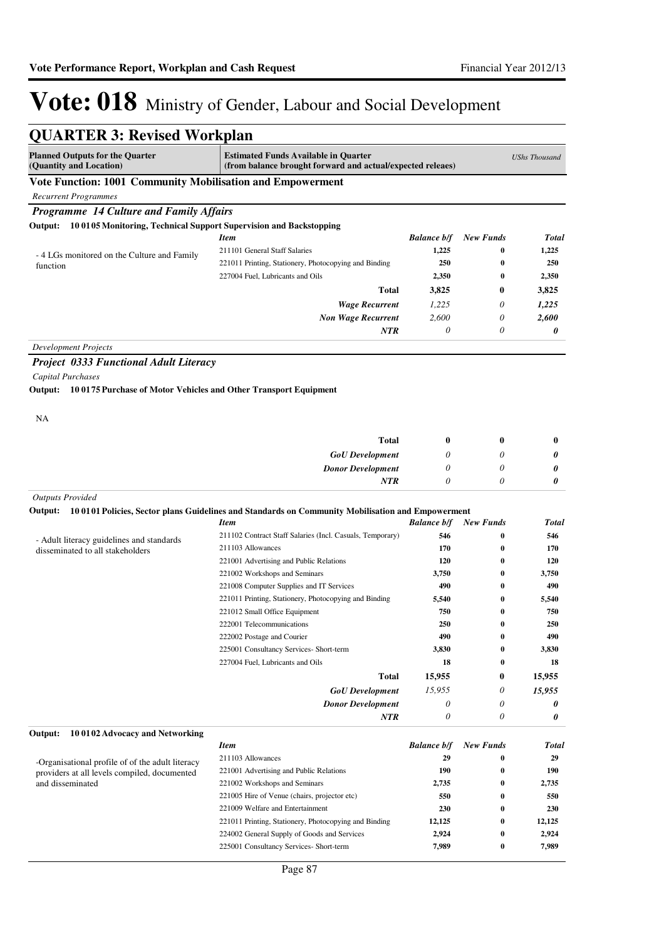| <b>QUARTER 3: Revised Workplan</b>                                        |                                                                                                                         |                    |                  |                      |
|---------------------------------------------------------------------------|-------------------------------------------------------------------------------------------------------------------------|--------------------|------------------|----------------------|
| <b>Planned Outputs for the Quarter</b><br>(Quantity and Location)         | <b>Estimated Funds Available in Quarter</b><br>(from balance brought forward and actual/expected releaes)               |                    |                  | <b>UShs Thousand</b> |
| Vote Function: 1001 Community Mobilisation and Empowerment                |                                                                                                                         |                    |                  |                      |
| <b>Recurrent Programmes</b>                                               |                                                                                                                         |                    |                  |                      |
| <b>Programme 14 Culture and Family Affairs</b>                            |                                                                                                                         |                    |                  |                      |
| Output: 100105 Monitoring, Technical Support Supervision and Backstopping |                                                                                                                         |                    |                  |                      |
|                                                                           | <b>Item</b>                                                                                                             | <b>Balance b/f</b> | <b>New Funds</b> | <b>Total</b>         |
|                                                                           | 211101 General Staff Salaries                                                                                           | 1,225              | 0                | 1,225                |
| -4 LGs monitored on the Culture and Family<br>function                    | 221011 Printing, Stationery, Photocopying and Binding                                                                   | 250                | 0                | 250                  |
|                                                                           | 227004 Fuel, Lubricants and Oils                                                                                        | 2,350              | $\bf{0}$         | 2,350                |
|                                                                           | <b>Total</b>                                                                                                            | 3,825              | 0                | 3,825                |
|                                                                           | <b>Wage Recurrent</b>                                                                                                   | 1,225              | 0                | 1,225                |
|                                                                           | <b>Non Wage Recurrent</b>                                                                                               | 2,600              | 0                | 2,600                |
|                                                                           | <b>NTR</b>                                                                                                              | $\theta$           | 0                | 0                    |
| <b>Development Projects</b>                                               |                                                                                                                         |                    |                  |                      |
| <b>Project 0333 Functional Adult Literacy</b>                             |                                                                                                                         |                    |                  |                      |
| Capital Purchases                                                         |                                                                                                                         |                    |                  |                      |
| Output: 10 0175 Purchase of Motor Vehicles and Other Transport Equipment  |                                                                                                                         |                    |                  |                      |
| NA                                                                        |                                                                                                                         |                    |                  |                      |
|                                                                           | <b>Total</b>                                                                                                            |                    |                  |                      |
|                                                                           |                                                                                                                         | $\bf{0}$<br>0      | 0<br>0           | $\bf{0}$             |
|                                                                           | <b>GoU</b> Development                                                                                                  |                    | 0                | 0                    |
|                                                                           | <b>Donor Development</b><br><b>NTR</b>                                                                                  | 0<br>0             | 0                | 0<br>0               |
|                                                                           |                                                                                                                         |                    |                  |                      |
| <b>Outputs Provided</b>                                                   |                                                                                                                         |                    |                  |                      |
|                                                                           | Output: 100101 Policies, Sector plans Guidelines and Standards on Community Mobilisation and Empowerment<br><b>Item</b> | <b>Balance b/f</b> | <b>New Funds</b> | Total                |
|                                                                           | 211102 Contract Staff Salaries (Incl. Casuals, Temporary)                                                               | 546                | 0                | 546                  |
| - Adult literacy guidelines and standards                                 | 211103 Allowances                                                                                                       | 170                | 0                | 170                  |
| disseminated to all stakeholders                                          | 221001 Advertising and Public Relations                                                                                 | 120                | $\bf{0}$         | 120                  |
|                                                                           | 221002 Workshops and Seminars                                                                                           | 3,750              | $\bf{0}$         | 3,750                |
|                                                                           | 221008 Computer Supplies and IT Services                                                                                | 490                | 0                | 490                  |
|                                                                           | 221011 Printing, Stationery, Photocopying and Binding                                                                   | 5,540              | 0                | 5,540                |
|                                                                           | 221012 Small Office Equipment                                                                                           | 750                | 0                | 750                  |
|                                                                           | 222001 Telecommunications                                                                                               | 250                | O                | ${\bf 250}$          |
|                                                                           | 222002 Postage and Courier                                                                                              | 490                | $\bf{0}$         | 490                  |
|                                                                           | 225001 Consultancy Services- Short-term                                                                                 | 3,830              | $\bf{0}$         | 3,830                |
|                                                                           | 227004 Fuel, Lubricants and Oils                                                                                        | 18                 | $\bf{0}$         | 18                   |
|                                                                           | <b>Total</b>                                                                                                            | 15,955             | 0                | 15,955               |
|                                                                           | <b>GoU</b> Development                                                                                                  | 15,955             | 0                | 15,955               |
|                                                                           | <b>Donor Development</b>                                                                                                | 0                  | 0                | 0                    |
|                                                                           | NTR                                                                                                                     | 0                  | 0                | 0                    |
| 100102 Advocacy and Networking<br>Output:                                 | <b>Item</b>                                                                                                             | <b>Balance b/f</b> | <b>New Funds</b> | Total                |
|                                                                           | 211103 Allowances                                                                                                       | 29                 | 0                | 29                   |
| -Organisational profile of of the adult literacy                          | 221001 Advertising and Public Relations                                                                                 | 190                | 0                | 190                  |
| providers at all levels compiled, documented<br>and disseminated          | 221002 Workshops and Seminars                                                                                           | 2,735              | 0                | 2,735                |
|                                                                           | 221005 Hire of Venue (chairs, projector etc)                                                                            | 550                | 0                | 550                  |
|                                                                           | 221009 Welfare and Entertainment                                                                                        | 230                | 0                | 230                  |
|                                                                           | 221011 Printing, Stationery, Photocopying and Binding                                                                   | 12,125             | $\bf{0}$         | 12,125               |
|                                                                           | 224002 General Supply of Goods and Services                                                                             | 2,924              | 0                | 2,924                |
|                                                                           | 225001 Consultancy Services- Short-term                                                                                 | 7,989              | 0                | 7,989                |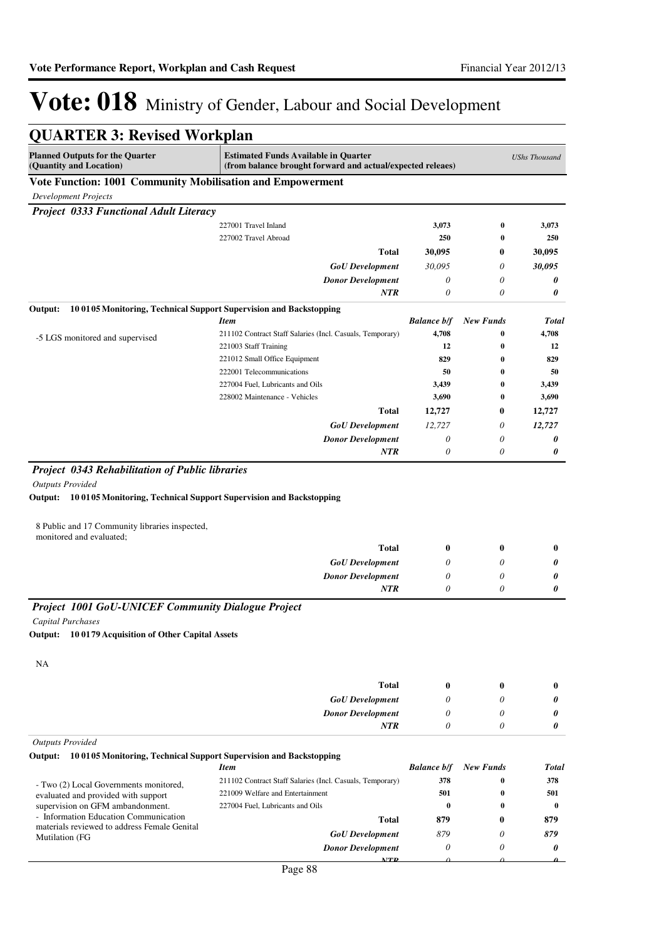| <b>QUARTER 3: Revised Workplan</b>                                                                                                      |                                                                                                           |                      |                      |                            |
|-----------------------------------------------------------------------------------------------------------------------------------------|-----------------------------------------------------------------------------------------------------------|----------------------|----------------------|----------------------------|
| <b>Planned Outputs for the Quarter</b><br>(Quantity and Location)                                                                       | <b>Estimated Funds Available in Quarter</b><br>(from balance brought forward and actual/expected releaes) |                      |                      | <b>UShs Thousand</b>       |
| Vote Function: 1001 Community Mobilisation and Empowerment                                                                              |                                                                                                           |                      |                      |                            |
| <b>Development Projects</b>                                                                                                             |                                                                                                           |                      |                      |                            |
| <b>Project 0333 Functional Adult Literacy</b>                                                                                           |                                                                                                           |                      |                      |                            |
|                                                                                                                                         | 227001 Travel Inland                                                                                      | 3,073                | 0                    | 3,073                      |
|                                                                                                                                         | 227002 Travel Abroad                                                                                      | 250                  | 0                    | 250                        |
|                                                                                                                                         | <b>Total</b>                                                                                              | 30,095               | 0                    | 30,095                     |
|                                                                                                                                         | <b>GoU</b> Development                                                                                    | 30,095               | 0                    | 30,095                     |
|                                                                                                                                         | <b>Donor Development</b>                                                                                  | 0                    | 0                    | 0                          |
|                                                                                                                                         | <b>NTR</b>                                                                                                | 0                    | $\theta$             | 0                          |
| Output:                                                                                                                                 | 100105 Monitoring, Technical Support Supervision and Backstopping                                         |                      |                      |                            |
|                                                                                                                                         | <b>Item</b>                                                                                               | <b>Balance b/f</b>   | <b>New Funds</b>     | <b>Total</b>               |
| -5 LGS monitored and supervised                                                                                                         | 211102 Contract Staff Salaries (Incl. Casuals, Temporary)<br>221003 Staff Training                        | 4,708<br>12          | $\bf{0}$<br>$\bf{0}$ | 4,708<br>12                |
|                                                                                                                                         | 221012 Small Office Equipment                                                                             | 829                  | 0                    | 829                        |
|                                                                                                                                         | 222001 Telecommunications                                                                                 | 50                   | 0                    | 50                         |
|                                                                                                                                         | 227004 Fuel, Lubricants and Oils                                                                          | 3,439                | 0                    | 3,439                      |
|                                                                                                                                         | 228002 Maintenance - Vehicles                                                                             | 3,690                | 0                    | 3,690                      |
|                                                                                                                                         | <b>Total</b>                                                                                              | 12,727               | 0                    | 12,727                     |
|                                                                                                                                         | <b>GoU</b> Development                                                                                    | 12,727               | 0                    | 12,727                     |
|                                                                                                                                         | <b>Donor Development</b>                                                                                  | 0                    | 0                    | 0                          |
|                                                                                                                                         | <b>NTR</b>                                                                                                | $\theta$             | 0                    | 0                          |
| 8 Public and 17 Community libraries inspected,<br>monitored and evaluated;                                                              | <b>Total</b>                                                                                              | $\bf{0}$             | $\bf{0}$             | $\bf{0}$                   |
|                                                                                                                                         | <b>GoU</b> Development                                                                                    | 0                    | 0                    | 0                          |
|                                                                                                                                         | <b>Donor Development</b><br>NTR                                                                           | $\theta$<br>0        | 0<br>$\theta$        | 0<br>0                     |
|                                                                                                                                         |                                                                                                           |                      |                      |                            |
| Project 1001 GoU-UNICEF Community Dialogue Project<br><b>Capital Purchases</b><br>Output:<br>100179 Acquisition of Other Capital Assets |                                                                                                           |                      |                      |                            |
| NA                                                                                                                                      | <b>Total</b>                                                                                              | $\bf{0}$             | $\mathbf{0}$         | $\bf{0}$                   |
|                                                                                                                                         | <b>GoU</b> Development                                                                                    | 0                    | 0                    | 0                          |
|                                                                                                                                         | <b>Donor Development</b>                                                                                  | 0                    | 0                    | 0                          |
|                                                                                                                                         | <b>NTR</b>                                                                                                | 0                    | 0                    | 0                          |
| <b>Outputs Provided</b>                                                                                                                 |                                                                                                           |                      |                      |                            |
| 100105 Monitoring, Technical Support Supervision and Backstopping<br>Output:                                                            |                                                                                                           |                      |                      |                            |
|                                                                                                                                         | <b>Item</b>                                                                                               | <b>Balance b/f</b>   | <b>New Funds</b>     | Total                      |
| - Two (2) Local Governments monitored,                                                                                                  | 211102 Contract Staff Salaries (Incl. Casuals, Temporary)                                                 | 378                  | 0                    | 378                        |
| evaluated and provided with support                                                                                                     | 221009 Welfare and Entertainment                                                                          | 501                  | 0                    | 501                        |
| supervision on GFM ambandonment.<br>- Information Education Communication                                                               | 227004 Fuel, Lubricants and Oils                                                                          | $\bf{0}$             | 0                    | $\bf{0}$                   |
| materials reviewed to address Female Genital                                                                                            | <b>Total</b>                                                                                              | 879                  | 0                    | 879                        |
| <b>Mutilation</b> (FG                                                                                                                   | <b>GoU</b> Development                                                                                    | 879                  | 0                    | 879                        |
|                                                                                                                                         | <b>Donor Development</b><br><b>ATTD</b>                                                                   | $\theta$<br>$\Omega$ | $\theta$<br>$\Omega$ | 0<br>$\boldsymbol{\Omega}$ |
|                                                                                                                                         |                                                                                                           |                      |                      |                            |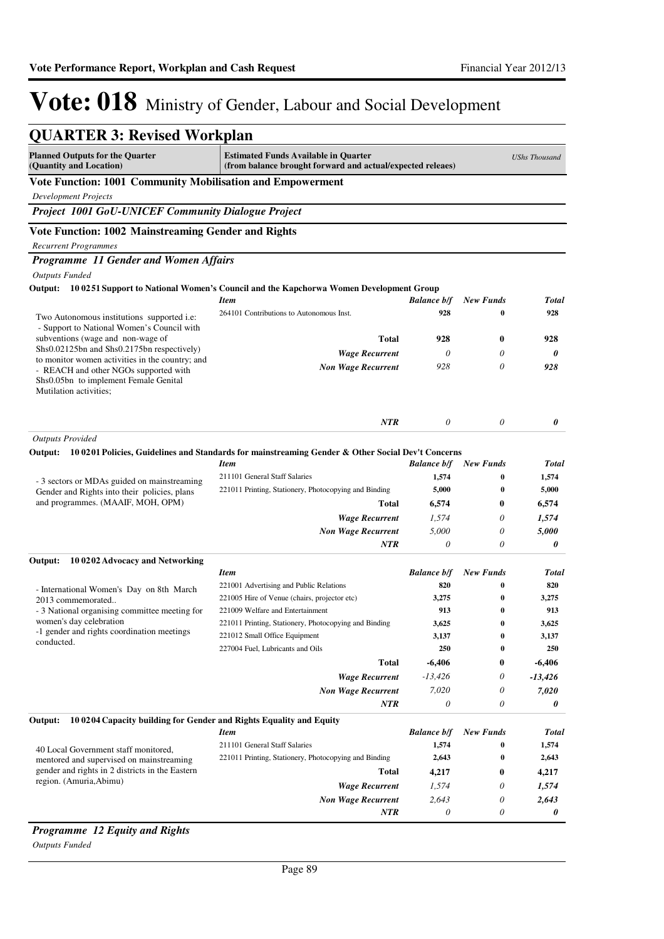| <b>QUARTER 3: Revised Workplan</b>                                                                       |                                                                                                           |                    |                      |                      |
|----------------------------------------------------------------------------------------------------------|-----------------------------------------------------------------------------------------------------------|--------------------|----------------------|----------------------|
| <b>Planned Outputs for the Quarter</b><br>(Quantity and Location)                                        | <b>Estimated Funds Available in Quarter</b><br>(from balance brought forward and actual/expected releaes) |                    |                      | <b>UShs Thousand</b> |
| Vote Function: 1001 Community Mobilisation and Empowerment                                               |                                                                                                           |                    |                      |                      |
| <b>Development Projects</b>                                                                              |                                                                                                           |                    |                      |                      |
| Project 1001 GoU-UNICEF Community Dialogue Project                                                       |                                                                                                           |                    |                      |                      |
| Vote Function: 1002 Mainstreaming Gender and Rights                                                      |                                                                                                           |                    |                      |                      |
| <b>Recurrent Programmes</b>                                                                              |                                                                                                           |                    |                      |                      |
| Programme 11 Gender and Women Affairs                                                                    |                                                                                                           |                    |                      |                      |
| <b>Outputs Funded</b>                                                                                    |                                                                                                           |                    |                      |                      |
| Output:                                                                                                  | 10 0251 Support to National Women's Council and the Kapchorwa Women Development Group                     |                    |                      |                      |
|                                                                                                          | <b>Item</b>                                                                                               | <b>Balance b/f</b> | <b>New Funds</b>     | <b>Total</b>         |
| Two Autonomous institutions supported <i>i.e:</i>                                                        | 264101 Contributions to Autonomous Inst.                                                                  | 928                | $\bf{0}$             | 928                  |
| - Support to National Women's Council with<br>subventions (wage and non-wage of                          | <b>Total</b>                                                                                              | 928                | $\bf{0}$             | 928                  |
| Shs0.02125bn and Shs0.2175bn respectively)                                                               | <b>Wage Recurrent</b>                                                                                     | $\theta$           | 0                    | 0                    |
| to monitor women activities in the country; and                                                          | <b>Non Wage Recurrent</b>                                                                                 | 928                | 0                    | 928                  |
| - REACH and other NGOs supported with<br>Shs0.05bn to implement Female Genital<br>Mutilation activities; |                                                                                                           |                    |                      |                      |
|                                                                                                          | <b>NTR</b>                                                                                                | 0                  | $\theta$             | 0                    |
| <b>Outputs Provided</b>                                                                                  |                                                                                                           |                    |                      |                      |
| Output: 100201 Policies, Guidelines and Standards for mainstreaming Gender & Other Social Dev't Concerns |                                                                                                           |                    |                      |                      |
|                                                                                                          | <b>Item</b>                                                                                               | <b>Balance b/f</b> | <b>New Funds</b>     | <b>Total</b>         |
| - 3 sectors or MDAs guided on mainstreaming                                                              | 211101 General Staff Salaries                                                                             | 1,574              | $\bf{0}$             | 1,574                |
| Gender and Rights into their policies, plans                                                             | 221011 Printing, Stationery, Photocopying and Binding                                                     | 5,000              | $\bf{0}$             | 5,000                |
| and programmes. (MAAIF, MOH, OPM)                                                                        | Total                                                                                                     | 6,574              | 0                    | 6,574                |
|                                                                                                          | <b>Wage Recurrent</b>                                                                                     | 1,574              | 0                    | 1,574                |
|                                                                                                          | <b>Non Wage Recurrent</b>                                                                                 | 5,000              | 0                    | 5,000                |
|                                                                                                          | NTR                                                                                                       | $\theta$           | $\theta$             | 0                    |
| 10 0202 Advocacy and Networking<br>Output:                                                               | <b>Item</b>                                                                                               | <b>Balance b/f</b> | <b>New Funds</b>     | <b>Total</b>         |
|                                                                                                          | 221001 Advertising and Public Relations                                                                   | 820                | $\bf{0}$             | 820                  |
| - International Women's Day on 8th March<br>2013 commemorated                                            | 221005 Hire of Venue (chairs, projector etc)                                                              | 3,275              | $\bf{0}$             | 3,275                |
| - 3 National organising committee meeting for                                                            | 221009 Welfare and Entertainment                                                                          | 913                | $\bf{0}$             | 913                  |
| women's day celebration                                                                                  | 221011 Printing, Stationery, Photocopying and Binding                                                     | 3,625              | $\bf{0}$             | 3,625                |
| -1 gender and rights coordination meetings<br>conducted.                                                 | 221012 Small Office Equipment                                                                             | 3,137              | $\bf{0}$             | 3,137                |
|                                                                                                          | 227004 Fuel, Lubricants and Oils                                                                          | 250                | $\bf{0}$             | 250                  |
|                                                                                                          | <b>Total</b>                                                                                              | $-6,406$           | 0                    | $-6,406$             |
|                                                                                                          | <b>Wage Recurrent</b>                                                                                     | $-13,426$          | 0                    | -13,426              |
|                                                                                                          | <b>Non Wage Recurrent</b>                                                                                 | 7,020              | 0                    | 7,020                |
|                                                                                                          | <b>NTR</b>                                                                                                | $\theta$           | 0                    | 0                    |
| 100204 Capacity building for Gender and Rights Equality and Equity<br>Output:                            |                                                                                                           |                    |                      |                      |
|                                                                                                          | <b>Item</b>                                                                                               | <b>Balance b/f</b> | <b>New Funds</b>     | <b>Total</b>         |
| 40 Local Government staff monitored,                                                                     | 211101 General Staff Salaries<br>221011 Printing, Stationery, Photocopying and Binding                    | 1,574<br>2,643     | $\bf{0}$<br>$\bf{0}$ | 1,574                |
| mentored and supervised on mainstreaming<br>gender and rights in 2 districts in the Eastern              | <b>Total</b>                                                                                              |                    | 0                    | 2,643                |
| region. (Amuria, Abimu)                                                                                  | <b>Wage Recurrent</b>                                                                                     | 4,217              | 0                    | 4,217                |
|                                                                                                          | <b>Non Wage Recurrent</b>                                                                                 | 1,574<br>2,643     | 0                    | 1,574<br>2,643       |
|                                                                                                          | NTR                                                                                                       | $\theta$           | 0                    | 0                    |

### *Programme 12 Equity and Rights*

*Outputs Funded*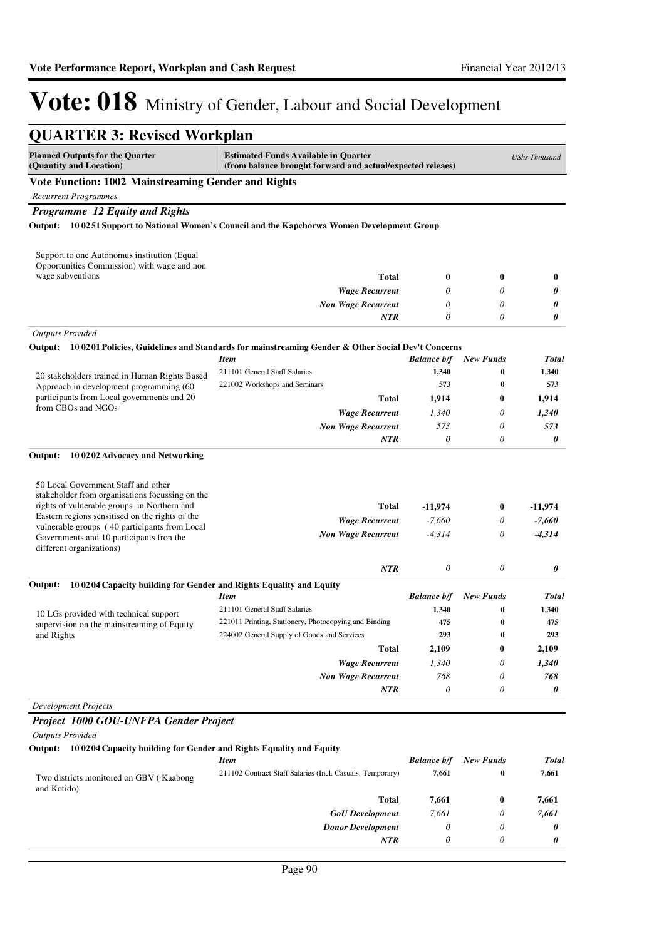| <b>QUARTER 3: Revised Workplan</b>                                                                                                    |                                                                                                                         |                             |                              |                       |
|---------------------------------------------------------------------------------------------------------------------------------------|-------------------------------------------------------------------------------------------------------------------------|-----------------------------|------------------------------|-----------------------|
| <b>Planned Outputs for the Quarter</b><br>(Quantity and Location)                                                                     | <b>Estimated Funds Available in Quarter</b><br>(from balance brought forward and actual/expected releaes)               |                             |                              | <b>UShs Thousand</b>  |
| <b>Vote Function: 1002 Mainstreaming Gender and Rights</b>                                                                            |                                                                                                                         |                             |                              |                       |
| <b>Recurrent Programmes</b>                                                                                                           |                                                                                                                         |                             |                              |                       |
| Programme 12 Equity and Rights                                                                                                        |                                                                                                                         |                             |                              |                       |
|                                                                                                                                       | Output: 100251 Support to National Women's Council and the Kapchorwa Women Development Group                            |                             |                              |                       |
| Support to one Autonomus institution (Equal<br>Opportunities Commission) with wage and non                                            |                                                                                                                         |                             |                              |                       |
| wage subventions                                                                                                                      | <b>Total</b>                                                                                                            | $\boldsymbol{0}$            | $\bf{0}$                     | $\bf{0}$              |
|                                                                                                                                       | <b>Wage Recurrent</b>                                                                                                   | 0                           | 0                            | 0                     |
|                                                                                                                                       | <b>Non Wage Recurrent</b><br>NTR                                                                                        | 0<br>0                      | 0<br>0                       | 0<br>0                |
| <b>Outputs Provided</b>                                                                                                               |                                                                                                                         |                             |                              |                       |
|                                                                                                                                       | Output: 100201 Policies, Guidelines and Standards for mainstreaming Gender & Other Social Dev't Concerns<br><b>Item</b> | <b>Balance b/f</b>          | <b>New Funds</b>             | <b>Total</b>          |
|                                                                                                                                       | 211101 General Staff Salaries                                                                                           | 1,340                       | 0                            | 1,340                 |
| 20 stakeholders trained in Human Rights Based<br>Approach in development programming (60                                              | 221002 Workshops and Seminars                                                                                           | 573                         | 0                            | 573                   |
| participants from Local governments and 20                                                                                            | Total                                                                                                                   | 1,914                       | 0                            | 1,914                 |
| from CBOs and NGOs                                                                                                                    | <b>Wage Recurrent</b>                                                                                                   | 1.340                       | 0                            | 1,340                 |
|                                                                                                                                       | <b>Non Wage Recurrent</b>                                                                                               | 573                         | 0                            | 573                   |
|                                                                                                                                       | <b>NTR</b>                                                                                                              | 0                           | 0                            | 0                     |
| 10 0202 Advocacy and Networking<br>Output:                                                                                            |                                                                                                                         |                             |                              |                       |
| 50 Local Government Staff and other<br>stakeholder from organisations focussing on the<br>rights of vulnerable groups in Northern and | <b>Total</b>                                                                                                            | -11,974                     | 0                            | $-11,974$             |
| Eastern regions sensitised on the rights of the                                                                                       | <b>Wage Recurrent</b>                                                                                                   | $-7,660$                    | 0                            | $-7,660$              |
| vulnerable groups (40 participants from Local<br>Governments and 10 participants fron the<br>different organizations)                 | <b>Non Wage Recurrent</b>                                                                                               | $-4,314$                    | 0                            | $-4,314$              |
|                                                                                                                                       | <b>NTR</b>                                                                                                              | 0                           | 0                            | 0                     |
| 100204 Capacity building for Gender and Rights Equality and Equity<br>Output:                                                         |                                                                                                                         |                             |                              |                       |
|                                                                                                                                       | <b>Item</b>                                                                                                             | <b>Balance b/f</b><br>1,340 | <b>New Funds</b><br>$\bf{0}$ | <b>Total</b><br>1,340 |
| 10 LGs provided with technical support                                                                                                | 211101 General Staff Salaries<br>221011 Printing, Stationery, Photocopying and Binding                                  | 475                         | $\bf{0}$                     | 475                   |
| supervision on the mainstreaming of Equity<br>and Rights                                                                              | 224002 General Supply of Goods and Services                                                                             | 293                         | 0                            | 293                   |
|                                                                                                                                       | <b>Total</b>                                                                                                            | 2,109                       | 0                            | 2,109                 |
|                                                                                                                                       | <b>Wage Recurrent</b>                                                                                                   | 1,340                       | 0                            | 1,340                 |
|                                                                                                                                       | <b>Non Wage Recurrent</b>                                                                                               | 768                         | 0                            | 768                   |
|                                                                                                                                       | <b>NTR</b>                                                                                                              | 0                           | 0                            | 0                     |
| <b>Development Projects</b>                                                                                                           |                                                                                                                         |                             |                              |                       |
| Project 1000 GOU-UNFPA Gender Project<br><b>Outputs Provided</b>                                                                      |                                                                                                                         |                             |                              |                       |
| Output: 10 0204 Capacity building for Gender and Rights Equality and Equity                                                           |                                                                                                                         |                             |                              |                       |
|                                                                                                                                       | <b>Item</b>                                                                                                             | <b>Balance b/f</b>          | <b>New Funds</b>             | <b>Total</b>          |
| Two districts monitored on GBV (Kaabong<br>and Kotido)                                                                                | 211102 Contract Staff Salaries (Incl. Casuals, Temporary)                                                               | 7,661                       | 0                            | 7,661                 |
|                                                                                                                                       | <b>Total</b>                                                                                                            | 7,661                       | 0                            | 7,661                 |
|                                                                                                                                       | <b>GoU</b> Development                                                                                                  | 7,661                       | 0                            | 7,661                 |
|                                                                                                                                       | <b>Donor Development</b>                                                                                                | $\theta$                    | 0                            | 0                     |
|                                                                                                                                       | <b>NTR</b>                                                                                                              | $\theta$                    | 0                            | 0                     |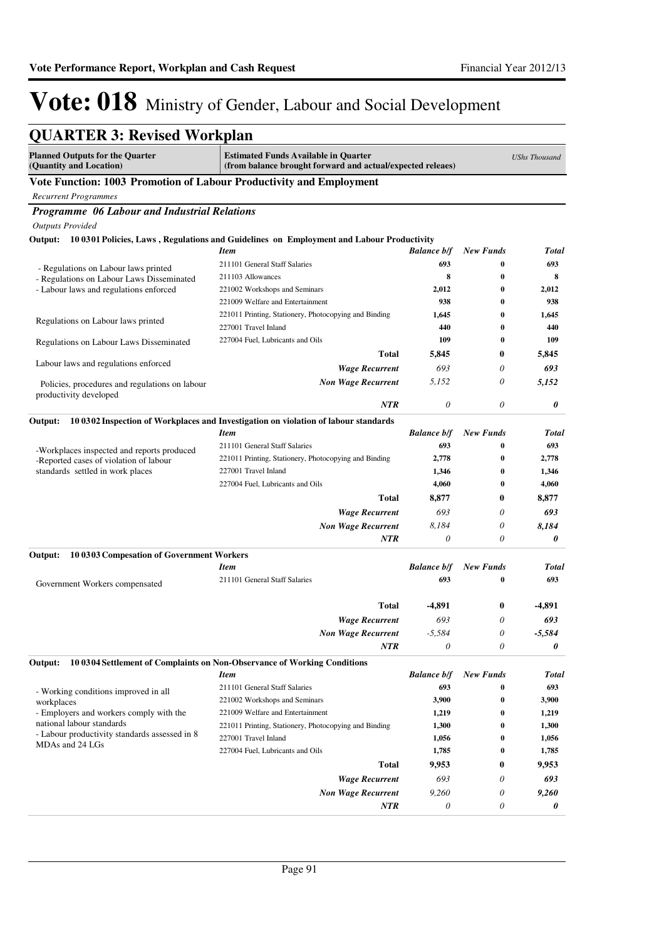| <b>QUARTER 3: Revised Workplan</b>                                       |                                                                                                           |                    |                       |                      |
|--------------------------------------------------------------------------|-----------------------------------------------------------------------------------------------------------|--------------------|-----------------------|----------------------|
| <b>Planned Outputs for the Quarter</b><br>(Quantity and Location)        | <b>Estimated Funds Available in Quarter</b><br>(from balance brought forward and actual/expected releaes) |                    |                       | <b>UShs Thousand</b> |
| Vote Function: 1003 Promotion of Labour Productivity and Employment      |                                                                                                           |                    |                       |                      |
| <b>Recurrent Programmes</b>                                              |                                                                                                           |                    |                       |                      |
| Programme 06 Labour and Industrial Relations                             |                                                                                                           |                    |                       |                      |
| <b>Outputs Provided</b>                                                  |                                                                                                           |                    |                       |                      |
| Output:                                                                  | 10 0301 Policies, Laws, Regulations and Guidelines on Employment and Labour Productivity                  |                    |                       |                      |
|                                                                          | Item                                                                                                      | <b>Balance b/f</b> | <b>New Funds</b>      | <b>Total</b>         |
| - Regulations on Labour laws printed                                     | 211101 General Staff Salaries                                                                             | 693                | $\bf{0}$              | 693                  |
| - Regulations on Labour Laws Disseminated                                | 211103 Allowances                                                                                         | 8                  | $\bf{0}$              | 8                    |
| - Labour laws and regulations enforced                                   | 221002 Workshops and Seminars                                                                             | 2,012              | $\bf{0}$              | 2,012                |
|                                                                          | 221009 Welfare and Entertainment                                                                          | 938                | $\bf{0}$              | 938                  |
| Regulations on Labour laws printed                                       | 221011 Printing, Stationery, Photocopying and Binding                                                     | 1,645              | $\bf{0}$              | 1,645                |
|                                                                          | 227001 Travel Inland                                                                                      | 440                | $\bf{0}$              | 440                  |
| Regulations on Labour Laws Disseminated                                  | 227004 Fuel, Lubricants and Oils                                                                          | 109                | $\bf{0}$              | 109                  |
|                                                                          | Total                                                                                                     | 5,845              | 0                     | 5,845                |
| Labour laws and regulations enforced                                     | <b>Wage Recurrent</b>                                                                                     | 693                | 0                     | 693                  |
| Policies, procedures and regulations on labour<br>productivity developed | <b>Non Wage Recurrent</b>                                                                                 | 5,152              | 0                     | 5,152                |
|                                                                          | <b>NTR</b>                                                                                                | $\theta$           | 0                     | 0                    |
| Output:                                                                  | 10 0302 Inspection of Workplaces and Investigation on violation of labour standards                       |                    |                       |                      |
|                                                                          | <b>Item</b>                                                                                               | <b>Balance b/f</b> | <b>New Funds</b>      | <b>Total</b>         |
| -Workplaces inspected and reports produced                               | 211101 General Staff Salaries                                                                             | 693                | $\bf{0}$              | 693                  |
| -Reported cases of violation of labour                                   | 221011 Printing, Stationery, Photocopying and Binding                                                     | 2,778              | $\bf{0}$              | 2,778                |
| standards settled in work places                                         | 227001 Travel Inland                                                                                      | 1,346              | $\bf{0}$              | 1,346                |
|                                                                          | 227004 Fuel, Lubricants and Oils                                                                          | 4,060              | $\bf{0}$              | 4,060                |
|                                                                          | <b>Total</b>                                                                                              | 8,877              | 0                     | 8,877                |
|                                                                          | <b>Wage Recurrent</b>                                                                                     | 693                | 0                     | 693                  |
|                                                                          | <b>Non Wage Recurrent</b>                                                                                 | 8,184              | 0                     | 8,184                |
|                                                                          | <b>NTR</b>                                                                                                | $\theta$           | 0                     | 0                    |
| Output:<br>10 0303 Compesation of Government Workers                     |                                                                                                           |                    |                       |                      |
|                                                                          | <b>Item</b>                                                                                               | <b>Balance b/f</b> | <b>New Funds</b>      | <b>Total</b>         |
| Government Workers compensated                                           | 211101 General Staff Salaries                                                                             | 693                | $\bf{0}$              | 693                  |
|                                                                          | <b>Total</b>                                                                                              | -4,891             | 0                     | -4,891               |
|                                                                          | <b>Wage Recurrent</b>                                                                                     | 693                | 0                     | 693                  |
|                                                                          | <b>Non Wage Recurrent</b>                                                                                 | $-5,584$           | $\boldsymbol{\theta}$ | $-5,584$             |
|                                                                          | <b>NTR</b>                                                                                                | $\theta$           | 0                     | 0                    |
| Output:                                                                  | 10 0304 Settlement of Complaints on Non-Observance of Working Conditions                                  |                    |                       |                      |
|                                                                          | Item                                                                                                      | <b>Balance b/f</b> | <b>New Funds</b>      | <b>Total</b>         |
| - Working conditions improved in all                                     | 211101 General Staff Salaries                                                                             | 693                | $\bf{0}$              | 693                  |
| workplaces                                                               | 221002 Workshops and Seminars                                                                             | 3,900              | $\bf{0}$              | 3,900                |
| - Employers and workers comply with the                                  | 221009 Welfare and Entertainment                                                                          | 1,219              | $\bf{0}$              | 1,219                |
| national labour standards                                                | 221011 Printing, Stationery, Photocopying and Binding                                                     | 1,300              | $\bf{0}$              | 1,300                |
| - Labour productivity standards assessed in 8<br>MDAs and 24 LGs         | 227001 Travel Inland                                                                                      | 1,056              | $\bf{0}$              | 1,056                |
|                                                                          | 227004 Fuel, Lubricants and Oils                                                                          | 1,785              | $\bf{0}$              | 1,785                |
|                                                                          | Total                                                                                                     | 9,953              | 0                     | 9,953                |
|                                                                          | <b>Wage Recurrent</b>                                                                                     | 693                | 0                     | 693                  |
|                                                                          | <b>Non Wage Recurrent</b>                                                                                 | 9,260              | 0                     | 9,260                |
|                                                                          | NTR                                                                                                       | 0                  | 0                     | 0                    |
|                                                                          |                                                                                                           |                    |                       |                      |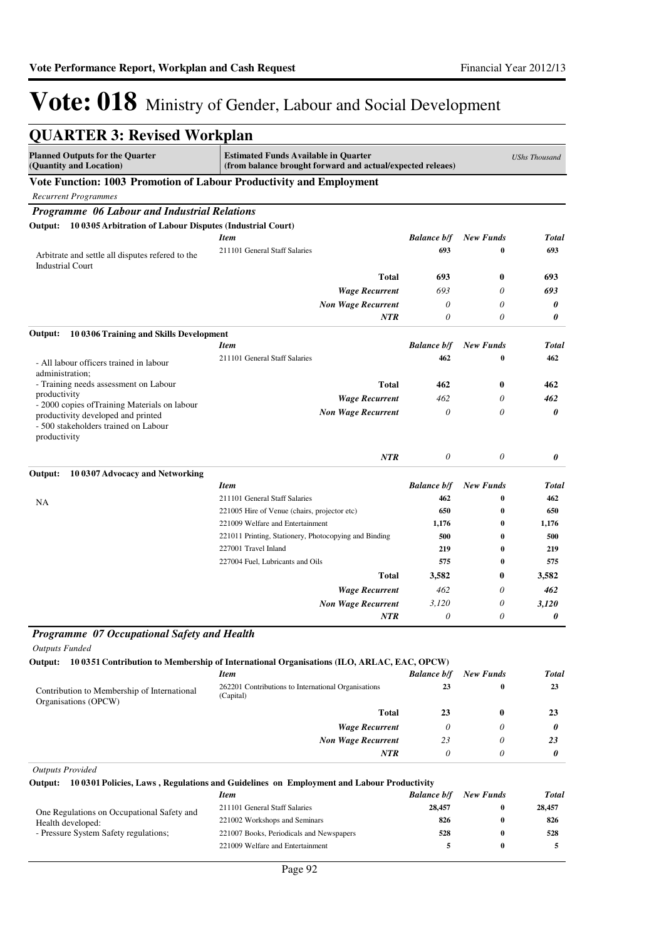| <b>QUARTER 3: Revised Workplan</b>                                                                                                          |                                                                                                           |                           |                       |                      |
|---------------------------------------------------------------------------------------------------------------------------------------------|-----------------------------------------------------------------------------------------------------------|---------------------------|-----------------------|----------------------|
| <b>Planned Outputs for the Quarter</b><br>(Quantity and Location)                                                                           | <b>Estimated Funds Available in Quarter</b><br>(from balance brought forward and actual/expected releaes) |                           |                       | <b>UShs Thousand</b> |
| Vote Function: 1003 Promotion of Labour Productivity and Employment                                                                         |                                                                                                           |                           |                       |                      |
| <b>Recurrent Programmes</b>                                                                                                                 |                                                                                                           |                           |                       |                      |
| Programme 06 Labour and Industrial Relations                                                                                                |                                                                                                           |                           |                       |                      |
| 10 0305 Arbitration of Labour Disputes (Industrial Court)<br>Output:                                                                        |                                                                                                           |                           |                       |                      |
|                                                                                                                                             | <b>Item</b>                                                                                               | <b>Balance b/f</b>        | <b>New Funds</b>      | <b>Total</b>         |
| Arbitrate and settle all disputes refered to the<br><b>Industrial Court</b>                                                                 | 211101 General Staff Salaries                                                                             | 693                       | 0                     | 693                  |
|                                                                                                                                             | Total                                                                                                     | 693                       | $\bf{0}$              | 693                  |
|                                                                                                                                             | <b>Wage Recurrent</b>                                                                                     | 693                       | 0                     | 693                  |
|                                                                                                                                             | <b>Non Wage Recurrent</b>                                                                                 | 0                         | 0                     | 0                    |
|                                                                                                                                             | NTR                                                                                                       | $\theta$                  | 0                     | 0                    |
| Output:<br>10 0306 Training and Skills Development                                                                                          |                                                                                                           |                           |                       |                      |
|                                                                                                                                             | <b>Item</b>                                                                                               | <b>Balance b/f</b>        | <b>New Funds</b>      | <b>Total</b>         |
| - All labour officers trained in labour<br>administration;                                                                                  | 211101 General Staff Salaries                                                                             | 462                       | 0                     | 462                  |
| - Training needs assessment on Labour                                                                                                       | Total                                                                                                     | 462                       | $\bf{0}$              | 462                  |
| productivity                                                                                                                                | <b>Wage Recurrent</b>                                                                                     | 462                       | 0                     | 462                  |
| - 2000 copies of Training Materials on labour<br>productivity developed and printed<br>- 500 stakeholders trained on Labour<br>productivity | <b>Non Wage Recurrent</b>                                                                                 | 0                         | 0                     | 0                    |
|                                                                                                                                             | <b>NTR</b>                                                                                                | 0                         | $\theta$              | 0                    |
| 10 0307 Advocacy and Networking<br>Output:                                                                                                  |                                                                                                           |                           |                       |                      |
|                                                                                                                                             | <b>Item</b><br>211101 General Staff Salaries                                                              | <b>Balance b/f</b><br>462 | <b>New Funds</b><br>0 | <b>Total</b><br>462  |
| NA                                                                                                                                          | 221005 Hire of Venue (chairs, projector etc)                                                              | 650                       | $\bf{0}$              | 650                  |
|                                                                                                                                             | 221009 Welfare and Entertainment                                                                          | 1,176                     | $\bf{0}$              | 1,176                |
|                                                                                                                                             | 221011 Printing, Stationery, Photocopying and Binding                                                     | 500                       | $\bf{0}$              | 500                  |
|                                                                                                                                             | 227001 Travel Inland                                                                                      | 219                       | $\bf{0}$              | 219                  |
|                                                                                                                                             | 227004 Fuel, Lubricants and Oils                                                                          | 575                       | $\bf{0}$              | 575                  |
|                                                                                                                                             | <b>Total</b>                                                                                              | 3,582                     | $\bf{0}$              | 3,582                |
|                                                                                                                                             | <b>Wage Recurrent</b>                                                                                     | 462                       | 0                     | 462                  |
|                                                                                                                                             | <b>Non Wage Recurrent</b>                                                                                 | 3.120                     | 0                     | 3,120                |
|                                                                                                                                             | <b>NTR</b>                                                                                                | 0                         | 0                     | 0                    |
| Programme 07 Occupational Safety and Health<br><b>Outputs Funded</b>                                                                        |                                                                                                           |                           |                       |                      |
|                                                                                                                                             | Output: 10 0351 Contribution to Membership of International Organisations (ILO, ARLAC, EAC, OPCW)         |                           |                       |                      |
|                                                                                                                                             | <b>Item</b>                                                                                               | <b>Balance b/f</b>        | <b>New Funds</b>      | <b>Total</b>         |
| Contribution to Membership of International<br>Organisations (OPCW)                                                                         | 262201 Contributions to International Organisations<br>(Capital)                                          | 23                        | $\bf{0}$              | 23                   |
|                                                                                                                                             | Total                                                                                                     | 23                        | $\bf{0}$              | 23                   |
|                                                                                                                                             | <b>Wage Recurrent</b>                                                                                     | $\theta$                  | $\theta$              | 0                    |
|                                                                                                                                             | <b>Non Wage Recurrent</b>                                                                                 | 23                        | 0                     | 23                   |
|                                                                                                                                             | NTR                                                                                                       | $\theta$                  | 0                     | 0                    |
| <b>Outputs Provided</b>                                                                                                                     |                                                                                                           |                           |                       |                      |
| Output:                                                                                                                                     | 10 0301 Policies, Laws, Regulations and Guidelines on Employment and Labour Productivity                  |                           |                       |                      |
|                                                                                                                                             | <b>Item</b>                                                                                               | <b>Balance b/f</b>        | <b>New Funds</b>      | <b>Total</b>         |
| One Regulations on Occupational Safety and                                                                                                  | 211101 General Staff Salaries                                                                             | 28,457                    | 0                     | 28,457               |
| Health developed:<br>- Pressure System Safety regulations;                                                                                  | 221002 Workshops and Seminars<br>221007 Books, Periodicals and Newspapers                                 | 826<br>528                | 0<br>0                | 826<br>528           |
|                                                                                                                                             | 221009 Welfare and Entertainment                                                                          | 5                         | $\bf{0}$              | 5                    |
|                                                                                                                                             |                                                                                                           |                           |                       |                      |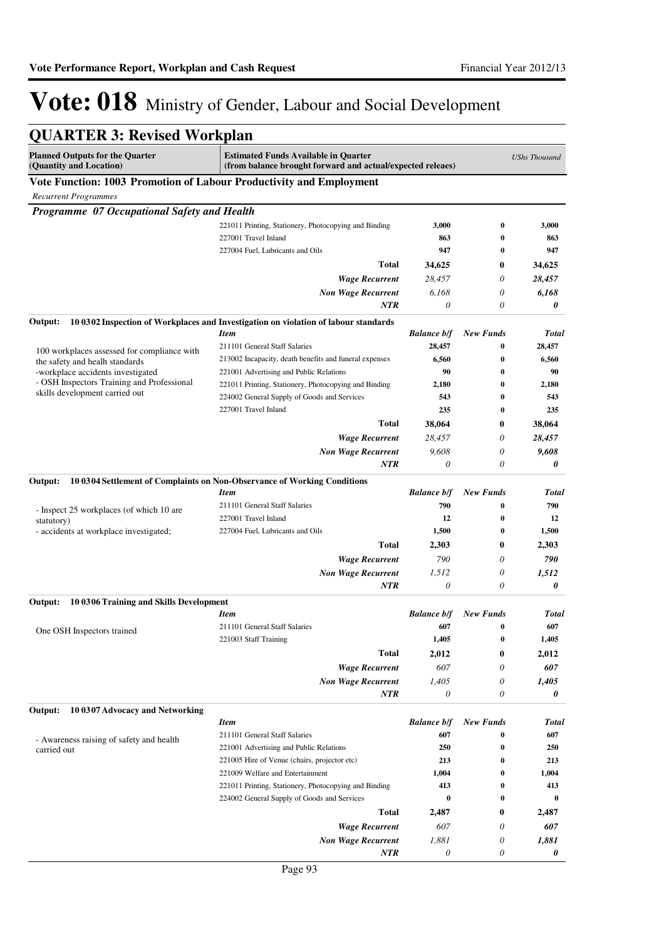| <b>QUARTER 3: Revised Workplan</b>                                              |                                                                                                           |                    |                              |                      |
|---------------------------------------------------------------------------------|-----------------------------------------------------------------------------------------------------------|--------------------|------------------------------|----------------------|
| <b>Planned Outputs for the Quarter</b><br>(Quantity and Location)               | <b>Estimated Funds Available in Quarter</b><br>(from balance brought forward and actual/expected releaes) |                    |                              | <b>UShs Thousand</b> |
| Vote Function: 1003 Promotion of Labour Productivity and Employment             |                                                                                                           |                    |                              |                      |
| <b>Recurrent Programmes</b>                                                     |                                                                                                           |                    |                              |                      |
| Programme 07 Occupational Safety and Health                                     |                                                                                                           |                    |                              |                      |
|                                                                                 | 221011 Printing, Stationery, Photocopying and Binding                                                     | 3,000              | $\bf{0}$                     | 3,000                |
|                                                                                 | 227001 Travel Inland                                                                                      | 863                | 0                            | 863                  |
|                                                                                 | 227004 Fuel. Lubricants and Oils                                                                          | 947                | $\bf{0}$                     | 947                  |
|                                                                                 | Total                                                                                                     | 34,625             | 0                            | 34,625               |
|                                                                                 | <b>Wage Recurrent</b>                                                                                     | 28,457             | 0                            | 28,457               |
|                                                                                 | <b>Non Wage Recurrent</b>                                                                                 | 6,168              | 0                            | 6,168                |
|                                                                                 | NTR                                                                                                       | 0                  | 0                            | 0                    |
| Output:                                                                         | 10 0302 Inspection of Workplaces and Investigation on violation of labour standards                       |                    |                              |                      |
|                                                                                 | <b>Item</b>                                                                                               | <b>Balance b/f</b> | New Funds                    | <b>Total</b>         |
| 100 workplaces assessed for compliance with                                     | 211101 General Staff Salaries                                                                             | 28,457             | $\bf{0}$                     | 28,457               |
| the safety and healh standards                                                  | 213002 Incapacity, death benefits and funeral expenses                                                    | 6,560              | $\bf{0}$                     | 6,560                |
| -workplace accidents investigated<br>- OSH Inspectors Training and Professional | 221001 Advertising and Public Relations                                                                   | 90<br>2,180        | $\bf{0}$<br>$\bf{0}$         | 90<br>2,180          |
| skills development carried out                                                  | 221011 Printing, Stationery, Photocopying and Binding<br>224002 General Supply of Goods and Services      | 543                | $\bf{0}$                     | 543                  |
|                                                                                 | 227001 Travel Inland                                                                                      | 235                | $\bf{0}$                     | 235                  |
|                                                                                 | Total                                                                                                     | 38,064             | 0                            | 38,064               |
|                                                                                 | <b>Wage Recurrent</b>                                                                                     | 28,457             | 0                            | 28,457               |
|                                                                                 | <b>Non Wage Recurrent</b>                                                                                 | 9,608              | 0                            | 9,608                |
|                                                                                 | <b>NTR</b>                                                                                                | 0                  | 0                            | 0                    |
| Output:                                                                         | 10 0304 Settlement of Complaints on Non-Observance of Working Conditions                                  |                    |                              |                      |
|                                                                                 | <b>Item</b>                                                                                               | <b>Balance b/f</b> | New Funds                    | <b>Total</b>         |
| - Inspect 25 workplaces (of which 10 are                                        | 211101 General Staff Salaries                                                                             | 790                | 0                            | 790                  |
| statutory)                                                                      | 227001 Travel Inland                                                                                      | 12                 | $\bf{0}$                     | 12                   |
| - accidents at workplace investigated;                                          | 227004 Fuel, Lubricants and Oils                                                                          | 1,500              | $\bf{0}$                     | 1,500                |
|                                                                                 | Total                                                                                                     | 2,303              | 0                            | 2,303                |
|                                                                                 | <b>Wage Recurrent</b>                                                                                     | 790                | 0                            | 790                  |
|                                                                                 | <b>Non Wage Recurrent</b>                                                                                 | 1,512              | 0                            | 1,512                |
|                                                                                 | <b>NTR</b>                                                                                                | 0                  | 0                            | 0                    |
| 10 0306 Training and Skills Development<br>Output:                              |                                                                                                           |                    |                              |                      |
|                                                                                 | <b>Item</b>                                                                                               |                    | <b>Balance b/f</b> New Funds | Total                |
| One OSH Inspectors trained                                                      | 211101 General Staff Salaries                                                                             | 607                |                              | 607                  |
|                                                                                 | 221003 Staff Training                                                                                     | 1,405              | $\bf{0}$                     | 1,405                |
|                                                                                 | <b>Total</b>                                                                                              | 2,012              | 0                            | 2,012                |
|                                                                                 | <b>Wage Recurrent</b>                                                                                     | 607                | 0                            | 607                  |
|                                                                                 | <b>Non Wage Recurrent</b>                                                                                 | 1,405              | 0                            | 1,405                |
|                                                                                 | NTR                                                                                                       | 0                  | 0                            | 0                    |
| Output:<br>10 0307 Advocacy and Networking                                      |                                                                                                           |                    |                              |                      |
|                                                                                 | <b>Item</b>                                                                                               | <b>Balance b/f</b> | <b>New Funds</b>             | <b>Total</b>         |
| - Awareness raising of safety and health                                        | 211101 General Staff Salaries<br>221001 Advertising and Public Relations                                  | 607<br>250         | $\boldsymbol{0}$<br>$\bf{0}$ | 607<br>250           |
| carried out                                                                     | 221005 Hire of Venue (chairs, projector etc)                                                              | 213                | 0                            | 213                  |
|                                                                                 | 221009 Welfare and Entertainment                                                                          | 1,004              | $\bf{0}$                     | 1,004                |
|                                                                                 | 221011 Printing, Stationery, Photocopying and Binding                                                     | 413                | 0                            | 413                  |
|                                                                                 | 224002 General Supply of Goods and Services                                                               | $\bf{0}$           | 0                            | $\bf{0}$             |
|                                                                                 | Total                                                                                                     | 2,487              | 0                            | 2,487                |
|                                                                                 | <b>Wage Recurrent</b>                                                                                     | 607                | 0                            | 607                  |
|                                                                                 | <b>Non Wage Recurrent</b>                                                                                 | 1,881              | 0                            | 1,881                |
|                                                                                 | NTR                                                                                                       | 0                  | 0                            | 0                    |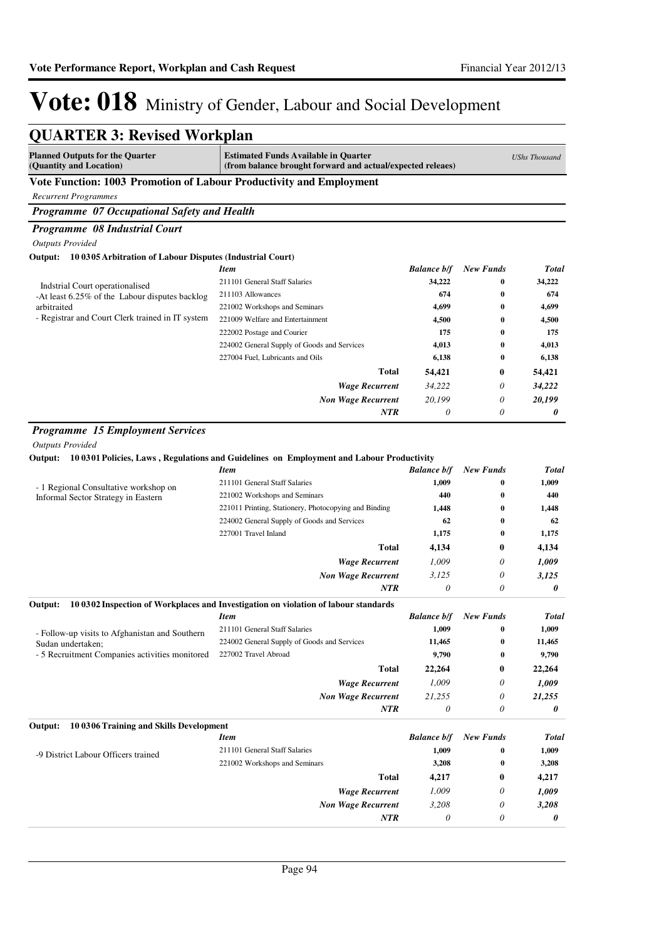| <b>QUARTER 3: Revised Workplan</b>                                  |                                                                                                           |                    |                  |                      |
|---------------------------------------------------------------------|-----------------------------------------------------------------------------------------------------------|--------------------|------------------|----------------------|
| <b>Planned Outputs for the Quarter</b><br>(Quantity and Location)   | <b>Estimated Funds Available in Quarter</b><br>(from balance brought forward and actual/expected releaes) |                    |                  | <b>UShs Thousand</b> |
| Vote Function: 1003 Promotion of Labour Productivity and Employment |                                                                                                           |                    |                  |                      |
| <b>Recurrent Programmes</b>                                         |                                                                                                           |                    |                  |                      |
| Programme 07 Occupational Safety and Health                         |                                                                                                           |                    |                  |                      |
| Programme 08 Industrial Court                                       |                                                                                                           |                    |                  |                      |
| <b>Outputs Provided</b>                                             |                                                                                                           |                    |                  |                      |
| Output: 10 0305 Arbitration of Labour Disputes (Industrial Court)   |                                                                                                           |                    |                  |                      |
|                                                                     | <b>Item</b>                                                                                               | <b>Balance b/f</b> | <b>New Funds</b> | <b>Total</b>         |
| Indstrial Court operationalised                                     | 211101 General Staff Salaries                                                                             | 34,222             | $\bf{0}$         | 34,222               |
| -At least 6.25% of the Labour disputes backlog                      | 211103 Allowances                                                                                         | 674                | $\bf{0}$         | 674                  |
| arbitraited                                                         | 221002 Workshops and Seminars                                                                             | 4,699              | $\bf{0}$         | 4,699                |
| - Registrar and Court Clerk trained in IT system                    | 221009 Welfare and Entertainment                                                                          | 4,500              | $\bf{0}$         | 4,500                |
|                                                                     | 222002 Postage and Courier                                                                                | 175                | $\bf{0}$         | 175                  |
|                                                                     | 224002 General Supply of Goods and Services                                                               | 4,013              | $\bf{0}$         | 4,013                |
|                                                                     | 227004 Fuel, Lubricants and Oils                                                                          | 6,138              | $\bf{0}$         | 6,138                |
|                                                                     | Total                                                                                                     | 54,421             | 0                | 54,421               |
|                                                                     | <b>Wage Recurrent</b>                                                                                     | 34,222             | 0                | 34,222               |
|                                                                     | <b>Non Wage Recurrent</b>                                                                                 | 20,199             | $\theta$         | 20,199               |
|                                                                     | <b>NTR</b>                                                                                                | $\theta$           | $\theta$         | 0                    |
|                                                                     |                                                                                                           |                    |                  |                      |
| <b>Programme 15 Employment Services</b>                             |                                                                                                           |                    |                  |                      |
| <b>Outputs Provided</b>                                             |                                                                                                           |                    |                  |                      |
| Output:                                                             | 10 0301 Policies, Laws, Regulations and Guidelines on Employment and Labour Productivity                  |                    |                  |                      |
|                                                                     | <b>Item</b>                                                                                               | <b>Balance b/f</b> | <b>New Funds</b> | <b>Total</b>         |
| - 1 Regional Consultative workshop on                               | 211101 General Staff Salaries                                                                             | 1,009              | 0                | 1,009                |
| Informal Sector Strategy in Eastern                                 | 221002 Workshops and Seminars                                                                             | 440                | $\bf{0}$         | 440                  |
|                                                                     | 221011 Printing, Stationery, Photocopying and Binding                                                     | 1,448              | $\bf{0}$         | 1,448                |
|                                                                     | 224002 General Supply of Goods and Services                                                               | 62                 | 0                | 62                   |
|                                                                     | 227001 Travel Inland                                                                                      | 1,175              | $\bf{0}$         | 1,175                |
|                                                                     | <b>Total</b>                                                                                              | 4,134              | 0                | 4,134                |
|                                                                     | <b>Wage Recurrent</b>                                                                                     | 1,009              | 0                | 1,009                |
|                                                                     | <b>Non Wage Recurrent</b>                                                                                 | 3,125              | 0                | 3,125                |
|                                                                     | <b>NTR</b>                                                                                                | $\theta$           | $\theta$         | 0                    |
|                                                                     | 10 0302 Inspection of Workplaces and Investigation on violation of labour standards                       |                    |                  |                      |
| Output:                                                             | <b>Item</b>                                                                                               | <b>Balance b/f</b> | <b>New Funds</b> | <b>Total</b>         |
|                                                                     | 211101 General Staff Salaries                                                                             | 1,009              | $\bf{0}$         | 1,009                |
| - Follow-up visits to Afghanistan and Southern                      | 224002 General Supply of Goods and Services                                                               | 11,465             | $\bf{0}$         | 11,465               |
| Sudan undertaken;<br>- 5 Recruitment Companies activities monitored | 227002 Travel Abroad                                                                                      | 9,790              | 0                | 9,790                |
|                                                                     |                                                                                                           |                    |                  |                      |
|                                                                     | <b>Total</b>                                                                                              | 22,264             | $\bf{0}$         | 22,264               |
|                                                                     | <b>Wage Recurrent</b>                                                                                     | 1,009              | 0                | 1,009                |
|                                                                     | <b>Non Wage Recurrent</b>                                                                                 | 21,255             | $\theta$         | 21,255               |
|                                                                     | NTR                                                                                                       | $\theta$           | 0                | 0                    |
| 10 0306 Training and Skills Development<br>Output:                  |                                                                                                           |                    |                  |                      |
|                                                                     | <b>Item</b>                                                                                               | <b>Balance b/f</b> | <b>New Funds</b> | <b>Total</b>         |
| -9 District Labour Officers trained                                 | 211101 General Staff Salaries                                                                             | 1,009              | 0                | 1,009                |
|                                                                     | 221002 Workshops and Seminars                                                                             | 3,208              | 0                | 3,208                |
|                                                                     | <b>Total</b>                                                                                              | 4,217              | $\bf{0}$         | 4,217                |
|                                                                     | <b>Wage Recurrent</b>                                                                                     | 1,009              | 0                | 1,009                |
|                                                                     | <b>Non Wage Recurrent</b>                                                                                 | 3,208              | 0                | 3,208                |
|                                                                     | NTR                                                                                                       | $\theta$           | 0                | 0                    |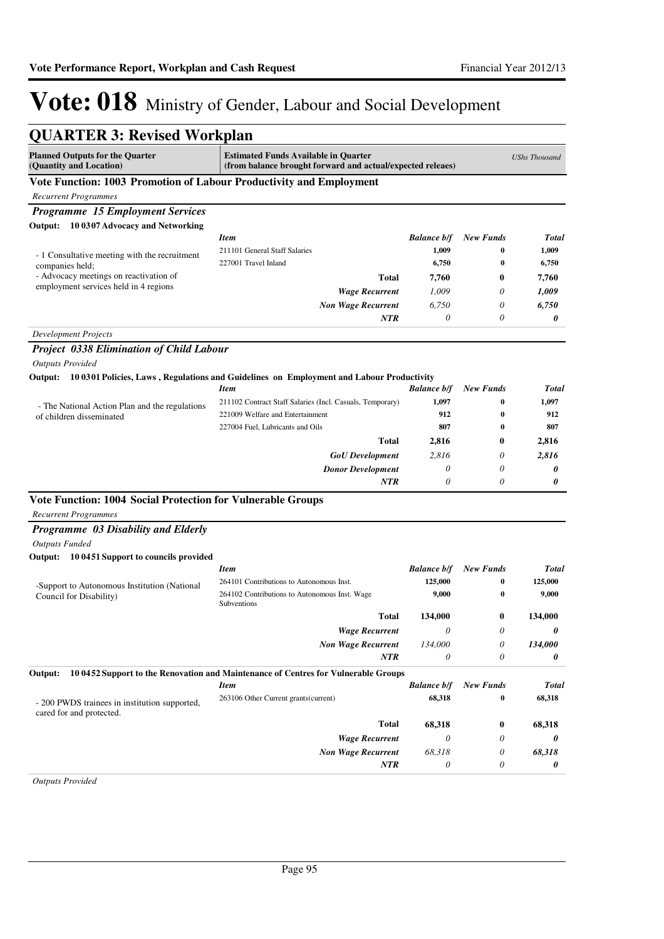| <b>QUARTER 3: Revised Workplan</b>                                              |                                                                                                   |                                                            |                  |              |
|---------------------------------------------------------------------------------|---------------------------------------------------------------------------------------------------|------------------------------------------------------------|------------------|--------------|
| <b>Planned Outputs for the Quarter</b><br>(Quantity and Location)               | <b>Estimated Funds Available in Quarter</b>                                                       | (from balance brought forward and actual/expected releaes) |                  |              |
| Vote Function: 1003 Promotion of Labour Productivity and Employment             |                                                                                                   |                                                            |                  |              |
| <b>Recurrent Programmes</b>                                                     |                                                                                                   |                                                            |                  |              |
| <b>Programme 15 Employment Services</b>                                         |                                                                                                   |                                                            |                  |              |
| Output: 10 0307 Advocacy and Networking                                         |                                                                                                   |                                                            |                  |              |
|                                                                                 | <b>Item</b>                                                                                       | <b>Balance b/f</b>                                         | <b>New Funds</b> | <b>Total</b> |
| - 1 Consultative meeting with the recruitment                                   | 211101 General Staff Salaries                                                                     | 1,009                                                      | 0                | 1,009        |
| companies held;                                                                 | 227001 Travel Inland                                                                              | 6,750                                                      | $\bf{0}$         | 6,750        |
| - Advocacy meetings on reactivation of<br>employment services held in 4 regions | <b>Total</b>                                                                                      | 7,760                                                      | $\bf{0}$         | 7,760        |
|                                                                                 | <b>Wage Recurrent</b>                                                                             | 1,009                                                      | 0                | 1,009        |
|                                                                                 | <b>Non Wage Recurrent</b>                                                                         | 6,750                                                      | $\theta$         | 6,750        |
|                                                                                 | <b>NTR</b>                                                                                        | $\theta$                                                   | 0                | 0            |
| <b>Development Projects</b>                                                     |                                                                                                   |                                                            |                  |              |
| <b>Project 0338 Elimination of Child Labour</b>                                 |                                                                                                   |                                                            |                  |              |
| <b>Outputs Provided</b>                                                         |                                                                                                   |                                                            |                  |              |
|                                                                                 | Output: 10 0301 Policies, Laws, Regulations and Guidelines on Employment and Labour Productivity  |                                                            |                  |              |
|                                                                                 | <b>Item</b>                                                                                       | <b>Balance b/f</b>                                         | <b>New Funds</b> | <b>Total</b> |
| - The National Action Plan and the regulations                                  | 211102 Contract Staff Salaries (Incl. Casuals, Temporary)                                         | 1,097                                                      | 0                | 1,097        |
| of children disseminated                                                        | 221009 Welfare and Entertainment                                                                  | 912                                                        | 0                | 912          |
|                                                                                 | 227004 Fuel. Lubricants and Oils                                                                  | 807                                                        | 0                | 807          |
|                                                                                 | <b>Total</b>                                                                                      | 2,816                                                      | 0                | 2,816        |
|                                                                                 | <b>GoU</b> Development                                                                            | 2,816                                                      | 0                | 2,816        |
|                                                                                 | <b>Donor Development</b>                                                                          | $\theta$                                                   | $\theta$         | 0            |
|                                                                                 | <b>NTR</b>                                                                                        | $\theta$                                                   | $\theta$         | 0            |
| Vote Function: 1004 Social Protection for Vulnerable Groups                     |                                                                                                   |                                                            |                  |              |
| <b>Recurrent Programmes</b>                                                     |                                                                                                   |                                                            |                  |              |
| Programme 03 Disability and Elderly                                             |                                                                                                   |                                                            |                  |              |
| <b>Outputs Funded</b>                                                           |                                                                                                   |                                                            |                  |              |
| Output: 10 0451 Support to councils provided                                    |                                                                                                   |                                                            |                  |              |
|                                                                                 | <b>Item</b>                                                                                       | <b>Balance b/f</b>                                         | <b>New Funds</b> | <b>Total</b> |
| -Support to Autonomous Institution (National                                    | 264101 Contributions to Autonomous Inst.                                                          | 125,000                                                    | 0                | 125,000      |
| Council for Disability)                                                         | 264102 Contributions to Autonomous Inst. Wage<br>Subventions                                      | 9,000                                                      | $\bf{0}$         | 9,000        |
|                                                                                 | Total                                                                                             | 134,000                                                    | 0                | 134,000      |
|                                                                                 | <b>Wage Recurrent</b>                                                                             | 0                                                          | $\theta$         | 0            |
|                                                                                 | <b>Non Wage Recurrent</b>                                                                         | 134,000                                                    | 0                | 134,000      |
|                                                                                 | <b>NTR</b>                                                                                        | $\theta$                                                   | 0                | 0            |
|                                                                                 |                                                                                                   |                                                            |                  |              |
| Output:                                                                         | 10 0452 Support to the Renovation and Maintenance of Centres for Vulnerable Groups<br><b>Item</b> | <b>Balance b/f</b>                                         | <b>New Funds</b> | <b>Total</b> |
| - 200 PWDS trainees in institution supported,<br>cared for and protected.       | 263106 Other Current grants(current)                                                              | 68,318                                                     | 0                | 68,318       |
|                                                                                 | <b>Total</b>                                                                                      | 68,318                                                     | $\bf{0}$         | 68,318       |
|                                                                                 | <b>Wage Recurrent</b>                                                                             | $\theta$                                                   | 0                | 0            |
|                                                                                 | <b>Non Wage Recurrent</b>                                                                         | 68,318                                                     | 0                | 68,318       |
|                                                                                 | <b>NTR</b>                                                                                        | $\theta$                                                   | 0                | 0            |
| <b>Outputs Provided</b>                                                         |                                                                                                   |                                                            |                  |              |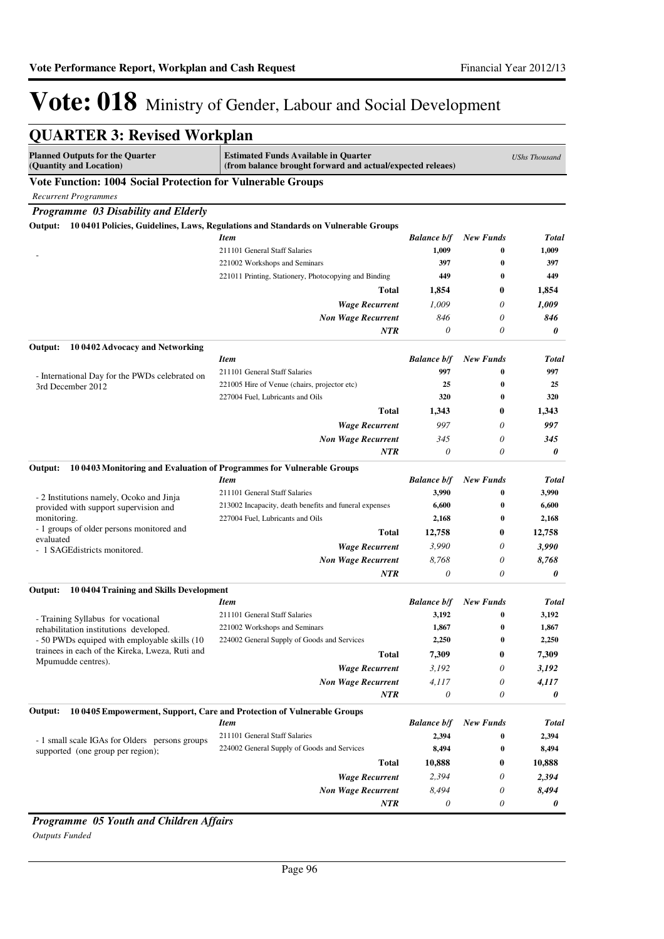|                                                                       | <b>QUARTER 3: Revised Workplan</b>                                                                        |                    |                  |                      |  |
|-----------------------------------------------------------------------|-----------------------------------------------------------------------------------------------------------|--------------------|------------------|----------------------|--|
| <b>Planned Outputs for the Quarter</b><br>(Quantity and Location)     | <b>Estimated Funds Available in Quarter</b><br>(from balance brought forward and actual/expected releaes) |                    |                  | <b>UShs Thousand</b> |  |
| Vote Function: 1004 Social Protection for Vulnerable Groups           |                                                                                                           |                    |                  |                      |  |
| <b>Recurrent Programmes</b>                                           |                                                                                                           |                    |                  |                      |  |
| Programme 03 Disability and Elderly                                   |                                                                                                           |                    |                  |                      |  |
| Output:                                                               | 10 0401 Policies, Guidelines, Laws, Regulations and Standards on Vulnerable Groups                        |                    |                  |                      |  |
|                                                                       | Item                                                                                                      | <b>Balance b/f</b> | <b>New Funds</b> | Total                |  |
|                                                                       | 211101 General Staff Salaries                                                                             | 1,009              | $\bf{0}$         | 1,009                |  |
|                                                                       | 221002 Workshops and Seminars                                                                             | 397                | $\bf{0}$         | 397                  |  |
|                                                                       | 221011 Printing, Stationery, Photocopying and Binding                                                     | 449                | $\bf{0}$         | 449                  |  |
|                                                                       | Total                                                                                                     | 1,854              | 0                | 1,854                |  |
|                                                                       | <b>Wage Recurrent</b>                                                                                     | 1,009              | 0                | 1,009                |  |
|                                                                       | <b>Non Wage Recurrent</b>                                                                                 | 846                | 0                | 846                  |  |
|                                                                       | <b>NTR</b>                                                                                                | 0                  | 0                | 0                    |  |
| Output:<br>10 0402 Advocacy and Networking                            |                                                                                                           |                    |                  |                      |  |
|                                                                       | Item                                                                                                      | <b>Balance b/f</b> | <b>New Funds</b> | Total                |  |
| - International Day for the PWDs celebrated on<br>3rd December 2012   | 211101 General Staff Salaries                                                                             | 997                | $\bf{0}$         | 997                  |  |
|                                                                       | 221005 Hire of Venue (chairs, projector etc)                                                              | 25                 | $\bf{0}$         | 25                   |  |
|                                                                       | 227004 Fuel, Lubricants and Oils                                                                          | 320                | $\bf{0}$         | 320                  |  |
|                                                                       | <b>Total</b>                                                                                              | 1,343              | 0                | 1,343                |  |
|                                                                       | <b>Wage Recurrent</b>                                                                                     | 997                | 0                | 997                  |  |
|                                                                       | <b>Non Wage Recurrent</b>                                                                                 | 345                | 0                | 345                  |  |
|                                                                       | <b>NTR</b>                                                                                                | $\theta$           | 0                | 0                    |  |
| Output:                                                               | 10 0403 Monitoring and Evaluation of Programmes for Vulnerable Groups                                     |                    |                  |                      |  |
|                                                                       | Item                                                                                                      | <b>Balance b/f</b> | <b>New Funds</b> | <b>Total</b>         |  |
| - 2 Institutions namely, Ocoko and Jinja                              | 211101 General Staff Salaries                                                                             | 3,990              | $\bf{0}$         | 3,990                |  |
| provided with support supervision and                                 | 213002 Incapacity, death benefits and funeral expenses                                                    | 6,600              | 0                | 6,600                |  |
| monitoring.                                                           | 227004 Fuel, Lubricants and Oils                                                                          | 2,168              | $\bf{0}$         | 2,168                |  |
| - 1 groups of older persons monitored and<br>evaluated                | <b>Total</b>                                                                                              | 12,758             | 0                | 12,758               |  |
| - 1 SAGE districts monitored.                                         | <b>Wage Recurrent</b>                                                                                     | 3,990              | 0                | 3,990                |  |
|                                                                       | <b>Non Wage Recurrent</b>                                                                                 | 8,768              | 0                | 8,768                |  |
|                                                                       | NTR                                                                                                       | 0                  | 0                | 0                    |  |
| 10 0404 Training and Skills Development<br>Output:                    |                                                                                                           |                    |                  |                      |  |
|                                                                       | Item                                                                                                      | <b>Balance b/f</b> | <b>New Funds</b> | <b>Total</b>         |  |
| - Training Syllabus for vocational                                    | 211101 General Staff Salaries                                                                             | 3,192              | 0                | 3,192                |  |
| rehabilitation institutions developed.                                | 221002 Workshops and Seminars                                                                             | 1,867              | 0                | 1,867                |  |
| - 50 PWDs equiped with employable skills (10                          | 224002 General Supply of Goods and Services                                                               | 2,250              | $\boldsymbol{0}$ | 2,250                |  |
| trainees in each of the Kireka, Lweza, Ruti and<br>Mpumudde centres). | <b>Total</b>                                                                                              | 7,309              | $\bf{0}$         | 7,309                |  |
|                                                                       | <b>Wage Recurrent</b>                                                                                     | 3,192              | 0                | 3,192                |  |
|                                                                       | <b>Non Wage Recurrent</b>                                                                                 | 4,117              | 0                | 4,117                |  |
|                                                                       | <b>NTR</b>                                                                                                | $\theta$           | 0                | 0                    |  |
| Output:                                                               | 10 0405 Empowerment, Support, Care and Protection of Vulnerable Groups                                    |                    |                  |                      |  |
|                                                                       | <b>Item</b>                                                                                               | <b>Balance b/f</b> | <b>New Funds</b> | <b>Total</b>         |  |
| - 1 small scale IGAs for Olders persons groups                        | 211101 General Staff Salaries                                                                             | 2,394              | 0                | 2,394                |  |
| supported (one group per region);                                     | 224002 General Supply of Goods and Services                                                               | 8,494              | 0                | 8,494                |  |
|                                                                       | <b>Total</b>                                                                                              | 10,888             | $\bf{0}$         | 10,888               |  |
|                                                                       | <b>Wage Recurrent</b>                                                                                     | 2,394              | 0                | 2,394                |  |
|                                                                       | <b>Non Wage Recurrent</b>                                                                                 | 8,494              | 0                | 8,494                |  |
|                                                                       | <b>NTR</b>                                                                                                | $\theta$           | 0                | 0                    |  |

*Programme 05 Youth and Children Affairs*

*Outputs Funded*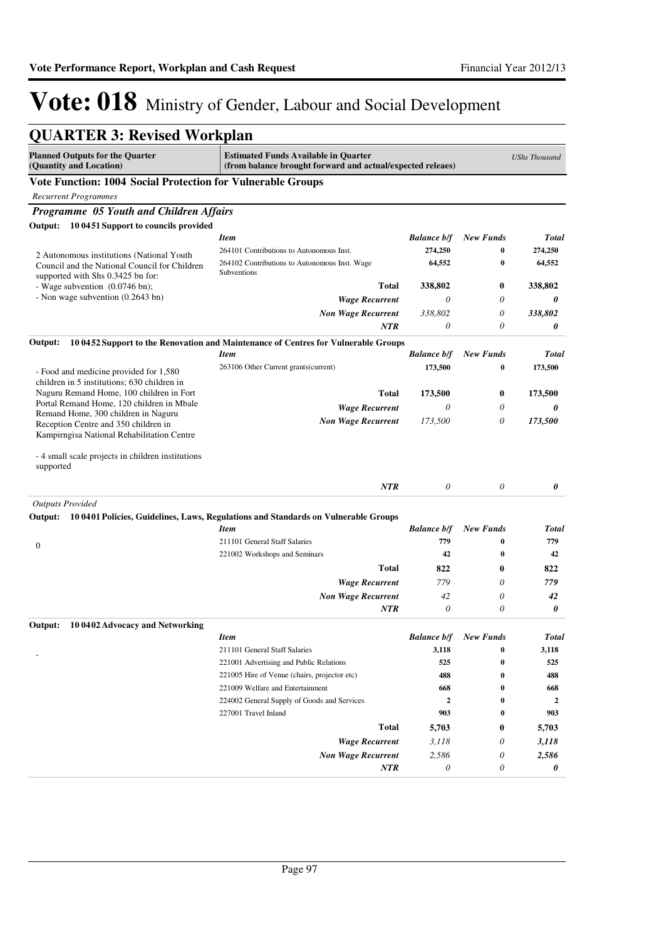| <b>QUARTER 3: Revised Workplan</b>                                                                                        |                                                                                                           |                    |                  |                      |
|---------------------------------------------------------------------------------------------------------------------------|-----------------------------------------------------------------------------------------------------------|--------------------|------------------|----------------------|
| <b>Planned Outputs for the Quarter</b><br>(Quantity and Location)                                                         | <b>Estimated Funds Available in Quarter</b><br>(from balance brought forward and actual/expected releaes) |                    |                  | <b>UShs Thousand</b> |
| Vote Function: 1004 Social Protection for Vulnerable Groups                                                               |                                                                                                           |                    |                  |                      |
| <b>Recurrent Programmes</b>                                                                                               |                                                                                                           |                    |                  |                      |
| Programme 05 Youth and Children Affairs                                                                                   |                                                                                                           |                    |                  |                      |
| Output: 10 0451 Support to councils provided                                                                              |                                                                                                           |                    |                  |                      |
|                                                                                                                           | <b>Item</b>                                                                                               | <b>Balance b/f</b> | <b>New Funds</b> | Total                |
| 2 Autonomous institutions (National Youth                                                                                 | 264101 Contributions to Autonomous Inst.                                                                  | 274,250            | $\bf{0}$         | 274,250              |
| Council and the National Council for Children<br>supported with Shs 0.3425 bn for:                                        | 264102 Contributions to Autonomous Inst. Wage<br>Subventions                                              | 64,552             | $\bf{0}$         | 64,552               |
| - Wage subvention (0.0746 bn);                                                                                            | <b>Total</b>                                                                                              | 338,802            | 0                | 338,802              |
| - Non wage subvention (0.2643 bn)                                                                                         | <b>Wage Recurrent</b>                                                                                     | 0                  | 0                | 0                    |
|                                                                                                                           | <b>Non Wage Recurrent</b>                                                                                 | 338,802            | 0                | 338,802              |
|                                                                                                                           | <b>NTR</b>                                                                                                | 0                  | 0                | 0                    |
| Output:                                                                                                                   | 10 0452 Support to the Renovation and Maintenance of Centres for Vulnerable Groups                        |                    |                  |                      |
|                                                                                                                           | <b>Item</b>                                                                                               | <b>Balance b/f</b> | <b>New Funds</b> | <b>Total</b>         |
| - Food and medicine provided for 1,580<br>children in 5 institutions; 630 children in                                     | 263106 Other Current grants (current)                                                                     | 173,500            | $\bf{0}$         | 173,500              |
| Naguru Remand Home, 100 children in Fort                                                                                  | Total                                                                                                     | 173,500            | 0                | 173,500              |
| Portal Remand Home, 120 children in Mbale                                                                                 | <b>Wage Recurrent</b>                                                                                     | 0                  | 0                | 0                    |
| Remand Home, 300 children in Naguru<br>Reception Centre and 350 children in<br>Kampirngisa National Rehabilitation Centre | <b>Non Wage Recurrent</b>                                                                                 | 173,500            | 0                | 173,500              |
| -4 small scale projects in children institutions<br>supported                                                             |                                                                                                           |                    |                  |                      |
|                                                                                                                           | <b>NTR</b>                                                                                                | 0                  | 0                | 0                    |
| <b>Outputs Provided</b><br>Output:                                                                                        | 10 0401 Policies, Guidelines, Laws, Regulations and Standards on Vulnerable Groups                        |                    |                  |                      |
|                                                                                                                           | Item                                                                                                      | <b>Balance b/f</b> | <b>New Funds</b> | Total                |
|                                                                                                                           | 211101 General Staff Salaries                                                                             | 779                | $\bf{0}$         | 779                  |
| $\boldsymbol{0}$                                                                                                          | 221002 Workshops and Seminars                                                                             | 42                 | $\bf{0}$         | 42                   |
|                                                                                                                           | Total                                                                                                     | 822                | $\bf{0}$         | 822                  |
|                                                                                                                           | <b>Wage Recurrent</b>                                                                                     | 779                | 0                | 779                  |
|                                                                                                                           | <b>Non Wage Recurrent</b>                                                                                 | 42                 | 0                | 42                   |
|                                                                                                                           | <b>NTR</b>                                                                                                | 0                  | 0                | 0                    |
| Output: 10 0402 Advocacy and Networking                                                                                   |                                                                                                           |                    |                  |                      |
|                                                                                                                           | <b>Item</b>                                                                                               | <b>Balance b/f</b> | <b>New Funds</b> | Total                |
|                                                                                                                           | 211101 General Staff Salaries                                                                             | 3,118              | 0                | 3,118                |
|                                                                                                                           | 221001 Advertising and Public Relations                                                                   | 525                | $\bf{0}$         | 525                  |
|                                                                                                                           | 221005 Hire of Venue (chairs, projector etc)                                                              | 488                | 0                | 488                  |
|                                                                                                                           | 221009 Welfare and Entertainment                                                                          | 668                | $\bf{0}$         | 668                  |
|                                                                                                                           | 224002 General Supply of Goods and Services                                                               | $\boldsymbol{2}$   | 0                | $\mathbf{2}$         |
|                                                                                                                           | 227001 Travel Inland                                                                                      | 903                | 0                | 903                  |
|                                                                                                                           | Total                                                                                                     | 5,703              | 0                | 5,703                |
|                                                                                                                           | <b>Wage Recurrent</b>                                                                                     | 3,118              | 0                | 3,118                |
|                                                                                                                           | <b>Non Wage Recurrent</b>                                                                                 | 2,586              | 0                | 2,586                |
|                                                                                                                           | NTR                                                                                                       | 0                  | 0                | 0                    |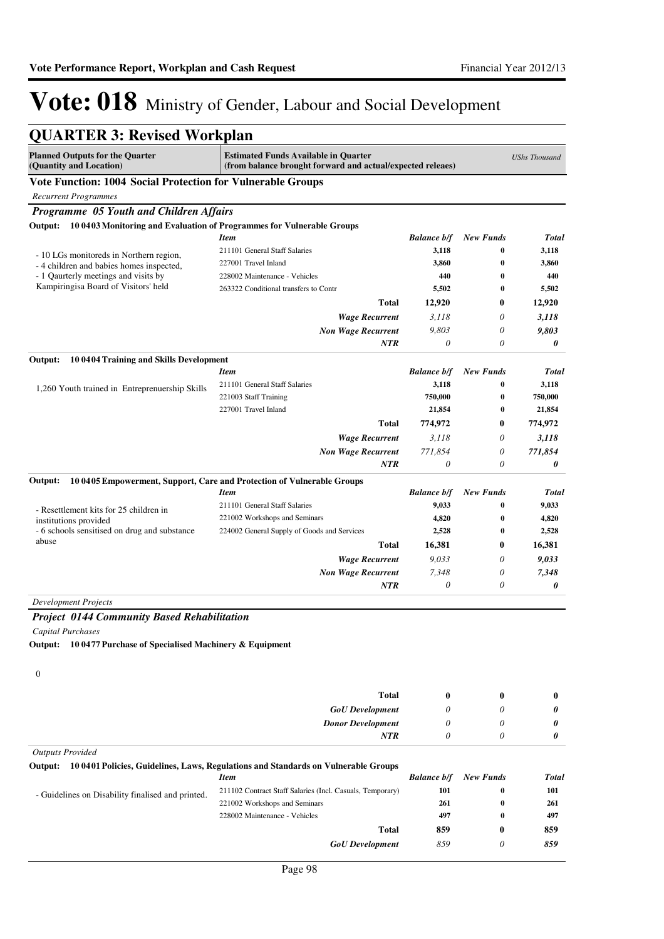| <b>QUARTER 3: Revised Workplan</b>                                                 |                                                                                                           |                    |                  |                      |
|------------------------------------------------------------------------------------|-----------------------------------------------------------------------------------------------------------|--------------------|------------------|----------------------|
| <b>Planned Outputs for the Quarter</b><br>(Quantity and Location)                  | <b>Estimated Funds Available in Quarter</b><br>(from balance brought forward and actual/expected releaes) |                    |                  | <b>UShs Thousand</b> |
| Vote Function: 1004 Social Protection for Vulnerable Groups                        |                                                                                                           |                    |                  |                      |
| <b>Recurrent Programmes</b>                                                        |                                                                                                           |                    |                  |                      |
| Programme 05 Youth and Children Affairs                                            |                                                                                                           |                    |                  |                      |
| 10 0403 Monitoring and Evaluation of Programmes for Vulnerable Groups<br>Output:   |                                                                                                           |                    |                  |                      |
|                                                                                    | <b>Item</b>                                                                                               | <b>Balance b/f</b> | <b>New Funds</b> | <b>Total</b>         |
|                                                                                    | 211101 General Staff Salaries                                                                             | 3,118              | 0                | 3,118                |
| - 10 LGs monitoreds in Northern region,<br>-4 children and babies homes inspected, | 227001 Travel Inland                                                                                      | 3,860              | $\bf{0}$         | 3,860                |
| - 1 Qaurterly meetings and visits by                                               | 228002 Maintenance - Vehicles                                                                             | 440                | $\bf{0}$         | 440                  |
| Kampiringisa Board of Visitors' held                                               | 263322 Conditional transfers to Contr                                                                     | 5,502              | 0                | 5,502                |
|                                                                                    | Total                                                                                                     | 12,920             | $\bf{0}$         | 12,920               |
|                                                                                    | <b>Wage Recurrent</b>                                                                                     | 3,118              | $\theta$         | 3,118                |
|                                                                                    | <b>Non Wage Recurrent</b>                                                                                 | 9,803              | $\theta$         | 9,803                |
|                                                                                    | <b>NTR</b>                                                                                                | 0                  | $\theta$         | 0                    |
| Output:<br>10 0404 Training and Skills Development                                 |                                                                                                           |                    |                  |                      |
|                                                                                    | <b>Item</b>                                                                                               | <b>Balance b/f</b> | <b>New Funds</b> | <b>Total</b>         |
| 1,260 Youth trained in Entreprenuership Skills                                     | 211101 General Staff Salaries                                                                             | 3,118              | 0                | 3,118                |
|                                                                                    | 221003 Staff Training                                                                                     | 750,000            | $\bf{0}$         | 750,000              |
|                                                                                    | 227001 Travel Inland                                                                                      | 21,854             | 0                | 21,854               |
|                                                                                    | Total                                                                                                     | 774,972            | $\bf{0}$         | 774,972              |
|                                                                                    | <b>Wage Recurrent</b>                                                                                     | 3,118              | 0                | 3,118                |
|                                                                                    | <b>Non Wage Recurrent</b>                                                                                 | 771,854            | 0                | 771,854              |
|                                                                                    | <b>NTR</b>                                                                                                | 0                  | 0                | 0                    |
| Output:                                                                            | 10 0405 Empowerment, Support, Care and Protection of Vulnerable Groups                                    |                    |                  |                      |
|                                                                                    | Item                                                                                                      | <b>Balance b/f</b> | <b>New Funds</b> | <b>Total</b>         |
|                                                                                    | 211101 General Staff Salaries                                                                             | 9,033              | $\bf{0}$         | 9,033                |
| - Resettlement kits for 25 children in<br>institutions provided                    | 221002 Workshops and Seminars                                                                             | 4,820              | $\bf{0}$         | 4,820                |
| - 6 schools sensitised on drug and substance                                       | 224002 General Supply of Goods and Services                                                               | 2,528              | $\bf{0}$         | 2,528                |
| abuse                                                                              | Total                                                                                                     | 16,381             | $\bf{0}$         | 16,381               |
|                                                                                    | <b>Wage Recurrent</b>                                                                                     | 9,033              | $\theta$         | 9,033                |
|                                                                                    | <b>Non Wage Recurrent</b>                                                                                 | 7,348              | 0                | 7,348                |
|                                                                                    | <b>NTR</b>                                                                                                | $\theta$           | 0                | 0                    |
| <b>Development Projects</b>                                                        |                                                                                                           |                    |                  |                      |
|                                                                                    |                                                                                                           |                    |                  |                      |
| <b>Project 0144 Community Based Rehabilitation</b>                                 |                                                                                                           |                    |                  |                      |
| <b>Capital Purchases</b>                                                           |                                                                                                           |                    |                  |                      |
| Output:<br>10 0477 Purchase of Specialised Machinery & Equipment                   |                                                                                                           |                    |                  |                      |
|                                                                                    |                                                                                                           |                    |                  |                      |
| $\boldsymbol{0}$                                                                   |                                                                                                           |                    |                  |                      |
|                                                                                    | <b>Total</b>                                                                                              | $\bf{0}$           | $\bf{0}$         | $\bf{0}$             |
|                                                                                    | <b>GoU</b> Development                                                                                    | 0                  | $\theta$         | 0                    |
|                                                                                    | <b>Donor Development</b>                                                                                  | 0                  | $\theta$         | 0                    |
|                                                                                    | NTR                                                                                                       | $\theta$           | 0                | 0                    |
|                                                                                    |                                                                                                           |                    |                  |                      |
| <b>Outputs Provided</b>                                                            |                                                                                                           |                    |                  |                      |
| Output:                                                                            | 10 0401 Policies, Guidelines, Laws, Regulations and Standards on Vulnerable Groups<br><b>Item</b>         | <b>Balance b/f</b> | <b>New Funds</b> | <b>Total</b>         |
|                                                                                    | 211102 Contract Staff Salaries (Incl. Casuals, Temporary)                                                 | 101                | 0                | 101                  |
| - Guidelines on Disability finalised and printed.                                  | 221002 Workshops and Seminars                                                                             | 261                | 0                | 261                  |
|                                                                                    | 228002 Maintenance - Vehicles                                                                             | 497                | 0                | 497                  |
|                                                                                    |                                                                                                           |                    |                  |                      |

*GoU Development*

**Total**

*859* **859**

*0* **0**

*859* **859**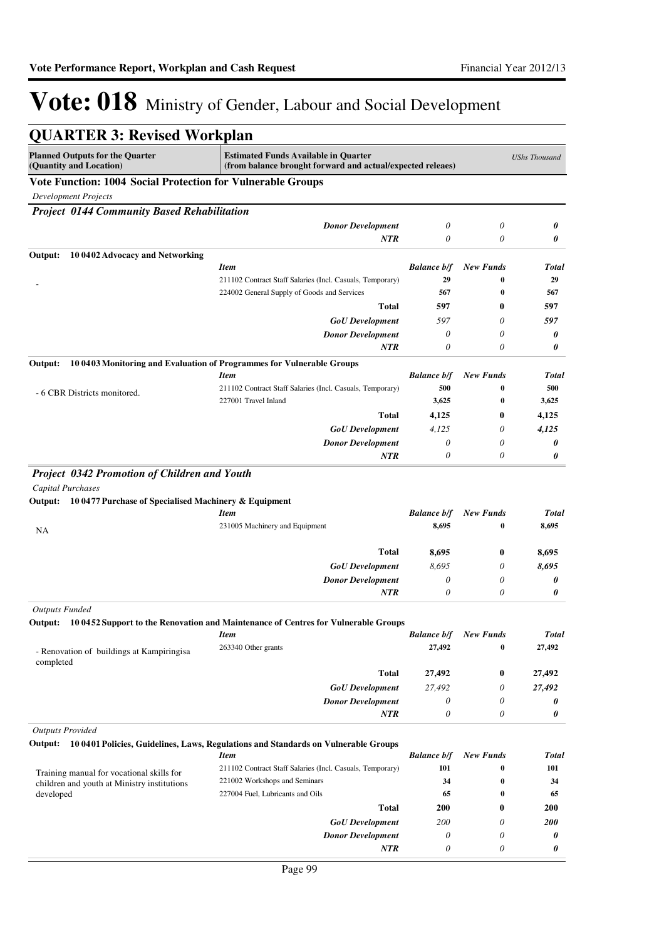| <b>QUARTER 3: Revised Workplan</b>                                |                                                                                                           |                           |                       |                      |
|-------------------------------------------------------------------|-----------------------------------------------------------------------------------------------------------|---------------------------|-----------------------|----------------------|
| <b>Planned Outputs for the Quarter</b><br>(Quantity and Location) | <b>Estimated Funds Available in Quarter</b><br>(from balance brought forward and actual/expected releaes) |                           |                       | <b>UShs Thousand</b> |
| Vote Function: 1004 Social Protection for Vulnerable Groups       |                                                                                                           |                           |                       |                      |
| <b>Development Projects</b>                                       |                                                                                                           |                           |                       |                      |
| <b>Project 0144 Community Based Rehabilitation</b>                |                                                                                                           |                           |                       |                      |
|                                                                   | <b>Donor Development</b>                                                                                  | $\theta$                  | $\theta$              | 0                    |
|                                                                   | <b>NTR</b>                                                                                                | $\theta$                  | 0                     | 0                    |
| Output:<br>10 0402 Advocacy and Networking                        |                                                                                                           |                           |                       |                      |
|                                                                   | <b>Item</b>                                                                                               | <b>Balance b/f</b>        | <b>New Funds</b>      | Total                |
|                                                                   | 211102 Contract Staff Salaries (Incl. Casuals, Temporary)                                                 | 29                        | $\bf{0}$              | 29                   |
|                                                                   | 224002 General Supply of Goods and Services                                                               | 567                       | $\bf{0}$              | 567                  |
|                                                                   | <b>Total</b>                                                                                              | 597                       | $\bf{0}$              | 597                  |
|                                                                   | <b>GoU</b> Development                                                                                    | 597                       | 0                     | 597                  |
|                                                                   | <b>Donor Development</b>                                                                                  | $\theta$                  | $\theta$              | 0                    |
|                                                                   | <b>NTR</b>                                                                                                | $\theta$                  | $\theta$              | 0                    |
| Output:                                                           | 10 0403 Monitoring and Evaluation of Programmes for Vulnerable Groups                                     |                           |                       |                      |
|                                                                   | <b>Item</b>                                                                                               | <b>Balance b/f</b>        | <b>New Funds</b>      | Total                |
| - 6 CBR Districts monitored.                                      | 211102 Contract Staff Salaries (Incl. Casuals, Temporary)<br>227001 Travel Inland                         | 500                       | $\bf{0}$              | 500                  |
|                                                                   | Total                                                                                                     | 3,625                     | 0<br>0                | 3,625                |
|                                                                   |                                                                                                           | 4,125                     | 0                     | 4,125<br>4.125       |
|                                                                   | <b>GoU</b> Development<br><b>Donor Development</b>                                                        | 4,125<br>$\theta$         | 0                     | 0                    |
|                                                                   | <b>NTR</b>                                                                                                | 0                         | $\theta$              | 0                    |
| 10 0477 Purchase of Specialised Machinery & Equipment<br>Output:  | <b>Item</b>                                                                                               | <b>Balance b/f</b>        | <b>New Funds</b>      | <b>Total</b>         |
| NA                                                                | 231005 Machinery and Equipment                                                                            | 8,695                     | 0                     | 8,695                |
|                                                                   | <b>Total</b>                                                                                              | 8,695                     | $\bf{0}$              | 8,695                |
|                                                                   | <b>GoU</b> Development                                                                                    | 8,695                     | 0                     | 8,695                |
|                                                                   | <b>Donor Development</b>                                                                                  | $\theta$                  | 0                     | 0                    |
|                                                                   | <b>NTR</b>                                                                                                | $\theta$                  | $\theta$              | 0                    |
| <b>Outputs Funded</b>                                             |                                                                                                           |                           |                       |                      |
|                                                                   | Output: 10 0452 Support to the Renovation and Maintenance of Centres for Vulnerable Groups<br><b>Item</b> | <b>Balance b/f</b>        | <b>New Funds</b>      | Total                |
|                                                                   | 263340 Other grants                                                                                       | 27,492                    | 0                     | 27,492               |
| - Renovation of buildings at Kampiringisa<br>completed            |                                                                                                           |                           |                       |                      |
|                                                                   | <b>Total</b>                                                                                              | 27,492                    | $\bf{0}$              | 27,492               |
|                                                                   | <b>GoU</b> Development                                                                                    | 27,492                    | 0                     | 27,492               |
|                                                                   | <b>Donor Development</b>                                                                                  | 0                         | 0                     | 0                    |
|                                                                   | NTR                                                                                                       | $\theta$                  | 0                     | 0                    |
| <b>Outputs Provided</b>                                           |                                                                                                           |                           |                       |                      |
|                                                                   | Output: 10 0401 Policies, Guidelines, Laws, Regulations and Standards on Vulnerable Groups                |                           |                       |                      |
|                                                                   | <b>Item</b><br>211102 Contract Staff Salaries (Incl. Casuals, Temporary)                                  | <b>Balance b/f</b><br>101 | <b>New Funds</b><br>0 | Total<br>101         |
| Training manual for vocational skills for                         | 221002 Workshops and Seminars                                                                             | 34                        | 0                     | 34                   |
| children and youth at Ministry institutions<br>developed          | 227004 Fuel, Lubricants and Oils                                                                          | 65                        | 0                     | 65                   |
|                                                                   | <b>Total</b>                                                                                              | 200                       | $\bf{0}$              | 200                  |
|                                                                   | <b>GoU</b> Development                                                                                    | 200                       | 0                     | 200                  |
|                                                                   | <b>Donor Development</b>                                                                                  | 0                         | 0                     | 0                    |
|                                                                   | <b>NTR</b>                                                                                                | $\theta$                  | 0                     | 0                    |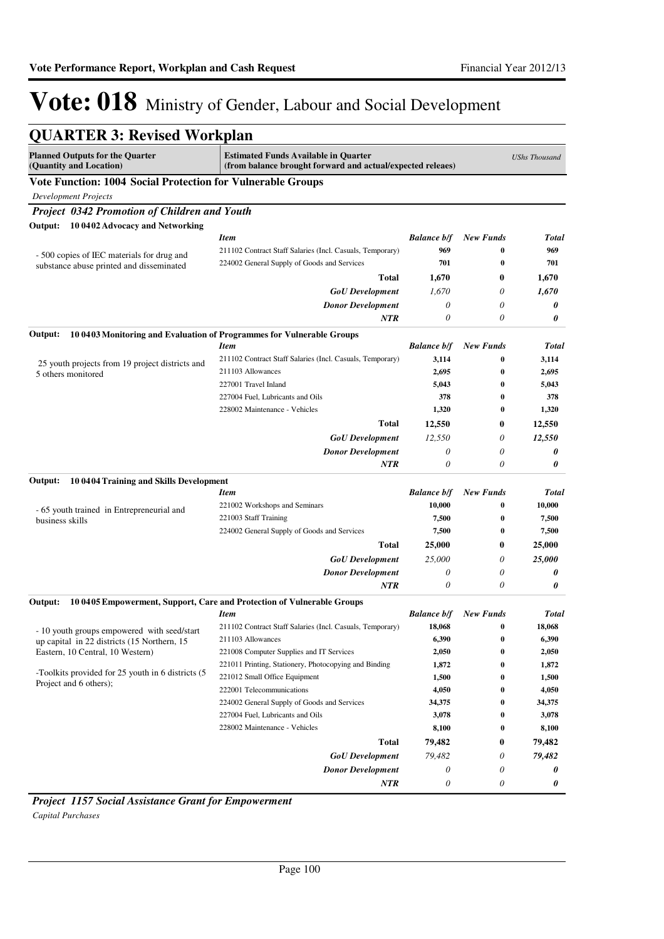| <b>QUARTER 3: Revised Workplan</b>                                          |                                                                                                           |                    |                  |                      |
|-----------------------------------------------------------------------------|-----------------------------------------------------------------------------------------------------------|--------------------|------------------|----------------------|
| <b>Planned Outputs for the Quarter</b><br>(Quantity and Location)           | <b>Estimated Funds Available in Quarter</b><br>(from balance brought forward and actual/expected releaes) |                    |                  | <b>UShs Thousand</b> |
| <b>Vote Function: 1004 Social Protection for Vulnerable Groups</b>          |                                                                                                           |                    |                  |                      |
| <b>Development Projects</b>                                                 |                                                                                                           |                    |                  |                      |
| Project 0342 Promotion of Children and Youth                                |                                                                                                           |                    |                  |                      |
| 10 0402 Advocacy and Networking<br>Output:                                  |                                                                                                           |                    |                  |                      |
|                                                                             | <b>Item</b>                                                                                               | <b>Balance b/f</b> | <b>New Funds</b> | Total                |
| - 500 copies of IEC materials for drug and                                  | 211102 Contract Staff Salaries (Incl. Casuals, Temporary)                                                 | 969                | $\bf{0}$         | 969                  |
| substance abuse printed and disseminated                                    | 224002 General Supply of Goods and Services                                                               | 701                | 0                | 701                  |
|                                                                             | Total                                                                                                     | 1,670              | 0                | 1,670                |
|                                                                             | <b>GoU</b> Development                                                                                    | 1,670              | 0                | 1,670                |
|                                                                             | <b>Donor Development</b>                                                                                  | 0                  | 0                | 0                    |
|                                                                             | NTR                                                                                                       | 0                  | 0                | 0                    |
| Output:                                                                     | 10 0403 Monitoring and Evaluation of Programmes for Vulnerable Groups                                     |                    |                  |                      |
|                                                                             | <b>Item</b>                                                                                               | <b>Balance b/f</b> | <b>New Funds</b> | <b>Total</b>         |
| 25 youth projects from 19 project districts and                             | 211102 Contract Staff Salaries (Incl. Casuals, Temporary)                                                 | 3,114              | $\bf{0}$         | 3,114                |
| 5 others monitored                                                          | 211103 Allowances                                                                                         | 2,695              | 0                | 2,695                |
|                                                                             | 227001 Travel Inland                                                                                      | 5,043              | $\bf{0}$         | 5,043                |
|                                                                             | 227004 Fuel, Lubricants and Oils                                                                          | 378                | $\bf{0}$         | 378                  |
|                                                                             | 228002 Maintenance - Vehicles                                                                             | 1,320              | 0                | 1,320                |
|                                                                             | <b>Total</b>                                                                                              | 12,550             | 0                | 12,550               |
|                                                                             | <b>GoU</b> Development                                                                                    | 12,550             | 0                | 12,550               |
|                                                                             | <b>Donor Development</b>                                                                                  | 0                  | 0                | 0                    |
|                                                                             | NTR                                                                                                       | 0                  | 0                | 0                    |
| 10 0404 Training and Skills Development<br>Output:                          |                                                                                                           |                    |                  |                      |
|                                                                             | <b>Item</b>                                                                                               | <b>Balance b/f</b> | <b>New Funds</b> | <b>Total</b>         |
| - 65 youth trained in Entrepreneurial and                                   | 221002 Workshops and Seminars                                                                             | 10,000             | $\bf{0}$         | 10,000               |
| business skills                                                             | 221003 Staff Training                                                                                     | 7,500              | $\bf{0}$         | 7,500                |
|                                                                             | 224002 General Supply of Goods and Services                                                               | 7,500              | 0                | 7,500                |
|                                                                             | Total                                                                                                     | 25,000             | 0                | 25,000               |
|                                                                             | <b>GoU</b> Development                                                                                    | 25,000             | 0                | 25,000               |
|                                                                             | <b>Donor Development</b>                                                                                  | 0                  | 0                | 0                    |
|                                                                             | <b>NTR</b>                                                                                                | 0                  | 0                | 0                    |
| Output:                                                                     | 10 0405 Empowerment, Support, Care and Protection of Vulnerable Groups                                    |                    |                  |                      |
|                                                                             | <b>Item</b>                                                                                               | <b>Balance b/f</b> | <b>New Funds</b> | Total                |
| - 10 youth groups empowered with seed/start                                 | 211102 Contract Staff Salaries (Incl. Casuals, Temporary)                                                 | 18,068             | v                | 18,068               |
| up capital in 22 districts (15 Northern, 15                                 | 211103 Allowances                                                                                         | 6,390              | $\boldsymbol{0}$ | 6,390                |
| Eastern, 10 Central, 10 Western)                                            | 221008 Computer Supplies and IT Services                                                                  | 2,050              | 0                | 2,050                |
|                                                                             | 221011 Printing, Stationery, Photocopying and Binding                                                     | 1,872              | 0                | 1,872                |
| -Toolkits provided for 25 youth in 6 districts (5<br>Project and 6 others); | 221012 Small Office Equipment                                                                             | 1,500              | 0                | 1,500                |
|                                                                             | 222001 Telecommunications                                                                                 | 4,050              | 0                | 4,050                |
|                                                                             | 224002 General Supply of Goods and Services                                                               | 34,375             | 0                | 34,375               |
|                                                                             | 227004 Fuel, Lubricants and Oils                                                                          | 3,078              | 0                | 3,078                |
|                                                                             | 228002 Maintenance - Vehicles                                                                             | 8,100              | 0                | 8,100                |
|                                                                             | <b>Total</b>                                                                                              | 79,482             | 0                | 79,482               |
|                                                                             | <b>GoU</b> Development                                                                                    | 79,482             | 0                | 79,482               |
|                                                                             | <b>Donor Development</b>                                                                                  | 0                  | 0                | 0                    |
|                                                                             | <b>NTR</b>                                                                                                | 0                  | 0                | 0                    |

*Project 1157 Social Assistance Grant for Empowerment Capital Purchases*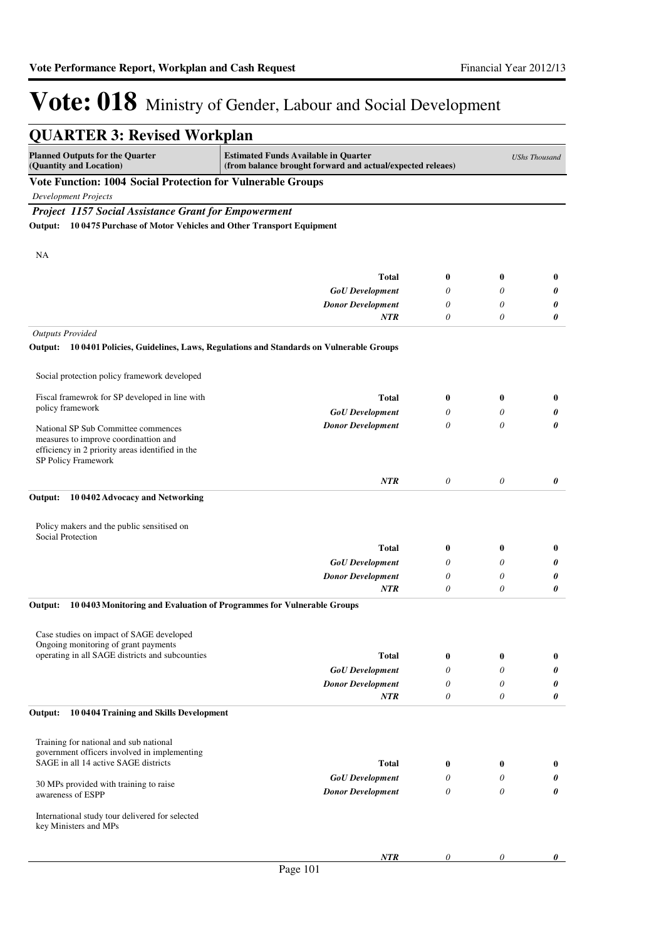| <b>QUARTER 3: Revised Workplan</b>                                       |                                                                                                           |               |                       |                      |
|--------------------------------------------------------------------------|-----------------------------------------------------------------------------------------------------------|---------------|-----------------------|----------------------|
| <b>Planned Outputs for the Quarter</b><br>(Quantity and Location)        | <b>Estimated Funds Available in Quarter</b><br>(from balance brought forward and actual/expected releaes) |               |                       | <b>UShs Thousand</b> |
| Vote Function: 1004 Social Protection for Vulnerable Groups              |                                                                                                           |               |                       |                      |
| <b>Development Projects</b>                                              |                                                                                                           |               |                       |                      |
| <b>Project 1157 Social Assistance Grant for Empowerment</b>              |                                                                                                           |               |                       |                      |
| Output: 10 0475 Purchase of Motor Vehicles and Other Transport Equipment |                                                                                                           |               |                       |                      |
|                                                                          |                                                                                                           |               |                       |                      |
| NA                                                                       |                                                                                                           |               |                       |                      |
|                                                                          | <b>Total</b>                                                                                              |               |                       |                      |
|                                                                          |                                                                                                           | $\bf{0}$<br>0 | $\bf{0}$<br>0         | $\bf{0}$             |
|                                                                          | <b>GoU</b> Development<br><b>Donor Development</b>                                                        | 0             | 0                     | 0<br>0               |
|                                                                          | NTR                                                                                                       | 0             | 0                     | 0                    |
|                                                                          |                                                                                                           |               |                       |                      |
| <b>Outputs Provided</b>                                                  | Output: 100401 Policies, Guidelines, Laws, Regulations and Standards on Vulnerable Groups                 |               |                       |                      |
|                                                                          |                                                                                                           |               |                       |                      |
| Social protection policy framework developed                             |                                                                                                           |               |                       |                      |
|                                                                          |                                                                                                           |               |                       |                      |
| Fiscal framewrok for SP developed in line with                           | <b>Total</b>                                                                                              | $\bf{0}$      | $\bf{0}$              | $\bf{0}$             |
| policy framework                                                         | <b>GoU</b> Development                                                                                    | 0             | 0                     | 0                    |
| National SP Sub Committee commences                                      | <b>Donor Development</b>                                                                                  | 0             | 0                     | 0                    |
| measures to improve coordinattion and                                    |                                                                                                           |               |                       |                      |
| efficiency in 2 priority areas identified in the<br>SP Policy Framework  |                                                                                                           |               |                       |                      |
|                                                                          |                                                                                                           |               |                       |                      |
|                                                                          | <b>NTR</b>                                                                                                | 0             | $\boldsymbol{\theta}$ | 0                    |
| 10 0402 Advocacy and Networking<br>Output:                               |                                                                                                           |               |                       |                      |
|                                                                          |                                                                                                           |               |                       |                      |
| Policy makers and the public sensitised on                               |                                                                                                           |               |                       |                      |
| <b>Social Protection</b>                                                 | <b>Total</b>                                                                                              | $\bf{0}$      | 0                     | $\bf{0}$             |
|                                                                          |                                                                                                           | 0             | 0                     |                      |
|                                                                          | <b>GoU</b> Development<br><b>Donor Development</b>                                                        | 0             | 0                     | 0<br>0               |
|                                                                          | <b>NTR</b>                                                                                                | $\theta$      | 0                     | 0                    |
|                                                                          | 10 0403 Monitoring and Evaluation of Programmes for Vulnerable Groups                                     |               |                       |                      |
| Output:                                                                  |                                                                                                           |               |                       |                      |
| Case studies on impact of SAGE developed                                 |                                                                                                           |               |                       |                      |
| Ongoing monitoring of grant payments                                     |                                                                                                           |               |                       |                      |
| operating in all SAGE districts and subcounties                          | <b>Total</b>                                                                                              | $\bf{0}$      | $\bf{0}$              | $\bf{0}$             |
|                                                                          | <b>GoU</b> Development                                                                                    | 0             | 0                     | 0                    |
|                                                                          | <b>Donor Development</b>                                                                                  | 0             | 0                     | 0                    |
|                                                                          | <b>NTR</b>                                                                                                | $\theta$      | 0                     | 0                    |
| 10 0404 Training and Skills Development<br>Output:                       |                                                                                                           |               |                       |                      |
|                                                                          |                                                                                                           |               |                       |                      |
| Training for national and sub national                                   |                                                                                                           |               |                       |                      |
| government officers involved in implementing                             |                                                                                                           |               |                       |                      |
| SAGE in all 14 active SAGE districts                                     | <b>Total</b>                                                                                              | $\bf{0}$      | $\bf{0}$              | $\bf{0}$             |
| 30 MPs provided with training to raise                                   | <b>GoU</b> Development                                                                                    | 0             | 0                     | 0                    |
| awareness of ESPP                                                        | <b>Donor Development</b>                                                                                  | $\theta$      | 0                     | 0                    |
| International study tour delivered for selected                          |                                                                                                           |               |                       |                      |
| key Ministers and MPs                                                    |                                                                                                           |               |                       |                      |
|                                                                          |                                                                                                           |               |                       |                      |
|                                                                          | <b>NTR</b>                                                                                                | 0             | 0                     | 0                    |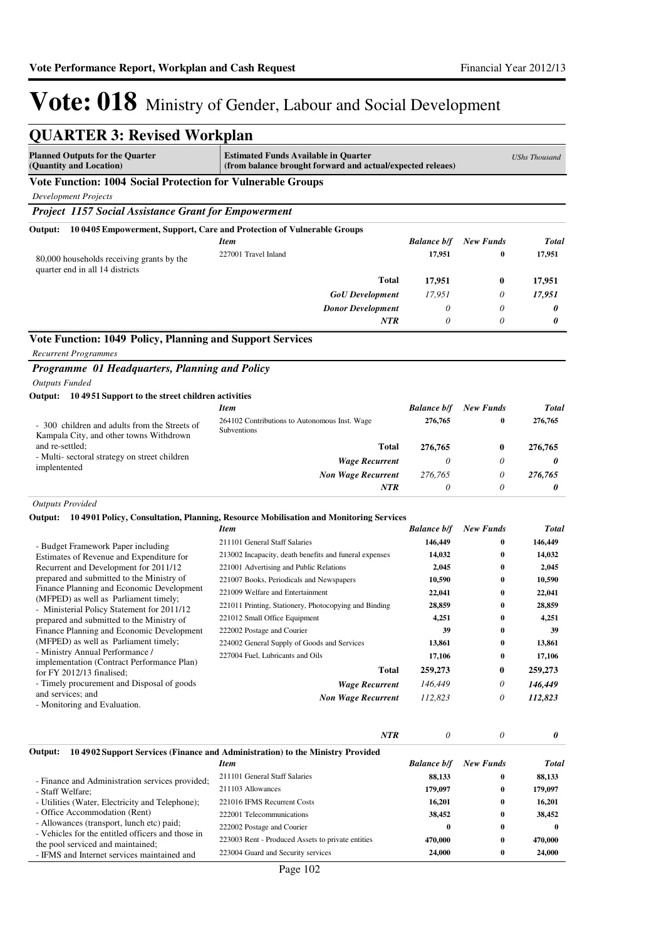| <b>QUARTER 3: Revised Workplan</b>                                                       |                                                                                                           |                    |                       |                      |
|------------------------------------------------------------------------------------------|-----------------------------------------------------------------------------------------------------------|--------------------|-----------------------|----------------------|
| <b>Planned Outputs for the Quarter</b><br>(Quantity and Location)                        | <b>Estimated Funds Available in Quarter</b><br>(from balance brought forward and actual/expected releaes) |                    |                       | <b>UShs Thousand</b> |
| Vote Function: 1004 Social Protection for Vulnerable Groups                              |                                                                                                           |                    |                       |                      |
| <b>Development Projects</b>                                                              |                                                                                                           |                    |                       |                      |
| <b>Project 1157 Social Assistance Grant for Empowerment</b>                              |                                                                                                           |                    |                       |                      |
| Output:                                                                                  | 10 0405 Empowerment, Support, Care and Protection of Vulnerable Groups                                    |                    |                       |                      |
|                                                                                          | <b>Item</b>                                                                                               | <b>Balance b/f</b> | <b>New Funds</b>      | <b>Total</b>         |
| 80,000 households receiving grants by the<br>quarter end in all 14 districts             | 227001 Travel Inland                                                                                      | 17,951             | 0                     | 17,951               |
|                                                                                          | Total                                                                                                     | 17,951             | $\bf{0}$              | 17,951               |
|                                                                                          | <b>GoU</b> Development                                                                                    | 17,951             | 0                     | 17,951               |
|                                                                                          | <b>Donor Development</b>                                                                                  | 0                  | $\theta$              | 0                    |
|                                                                                          | <b>NTR</b>                                                                                                | 0                  | $\theta$              | 0                    |
| Vote Function: 1049 Policy, Planning and Support Services                                |                                                                                                           |                    |                       |                      |
| <b>Recurrent Programmes</b>                                                              |                                                                                                           |                    |                       |                      |
| Programme 01 Headquarters, Planning and Policy                                           |                                                                                                           |                    |                       |                      |
| <b>Outputs Funded</b>                                                                    |                                                                                                           |                    |                       |                      |
| 10 49 51 Support to the street children activities<br>Output:                            |                                                                                                           |                    |                       |                      |
|                                                                                          | <b>Item</b>                                                                                               | <b>Balance b/f</b> | <b>New Funds</b>      | <b>Total</b>         |
|                                                                                          | 264102 Contributions to Autonomous Inst. Wage                                                             | 276,765            | 0                     | 276,765              |
| - 300 children and adults from the Streets of<br>Kampala City, and other towns Withdrown | Subventions                                                                                               |                    |                       |                      |
| and re-settled:                                                                          | <b>Total</b>                                                                                              | 276,765            | $\bf{0}$              | 276,765              |
| - Multi-sectoral strategy on street children<br>implentented                             | <b>Wage Recurrent</b>                                                                                     | $\theta$           | 0                     | 0                    |
|                                                                                          | <b>Non Wage Recurrent</b>                                                                                 | 276,765            | $\theta$              | 276,765              |
|                                                                                          | <b>NTR</b>                                                                                                | $\theta$           | $\theta$              | 0                    |
| <b>Outputs Provided</b>                                                                  |                                                                                                           |                    |                       |                      |
| Output:                                                                                  | 10 4901 Policy, Consultation, Planning, Resource Mobilisation and Monitoring Services                     |                    |                       |                      |
|                                                                                          | <b>Item</b>                                                                                               | <b>Balance b/f</b> | <b>New Funds</b>      | <b>Total</b>         |
| - Budget Framework Paper including                                                       | 211101 General Staff Salaries                                                                             | 146,449            | 0                     | 146,449              |
| Estimates of Revenue and Expenditure for                                                 | 213002 Incapacity, death benefits and funeral expenses                                                    | 14,032             | 0                     | 14,032               |
| Recurrent and Development for 2011/12                                                    | 221001 Advertising and Public Relations                                                                   | 2,045              | 0                     | 2,045                |
| prepared and submitted to the Ministry of<br>Finance Planning and Economic Development   | 221007 Books, Periodicals and Newspapers                                                                  | 10,590             | 0                     | 10,590               |
| (MFPED) as well as Parliament timely;                                                    | 221009 Welfare and Entertainment                                                                          | 22,041             | $\bf{0}$              | 22,041               |
| - Ministerial Policy Statement for 2011/12                                               | 221011 Printing, Stationery, Photocopying and Binding                                                     | 28,859             | 0                     | 28,859               |
| prepared and submitted to the Ministry of                                                | 221012 Small Office Equipment                                                                             | 4,251              | 0                     | 4,251                |
| Finance Planning and Economic Development<br>(MFPED) as well as Parliament timely;       | 222002 Postage and Courier<br>224002 General Supply of Goods and Services                                 | 39<br>13,861       | $\boldsymbol{0}$<br>0 | 39<br>13,861         |
| - Ministry Annual Performance /                                                          | 227004 Fuel, Lubricants and Oils                                                                          | 17,106             | $\bf{0}$              | 17,106               |
| implementation (Contract Performance Plan)                                               | <b>Total</b>                                                                                              | 259,273            | 0                     | 259,273              |
| for FY 2012/13 finalised;<br>- Timely procurement and Disposal of goods                  | <b>Wage Recurrent</b>                                                                                     | 146,449            |                       | 146,449              |
| and services; and                                                                        |                                                                                                           |                    | 0<br>0                |                      |
| - Monitoring and Evaluation.                                                             | <b>Non Wage Recurrent</b>                                                                                 | 112,823            |                       | 112,823              |
|                                                                                          |                                                                                                           |                    |                       |                      |
|                                                                                          | NTR                                                                                                       | $\theta$           | 0                     | 0                    |
| Output:                                                                                  | 10 4902 Support Services (Finance and Administration) to the Ministry Provided                            |                    |                       |                      |
|                                                                                          | <b>Item</b>                                                                                               | <b>Balance b/f</b> | <b>New Funds</b>      | <b>Total</b>         |
| - Finance and Administration services provided;                                          | 211101 General Staff Salaries                                                                             | 88,133             | 0                     | 88,133               |
| - Staff Welfare;                                                                         | 211103 Allowances                                                                                         | 179,097            | 0                     | 179,097              |
| - Utilities (Water, Electricity and Telephone);<br>- Office Accommodation (Rent)         | 221016 IFMS Recurrent Costs                                                                               | 16,201             | 0                     | 16,201               |
| - Allowances (transport, lunch etc) paid;                                                | 222001 Telecommunications                                                                                 | 38,452<br>$\bf{0}$ | 0<br>0                | 38,452<br>$\bf{0}$   |
| - Vehicles for the entitled officers and those in                                        | 222002 Postage and Courier<br>223003 Rent - Produced Assets to private entities                           | 470,000            | 0                     | 470,000              |
| the pool serviced and maintained;                                                        | 223004 Guard and Security services                                                                        | 24,000             | 0                     | 24,000               |
| - IFMS and Internet services maintained and                                              |                                                                                                           |                    |                       |                      |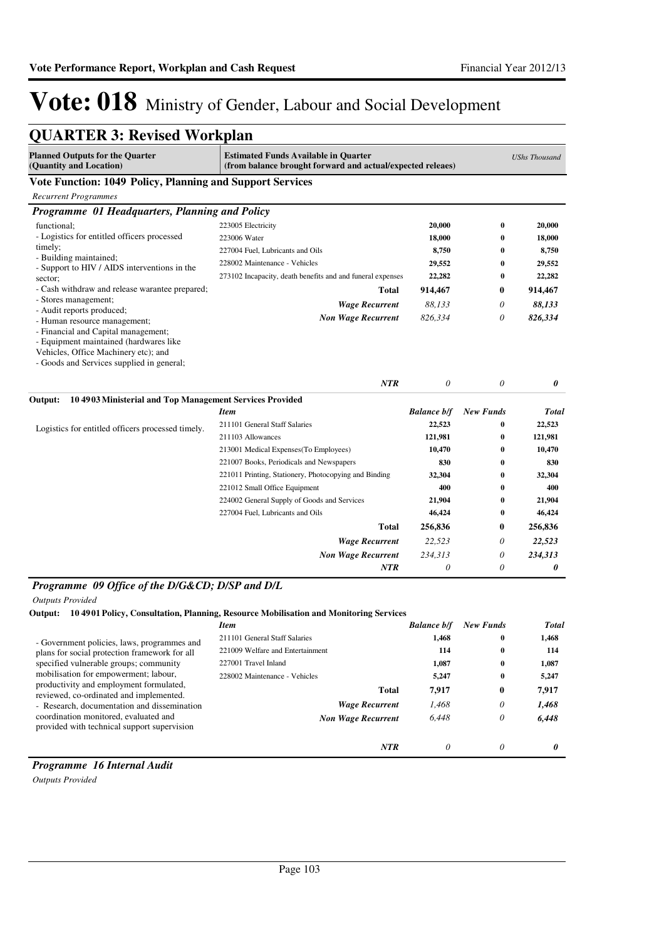| <b>QUARTER 3: Revised Workplan</b>                                                                                          |                                                                                                           |                      |                  |              |
|-----------------------------------------------------------------------------------------------------------------------------|-----------------------------------------------------------------------------------------------------------|----------------------|------------------|--------------|
| <b>Planned Outputs for the Quarter</b><br>(Quantity and Location)                                                           | <b>Estimated Funds Available in Quarter</b><br>(from balance brought forward and actual/expected releaes) | <b>UShs Thousand</b> |                  |              |
| <b>Vote Function: 1049 Policy, Planning and Support Services</b>                                                            |                                                                                                           |                      |                  |              |
| <b>Recurrent Programmes</b>                                                                                                 |                                                                                                           |                      |                  |              |
| Programme 01 Headquarters, Planning and Policy                                                                              |                                                                                                           |                      |                  |              |
| functional;                                                                                                                 | 223005 Electricity                                                                                        | 20,000               | $\bf{0}$         | 20,000       |
| - Logistics for entitled officers processed                                                                                 | 223006 Water                                                                                              | 18,000               | $\bf{0}$         | 18,000       |
| timely;                                                                                                                     | 227004 Fuel, Lubricants and Oils                                                                          | 8,750                | $\bf{0}$         | 8,750        |
| - Building maintained;<br>- Support to HIV / AIDS interventions in the                                                      | 228002 Maintenance - Vehicles                                                                             | 29,552               | $\bf{0}$         | 29,552       |
| sector;                                                                                                                     | 273102 Incapacity, death benefits and and funeral expenses                                                | 22,282               | $\bf{0}$         | 22,282       |
| - Cash withdraw and release warantee prepared;                                                                              | <b>Total</b>                                                                                              | 914,467              | $\bf{0}$         | 914,467      |
| - Stores management;                                                                                                        | <b>Wage Recurrent</b>                                                                                     | 88,133               | 0                | 88,133       |
| - Audit reports produced;<br>- Human resource management;                                                                   | <b>Non Wage Recurrent</b>                                                                                 | 826,334              | 0                | 826,334      |
| - Equipment maintained (hardwares like<br>Vehicles, Office Machinery etc); and<br>- Goods and Services supplied in general; |                                                                                                           |                      |                  |              |
|                                                                                                                             | <b>NTR</b>                                                                                                | $\theta$             | $\theta$         | 0            |
| 104903 Ministerial and Top Management Services Provided<br>Output:                                                          |                                                                                                           |                      |                  |              |
|                                                                                                                             | <b>Item</b>                                                                                               | <b>Balance b/f</b>   | <b>New Funds</b> | Total        |
| Logistics for entitled officers processed timely.                                                                           | 211101 General Staff Salaries                                                                             | 22,523               | $\bf{0}$         | 22,523       |
|                                                                                                                             | 211103 Allowances                                                                                         | 121,981              | $\bf{0}$         | 121,981      |
|                                                                                                                             | 213001 Medical Expenses(To Employees)                                                                     | 10,470               | $\mathbf{0}$     | 10,470       |
|                                                                                                                             | 221007 Books, Periodicals and Newspapers                                                                  | 830                  | $\bf{0}$         | 830          |
|                                                                                                                             | 221011 Printing, Stationery, Photocopying and Binding                                                     | 32,304               | $\bf{0}$         | 32,304       |
|                                                                                                                             | 221012 Small Office Equipment                                                                             | 400                  | $\bf{0}$         | 400          |
|                                                                                                                             | 224002 General Supply of Goods and Services                                                               | 21,904               | $\bf{0}$         | 21,904       |
|                                                                                                                             | 227004 Fuel, Lubricants and Oils                                                                          | 46,424               | $\bf{0}$         | 46,424       |
|                                                                                                                             | <b>Total</b>                                                                                              | 256,836              | $\bf{0}$         | 256,836      |
|                                                                                                                             | <b>Wage Recurrent</b>                                                                                     | 22,523               | 0                | 22,523       |
|                                                                                                                             | <b>Non Wage Recurrent</b><br><b>NTR</b>                                                                   | 234,313<br>0         | 0<br>$\theta$    | 234,313<br>0 |

#### *Programme 09 Office of the D/G&CD; D/SP and D/L*

*Outputs Provided*

#### **Output: 10 4901 Policy, Consultation, Planning, Resource Mobilisation and Monitoring Services**

|                                                                                      | <b>Item</b>                      | <b>Balance b/f</b> | <b>New Funds</b> | <b>Total</b> |
|--------------------------------------------------------------------------------------|----------------------------------|--------------------|------------------|--------------|
| - Government policies, laws, programmes and                                          | 211101 General Staff Salaries    | 1,468              | $\bf{0}$         | 1,468        |
| plans for social protection framework for all                                        | 221009 Welfare and Entertainment | 114                | $\bf{0}$         | 114          |
| specified vulnerable groups; community                                               | 227001 Travel Inland             | 1,087              | $\bf{0}$         | 1,087        |
| mobilisation for empowerment; labour,                                                | 228002 Maintenance - Vehicles    | 5,247              | $\bf{0}$         | 5,247        |
| productivity and employment formulated,<br>reviewed, co-ordinated and implemented.   | Total                            | 7,917              | 0                | 7,917        |
| - Research, documentation and dissemination                                          | <b>Wage Recurrent</b>            | 1.468              | 0                | 1,468        |
| coordination monitored, evaluated and<br>provided with technical support supervision | <b>Non Wage Recurrent</b>        | 6.448              | 0                | 6,448        |
|                                                                                      | <b>NTR</b>                       | 0                  | 0                | 0            |

### *Programme 16 Internal Audit*

*Outputs Provided*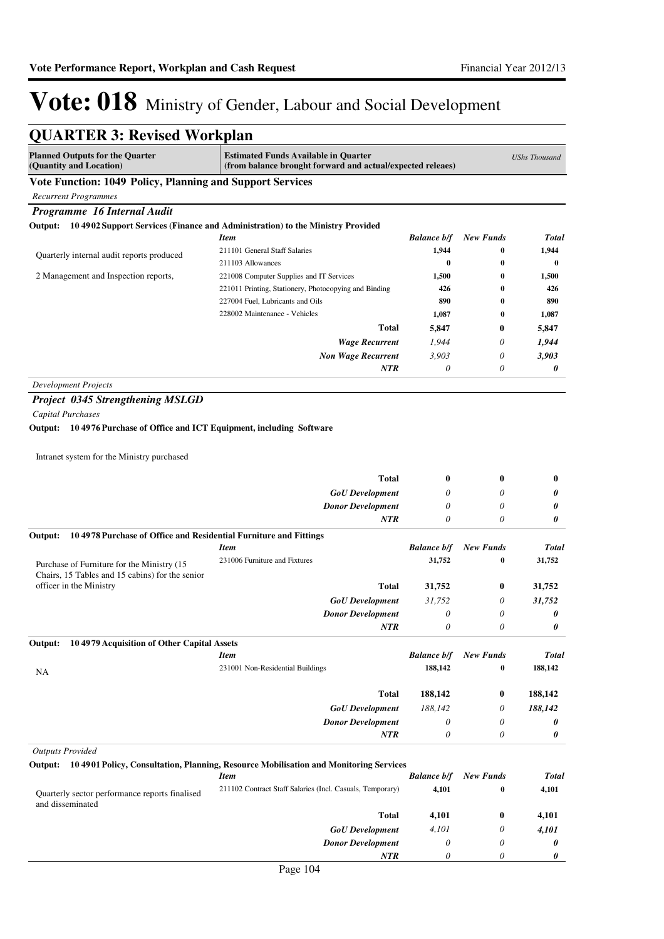*0*

*0*

*0*

### Vote: 018 Ministry of Gender, Labour and Social Development

| <b>QUARTER 3: Revised Workplan</b>                                                                                                                                                                     |                                                                                               |                    |                  |              |
|--------------------------------------------------------------------------------------------------------------------------------------------------------------------------------------------------------|-----------------------------------------------------------------------------------------------|--------------------|------------------|--------------|
| <b>Planned Outputs for the Quarter</b><br><b>Estimated Funds Available in Quarter</b><br><b>UShs Thousand</b><br>(Quantity and Location)<br>(from balance brought forward and actual/expected releaes) |                                                                                               |                    |                  |              |
| Vote Function: 1049 Policy, Planning and Support Services                                                                                                                                              |                                                                                               |                    |                  |              |
| <b>Recurrent Programmes</b>                                                                                                                                                                            |                                                                                               |                    |                  |              |
| Programme 16 Internal Audit                                                                                                                                                                            |                                                                                               |                    |                  |              |
|                                                                                                                                                                                                        | Output: 104902 Support Services (Finance and Administration) to the Ministry Provided         |                    |                  |              |
|                                                                                                                                                                                                        | <b>Item</b>                                                                                   | <b>Balance b/f</b> | <b>New Funds</b> | <b>Total</b> |
| Quarterly internal audit reports produced                                                                                                                                                              | 211101 General Staff Salaries                                                                 | 1,944              | 0                | 1,944        |
|                                                                                                                                                                                                        | 211103 Allowances                                                                             | $\bf{0}$           | 0                | $\bf{0}$     |
| 2 Management and Inspection reports,                                                                                                                                                                   | 221008 Computer Supplies and IT Services                                                      | 1,500              | 0                | 1,500        |
|                                                                                                                                                                                                        | 221011 Printing, Stationery, Photocopying and Binding                                         | 426                | 0                | 426          |
|                                                                                                                                                                                                        | 227004 Fuel, Lubricants and Oils                                                              | 890                | 0                | 890          |
|                                                                                                                                                                                                        | 228002 Maintenance - Vehicles                                                                 | 1,087              | 0                | 1,087        |
|                                                                                                                                                                                                        | Total                                                                                         | 5,847              | 0                | 5,847        |
|                                                                                                                                                                                                        | <b>Wage Recurrent</b>                                                                         | 1,944              | 0                | 1,944        |
|                                                                                                                                                                                                        | <b>Non Wage Recurrent</b>                                                                     | 3,903              | 0                | 3,903        |
|                                                                                                                                                                                                        | <b>NTR</b>                                                                                    | $\theta$           | 0                | 0            |
| <b>Development Projects</b>                                                                                                                                                                            |                                                                                               |                    |                  |              |
| <b>Project 0345 Strengthening MSLGD</b>                                                                                                                                                                |                                                                                               |                    |                  |              |
| <b>Capital Purchases</b>                                                                                                                                                                               |                                                                                               |                    |                  |              |
| Output: 104976 Purchase of Office and ICT Equipment, including Software                                                                                                                                |                                                                                               |                    |                  |              |
| Intranet system for the Ministry purchased                                                                                                                                                             |                                                                                               |                    |                  |              |
|                                                                                                                                                                                                        | Total                                                                                         | $\bf{0}$           | 0                | $\bf{0}$     |
|                                                                                                                                                                                                        | <b>GoU</b> Development                                                                        | 0                  | 0                | 0            |
|                                                                                                                                                                                                        | <b>Donor Development</b>                                                                      | 0                  | 0                | 0            |
|                                                                                                                                                                                                        | <b>NTR</b>                                                                                    | 0                  | 0                | 0            |
| 104978 Purchase of Office and Residential Furniture and Fittings<br>Output:                                                                                                                            |                                                                                               |                    |                  |              |
|                                                                                                                                                                                                        | <b>Item</b>                                                                                   | <b>Balance b/f</b> | <b>New Funds</b> | <b>Total</b> |
| Purchase of Furniture for the Ministry (15)                                                                                                                                                            | 231006 Furniture and Fixtures                                                                 | 31,752             | 0                | 31,752       |
| Chairs, 15 Tables and 15 cabins) for the senior                                                                                                                                                        |                                                                                               |                    |                  |              |
| officer in the Ministry                                                                                                                                                                                | Total                                                                                         | 31,752             | $\bf{0}$         | 31,752       |
|                                                                                                                                                                                                        | <b>GoU</b> Development                                                                        | 31,752             | 0                | 31,752       |
|                                                                                                                                                                                                        | <b>Donor Development</b>                                                                      | $\theta$           | 0                | 0            |
|                                                                                                                                                                                                        | <b>NTR</b>                                                                                    | 0                  | 0                | 0            |
| 104979 Acquisition of Other Capital Assets<br>Output:                                                                                                                                                  |                                                                                               |                    |                  |              |
|                                                                                                                                                                                                        | <b>Item</b>                                                                                   | <b>Balance b/f</b> | <b>New Funds</b> | <b>Total</b> |
| NA                                                                                                                                                                                                     | 231001 Non-Residential Buildings                                                              | 188,142            | $\bf{0}$         | 188,142      |
|                                                                                                                                                                                                        | Total                                                                                         | 188,142            | 0                | 188,142      |
|                                                                                                                                                                                                        | <b>GoU</b> Development                                                                        | 188,142            | 0                | 188,142      |
|                                                                                                                                                                                                        | <b>Donor Development</b>                                                                      | $\theta$           | 0                | 0            |
|                                                                                                                                                                                                        | <b>NTR</b>                                                                                    | $\theta$           | 0                | 0            |
| <b>Outputs Provided</b>                                                                                                                                                                                |                                                                                               |                    |                  |              |
|                                                                                                                                                                                                        | Output: 10 4901 Policy, Consultation, Planning, Resource Mobilisation and Monitoring Services |                    |                  |              |
|                                                                                                                                                                                                        | <b>Item</b>                                                                                   | <b>Balance b/f</b> | <b>New Funds</b> | <b>Total</b> |
|                                                                                                                                                                                                        | 211102 Contract Staff Salaries (Incl. Casuals, Temporary)                                     | 4,101              | 0                | 4,101        |
| Quarterly sector performance reports finalised<br>and disseminated                                                                                                                                     |                                                                                               |                    |                  |              |
|                                                                                                                                                                                                        | Total                                                                                         | 4,101              | 0                | 4,101        |
|                                                                                                                                                                                                        | <b>GoU</b> Development                                                                        | 4,101              | 0                | 4,101        |
|                                                                                                                                                                                                        | <b>Donor Development</b>                                                                      | $\theta$           | 0                | 0            |
|                                                                                                                                                                                                        |                                                                                               |                    |                  |              |

*NTR*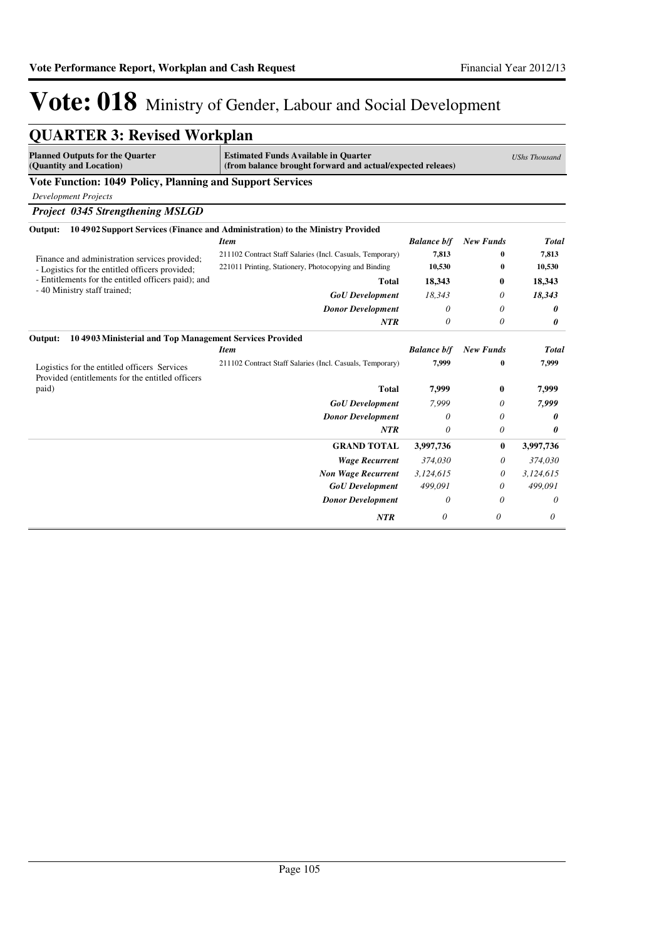| <b>Planned Outputs for the Quarter</b><br>(Quantity and Location)                                | <b>Estimated Funds Available in Quarter</b><br>(from balance brought forward and actual/expected releaes) |                    | <b>UShs Thousand</b> |              |
|--------------------------------------------------------------------------------------------------|-----------------------------------------------------------------------------------------------------------|--------------------|----------------------|--------------|
| Vote Function: 1049 Policy, Planning and Support Services                                        |                                                                                                           |                    |                      |              |
| <b>Development Projects</b>                                                                      |                                                                                                           |                    |                      |              |
| <b>Project 0345 Strengthening MSLGD</b>                                                          |                                                                                                           |                    |                      |              |
| Output:                                                                                          | 10 4902 Support Services (Finance and Administration) to the Ministry Provided                            |                    |                      |              |
|                                                                                                  | <b>Item</b>                                                                                               | <b>Balance b/f</b> | <b>New Funds</b>     | <b>Total</b> |
| Finance and administration services provided;                                                    | 211102 Contract Staff Salaries (Incl. Casuals, Temporary)                                                 | 7.813              | 0                    | 7,813        |
| - Logistics for the entitled officers provided;                                                  | 221011 Printing, Stationery, Photocopying and Binding                                                     | 10,530             | 0                    | 10,530       |
| - Entitlements for the entitled officers paid); and                                              | <b>Total</b>                                                                                              | 18,343             | 0                    | 18,343       |
| - 40 Ministry staff trained;                                                                     | <b>GoU</b> Development                                                                                    | 18,343             | 0                    | 18,343       |
|                                                                                                  | <b>Donor Development</b>                                                                                  | $\theta$           | 0                    | 0            |
|                                                                                                  | <b>NTR</b>                                                                                                | $\theta$           | 0                    | 0            |
| 104903 Ministerial and Top Management Services Provided<br>Output:                               |                                                                                                           |                    |                      |              |
|                                                                                                  | <b>Item</b>                                                                                               | <b>Balance b/f</b> | <b>New Funds</b>     | <b>Total</b> |
| Logistics for the entitled officers Services<br>Provided (entitlements for the entitled officers | 211102 Contract Staff Salaries (Incl. Casuals, Temporary)                                                 | 7.999              | $\bf{0}$             | 7,999        |
| paid)                                                                                            | <b>Total</b>                                                                                              | 7,999              | 0                    | 7,999        |
|                                                                                                  | <b>GoU</b> Development                                                                                    | 7.999              | 0                    | 7,999        |
|                                                                                                  | <b>Donor Development</b>                                                                                  | $\theta$           | 0                    | 0            |
|                                                                                                  | <b>NTR</b>                                                                                                | 0                  | 0                    | 0            |
|                                                                                                  | <b>GRAND TOTAL</b>                                                                                        | 3,997,736          | $\mathbf{0}$         | 3,997,736    |
|                                                                                                  | <b>Wage Recurrent</b>                                                                                     | 374,030            | 0                    | 374,030      |
|                                                                                                  | <b>Non Wage Recurrent</b>                                                                                 | 3,124,615          | 0                    | 3,124,615    |
|                                                                                                  | <b>GoU</b> Development                                                                                    | 499.091            | 0                    | 499.091      |
|                                                                                                  | <b>Donor Development</b>                                                                                  | 0                  | 0                    | 0            |
|                                                                                                  | <b>NTR</b>                                                                                                | 0                  | $\theta$             | 0            |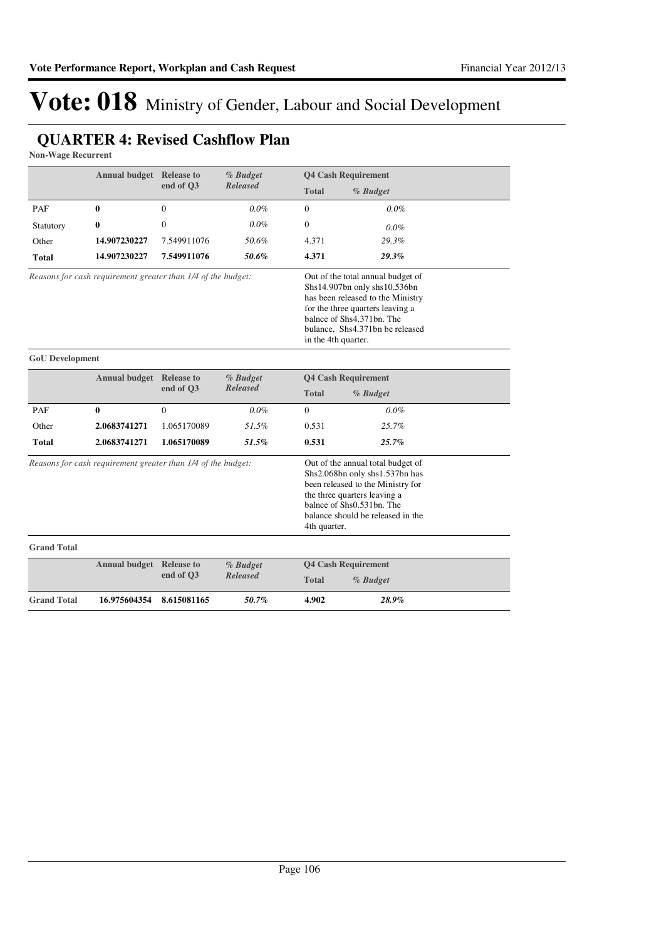### **QUARTER 4: Revised Cashflow Plan**

**Non-Wage Recurrent**

|                                                                                     | Annual budget Release to |                                                                                                                                                                                                                            | % Budget        |              | <b>Q4 Cash Requirement</b> |
|-------------------------------------------------------------------------------------|--------------------------|----------------------------------------------------------------------------------------------------------------------------------------------------------------------------------------------------------------------------|-----------------|--------------|----------------------------|
|                                                                                     |                          | end of O3                                                                                                                                                                                                                  | <b>Released</b> | <b>Total</b> | % Budget                   |
| <b>PAF</b>                                                                          | 0                        | $\Omega$                                                                                                                                                                                                                   | 0.0%            | $\Omega$     | $0.0\%$                    |
| Statutory                                                                           | 0                        | $\mathbf{0}$                                                                                                                                                                                                               | $0.0\%$         | $\mathbf{0}$ | $0.0\%$                    |
| Other                                                                               | 14.907230227             | 7.549911076                                                                                                                                                                                                                | 50.6%           | 4.371        | 29.3%                      |
| Total                                                                               | 14.907230227             | 7.549911076                                                                                                                                                                                                                | 50.6%           | 4.371        | 29.3%                      |
| Reasons for cash requirement greater than 1/4 of the budget:<br>in the 4th quarter. |                          | Out of the total annual budget of<br>Shs14.907bn only shs10.536bn<br>has been released to the Ministry<br>for the three quarters leaving a<br>balnce of Shs4.371bn. The<br>bulance, Shs4.371bn be released                 |                 |              |                            |
| <b>GoU</b> Development                                                              |                          |                                                                                                                                                                                                                            |                 |              |                            |
|                                                                                     | Annual budget Release to |                                                                                                                                                                                                                            | % Budget        |              | <b>Q4 Cash Requirement</b> |
|                                                                                     |                          | end of O3                                                                                                                                                                                                                  | <b>Released</b> | <b>Total</b> | % Budget                   |
| PAF                                                                                 | 0                        | $\mathbf{0}$                                                                                                                                                                                                               | $0.0\%$         | $\Omega$     | $0.0\%$                    |
| Other                                                                               | 2.0683741271             | 1.065170089                                                                                                                                                                                                                | 51.5%           | 0.531        | 25.7%                      |
| <b>Total</b>                                                                        | 2.0683741271             | 1.065170089                                                                                                                                                                                                                | 51.5%           | 0.531        | 25.7%                      |
| Reasons for cash requirement greater than 1/4 of the budget:                        |                          | Out of the annual total budget of<br>Shs2.068bn only shs1.537bn has<br>been released to the Ministry for<br>the three quarters leaving a<br>balnce of Shs0.531bn. The<br>balance should be released in the<br>4th quarter. |                 |              |                            |
| <b>Grand Total</b>                                                                  |                          |                                                                                                                                                                                                                            |                 |              |                            |
|                                                                                     |                          | <b>Annual budget Release to</b><br>% Budget                                                                                                                                                                                |                 |              | <b>Q4 Cash Requirement</b> |
|                                                                                     |                          | end of Q3                                                                                                                                                                                                                  | <b>Released</b> | <b>Total</b> | % Budget                   |
| <b>Grand Total</b>                                                                  | 16.975604354             | 8.615081165                                                                                                                                                                                                                | 50.7%           | 4.902        | 28.9%                      |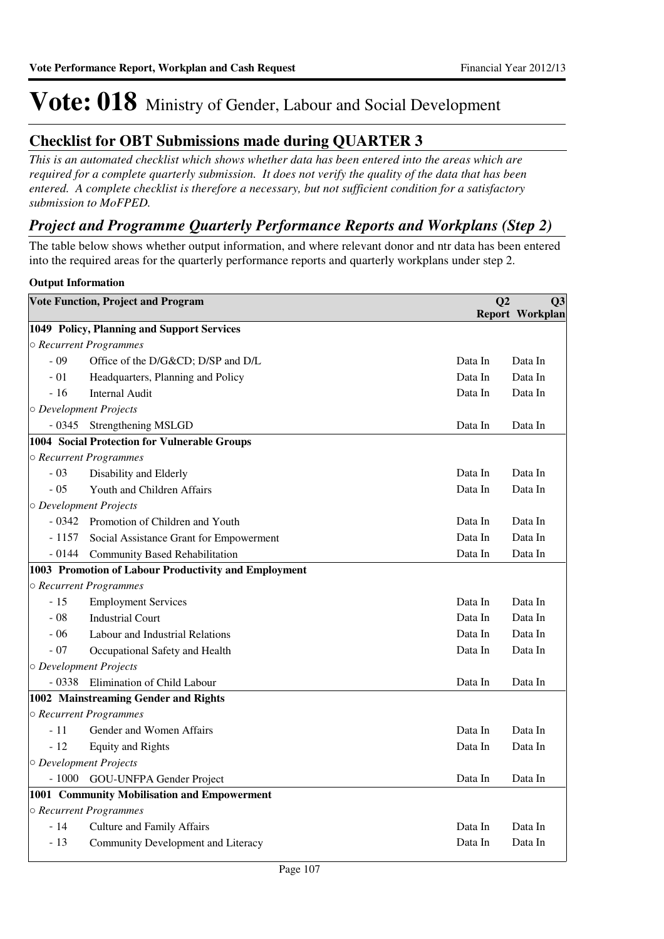### **Checklist for OBT Submissions made during QUARTER 3**

*This is an automated checklist which shows whether data has been entered into the areas which are required for a complete quarterly submission. It does not verify the quality of the data that has been entered. A complete checklist is therefore a necessary, but not sufficient condition for a satisfactory submission to MoFPED.*

### *Project and Programme Quarterly Performance Reports and Workplans (Step 2)*

The table below shows whether output information, and where relevant donor and ntr data has been entered into the required areas for the quarterly performance reports and quarterly workplans under step 2.

#### **Output Information**

|          | <b>Vote Function, Project and Program</b>            | Q <sub>2</sub> | Q <sub>3</sub>  |
|----------|------------------------------------------------------|----------------|-----------------|
|          |                                                      |                | Report Workplan |
|          | 1049 Policy, Planning and Support Services           |                |                 |
|          | ○ Recurrent Programmes                               |                |                 |
| $-09$    | Office of the D/G&CD D/SP and D/L                    | Data In        | Data In         |
| $-01$    | Headquarters, Planning and Policy                    | Data In        | Data In         |
| $-16$    | <b>Internal Audit</b>                                | Data In        | Data In         |
|          | O Development Projects                               |                |                 |
| $-0345$  | Strengthening MSLGD                                  | Data In        | Data In         |
|          | 1004 Social Protection for Vulnerable Groups         |                |                 |
|          | ○ Recurrent Programmes                               |                |                 |
| $-03$    | Disability and Elderly                               | Data In        | Data In         |
| $-05$    | Youth and Children Affairs                           | Data In        | Data In         |
|          | O Development Projects                               |                |                 |
| $-0.342$ | Promotion of Children and Youth                      | Data In        | Data In         |
| $-1157$  | Social Assistance Grant for Empowerment              | Data In        | Data In         |
| $-0144$  | <b>Community Based Rehabilitation</b>                | Data In        | Data In         |
|          | 1003 Promotion of Labour Productivity and Employment |                |                 |
|          | ○ Recurrent Programmes                               |                |                 |
| $-15$    | <b>Employment Services</b>                           | Data In        | Data In         |
| $-08$    | <b>Industrial Court</b>                              | Data In        | Data In         |
| $-06$    | Labour and Industrial Relations                      | Data In        | Data In         |
| $-07$    | Occupational Safety and Health                       | Data In        | Data In         |
|          | O Development Projects                               |                |                 |
| $-0338$  | Elimination of Child Labour                          | Data In        | Data In         |
|          | 1002 Mainstreaming Gender and Rights                 |                |                 |
|          | ○ Recurrent Programmes                               |                |                 |
| $-11$    | Gender and Women Affairs                             | Data In        | Data In         |
| $-12$    | <b>Equity and Rights</b>                             | Data In        | Data In         |
|          | O Development Projects                               |                |                 |
| $-1000$  | GOU-UNFPA Gender Project                             | Data In        | Data In         |
|          | 1001 Community Mobilisation and Empowerment          |                |                 |
|          | ○ Recurrent Programmes                               |                |                 |
| - 14     | <b>Culture and Family Affairs</b>                    | Data In        | Data In         |
| $-13$    | Community Development and Literacy                   | Data In        | Data In         |